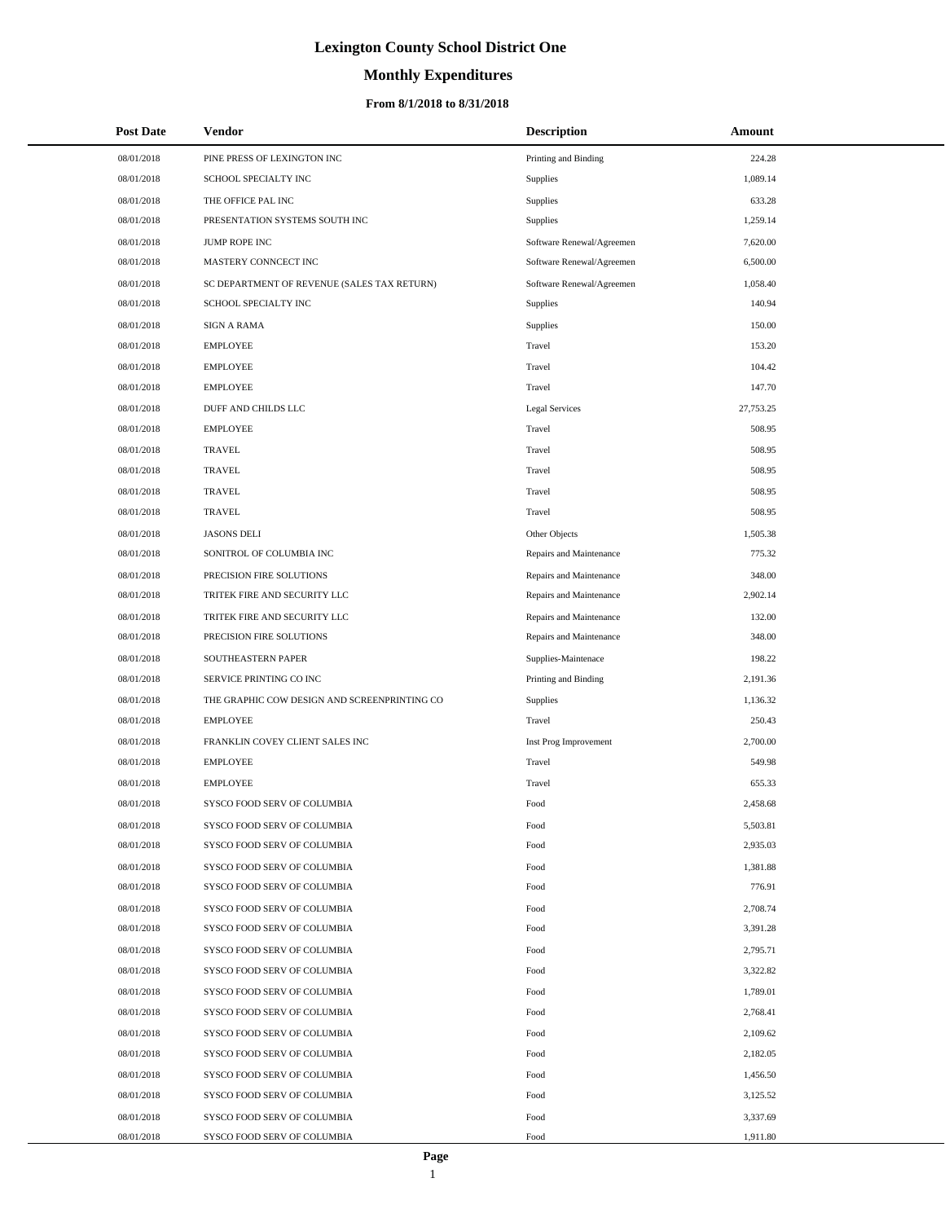# **Monthly Expenditures**

## **From 8/1/2018 to 8/31/2018**

| <b>Post Date</b>         | Vendor                                                     | <b>Description</b>        | Amount               |
|--------------------------|------------------------------------------------------------|---------------------------|----------------------|
| 08/01/2018               | PINE PRESS OF LEXINGTON INC                                | Printing and Binding      | 224.28               |
| 08/01/2018               | SCHOOL SPECIALTY INC                                       | Supplies                  | 1,089.14             |
| 08/01/2018               | THE OFFICE PAL INC                                         | Supplies                  | 633.28               |
| 08/01/2018               | PRESENTATION SYSTEMS SOUTH INC                             | Supplies                  | 1,259.14             |
| 08/01/2018               | JUMP ROPE INC                                              | Software Renewal/Agreemen | 7,620.00             |
| 08/01/2018               | MASTERY CONNCECT INC                                       | Software Renewal/Agreemen | 6,500.00             |
| 08/01/2018               | SC DEPARTMENT OF REVENUE (SALES TAX RETURN)                | Software Renewal/Agreemen | 1,058.40             |
| 08/01/2018               | SCHOOL SPECIALTY INC                                       | Supplies                  | 140.94               |
| 08/01/2018               | <b>SIGN A RAMA</b>                                         | Supplies                  | 150.00               |
| 08/01/2018               | <b>EMPLOYEE</b>                                            | Travel                    | 153.20               |
| 08/01/2018               | <b>EMPLOYEE</b>                                            | Travel                    | 104.42               |
| 08/01/2018               | <b>EMPLOYEE</b>                                            | Travel                    | 147.70               |
| 08/01/2018               | DUFF AND CHILDS LLC                                        | <b>Legal Services</b>     | 27,753.25            |
| 08/01/2018               | <b>EMPLOYEE</b>                                            | Travel                    | 508.95               |
| 08/01/2018               | <b>TRAVEL</b>                                              | Travel                    | 508.95               |
| 08/01/2018               | <b>TRAVEL</b>                                              | Travel                    | 508.95               |
| 08/01/2018               | <b>TRAVEL</b>                                              | Travel                    | 508.95               |
| 08/01/2018               | <b>TRAVEL</b>                                              | Travel                    | 508.95               |
| 08/01/2018               | <b>JASONS DELI</b>                                         | Other Objects             | 1,505.38             |
| 08/01/2018               | SONITROL OF COLUMBIA INC                                   | Repairs and Maintenance   | 775.32               |
| 08/01/2018               | PRECISION FIRE SOLUTIONS                                   | Repairs and Maintenance   | 348.00               |
| 08/01/2018               | TRITEK FIRE AND SECURITY LLC                               | Repairs and Maintenance   | 2,902.14             |
| 08/01/2018               | TRITEK FIRE AND SECURITY LLC                               | Repairs and Maintenance   | 132.00               |
| 08/01/2018               | PRECISION FIRE SOLUTIONS                                   | Repairs and Maintenance   | 348.00               |
| 08/01/2018               | SOUTHEASTERN PAPER                                         | Supplies-Maintenace       | 198.22               |
| 08/01/2018               | SERVICE PRINTING CO INC                                    | Printing and Binding      | 2,191.36             |
| 08/01/2018               | THE GRAPHIC COW DESIGN AND SCREENPRINTING CO               | Supplies                  | 1,136.32             |
| 08/01/2018               | <b>EMPLOYEE</b>                                            | Travel                    | 250.43               |
| 08/01/2018               | FRANKLIN COVEY CLIENT SALES INC                            | Inst Prog Improvement     | 2,700.00             |
| 08/01/2018               | <b>EMPLOYEE</b>                                            | Travel                    | 549.98               |
| 08/01/2018               | <b>EMPLOYEE</b>                                            | Travel                    | 655.33               |
| 08/01/2018               | SYSCO FOOD SERV OF COLUMBIA                                | Food                      | 2,458.68             |
| 08/01/2018               | SYSCO FOOD SERV OF COLUMBIA                                | Food                      | 5,503.81             |
| 08/01/2018               | SYSCO FOOD SERV OF COLUMBIA                                | Food                      | 2,935.03             |
| 08/01/2018               | SYSCO FOOD SERV OF COLUMBIA                                | Food                      | 1,381.88             |
| 08/01/2018               | SYSCO FOOD SERV OF COLUMBIA                                | Food                      | 776.91               |
| 08/01/2018               | SYSCO FOOD SERV OF COLUMBIA                                | Food                      | 2,708.74             |
| 08/01/2018               | SYSCO FOOD SERV OF COLUMBIA                                | Food                      | 3,391.28             |
| 08/01/2018               | SYSCO FOOD SERV OF COLUMBIA                                | Food                      | 2,795.71             |
| 08/01/2018               | SYSCO FOOD SERV OF COLUMBIA                                | Food                      | 3,322.82             |
| 08/01/2018               | SYSCO FOOD SERV OF COLUMBIA                                | Food                      | 1,789.01             |
| 08/01/2018               | SYSCO FOOD SERV OF COLUMBIA                                | Food                      | 2,768.41             |
| 08/01/2018               | SYSCO FOOD SERV OF COLUMBIA                                | Food                      | 2,109.62             |
| 08/01/2018               | SYSCO FOOD SERV OF COLUMBIA                                | Food                      | 2,182.05             |
| 08/01/2018               | SYSCO FOOD SERV OF COLUMBIA                                | Food                      | 1,456.50             |
| 08/01/2018               | SYSCO FOOD SERV OF COLUMBIA                                | Food                      | 3,125.52             |
| 08/01/2018<br>08/01/2018 | SYSCO FOOD SERV OF COLUMBIA<br>SYSCO FOOD SERV OF COLUMBIA | Food<br>Food              | 3,337.69<br>1,911.80 |
|                          |                                                            |                           |                      |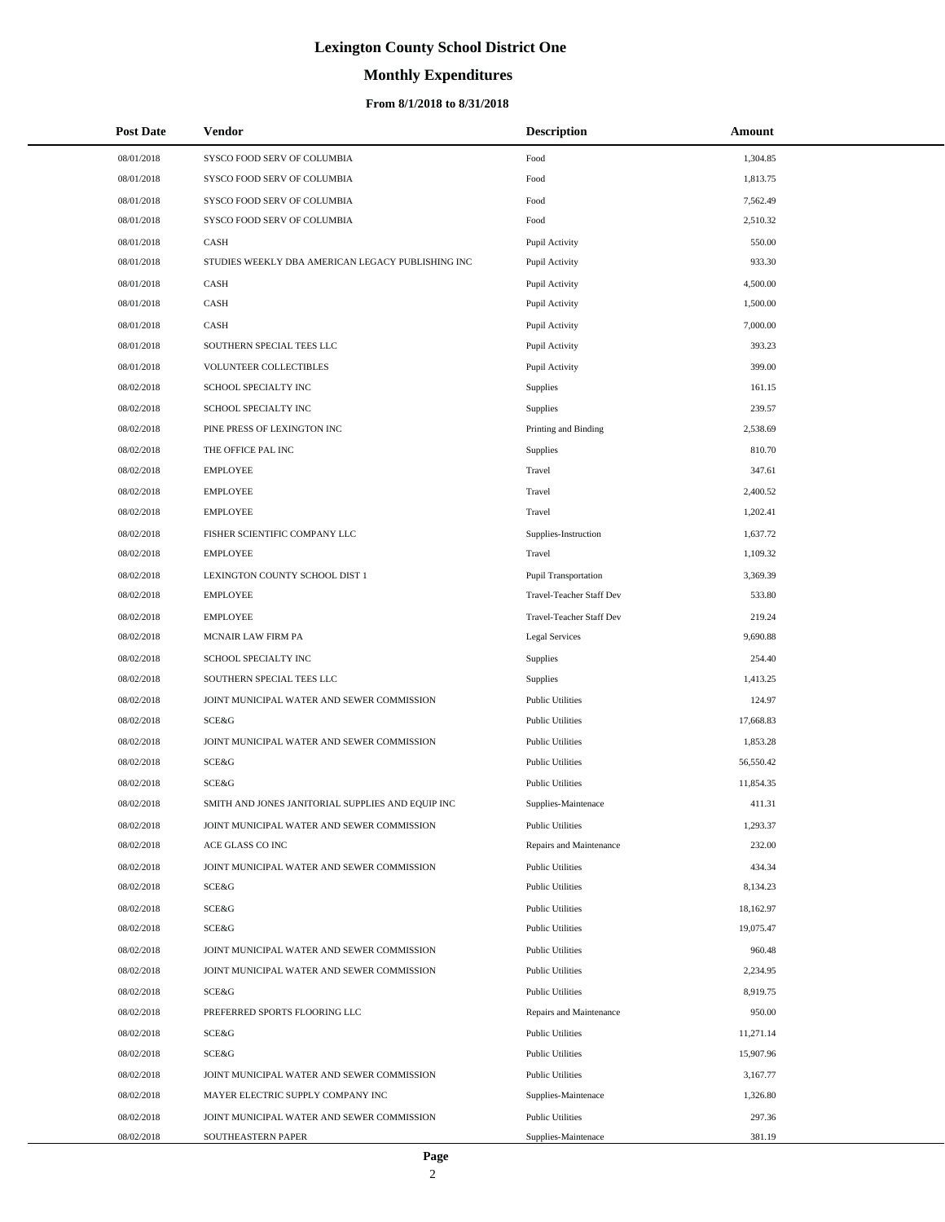# **Monthly Expenditures**

### **From 8/1/2018 to 8/31/2018**

| <b>Post Date</b> | Vendor                                            | <b>Description</b>          | Amount    |
|------------------|---------------------------------------------------|-----------------------------|-----------|
| 08/01/2018       | SYSCO FOOD SERV OF COLUMBIA                       | Food                        | 1,304.85  |
| 08/01/2018       | SYSCO FOOD SERV OF COLUMBIA                       | Food                        | 1,813.75  |
| 08/01/2018       | SYSCO FOOD SERV OF COLUMBIA                       | Food                        | 7,562.49  |
| 08/01/2018       | SYSCO FOOD SERV OF COLUMBIA                       | Food                        | 2,510.32  |
| 08/01/2018       | CASH                                              | Pupil Activity              | 550.00    |
| 08/01/2018       | STUDIES WEEKLY DBA AMERICAN LEGACY PUBLISHING INC | Pupil Activity              | 933.30    |
| 08/01/2018       | CASH                                              | Pupil Activity              | 4,500.00  |
| 08/01/2018       | CASH                                              | Pupil Activity              | 1,500.00  |
| 08/01/2018       | CASH                                              | Pupil Activity              | 7,000.00  |
| 08/01/2018       | SOUTHERN SPECIAL TEES LLC                         | Pupil Activity              | 393.23    |
| 08/01/2018       | VOLUNTEER COLLECTIBLES                            | Pupil Activity              | 399.00    |
| 08/02/2018       | SCHOOL SPECIALTY INC                              | Supplies                    | 161.15    |
| 08/02/2018       | SCHOOL SPECIALTY INC                              | Supplies                    | 239.57    |
| 08/02/2018       | PINE PRESS OF LEXINGTON INC                       | Printing and Binding        | 2,538.69  |
| 08/02/2018       | THE OFFICE PAL INC                                | Supplies                    | 810.70    |
| 08/02/2018       | <b>EMPLOYEE</b>                                   | Travel                      | 347.61    |
| 08/02/2018       | <b>EMPLOYEE</b>                                   | Travel                      | 2,400.52  |
| 08/02/2018       | <b>EMPLOYEE</b>                                   | Travel                      | 1,202.41  |
| 08/02/2018       | FISHER SCIENTIFIC COMPANY LLC                     | Supplies-Instruction        | 1,637.72  |
| 08/02/2018       | <b>EMPLOYEE</b>                                   | Travel                      | 1,109.32  |
| 08/02/2018       | LEXINGTON COUNTY SCHOOL DIST 1                    | <b>Pupil Transportation</b> | 3,369.39  |
| 08/02/2018       | <b>EMPLOYEE</b>                                   | Travel-Teacher Staff Dev    | 533.80    |
| 08/02/2018       | <b>EMPLOYEE</b>                                   | Travel-Teacher Staff Dev    | 219.24    |
| 08/02/2018       | MCNAIR LAW FIRM PA                                | <b>Legal Services</b>       | 9,690.88  |
| 08/02/2018       | SCHOOL SPECIALTY INC                              | <b>Supplies</b>             | 254.40    |
| 08/02/2018       | SOUTHERN SPECIAL TEES LLC                         | Supplies                    | 1,413.25  |
| 08/02/2018       | JOINT MUNICIPAL WATER AND SEWER COMMISSION        | <b>Public Utilities</b>     | 124.97    |
| 08/02/2018       | <b>SCE&amp;G</b>                                  | <b>Public Utilities</b>     | 17,668.83 |
| 08/02/2018       | JOINT MUNICIPAL WATER AND SEWER COMMISSION        | <b>Public Utilities</b>     | 1,853.28  |
| 08/02/2018       | SCE&G                                             | <b>Public Utilities</b>     | 56,550.42 |
| 08/02/2018       | SCE&G                                             | <b>Public Utilities</b>     | 11,854.35 |
| 08/02/2018       | SMITH AND JONES JANITORIAL SUPPLIES AND EQUIP INC | Supplies-Maintenace         | 411.31    |
| 08/02/2018       | JOINT MUNICIPAL WATER AND SEWER COMMISSION        | <b>Public Utilities</b>     | 1,293.37  |
| 08/02/2018       | ACE GLASS CO INC                                  | Repairs and Maintenance     | 232.00    |
| 08/02/2018       | JOINT MUNICIPAL WATER AND SEWER COMMISSION        | <b>Public Utilities</b>     | 434.34    |
| 08/02/2018       | SCE&G                                             | <b>Public Utilities</b>     | 8,134.23  |
| 08/02/2018       | SCE&G                                             | <b>Public Utilities</b>     | 18,162.97 |
| 08/02/2018       | SCE&G                                             | <b>Public Utilities</b>     | 19,075.47 |
| 08/02/2018       | JOINT MUNICIPAL WATER AND SEWER COMMISSION        | <b>Public Utilities</b>     | 960.48    |
| 08/02/2018       | JOINT MUNICIPAL WATER AND SEWER COMMISSION        | <b>Public Utilities</b>     | 2,234.95  |
| 08/02/2018       | SCE&G                                             | <b>Public Utilities</b>     | 8,919.75  |
| 08/02/2018       | PREFERRED SPORTS FLOORING LLC                     | Repairs and Maintenance     | 950.00    |
| 08/02/2018       | SCE&G                                             | <b>Public Utilities</b>     | 11,271.14 |
| 08/02/2018       | SCE&G                                             | <b>Public Utilities</b>     | 15,907.96 |
| 08/02/2018       | JOINT MUNICIPAL WATER AND SEWER COMMISSION        | <b>Public Utilities</b>     | 3,167.77  |
| 08/02/2018       | MAYER ELECTRIC SUPPLY COMPANY INC                 | Supplies-Maintenace         | 1,326.80  |
| 08/02/2018       | JOINT MUNICIPAL WATER AND SEWER COMMISSION        | <b>Public Utilities</b>     | 297.36    |
| 08/02/2018       | SOUTHEASTERN PAPER                                | Supplies-Maintenace         | 381.19    |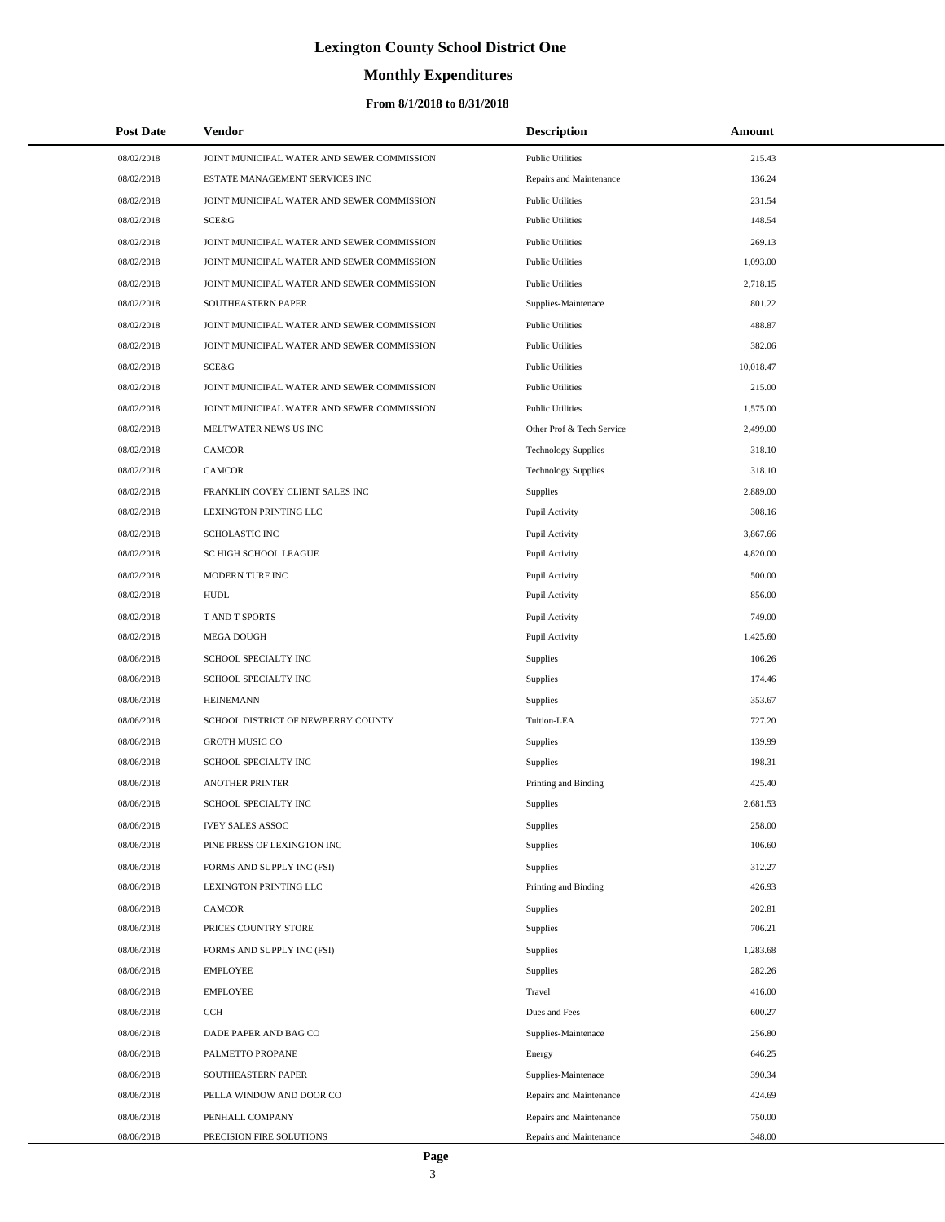# **Monthly Expenditures**

### **From 8/1/2018 to 8/31/2018**

| <b>Post Date</b> | Vendor                                     | <b>Description</b>         | Amount    |
|------------------|--------------------------------------------|----------------------------|-----------|
| 08/02/2018       | JOINT MUNICIPAL WATER AND SEWER COMMISSION | <b>Public Utilities</b>    | 215.43    |
| 08/02/2018       | ESTATE MANAGEMENT SERVICES INC             | Repairs and Maintenance    | 136.24    |
| 08/02/2018       | JOINT MUNICIPAL WATER AND SEWER COMMISSION | <b>Public Utilities</b>    | 231.54    |
| 08/02/2018       | <b>SCE&amp;G</b>                           | <b>Public Utilities</b>    | 148.54    |
| 08/02/2018       | JOINT MUNICIPAL WATER AND SEWER COMMISSION | <b>Public Utilities</b>    | 269.13    |
| 08/02/2018       | JOINT MUNICIPAL WATER AND SEWER COMMISSION | <b>Public Utilities</b>    | 1,093.00  |
| 08/02/2018       | JOINT MUNICIPAL WATER AND SEWER COMMISSION | <b>Public Utilities</b>    | 2,718.15  |
| 08/02/2018       | SOUTHEASTERN PAPER                         | Supplies-Maintenace        | 801.22    |
| 08/02/2018       | JOINT MUNICIPAL WATER AND SEWER COMMISSION | <b>Public Utilities</b>    | 488.87    |
| 08/02/2018       | JOINT MUNICIPAL WATER AND SEWER COMMISSION | <b>Public Utilities</b>    | 382.06    |
| 08/02/2018       | <b>SCE&amp;G</b>                           | <b>Public Utilities</b>    | 10,018.47 |
| 08/02/2018       | JOINT MUNICIPAL WATER AND SEWER COMMISSION | <b>Public Utilities</b>    | 215.00    |
| 08/02/2018       | JOINT MUNICIPAL WATER AND SEWER COMMISSION | <b>Public Utilities</b>    | 1,575.00  |
| 08/02/2018       | MELTWATER NEWS US INC                      | Other Prof & Tech Service  | 2,499.00  |
| 08/02/2018       | <b>CAMCOR</b>                              | <b>Technology Supplies</b> | 318.10    |
| 08/02/2018       | <b>CAMCOR</b>                              | <b>Technology Supplies</b> | 318.10    |
| 08/02/2018       | FRANKLIN COVEY CLIENT SALES INC            | Supplies                   | 2,889.00  |
| 08/02/2018       | LEXINGTON PRINTING LLC                     | Pupil Activity             | 308.16    |
| 08/02/2018       | <b>SCHOLASTIC INC</b>                      | Pupil Activity             | 3,867.66  |
| 08/02/2018       | SC HIGH SCHOOL LEAGUE                      | Pupil Activity             | 4,820.00  |
| 08/02/2018       | MODERN TURF INC                            | Pupil Activity             | 500.00    |
| 08/02/2018       | <b>HUDL</b>                                | Pupil Activity             | 856.00    |
| 08/02/2018       | T AND T SPORTS                             | Pupil Activity             | 749.00    |
| 08/02/2018       | <b>MEGA DOUGH</b>                          | Pupil Activity             | 1,425.60  |
| 08/06/2018       | SCHOOL SPECIALTY INC                       | Supplies                   | 106.26    |
| 08/06/2018       | SCHOOL SPECIALTY INC                       | Supplies                   | 174.46    |
| 08/06/2018       | <b>HEINEMANN</b>                           | Supplies                   | 353.67    |
| 08/06/2018       | SCHOOL DISTRICT OF NEWBERRY COUNTY         | Tuition-LEA                | 727.20    |
| 08/06/2018       | <b>GROTH MUSIC CO</b>                      | Supplies                   | 139.99    |
| 08/06/2018       | SCHOOL SPECIALTY INC                       | Supplies                   | 198.31    |
| 08/06/2018       | <b>ANOTHER PRINTER</b>                     | Printing and Binding       | 425.40    |
| 08/06/2018       | SCHOOL SPECIALTY INC                       | Supplies                   | 2,681.53  |
| 08/06/2018       | <b>IVEY SALES ASSOC</b>                    | Supplies                   | 258.00    |
| 08/06/2018       | PINE PRESS OF LEXINGTON INC                | Supplies                   | 106.60    |
| 08/06/2018       | FORMS AND SUPPLY INC (FSI)                 | Supplies                   | 312.27    |
| 08/06/2018       | LEXINGTON PRINTING LLC                     | Printing and Binding       | 426.93    |
| 08/06/2018       | <b>CAMCOR</b>                              | Supplies                   | 202.81    |
| 08/06/2018       | PRICES COUNTRY STORE                       | Supplies                   | 706.21    |
| 08/06/2018       | FORMS AND SUPPLY INC (FSI)                 | Supplies                   | 1,283.68  |
| 08/06/2018       | <b>EMPLOYEE</b>                            | Supplies                   | 282.26    |
| 08/06/2018       | <b>EMPLOYEE</b>                            | Travel                     | 416.00    |
| 08/06/2018       | CCH                                        | Dues and Fees              | 600.27    |
| 08/06/2018       | DADE PAPER AND BAG CO                      | Supplies-Maintenace        | 256.80    |
| 08/06/2018       | PALMETTO PROPANE                           | Energy                     | 646.25    |
| 08/06/2018       | SOUTHEASTERN PAPER                         | Supplies-Maintenace        | 390.34    |
| 08/06/2018       | PELLA WINDOW AND DOOR CO                   | Repairs and Maintenance    | 424.69    |
| 08/06/2018       | PENHALL COMPANY                            | Repairs and Maintenance    | 750.00    |
| 08/06/2018       | PRECISION FIRE SOLUTIONS                   | Repairs and Maintenance    | 348.00    |

 $\overline{\phantom{0}}$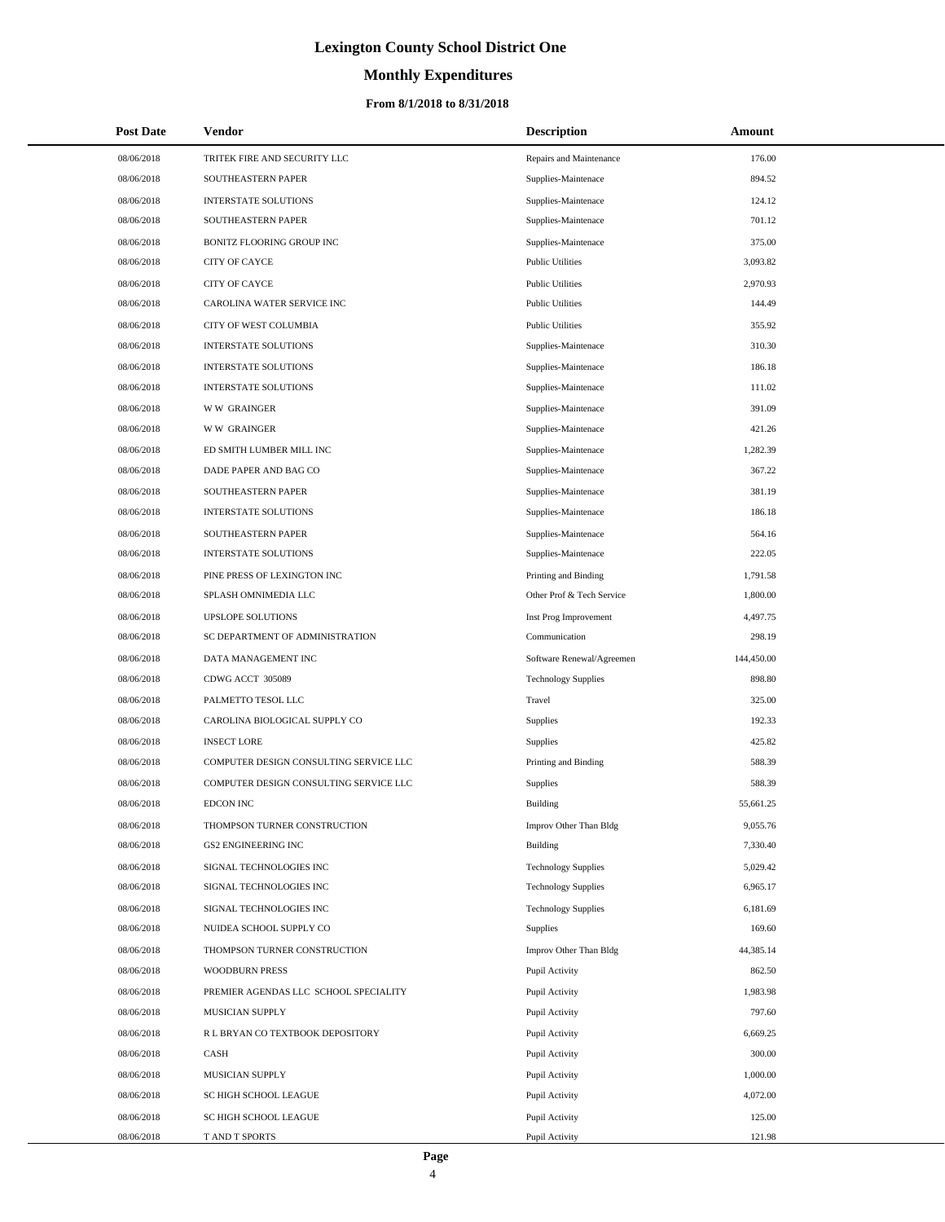# **Monthly Expenditures**

### **From 8/1/2018 to 8/31/2018**

| <b>Post Date</b> | Vendor                                 | <b>Description</b>         | Amount     |
|------------------|----------------------------------------|----------------------------|------------|
| 08/06/2018       | TRITEK FIRE AND SECURITY LLC           | Repairs and Maintenance    | 176.00     |
| 08/06/2018       | SOUTHEASTERN PAPER                     | Supplies-Maintenace        | 894.52     |
| 08/06/2018       | <b>INTERSTATE SOLUTIONS</b>            | Supplies-Maintenace        | 124.12     |
| 08/06/2018       | SOUTHEASTERN PAPER                     | Supplies-Maintenace        | 701.12     |
| 08/06/2018       | BONITZ FLOORING GROUP INC              | Supplies-Maintenace        | 375.00     |
| 08/06/2018       | CITY OF CAYCE                          | <b>Public Utilities</b>    | 3,093.82   |
| 08/06/2018       | <b>CITY OF CAYCE</b>                   | <b>Public Utilities</b>    | 2,970.93   |
| 08/06/2018       | CAROLINA WATER SERVICE INC             | <b>Public Utilities</b>    | 144.49     |
| 08/06/2018       | CITY OF WEST COLUMBIA                  | <b>Public Utilities</b>    | 355.92     |
| 08/06/2018       | INTERSTATE SOLUTIONS                   | Supplies-Maintenace        | 310.30     |
| 08/06/2018       | <b>INTERSTATE SOLUTIONS</b>            | Supplies-Maintenace        | 186.18     |
| 08/06/2018       | <b>INTERSTATE SOLUTIONS</b>            | Supplies-Maintenace        | 111.02     |
| 08/06/2018       | <b>WW GRAINGER</b>                     | Supplies-Maintenace        | 391.09     |
| 08/06/2018       | <b>WW GRAINGER</b>                     | Supplies-Maintenace        | 421.26     |
| 08/06/2018       | ED SMITH LUMBER MILL INC               | Supplies-Maintenace        | 1,282.39   |
| 08/06/2018       | DADE PAPER AND BAG CO                  | Supplies-Maintenace        | 367.22     |
| 08/06/2018       | SOUTHEASTERN PAPER                     | Supplies-Maintenace        | 381.19     |
| 08/06/2018       | <b>INTERSTATE SOLUTIONS</b>            | Supplies-Maintenace        | 186.18     |
| 08/06/2018       | SOUTHEASTERN PAPER                     | Supplies-Maintenace        | 564.16     |
| 08/06/2018       | <b>INTERSTATE SOLUTIONS</b>            | Supplies-Maintenace        | 222.05     |
| 08/06/2018       | PINE PRESS OF LEXINGTON INC            | Printing and Binding       | 1,791.58   |
| 08/06/2018       | SPLASH OMNIMEDIA LLC                   | Other Prof & Tech Service  | 1,800.00   |
| 08/06/2018       | <b>UPSLOPE SOLUTIONS</b>               | Inst Prog Improvement      | 4,497.75   |
| 08/06/2018       | SC DEPARTMENT OF ADMINISTRATION        | Communication              | 298.19     |
| 08/06/2018       | DATA MANAGEMENT INC                    | Software Renewal/Agreemen  | 144,450.00 |
| 08/06/2018       | CDWG ACCT 305089                       | <b>Technology Supplies</b> | 898.80     |
| 08/06/2018       | PALMETTO TESOL LLC                     | Travel                     | 325.00     |
| 08/06/2018       | CAROLINA BIOLOGICAL SUPPLY CO          | Supplies                   | 192.33     |
| 08/06/2018       | <b>INSECT LORE</b>                     | Supplies                   | 425.82     |
| 08/06/2018       | COMPUTER DESIGN CONSULTING SERVICE LLC | Printing and Binding       | 588.39     |
| 08/06/2018       | COMPUTER DESIGN CONSULTING SERVICE LLC | <b>Supplies</b>            | 588.39     |
| 08/06/2018       | <b>EDCON INC</b>                       | Building                   | 55,661.25  |
| 08/06/2018       | THOMPSON TURNER CONSTRUCTION           | Improv Other Than Bldg     | 9,055.76   |
| 08/06/2018       | <b>GS2 ENGINEERING INC</b>             | Building                   | 7,330.40   |
| 08/06/2018       | SIGNAL TECHNOLOGIES INC                | <b>Technology Supplies</b> | 5,029.42   |
| 08/06/2018       | SIGNAL TECHNOLOGIES INC                | <b>Technology Supplies</b> | 6,965.17   |
| 08/06/2018       | SIGNAL TECHNOLOGIES INC                | <b>Technology Supplies</b> | 6,181.69   |
| 08/06/2018       | NUIDEA SCHOOL SUPPLY CO                | Supplies                   | 169.60     |
| 08/06/2018       | THOMPSON TURNER CONSTRUCTION           | Improv Other Than Bldg     | 44,385.14  |
| 08/06/2018       | <b>WOODBURN PRESS</b>                  | Pupil Activity             | 862.50     |
| 08/06/2018       | PREMIER AGENDAS LLC SCHOOL SPECIALITY  | Pupil Activity             | 1,983.98   |
| 08/06/2018       | MUSICIAN SUPPLY                        | Pupil Activity             | 797.60     |
| 08/06/2018       | R L BRYAN CO TEXTBOOK DEPOSITORY       | Pupil Activity             | 6,669.25   |
| 08/06/2018       | CASH                                   | Pupil Activity             | 300.00     |
| 08/06/2018       | MUSICIAN SUPPLY                        | Pupil Activity             | 1,000.00   |
| 08/06/2018       | SC HIGH SCHOOL LEAGUE                  | Pupil Activity             | 4,072.00   |
| 08/06/2018       | SC HIGH SCHOOL LEAGUE                  | Pupil Activity             | 125.00     |
| 08/06/2018       | T AND T SPORTS                         | Pupil Activity             | 121.98     |

 $\overline{\phantom{0}}$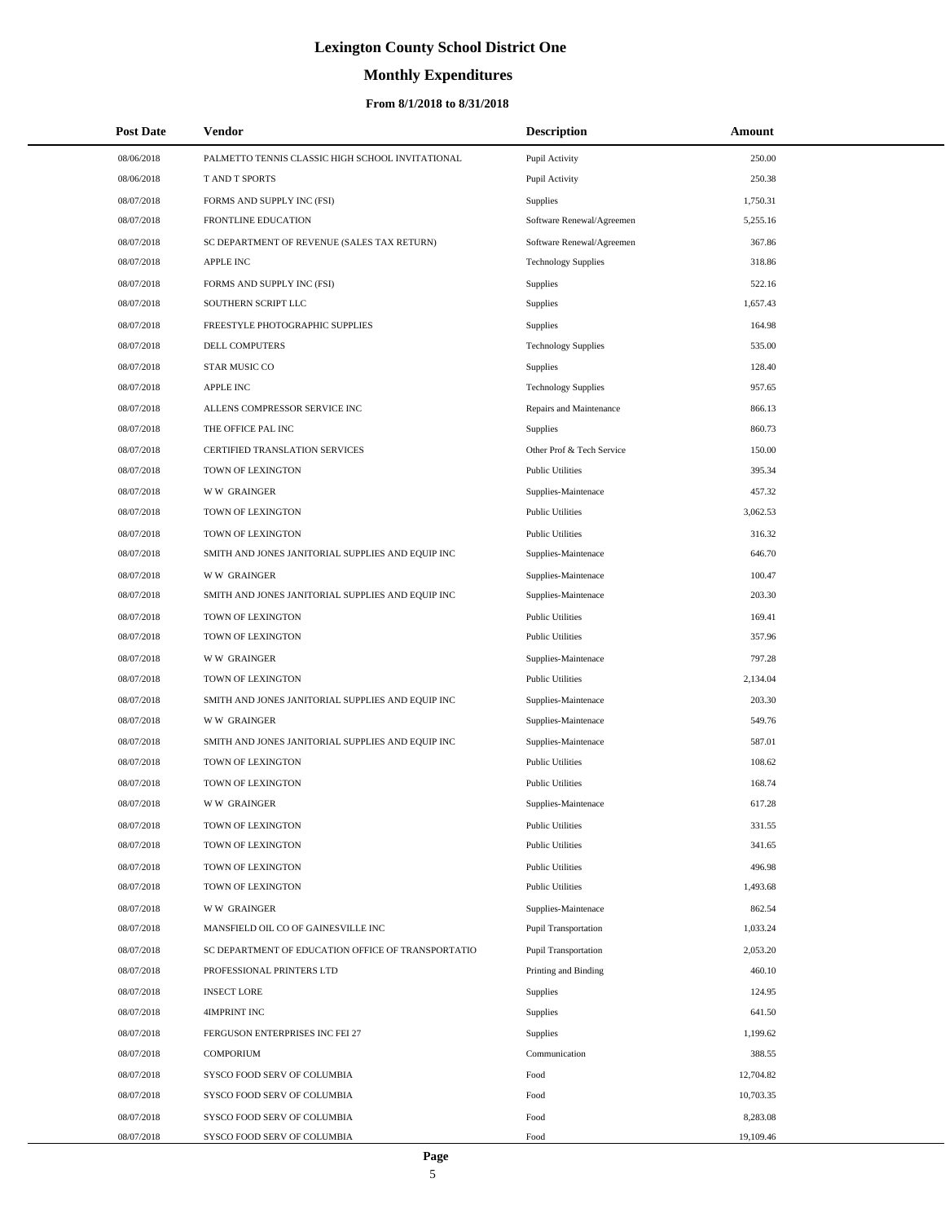# **Monthly Expenditures**

## **From 8/1/2018 to 8/31/2018**

| <b>Post Date</b> | Vendor                                             | <b>Description</b>          | Amount    |
|------------------|----------------------------------------------------|-----------------------------|-----------|
| 08/06/2018       | PALMETTO TENNIS CLASSIC HIGH SCHOOL INVITATIONAL   | Pupil Activity              | 250.00    |
| 08/06/2018       | T AND T SPORTS                                     | Pupil Activity              | 250.38    |
| 08/07/2018       | FORMS AND SUPPLY INC (FSI)                         | Supplies                    | 1,750.31  |
| 08/07/2018       | <b>FRONTLINE EDUCATION</b>                         | Software Renewal/Agreemen   | 5,255.16  |
| 08/07/2018       | SC DEPARTMENT OF REVENUE (SALES TAX RETURN)        | Software Renewal/Agreemen   | 367.86    |
| 08/07/2018       | <b>APPLE INC</b>                                   | <b>Technology Supplies</b>  | 318.86    |
| 08/07/2018       | FORMS AND SUPPLY INC (FSI)                         | Supplies                    | 522.16    |
| 08/07/2018       | SOUTHERN SCRIPT LLC                                | Supplies                    | 1,657.43  |
| 08/07/2018       | FREESTYLE PHOTOGRAPHIC SUPPLIES                    | Supplies                    | 164.98    |
| 08/07/2018       | DELL COMPUTERS                                     | <b>Technology Supplies</b>  | 535.00    |
| 08/07/2018       | <b>STAR MUSIC CO</b>                               | Supplies                    | 128.40    |
| 08/07/2018       | <b>APPLE INC</b>                                   | <b>Technology Supplies</b>  | 957.65    |
| 08/07/2018       | ALLENS COMPRESSOR SERVICE INC                      | Repairs and Maintenance     | 866.13    |
| 08/07/2018       | THE OFFICE PAL INC                                 | Supplies                    | 860.73    |
| 08/07/2018       | CERTIFIED TRANSLATION SERVICES                     | Other Prof & Tech Service   | 150.00    |
| 08/07/2018       | TOWN OF LEXINGTON                                  | <b>Public Utilities</b>     | 395.34    |
| 08/07/2018       | <b>WW GRAINGER</b>                                 | Supplies-Maintenace         | 457.32    |
| 08/07/2018       | TOWN OF LEXINGTON                                  | <b>Public Utilities</b>     | 3,062.53  |
| 08/07/2018       | TOWN OF LEXINGTON                                  | <b>Public Utilities</b>     | 316.32    |
| 08/07/2018       | SMITH AND JONES JANITORIAL SUPPLIES AND EQUIP INC  | Supplies-Maintenace         | 646.70    |
| 08/07/2018       | <b>WW GRAINGER</b>                                 | Supplies-Maintenace         | 100.47    |
| 08/07/2018       | SMITH AND JONES JANITORIAL SUPPLIES AND EQUIP INC  | Supplies-Maintenace         | 203.30    |
| 08/07/2018       | TOWN OF LEXINGTON                                  | <b>Public Utilities</b>     | 169.41    |
| 08/07/2018       | TOWN OF LEXINGTON                                  | <b>Public Utilities</b>     | 357.96    |
| 08/07/2018       | <b>WW GRAINGER</b>                                 | Supplies-Maintenace         | 797.28    |
| 08/07/2018       | TOWN OF LEXINGTON                                  | <b>Public Utilities</b>     | 2,134.04  |
| 08/07/2018       | SMITH AND JONES JANITORIAL SUPPLIES AND EQUIP INC  | Supplies-Maintenace         | 203.30    |
| 08/07/2018       | <b>WW GRAINGER</b>                                 | Supplies-Maintenace         | 549.76    |
| 08/07/2018       | SMITH AND JONES JANITORIAL SUPPLIES AND EQUIP INC  | Supplies-Maintenace         | 587.01    |
| 08/07/2018       | TOWN OF LEXINGTON                                  | <b>Public Utilities</b>     | 108.62    |
| 08/07/2018       | TOWN OF LEXINGTON                                  | <b>Public Utilities</b>     | 168.74    |
| 08/07/2018       | <b>WW GRAINGER</b>                                 | Supplies-Maintenace         | 617.28    |
| 08/07/2018       | TOWN OF LEXINGTON                                  | <b>Public Utilities</b>     | 331.55    |
| 08/07/2018       | TOWN OF LEXINGTON                                  | <b>Public Utilities</b>     | 341.65    |
| 08/07/2018       | TOWN OF LEXINGTON                                  | <b>Public Utilities</b>     | 496.98    |
| 08/07/2018       | TOWN OF LEXINGTON                                  | <b>Public Utilities</b>     | 1,493.68  |
| 08/07/2018       | <b>WW GRAINGER</b>                                 | Supplies-Maintenace         | 862.54    |
| 08/07/2018       | MANSFIELD OIL CO OF GAINESVILLE INC                | <b>Pupil Transportation</b> | 1,033.24  |
| 08/07/2018       | SC DEPARTMENT OF EDUCATION OFFICE OF TRANSPORTATIO | <b>Pupil Transportation</b> | 2,053.20  |
| 08/07/2018       | PROFESSIONAL PRINTERS LTD                          | Printing and Binding        | 460.10    |
| 08/07/2018       | <b>INSECT LORE</b>                                 | Supplies                    | 124.95    |
| 08/07/2018       | 4IMPRINT INC                                       | Supplies                    | 641.50    |
| 08/07/2018       | FERGUSON ENTERPRISES INC FEI 27                    | Supplies                    | 1,199.62  |
| 08/07/2018       | <b>COMPORIUM</b>                                   | Communication               | 388.55    |
| 08/07/2018       | SYSCO FOOD SERV OF COLUMBIA                        | Food                        | 12,704.82 |
| 08/07/2018       | SYSCO FOOD SERV OF COLUMBIA                        | Food                        | 10,703.35 |
| 08/07/2018       | SYSCO FOOD SERV OF COLUMBIA                        | Food                        | 8,283.08  |
| 08/07/2018       | SYSCO FOOD SERV OF COLUMBIA                        | Food                        | 19,109.46 |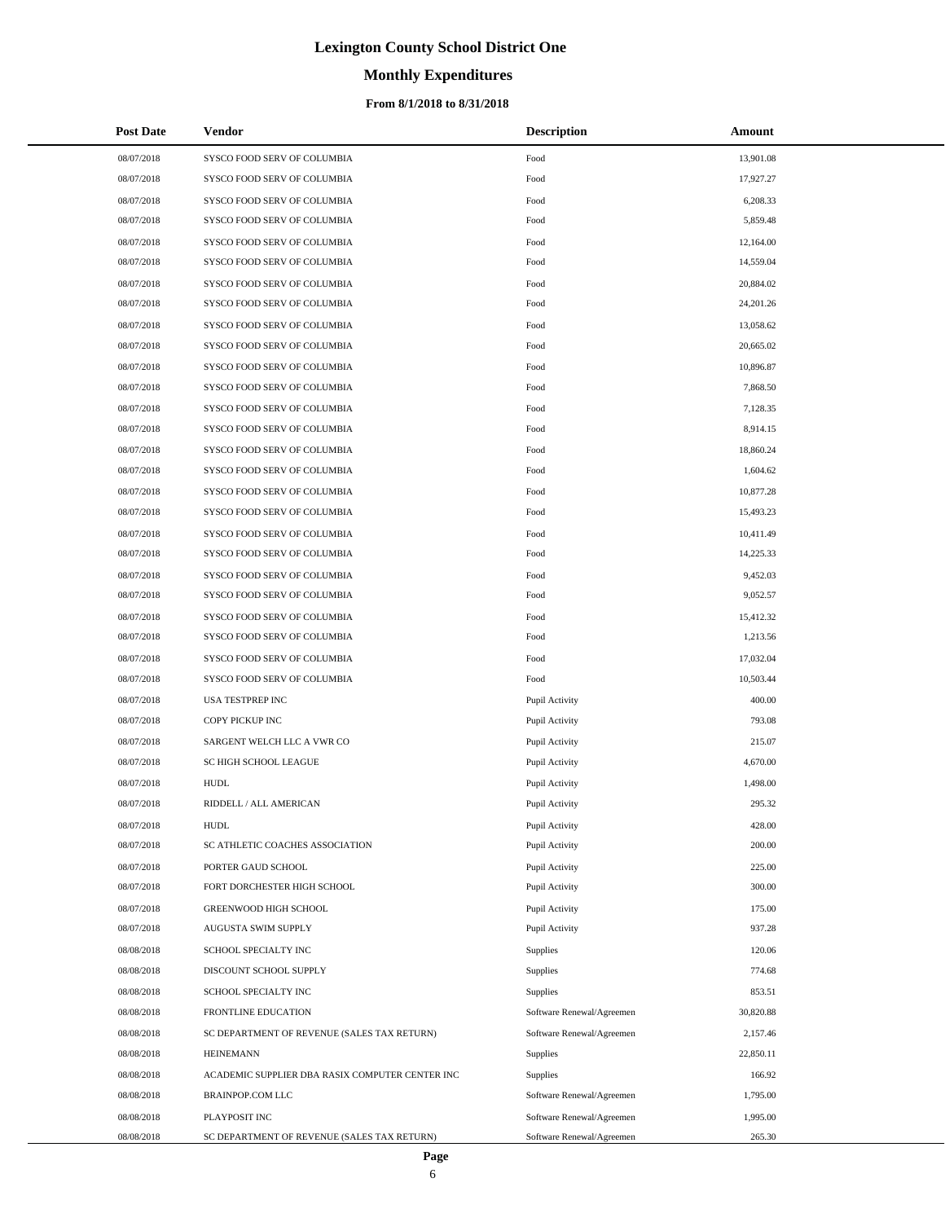# **Monthly Expenditures**

### **From 8/1/2018 to 8/31/2018**

| <b>Post Date</b> | Vendor                                          | <b>Description</b>        | Amount    |
|------------------|-------------------------------------------------|---------------------------|-----------|
| 08/07/2018       | SYSCO FOOD SERV OF COLUMBIA                     | Food                      | 13,901.08 |
| 08/07/2018       | SYSCO FOOD SERV OF COLUMBIA                     | Food                      | 17,927.27 |
| 08/07/2018       | SYSCO FOOD SERV OF COLUMBIA                     | Food                      | 6,208.33  |
| 08/07/2018       | SYSCO FOOD SERV OF COLUMBIA                     | Food                      | 5,859.48  |
| 08/07/2018       | SYSCO FOOD SERV OF COLUMBIA                     | Food                      | 12,164.00 |
| 08/07/2018       | SYSCO FOOD SERV OF COLUMBIA                     | Food                      | 14,559.04 |
| 08/07/2018       | SYSCO FOOD SERV OF COLUMBIA                     | Food                      | 20,884.02 |
| 08/07/2018       | SYSCO FOOD SERV OF COLUMBIA                     | Food                      | 24,201.26 |
| 08/07/2018       | SYSCO FOOD SERV OF COLUMBIA                     | Food                      | 13,058.62 |
| 08/07/2018       | SYSCO FOOD SERV OF COLUMBIA                     | Food                      | 20,665.02 |
| 08/07/2018       | SYSCO FOOD SERV OF COLUMBIA                     | Food                      | 10,896.87 |
| 08/07/2018       | SYSCO FOOD SERV OF COLUMBIA                     | Food                      | 7,868.50  |
| 08/07/2018       | SYSCO FOOD SERV OF COLUMBIA                     | Food                      | 7,128.35  |
| 08/07/2018       | SYSCO FOOD SERV OF COLUMBIA                     | Food                      | 8,914.15  |
| 08/07/2018       | SYSCO FOOD SERV OF COLUMBIA                     | Food                      | 18,860.24 |
| 08/07/2018       | SYSCO FOOD SERV OF COLUMBIA                     | Food                      | 1,604.62  |
| 08/07/2018       | SYSCO FOOD SERV OF COLUMBIA                     | Food                      | 10,877.28 |
| 08/07/2018       | SYSCO FOOD SERV OF COLUMBIA                     | Food                      | 15,493.23 |
| 08/07/2018       | SYSCO FOOD SERV OF COLUMBIA                     | Food                      | 10,411.49 |
| 08/07/2018       | SYSCO FOOD SERV OF COLUMBIA                     | Food                      | 14,225.33 |
| 08/07/2018       | SYSCO FOOD SERV OF COLUMBIA                     | Food                      | 9,452.03  |
| 08/07/2018       | SYSCO FOOD SERV OF COLUMBIA                     | Food                      | 9,052.57  |
| 08/07/2018       | SYSCO FOOD SERV OF COLUMBIA                     | Food                      | 15,412.32 |
| 08/07/2018       | SYSCO FOOD SERV OF COLUMBIA                     | Food                      | 1,213.56  |
| 08/07/2018       | SYSCO FOOD SERV OF COLUMBIA                     | Food                      | 17,032.04 |
| 08/07/2018       | SYSCO FOOD SERV OF COLUMBIA                     | Food                      | 10,503.44 |
| 08/07/2018       | USA TESTPREP INC                                | Pupil Activity            | 400.00    |
| 08/07/2018       | COPY PICKUP INC                                 | Pupil Activity            | 793.08    |
| 08/07/2018       | SARGENT WELCH LLC A VWR CO                      | Pupil Activity            | 215.07    |
| 08/07/2018       | SC HIGH SCHOOL LEAGUE                           | Pupil Activity            | 4,670.00  |
| 08/07/2018       | <b>HUDL</b>                                     | Pupil Activity            | 1,498.00  |
| 08/07/2018       | RIDDELL / ALL AMERICAN                          | Pupil Activity            | 295.32    |
| 08/07/2018       | <b>HUDL</b>                                     | Pupil Activity            | 428.00    |
| 08/07/2018       | SC ATHLETIC COACHES ASSOCIATION                 | Pupil Activity            | 200.00    |
| 08/07/2018       | PORTER GAUD SCHOOL                              | Pupil Activity            | 225.00    |
| 08/07/2018       | FORT DORCHESTER HIGH SCHOOL                     | Pupil Activity            | 300.00    |
| 08/07/2018       | GREENWOOD HIGH SCHOOL                           | Pupil Activity            | 175.00    |
| 08/07/2018       | AUGUSTA SWIM SUPPLY                             | Pupil Activity            | 937.28    |
| 08/08/2018       | SCHOOL SPECIALTY INC                            | Supplies                  | 120.06    |
| 08/08/2018       | DISCOUNT SCHOOL SUPPLY                          | Supplies                  | 774.68    |
| 08/08/2018       | SCHOOL SPECIALTY INC                            | Supplies                  | 853.51    |
| 08/08/2018       | FRONTLINE EDUCATION                             | Software Renewal/Agreemen | 30,820.88 |
| 08/08/2018       | SC DEPARTMENT OF REVENUE (SALES TAX RETURN)     | Software Renewal/Agreemen | 2,157.46  |
| 08/08/2018       | <b>HEINEMANN</b>                                | Supplies                  | 22,850.11 |
| 08/08/2018       | ACADEMIC SUPPLIER DBA RASIX COMPUTER CENTER INC | Supplies                  | 166.92    |
| 08/08/2018       | BRAINPOP.COM LLC                                | Software Renewal/Agreemen | 1,795.00  |
| 08/08/2018       | PLAYPOSIT INC                                   | Software Renewal/Agreemen | 1,995.00  |
| 08/08/2018       | SC DEPARTMENT OF REVENUE (SALES TAX RETURN)     | Software Renewal/Agreemen | 265.30    |

÷.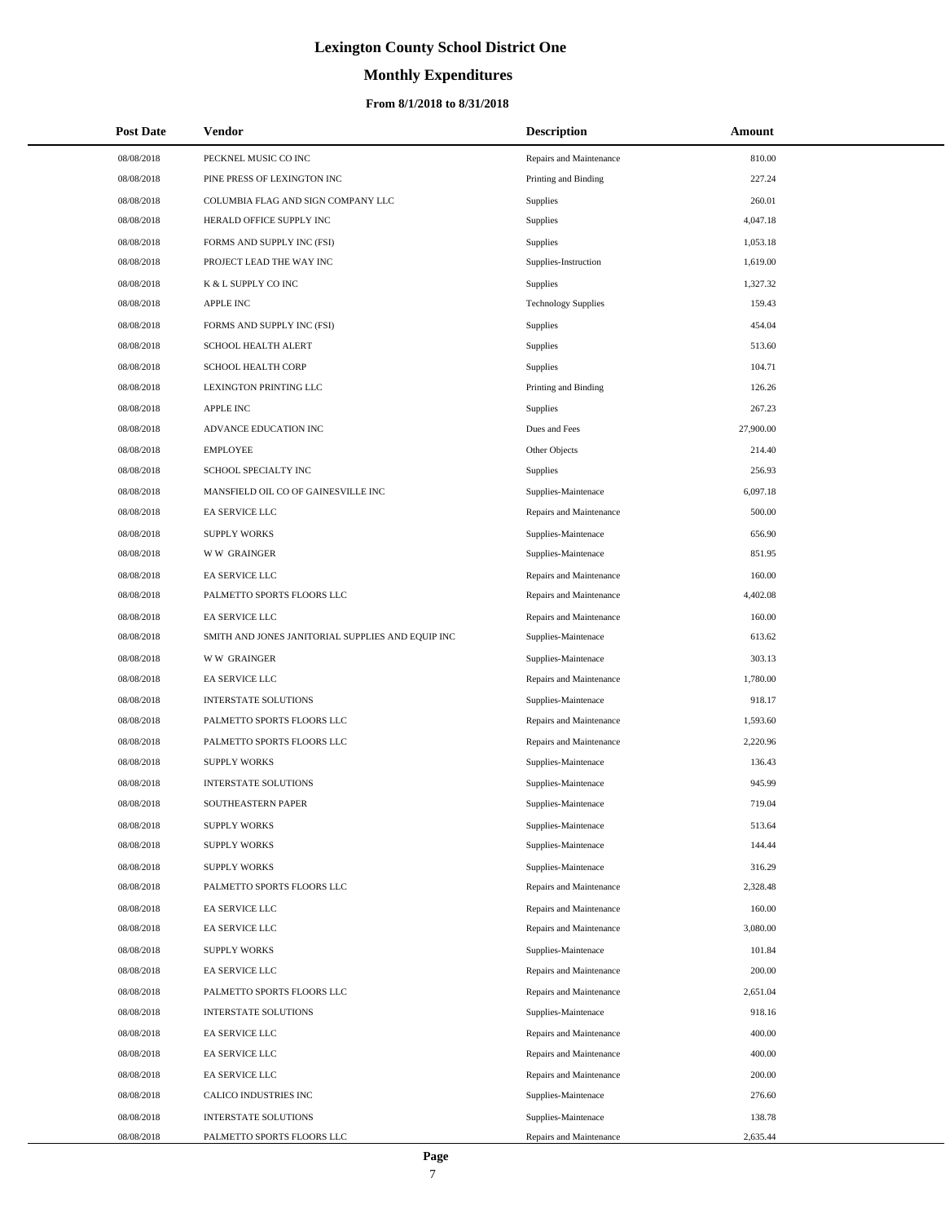# **Monthly Expenditures**

## **From 8/1/2018 to 8/31/2018**

| <b>Post Date</b> | Vendor                                            | <b>Description</b>         | Amount    |
|------------------|---------------------------------------------------|----------------------------|-----------|
| 08/08/2018       | PECKNEL MUSIC CO INC                              | Repairs and Maintenance    | 810.00    |
| 08/08/2018       | PINE PRESS OF LEXINGTON INC                       | Printing and Binding       | 227.24    |
| 08/08/2018       | COLUMBIA FLAG AND SIGN COMPANY LLC                | Supplies                   | 260.01    |
| 08/08/2018       | HERALD OFFICE SUPPLY INC                          | Supplies                   | 4,047.18  |
| 08/08/2018       | FORMS AND SUPPLY INC (FSI)                        | Supplies                   | 1,053.18  |
| 08/08/2018       | PROJECT LEAD THE WAY INC                          | Supplies-Instruction       | 1,619.00  |
| 08/08/2018       | K & L SUPPLY CO INC                               | Supplies                   | 1,327.32  |
| 08/08/2018       | APPLE INC                                         | <b>Technology Supplies</b> | 159.43    |
| 08/08/2018       | FORMS AND SUPPLY INC (FSI)                        | Supplies                   | 454.04    |
| 08/08/2018       | <b>SCHOOL HEALTH ALERT</b>                        | Supplies                   | 513.60    |
| 08/08/2018       | <b>SCHOOL HEALTH CORP</b>                         | Supplies                   | 104.71    |
| 08/08/2018       | LEXINGTON PRINTING LLC                            | Printing and Binding       | 126.26    |
| 08/08/2018       | <b>APPLE INC</b>                                  | <b>Supplies</b>            | 267.23    |
| 08/08/2018       | ADVANCE EDUCATION INC                             | Dues and Fees              | 27,900.00 |
| 08/08/2018       | <b>EMPLOYEE</b>                                   | Other Objects              | 214.40    |
| 08/08/2018       | SCHOOL SPECIALTY INC                              | Supplies                   | 256.93    |
| 08/08/2018       | MANSFIELD OIL CO OF GAINESVILLE INC               | Supplies-Maintenace        | 6,097.18  |
| 08/08/2018       | EA SERVICE LLC                                    | Repairs and Maintenance    | 500.00    |
| 08/08/2018       | <b>SUPPLY WORKS</b>                               | Supplies-Maintenace        | 656.90    |
| 08/08/2018       | <b>WW GRAINGER</b>                                | Supplies-Maintenace        | 851.95    |
| 08/08/2018       | EA SERVICE LLC                                    | Repairs and Maintenance    | 160.00    |
| 08/08/2018       | PALMETTO SPORTS FLOORS LLC                        | Repairs and Maintenance    | 4,402.08  |
| 08/08/2018       | EA SERVICE LLC                                    | Repairs and Maintenance    | 160.00    |
| 08/08/2018       | SMITH AND JONES JANITORIAL SUPPLIES AND EQUIP INC | Supplies-Maintenace        | 613.62    |
| 08/08/2018       | <b>WW GRAINGER</b>                                | Supplies-Maintenace        | 303.13    |
| 08/08/2018       | EA SERVICE LLC                                    | Repairs and Maintenance    | 1,780.00  |
| 08/08/2018       | <b>INTERSTATE SOLUTIONS</b>                       | Supplies-Maintenace        | 918.17    |
| 08/08/2018       | PALMETTO SPORTS FLOORS LLC                        | Repairs and Maintenance    | 1,593.60  |
| 08/08/2018       | PALMETTO SPORTS FLOORS LLC                        | Repairs and Maintenance    | 2,220.96  |
| 08/08/2018       | <b>SUPPLY WORKS</b>                               | Supplies-Maintenace        | 136.43    |
| 08/08/2018       | <b>INTERSTATE SOLUTIONS</b>                       | Supplies-Maintenace        | 945.99    |
| 08/08/2018       | SOUTHEASTERN PAPER                                | Supplies-Maintenace        | 719.04    |
| 08/08/2018       | <b>SUPPLY WORKS</b>                               | Supplies-Maintenace        | 513.64    |
| 08/08/2018       | <b>SUPPLY WORKS</b>                               | Supplies-Maintenace        | 144.44    |
| 08/08/2018       | <b>SUPPLY WORKS</b>                               | Supplies-Maintenace        | 316.29    |
| 08/08/2018       | PALMETTO SPORTS FLOORS LLC                        | Repairs and Maintenance    | 2,328.48  |
| 08/08/2018       | EA SERVICE LLC                                    | Repairs and Maintenance    | 160.00    |
| 08/08/2018       | EA SERVICE LLC                                    | Repairs and Maintenance    | 3,080.00  |
| 08/08/2018       | <b>SUPPLY WORKS</b>                               | Supplies-Maintenace        | 101.84    |
| 08/08/2018       | EA SERVICE LLC                                    | Repairs and Maintenance    | 200.00    |
| 08/08/2018       | PALMETTO SPORTS FLOORS LLC                        | Repairs and Maintenance    | 2,651.04  |
| 08/08/2018       | <b>INTERSTATE SOLUTIONS</b>                       | Supplies-Maintenace        | 918.16    |
| 08/08/2018       | EA SERVICE LLC                                    | Repairs and Maintenance    | 400.00    |
| 08/08/2018       | EA SERVICE LLC                                    | Repairs and Maintenance    | 400.00    |
| 08/08/2018       | EA SERVICE LLC                                    | Repairs and Maintenance    | 200.00    |
| 08/08/2018       | CALICO INDUSTRIES INC                             | Supplies-Maintenace        | 276.60    |
| 08/08/2018       | <b>INTERSTATE SOLUTIONS</b>                       | Supplies-Maintenace        | 138.78    |
| 08/08/2018       | PALMETTO SPORTS FLOORS LLC                        | Repairs and Maintenance    | 2,635.44  |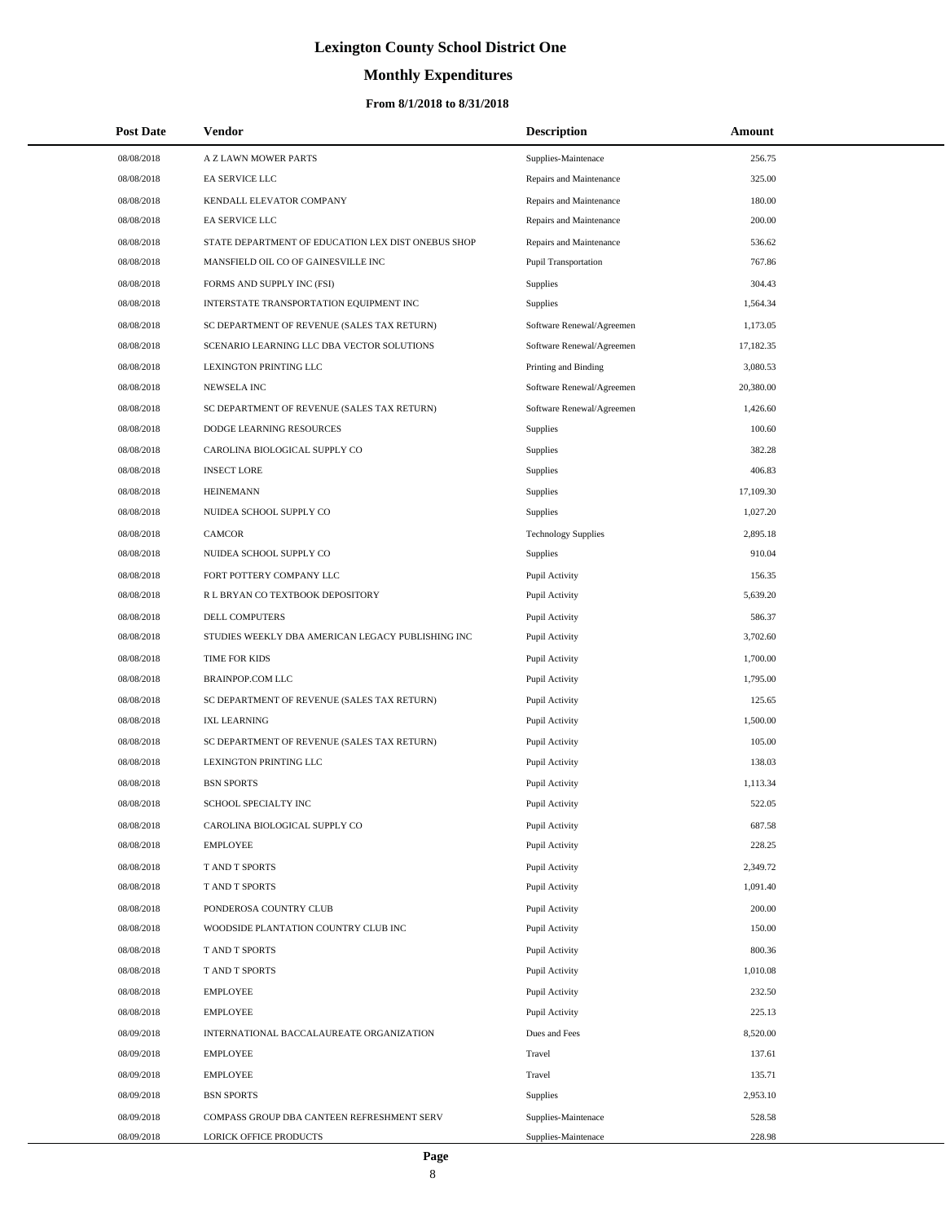# **Monthly Expenditures**

## **From 8/1/2018 to 8/31/2018**

| <b>Post Date</b> | Vendor                                             | <b>Description</b>         | Amount    |
|------------------|----------------------------------------------------|----------------------------|-----------|
| 08/08/2018       | A Z LAWN MOWER PARTS                               | Supplies-Maintenace        | 256.75    |
| 08/08/2018       | EA SERVICE LLC                                     | Repairs and Maintenance    | 325.00    |
| 08/08/2018       | KENDALL ELEVATOR COMPANY                           | Repairs and Maintenance    | 180.00    |
| 08/08/2018       | EA SERVICE LLC                                     | Repairs and Maintenance    | 200.00    |
| 08/08/2018       | STATE DEPARTMENT OF EDUCATION LEX DIST ONEBUS SHOP | Repairs and Maintenance    | 536.62    |
| 08/08/2018       | MANSFIELD OIL CO OF GAINESVILLE INC                | Pupil Transportation       | 767.86    |
| 08/08/2018       | FORMS AND SUPPLY INC (FSI)                         | Supplies                   | 304.43    |
| 08/08/2018       | INTERSTATE TRANSPORTATION EQUIPMENT INC            | Supplies                   | 1,564.34  |
| 08/08/2018       | SC DEPARTMENT OF REVENUE (SALES TAX RETURN)        | Software Renewal/Agreemen  | 1,173.05  |
| 08/08/2018       | SCENARIO LEARNING LLC DBA VECTOR SOLUTIONS         | Software Renewal/Agreemen  | 17,182.35 |
| 08/08/2018       | LEXINGTON PRINTING LLC                             | Printing and Binding       | 3,080.53  |
| 08/08/2018       | <b>NEWSELA INC</b>                                 | Software Renewal/Agreemen  | 20,380.00 |
| 08/08/2018       | SC DEPARTMENT OF REVENUE (SALES TAX RETURN)        | Software Renewal/Agreemen  | 1,426.60  |
| 08/08/2018       | DODGE LEARNING RESOURCES                           | Supplies                   | 100.60    |
| 08/08/2018       | CAROLINA BIOLOGICAL SUPPLY CO                      | Supplies                   | 382.28    |
| 08/08/2018       | <b>INSECT LORE</b>                                 | Supplies                   | 406.83    |
| 08/08/2018       | <b>HEINEMANN</b>                                   | Supplies                   | 17,109.30 |
| 08/08/2018       | NUIDEA SCHOOL SUPPLY CO                            | Supplies                   | 1,027.20  |
| 08/08/2018       | <b>CAMCOR</b>                                      | <b>Technology Supplies</b> | 2,895.18  |
| 08/08/2018       | NUIDEA SCHOOL SUPPLY CO                            | Supplies                   | 910.04    |
| 08/08/2018       | FORT POTTERY COMPANY LLC                           | Pupil Activity             | 156.35    |
| 08/08/2018       | R L BRYAN CO TEXTBOOK DEPOSITORY                   | Pupil Activity             | 5,639.20  |
| 08/08/2018       | DELL COMPUTERS                                     | Pupil Activity             | 586.37    |
| 08/08/2018       | STUDIES WEEKLY DBA AMERICAN LEGACY PUBLISHING INC  | Pupil Activity             | 3,702.60  |
| 08/08/2018       | TIME FOR KIDS                                      | Pupil Activity             | 1,700.00  |
| 08/08/2018       | BRAINPOP.COM LLC                                   | Pupil Activity             | 1,795.00  |
| 08/08/2018       | SC DEPARTMENT OF REVENUE (SALES TAX RETURN)        | Pupil Activity             | 125.65    |
| 08/08/2018       | <b>IXL LEARNING</b>                                | Pupil Activity             | 1,500.00  |
| 08/08/2018       | SC DEPARTMENT OF REVENUE (SALES TAX RETURN)        | Pupil Activity             | 105.00    |
| 08/08/2018       | LEXINGTON PRINTING LLC                             | Pupil Activity             | 138.03    |
| 08/08/2018       | <b>BSN SPORTS</b>                                  | Pupil Activity             | 1,113.34  |
| 08/08/2018       | SCHOOL SPECIALTY INC                               | Pupil Activity             | 522.05    |
| 08/08/2018       | CAROLINA BIOLOGICAL SUPPLY CO                      | Pupil Activity             | 687.58    |
| 08/08/2018       | <b>EMPLOYEE</b>                                    | Pupil Activity             | 228.25    |
| 08/08/2018       | T AND T SPORTS                                     | Pupil Activity             | 2,349.72  |
| 08/08/2018       | T AND T SPORTS                                     | Pupil Activity             | 1,091.40  |
| 08/08/2018       | PONDEROSA COUNTRY CLUB                             | Pupil Activity             | 200.00    |
| 08/08/2018       | WOODSIDE PLANTATION COUNTRY CLUB INC               | Pupil Activity             | 150.00    |
| 08/08/2018       | T AND T SPORTS                                     | Pupil Activity             | 800.36    |
| 08/08/2018       | T AND T SPORTS                                     | Pupil Activity             | 1,010.08  |
| 08/08/2018       | <b>EMPLOYEE</b>                                    | Pupil Activity             | 232.50    |
| 08/08/2018       | <b>EMPLOYEE</b>                                    | Pupil Activity             | 225.13    |
| 08/09/2018       | INTERNATIONAL BACCALAUREATE ORGANIZATION           | Dues and Fees              | 8,520.00  |
| 08/09/2018       | <b>EMPLOYEE</b>                                    | Travel                     | 137.61    |
| 08/09/2018       | <b>EMPLOYEE</b>                                    | Travel                     | 135.71    |
| 08/09/2018       | <b>BSN SPORTS</b>                                  | Supplies                   | 2,953.10  |
| 08/09/2018       | COMPASS GROUP DBA CANTEEN REFRESHMENT SERV         | Supplies-Maintenace        | 528.58    |
| 08/09/2018       | LORICK OFFICE PRODUCTS                             | Supplies-Maintenace        | 228.98    |

 $\overline{a}$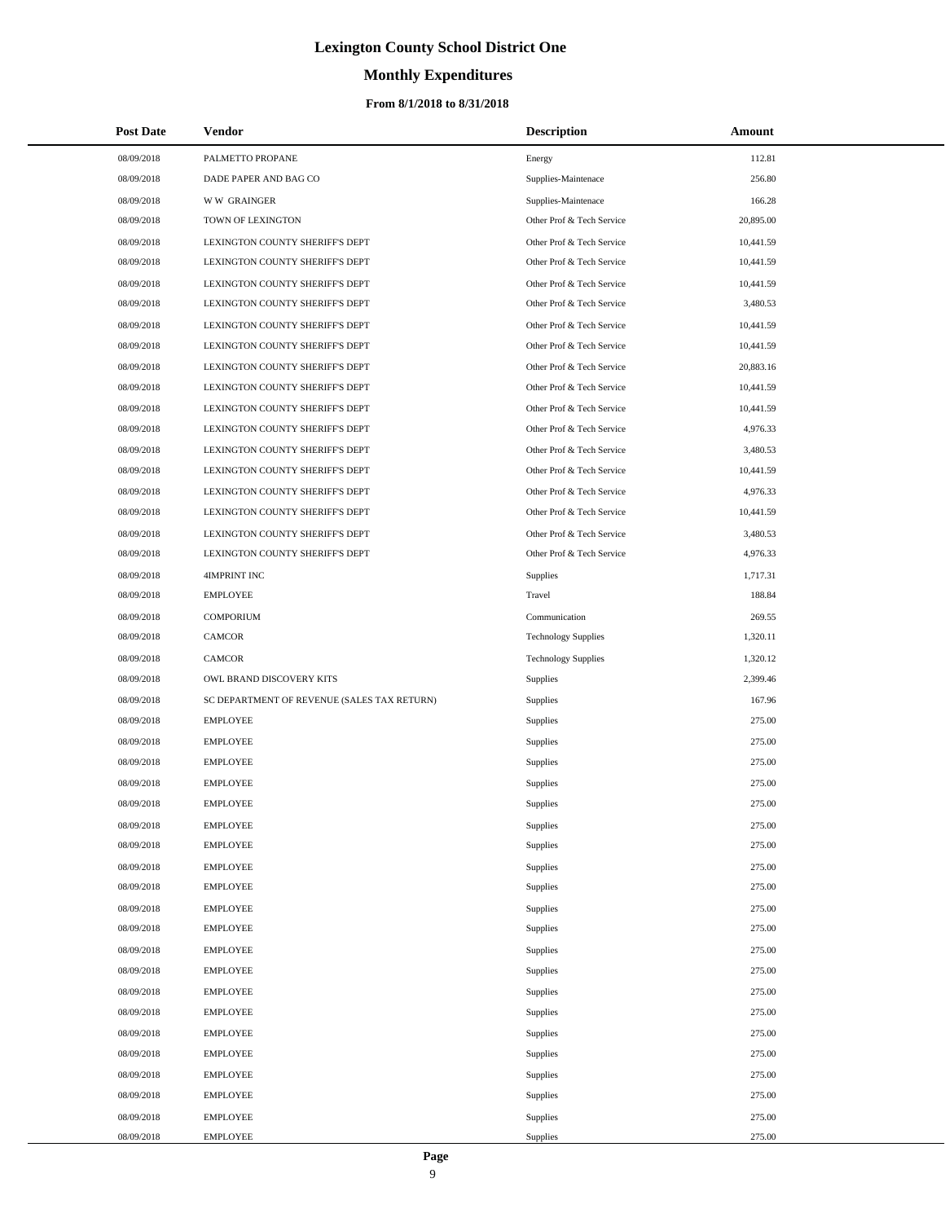## **Monthly Expenditures**

### **From 8/1/2018 to 8/31/2018**

| <b>Post Date</b> | Vendor                                      | <b>Description</b>         | Amount    |
|------------------|---------------------------------------------|----------------------------|-----------|
| 08/09/2018       | PALMETTO PROPANE                            | Energy                     | 112.81    |
| 08/09/2018       | DADE PAPER AND BAG CO                       | Supplies-Maintenace        | 256.80    |
| 08/09/2018       | <b>WW GRAINGER</b>                          | Supplies-Maintenace        | 166.28    |
| 08/09/2018       | TOWN OF LEXINGTON                           | Other Prof & Tech Service  | 20,895.00 |
| 08/09/2018       | LEXINGTON COUNTY SHERIFF'S DEPT             | Other Prof & Tech Service  | 10,441.59 |
| 08/09/2018       | LEXINGTON COUNTY SHERIFF'S DEPT             | Other Prof & Tech Service  | 10,441.59 |
| 08/09/2018       | LEXINGTON COUNTY SHERIFF'S DEPT             | Other Prof & Tech Service  | 10,441.59 |
| 08/09/2018       | LEXINGTON COUNTY SHERIFF'S DEPT             | Other Prof & Tech Service  | 3,480.53  |
| 08/09/2018       | LEXINGTON COUNTY SHERIFF'S DEPT             | Other Prof & Tech Service  | 10,441.59 |
| 08/09/2018       | LEXINGTON COUNTY SHERIFF'S DEPT             | Other Prof & Tech Service  | 10,441.59 |
| 08/09/2018       | LEXINGTON COUNTY SHERIFF'S DEPT             | Other Prof & Tech Service  | 20,883.16 |
| 08/09/2018       | LEXINGTON COUNTY SHERIFF'S DEPT             | Other Prof & Tech Service  | 10,441.59 |
| 08/09/2018       | LEXINGTON COUNTY SHERIFF'S DEPT             | Other Prof & Tech Service  | 10,441.59 |
| 08/09/2018       | LEXINGTON COUNTY SHERIFF'S DEPT             | Other Prof & Tech Service  | 4,976.33  |
| 08/09/2018       | LEXINGTON COUNTY SHERIFF'S DEPT             | Other Prof & Tech Service  | 3,480.53  |
| 08/09/2018       | LEXINGTON COUNTY SHERIFF'S DEPT             | Other Prof & Tech Service  | 10,441.59 |
| 08/09/2018       | LEXINGTON COUNTY SHERIFF'S DEPT             | Other Prof & Tech Service  | 4,976.33  |
| 08/09/2018       | LEXINGTON COUNTY SHERIFF'S DEPT             | Other Prof & Tech Service  | 10,441.59 |
| 08/09/2018       | LEXINGTON COUNTY SHERIFF'S DEPT             | Other Prof & Tech Service  | 3,480.53  |
| 08/09/2018       | LEXINGTON COUNTY SHERIFF'S DEPT             | Other Prof & Tech Service  | 4,976.33  |
| 08/09/2018       | <b>4IMPRINT INC</b>                         | Supplies                   | 1,717.31  |
| 08/09/2018       | <b>EMPLOYEE</b>                             | Travel                     | 188.84    |
| 08/09/2018       | <b>COMPORIUM</b>                            | Communication              | 269.55    |
| 08/09/2018       | <b>CAMCOR</b>                               | <b>Technology Supplies</b> | 1,320.11  |
| 08/09/2018       | CAMCOR                                      | <b>Technology Supplies</b> | 1,320.12  |
| 08/09/2018       | OWL BRAND DISCOVERY KITS                    | <b>Supplies</b>            | 2,399.46  |
| 08/09/2018       | SC DEPARTMENT OF REVENUE (SALES TAX RETURN) | Supplies                   | 167.96    |
| 08/09/2018       | <b>EMPLOYEE</b>                             | Supplies                   | 275.00    |
| 08/09/2018       | <b>EMPLOYEE</b>                             | Supplies                   | 275.00    |
| 08/09/2018       | <b>EMPLOYEE</b>                             | Supplies                   | 275.00    |
| 08/09/2018       | <b>EMPLOYEE</b>                             | Supplies                   | 275.00    |
| 08/09/2018       | <b>EMPLOYEE</b>                             | Supplies                   | 275.00    |
| 08/09/2018       | <b>EMPLOYEE</b>                             | Supplies                   | 275.00    |
| 08/09/2018       | <b>EMPLOYEE</b>                             | Supplies                   | 275.00    |
| 08/09/2018       | <b>EMPLOYEE</b>                             | Supplies                   | 275.00    |
| 08/09/2018       | <b>EMPLOYEE</b>                             | Supplies                   | 275.00    |
| 08/09/2018       | <b>EMPLOYEE</b>                             | Supplies                   | 275.00    |
| 08/09/2018       | <b>EMPLOYEE</b>                             | Supplies                   | 275.00    |
| 08/09/2018       | <b>EMPLOYEE</b>                             | Supplies                   | 275.00    |
| 08/09/2018       | <b>EMPLOYEE</b>                             | Supplies                   | 275.00    |
| 08/09/2018       | <b>EMPLOYEE</b>                             | Supplies                   | 275.00    |
| 08/09/2018       | <b>EMPLOYEE</b>                             | Supplies                   | 275.00    |
| 08/09/2018       | <b>EMPLOYEE</b>                             | Supplies                   | 275.00    |
| 08/09/2018       | <b>EMPLOYEE</b>                             | Supplies                   | 275.00    |
| 08/09/2018       | <b>EMPLOYEE</b>                             | Supplies                   | 275.00    |
| 08/09/2018       | <b>EMPLOYEE</b>                             | Supplies                   | 275.00    |
| 08/09/2018       | <b>EMPLOYEE</b>                             | Supplies                   | 275.00    |
| 08/09/2018       | <b>EMPLOYEE</b>                             | Supplies                   | 275.00    |

 $\overline{a}$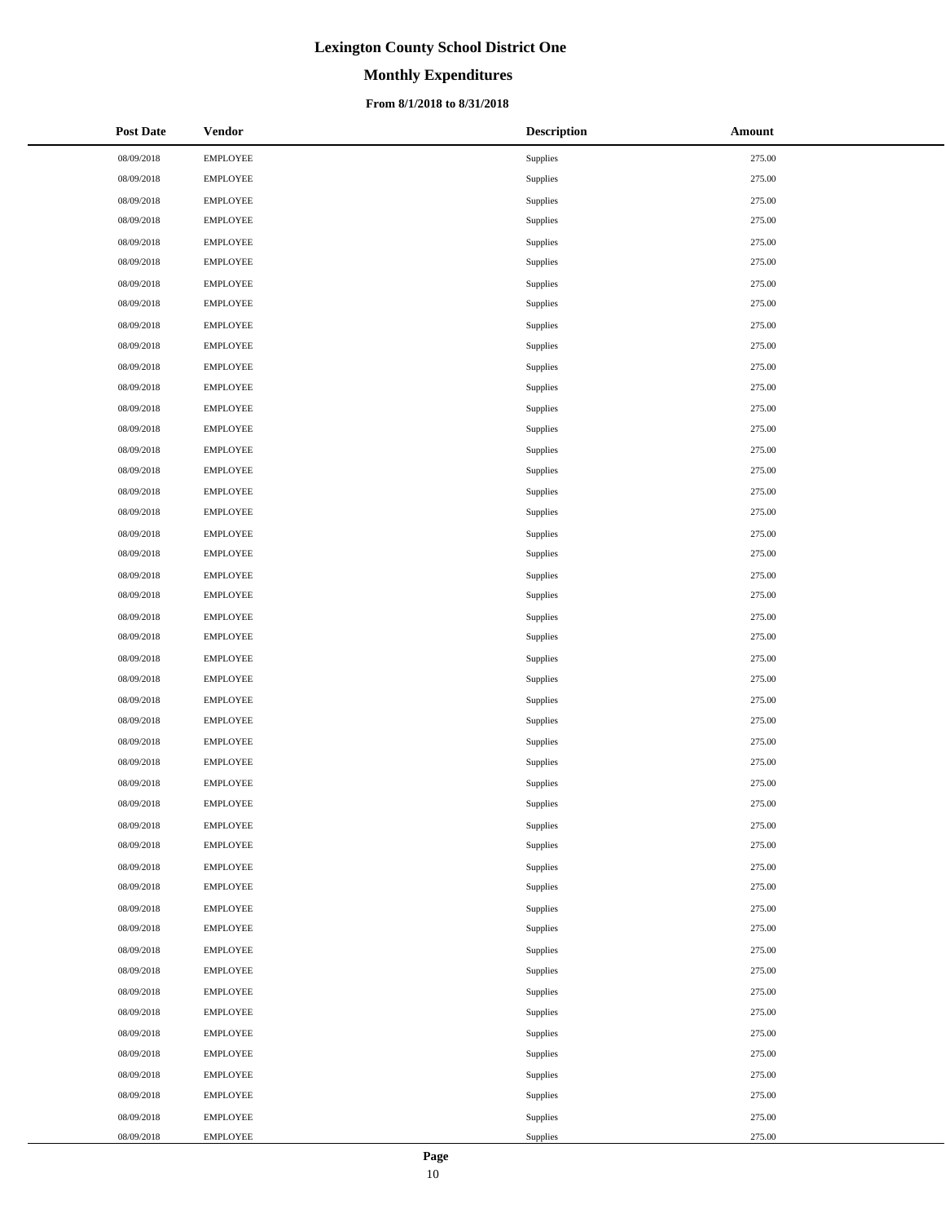# **Monthly Expenditures**

### **From 8/1/2018 to 8/31/2018**

| <b>Post Date</b> | <b>Vendor</b>   | <b>Description</b> | <b>Amount</b> |
|------------------|-----------------|--------------------|---------------|
| 08/09/2018       | <b>EMPLOYEE</b> | Supplies           | 275.00        |
| 08/09/2018       | <b>EMPLOYEE</b> | Supplies           | 275.00        |
| 08/09/2018       | EMPLOYEE        | Supplies           | 275.00        |
| 08/09/2018       | <b>EMPLOYEE</b> | Supplies           | 275.00        |
| 08/09/2018       | <b>EMPLOYEE</b> | Supplies           | 275.00        |
| 08/09/2018       | <b>EMPLOYEE</b> | Supplies           | 275.00        |
| 08/09/2018       | <b>EMPLOYEE</b> | Supplies           | 275.00        |
| 08/09/2018       | <b>EMPLOYEE</b> | Supplies           | 275.00        |
| 08/09/2018       | <b>EMPLOYEE</b> | Supplies           | 275.00        |
| 08/09/2018       | <b>EMPLOYEE</b> | Supplies           | 275.00        |
| 08/09/2018       | EMPLOYEE        | Supplies           | 275.00        |
| 08/09/2018       | <b>EMPLOYEE</b> | Supplies           | 275.00        |
| 08/09/2018       | <b>EMPLOYEE</b> | Supplies           | 275.00        |
| 08/09/2018       | <b>EMPLOYEE</b> | Supplies           | 275.00        |
| 08/09/2018       | <b>EMPLOYEE</b> | Supplies           | 275.00        |
| 08/09/2018       | <b>EMPLOYEE</b> | Supplies           | 275.00        |
| 08/09/2018       | <b>EMPLOYEE</b> | Supplies           | 275.00        |
| 08/09/2018       | <b>EMPLOYEE</b> | Supplies           | 275.00        |
| 08/09/2018       | EMPLOYEE        | Supplies           | 275.00        |
| 08/09/2018       | <b>EMPLOYEE</b> | Supplies           | 275.00        |
| 08/09/2018       | <b>EMPLOYEE</b> | Supplies           | 275.00        |
| 08/09/2018       | <b>EMPLOYEE</b> | Supplies           | 275.00        |
| 08/09/2018       | <b>EMPLOYEE</b> | Supplies           | 275.00        |
| 08/09/2018       | <b>EMPLOYEE</b> | Supplies           | 275.00        |
| 08/09/2018       | <b>EMPLOYEE</b> | Supplies           | 275.00        |
| 08/09/2018       | <b>EMPLOYEE</b> | Supplies           | 275.00        |
| 08/09/2018       | EMPLOYEE        | Supplies           | 275.00        |
| 08/09/2018       | <b>EMPLOYEE</b> | Supplies           | 275.00        |
| 08/09/2018       | <b>EMPLOYEE</b> | Supplies           | 275.00        |
| 08/09/2018       | <b>EMPLOYEE</b> | Supplies           | 275.00        |
| 08/09/2018       | <b>EMPLOYEE</b> | Supplies           | 275.00        |
| 08/09/2018       | <b>EMPLOYEE</b> | Supplies           | 275.00        |
| 08/09/2018       | <b>EMPLOYEE</b> | Supplies           | 275.00        |
| 08/09/2018       | <b>EMPLOYEE</b> | Supplies           | 275.00        |
| 08/09/2018       | <b>EMPLOYEE</b> | Supplies           | 275.00        |
| 08/09/2018       | <b>EMPLOYEE</b> | Supplies           | 275.00        |
| 08/09/2018       | <b>EMPLOYEE</b> | Supplies           | 275.00        |
| 08/09/2018       | <b>EMPLOYEE</b> | Supplies           | 275.00        |
| 08/09/2018       | <b>EMPLOYEE</b> | Supplies           | 275.00        |
| 08/09/2018       | <b>EMPLOYEE</b> | Supplies           | 275.00        |
| 08/09/2018       | <b>EMPLOYEE</b> | Supplies           | 275.00        |
| 08/09/2018       | <b>EMPLOYEE</b> | Supplies           | 275.00        |
| 08/09/2018       | EMPLOYEE        | Supplies           | 275.00        |
| 08/09/2018       | <b>EMPLOYEE</b> | Supplies           | 275.00        |
| 08/09/2018       | <b>EMPLOYEE</b> | Supplies           | 275.00        |
| 08/09/2018       | <b>EMPLOYEE</b> | Supplies           | 275.00        |
| 08/09/2018       | <b>EMPLOYEE</b> | Supplies           | 275.00        |
| 08/09/2018       | <b>EMPLOYEE</b> | Supplies           | 275.00        |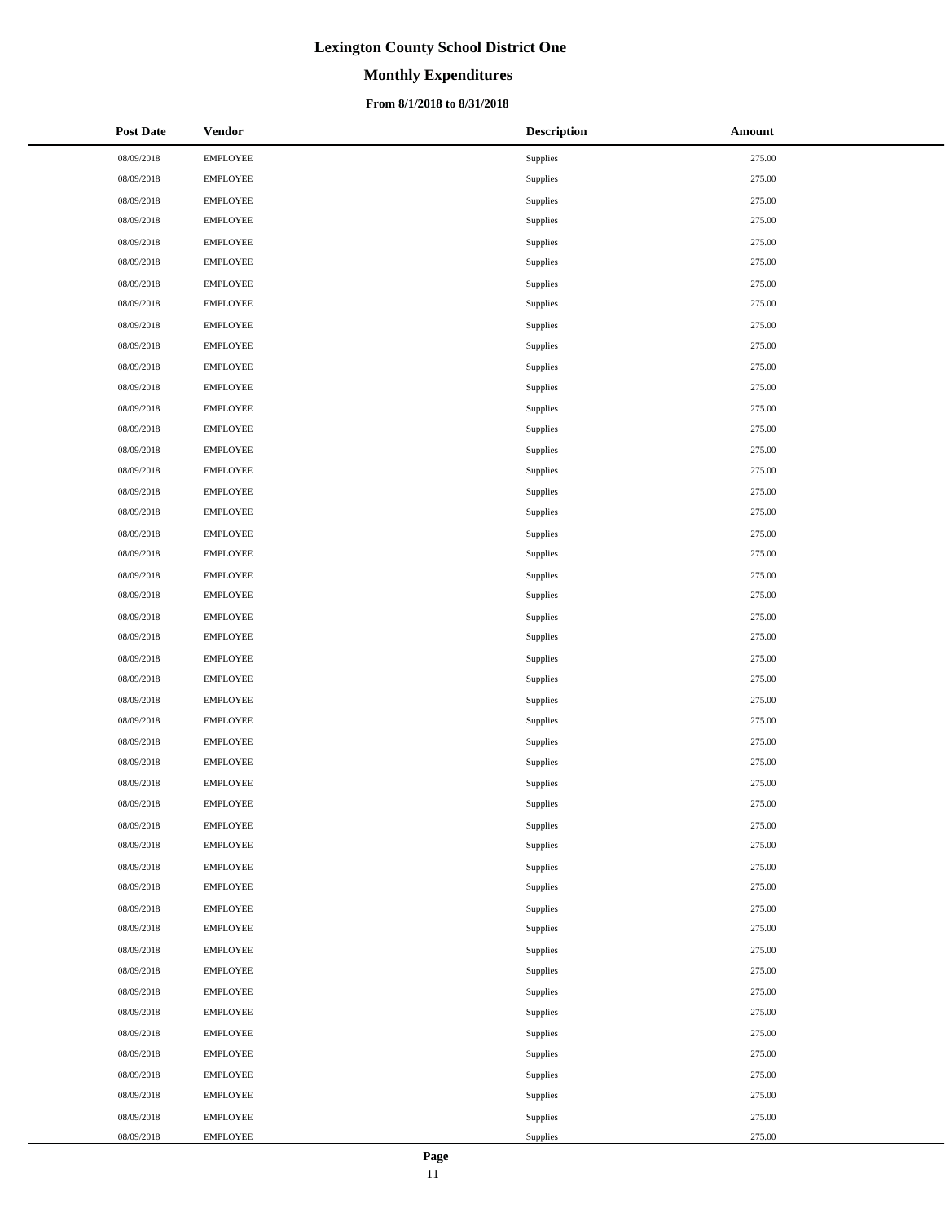# **Monthly Expenditures**

### **From 8/1/2018 to 8/31/2018**

| <b>Post Date</b> | <b>Vendor</b>   | <b>Description</b> | <b>Amount</b> |
|------------------|-----------------|--------------------|---------------|
| 08/09/2018       | <b>EMPLOYEE</b> | Supplies           | 275.00        |
| 08/09/2018       | <b>EMPLOYEE</b> | Supplies           | 275.00        |
| 08/09/2018       | EMPLOYEE        | Supplies           | 275.00        |
| 08/09/2018       | <b>EMPLOYEE</b> | Supplies           | 275.00        |
| 08/09/2018       | <b>EMPLOYEE</b> | Supplies           | 275.00        |
| 08/09/2018       | <b>EMPLOYEE</b> | Supplies           | 275.00        |
| 08/09/2018       | <b>EMPLOYEE</b> | Supplies           | 275.00        |
| 08/09/2018       | <b>EMPLOYEE</b> | Supplies           | 275.00        |
| 08/09/2018       | <b>EMPLOYEE</b> | Supplies           | 275.00        |
| 08/09/2018       | <b>EMPLOYEE</b> | Supplies           | 275.00        |
| 08/09/2018       | EMPLOYEE        | Supplies           | 275.00        |
| 08/09/2018       | <b>EMPLOYEE</b> | Supplies           | 275.00        |
| 08/09/2018       | <b>EMPLOYEE</b> | Supplies           | 275.00        |
| 08/09/2018       | <b>EMPLOYEE</b> | Supplies           | 275.00        |
| 08/09/2018       | <b>EMPLOYEE</b> | Supplies           | 275.00        |
| 08/09/2018       | <b>EMPLOYEE</b> | Supplies           | 275.00        |
| 08/09/2018       | <b>EMPLOYEE</b> | Supplies           | 275.00        |
| 08/09/2018       | <b>EMPLOYEE</b> | Supplies           | 275.00        |
| 08/09/2018       | EMPLOYEE        | Supplies           | 275.00        |
| 08/09/2018       | <b>EMPLOYEE</b> | Supplies           | 275.00        |
| 08/09/2018       | <b>EMPLOYEE</b> | Supplies           | 275.00        |
| 08/09/2018       | <b>EMPLOYEE</b> | Supplies           | 275.00        |
| 08/09/2018       | <b>EMPLOYEE</b> | Supplies           | 275.00        |
| 08/09/2018       | <b>EMPLOYEE</b> | Supplies           | 275.00        |
| 08/09/2018       | <b>EMPLOYEE</b> | Supplies           | 275.00        |
| 08/09/2018       | <b>EMPLOYEE</b> | Supplies           | 275.00        |
| 08/09/2018       | EMPLOYEE        | Supplies           | 275.00        |
| 08/09/2018       | <b>EMPLOYEE</b> | Supplies           | 275.00        |
| 08/09/2018       | <b>EMPLOYEE</b> | Supplies           | 275.00        |
| 08/09/2018       | <b>EMPLOYEE</b> | Supplies           | 275.00        |
| 08/09/2018       | <b>EMPLOYEE</b> | Supplies           | 275.00        |
| 08/09/2018       | <b>EMPLOYEE</b> | Supplies           | 275.00        |
| 08/09/2018       | <b>EMPLOYEE</b> | Supplies           | 275.00        |
| 08/09/2018       | <b>EMPLOYEE</b> | Supplies           | 275.00        |
| 08/09/2018       | <b>EMPLOYEE</b> | Supplies           | 275.00        |
| 08/09/2018       | <b>EMPLOYEE</b> | Supplies           | 275.00        |
| 08/09/2018       | <b>EMPLOYEE</b> | Supplies           | 275.00        |
| 08/09/2018       | <b>EMPLOYEE</b> | Supplies           | 275.00        |
| 08/09/2018       | <b>EMPLOYEE</b> | Supplies           | 275.00        |
| 08/09/2018       | <b>EMPLOYEE</b> | Supplies           | 275.00        |
| 08/09/2018       | <b>EMPLOYEE</b> | Supplies           | 275.00        |
| 08/09/2018       | <b>EMPLOYEE</b> | Supplies           | 275.00        |
| 08/09/2018       | EMPLOYEE        | Supplies           | 275.00        |
| 08/09/2018       | <b>EMPLOYEE</b> | Supplies           | 275.00        |
| 08/09/2018       | <b>EMPLOYEE</b> | Supplies           | 275.00        |
| 08/09/2018       | <b>EMPLOYEE</b> | Supplies           | 275.00        |
| 08/09/2018       | <b>EMPLOYEE</b> | Supplies           | 275.00        |
| 08/09/2018       | <b>EMPLOYEE</b> | Supplies           | 275.00        |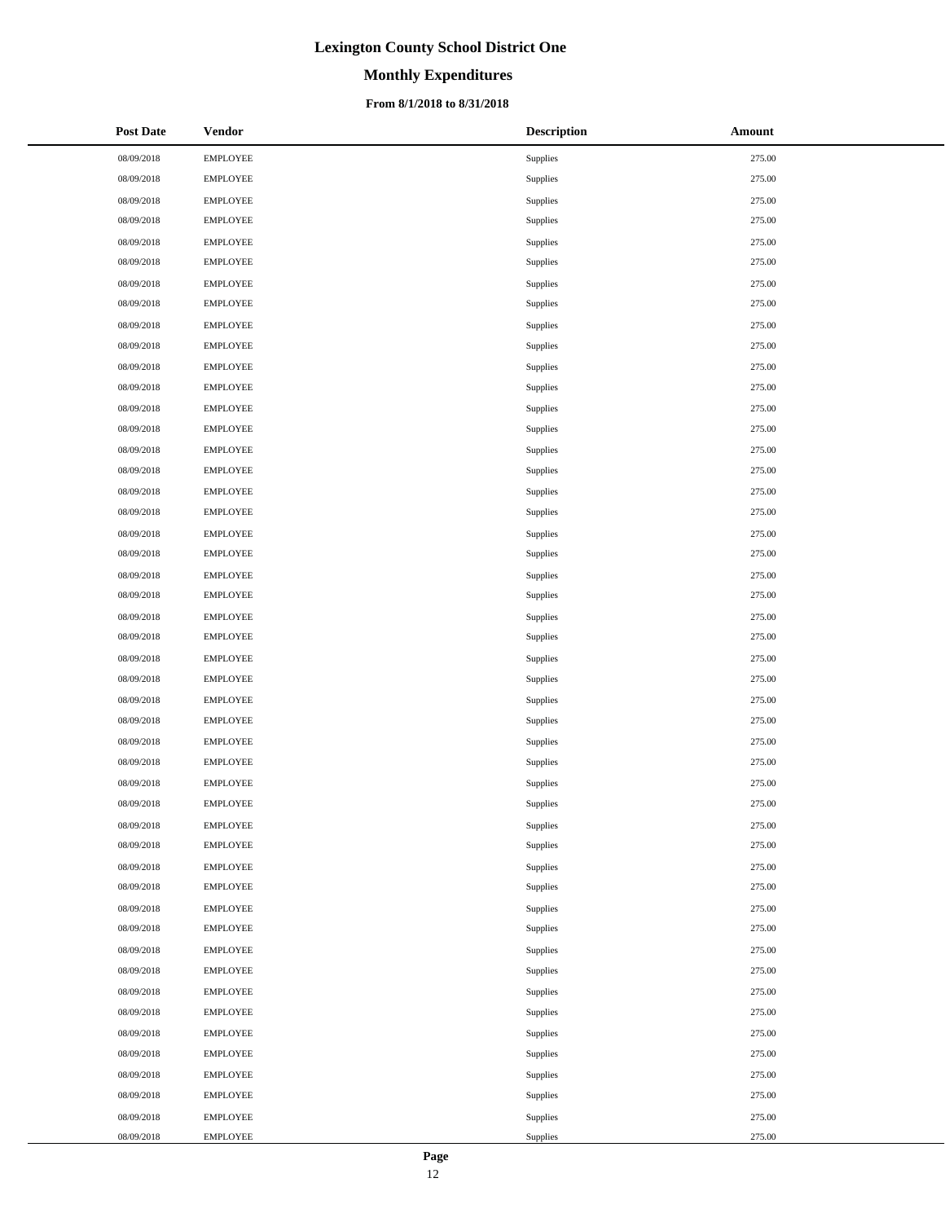# **Monthly Expenditures**

### **From 8/1/2018 to 8/31/2018**

| <b>Post Date</b> | <b>Vendor</b>   | <b>Description</b> | <b>Amount</b> |
|------------------|-----------------|--------------------|---------------|
| 08/09/2018       | <b>EMPLOYEE</b> | Supplies           | 275.00        |
| 08/09/2018       | <b>EMPLOYEE</b> | Supplies           | 275.00        |
| 08/09/2018       | EMPLOYEE        | Supplies           | 275.00        |
| 08/09/2018       | <b>EMPLOYEE</b> | Supplies           | 275.00        |
| 08/09/2018       | <b>EMPLOYEE</b> | Supplies           | 275.00        |
| 08/09/2018       | <b>EMPLOYEE</b> | Supplies           | 275.00        |
| 08/09/2018       | <b>EMPLOYEE</b> | Supplies           | 275.00        |
| 08/09/2018       | <b>EMPLOYEE</b> | Supplies           | 275.00        |
| 08/09/2018       | <b>EMPLOYEE</b> | Supplies           | 275.00        |
| 08/09/2018       | <b>EMPLOYEE</b> | Supplies           | 275.00        |
| 08/09/2018       | EMPLOYEE        | Supplies           | 275.00        |
| 08/09/2018       | <b>EMPLOYEE</b> | Supplies           | 275.00        |
| 08/09/2018       | <b>EMPLOYEE</b> | Supplies           | 275.00        |
| 08/09/2018       | <b>EMPLOYEE</b> | Supplies           | 275.00        |
| 08/09/2018       | <b>EMPLOYEE</b> | Supplies           | 275.00        |
| 08/09/2018       | <b>EMPLOYEE</b> | Supplies           | 275.00        |
| 08/09/2018       | <b>EMPLOYEE</b> | Supplies           | 275.00        |
| 08/09/2018       | <b>EMPLOYEE</b> | Supplies           | 275.00        |
| 08/09/2018       | EMPLOYEE        | Supplies           | 275.00        |
| 08/09/2018       | <b>EMPLOYEE</b> | Supplies           | 275.00        |
| 08/09/2018       | <b>EMPLOYEE</b> | Supplies           | 275.00        |
| 08/09/2018       | <b>EMPLOYEE</b> | Supplies           | 275.00        |
| 08/09/2018       | <b>EMPLOYEE</b> | Supplies           | 275.00        |
| 08/09/2018       | <b>EMPLOYEE</b> | Supplies           | 275.00        |
| 08/09/2018       | <b>EMPLOYEE</b> | Supplies           | 275.00        |
| 08/09/2018       | <b>EMPLOYEE</b> | Supplies           | 275.00        |
| 08/09/2018       | EMPLOYEE        | Supplies           | 275.00        |
| 08/09/2018       | <b>EMPLOYEE</b> | Supplies           | 275.00        |
| 08/09/2018       | <b>EMPLOYEE</b> | Supplies           | 275.00        |
| 08/09/2018       | <b>EMPLOYEE</b> | Supplies           | 275.00        |
| 08/09/2018       | <b>EMPLOYEE</b> | Supplies           | 275.00        |
| 08/09/2018       | <b>EMPLOYEE</b> | Supplies           | 275.00        |
| 08/09/2018       | <b>EMPLOYEE</b> | Supplies           | 275.00        |
| 08/09/2018       | <b>EMPLOYEE</b> | Supplies           | 275.00        |
| 08/09/2018       | <b>EMPLOYEE</b> | Supplies           | 275.00        |
| 08/09/2018       | <b>EMPLOYEE</b> | Supplies           | 275.00        |
| 08/09/2018       | <b>EMPLOYEE</b> | Supplies           | 275.00        |
| 08/09/2018       | <b>EMPLOYEE</b> | Supplies           | 275.00        |
| 08/09/2018       | <b>EMPLOYEE</b> | Supplies           | 275.00        |
| 08/09/2018       | <b>EMPLOYEE</b> | Supplies           | 275.00        |
| 08/09/2018       | <b>EMPLOYEE</b> | Supplies           | 275.00        |
| 08/09/2018       | <b>EMPLOYEE</b> | Supplies           | 275.00        |
| 08/09/2018       | EMPLOYEE        | Supplies           | 275.00        |
| 08/09/2018       | <b>EMPLOYEE</b> | Supplies           | 275.00        |
| 08/09/2018       | <b>EMPLOYEE</b> | Supplies           | 275.00        |
| 08/09/2018       | <b>EMPLOYEE</b> | Supplies           | 275.00        |
| 08/09/2018       | <b>EMPLOYEE</b> | Supplies           | 275.00        |
| 08/09/2018       | <b>EMPLOYEE</b> | Supplies           | 275.00        |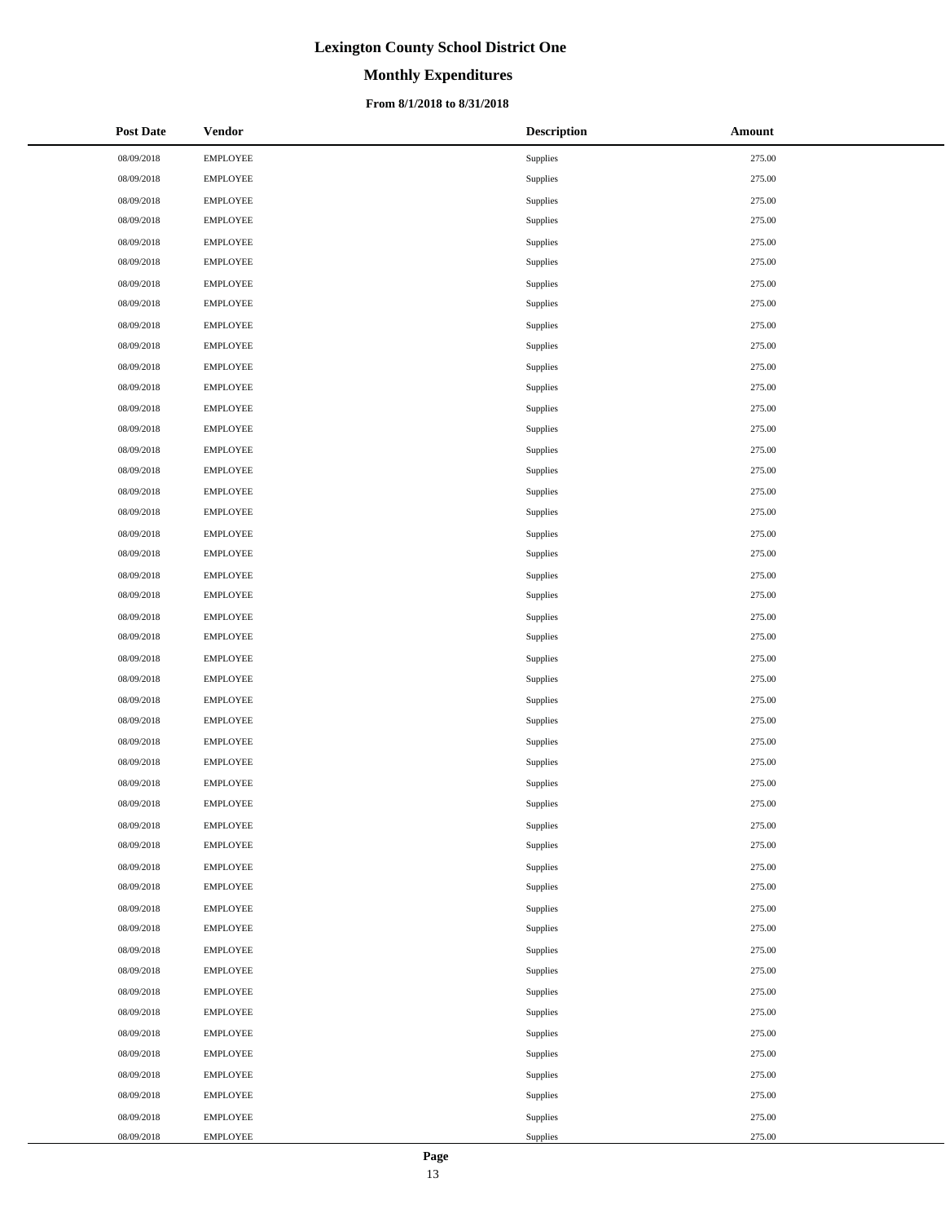# **Monthly Expenditures**

### **From 8/1/2018 to 8/31/2018**

| <b>Post Date</b> | <b>Vendor</b>   | <b>Description</b> | <b>Amount</b> |
|------------------|-----------------|--------------------|---------------|
| 08/09/2018       | <b>EMPLOYEE</b> | Supplies           | 275.00        |
| 08/09/2018       | <b>EMPLOYEE</b> | Supplies           | 275.00        |
| 08/09/2018       | EMPLOYEE        | Supplies           | 275.00        |
| 08/09/2018       | <b>EMPLOYEE</b> | Supplies           | 275.00        |
| 08/09/2018       | <b>EMPLOYEE</b> | Supplies           | 275.00        |
| 08/09/2018       | <b>EMPLOYEE</b> | Supplies           | 275.00        |
| 08/09/2018       | <b>EMPLOYEE</b> | Supplies           | 275.00        |
| 08/09/2018       | <b>EMPLOYEE</b> | Supplies           | 275.00        |
| 08/09/2018       | <b>EMPLOYEE</b> | Supplies           | 275.00        |
| 08/09/2018       | <b>EMPLOYEE</b> | Supplies           | 275.00        |
| 08/09/2018       | EMPLOYEE        | Supplies           | 275.00        |
| 08/09/2018       | <b>EMPLOYEE</b> | Supplies           | 275.00        |
| 08/09/2018       | <b>EMPLOYEE</b> | Supplies           | 275.00        |
| 08/09/2018       | <b>EMPLOYEE</b> | Supplies           | 275.00        |
| 08/09/2018       | <b>EMPLOYEE</b> | Supplies           | 275.00        |
| 08/09/2018       | <b>EMPLOYEE</b> | Supplies           | 275.00        |
| 08/09/2018       | <b>EMPLOYEE</b> | Supplies           | 275.00        |
| 08/09/2018       | <b>EMPLOYEE</b> | Supplies           | 275.00        |
| 08/09/2018       | EMPLOYEE        | Supplies           | 275.00        |
| 08/09/2018       | <b>EMPLOYEE</b> | Supplies           | 275.00        |
| 08/09/2018       | <b>EMPLOYEE</b> | Supplies           | 275.00        |
| 08/09/2018       | <b>EMPLOYEE</b> | Supplies           | 275.00        |
| 08/09/2018       | <b>EMPLOYEE</b> | Supplies           | 275.00        |
| 08/09/2018       | <b>EMPLOYEE</b> | Supplies           | 275.00        |
| 08/09/2018       | <b>EMPLOYEE</b> | Supplies           | 275.00        |
| 08/09/2018       | <b>EMPLOYEE</b> | Supplies           | 275.00        |
| 08/09/2018       | EMPLOYEE        | Supplies           | 275.00        |
| 08/09/2018       | <b>EMPLOYEE</b> | Supplies           | 275.00        |
| 08/09/2018       | <b>EMPLOYEE</b> | Supplies           | 275.00        |
| 08/09/2018       | <b>EMPLOYEE</b> | Supplies           | 275.00        |
| 08/09/2018       | <b>EMPLOYEE</b> | Supplies           | 275.00        |
| 08/09/2018       | <b>EMPLOYEE</b> | Supplies           | 275.00        |
| 08/09/2018       | <b>EMPLOYEE</b> | Supplies           | 275.00        |
| 08/09/2018       | <b>EMPLOYEE</b> | Supplies           | 275.00        |
| 08/09/2018       | <b>EMPLOYEE</b> | Supplies           | 275.00        |
| 08/09/2018       | <b>EMPLOYEE</b> | Supplies           | 275.00        |
| 08/09/2018       | <b>EMPLOYEE</b> | Supplies           | 275.00        |
| 08/09/2018       | <b>EMPLOYEE</b> | Supplies           | 275.00        |
| 08/09/2018       | <b>EMPLOYEE</b> | Supplies           | 275.00        |
| 08/09/2018       | <b>EMPLOYEE</b> | Supplies           | 275.00        |
| 08/09/2018       | <b>EMPLOYEE</b> | Supplies           | 275.00        |
| 08/09/2018       | <b>EMPLOYEE</b> | Supplies           | 275.00        |
| 08/09/2018       | EMPLOYEE        | Supplies           | 275.00        |
| 08/09/2018       | <b>EMPLOYEE</b> | Supplies           | 275.00        |
| 08/09/2018       | <b>EMPLOYEE</b> | Supplies           | 275.00        |
| 08/09/2018       | <b>EMPLOYEE</b> | Supplies           | 275.00        |
| 08/09/2018       | <b>EMPLOYEE</b> | Supplies           | 275.00        |
| 08/09/2018       | <b>EMPLOYEE</b> | Supplies           | 275.00        |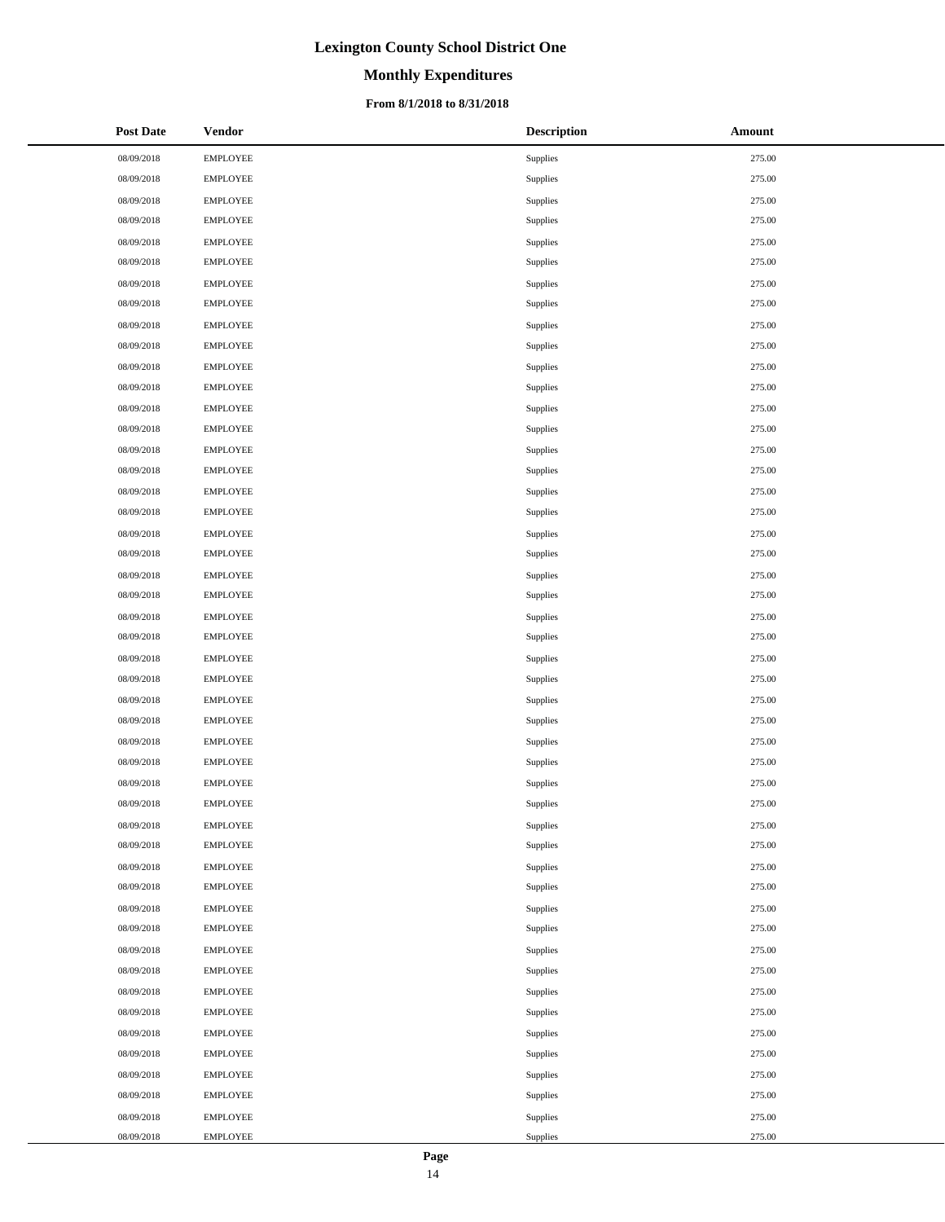# **Monthly Expenditures**

### **From 8/1/2018 to 8/31/2018**

| <b>Post Date</b> | <b>Vendor</b>   | <b>Description</b> | <b>Amount</b> |
|------------------|-----------------|--------------------|---------------|
| 08/09/2018       | <b>EMPLOYEE</b> | Supplies           | 275.00        |
| 08/09/2018       | <b>EMPLOYEE</b> | Supplies           | 275.00        |
| 08/09/2018       | EMPLOYEE        | Supplies           | 275.00        |
| 08/09/2018       | <b>EMPLOYEE</b> | Supplies           | 275.00        |
| 08/09/2018       | <b>EMPLOYEE</b> | Supplies           | 275.00        |
| 08/09/2018       | <b>EMPLOYEE</b> | Supplies           | 275.00        |
| 08/09/2018       | <b>EMPLOYEE</b> | Supplies           | 275.00        |
| 08/09/2018       | <b>EMPLOYEE</b> | Supplies           | 275.00        |
| 08/09/2018       | <b>EMPLOYEE</b> | Supplies           | 275.00        |
| 08/09/2018       | <b>EMPLOYEE</b> | Supplies           | 275.00        |
| 08/09/2018       | EMPLOYEE        | Supplies           | 275.00        |
| 08/09/2018       | <b>EMPLOYEE</b> | Supplies           | 275.00        |
| 08/09/2018       | <b>EMPLOYEE</b> | Supplies           | 275.00        |
| 08/09/2018       | <b>EMPLOYEE</b> | Supplies           | 275.00        |
| 08/09/2018       | <b>EMPLOYEE</b> | Supplies           | 275.00        |
| 08/09/2018       | <b>EMPLOYEE</b> | Supplies           | 275.00        |
| 08/09/2018       | <b>EMPLOYEE</b> | Supplies           | 275.00        |
| 08/09/2018       | <b>EMPLOYEE</b> | Supplies           | 275.00        |
| 08/09/2018       | EMPLOYEE        | Supplies           | 275.00        |
| 08/09/2018       | <b>EMPLOYEE</b> | Supplies           | 275.00        |
| 08/09/2018       | <b>EMPLOYEE</b> | Supplies           | 275.00        |
| 08/09/2018       | <b>EMPLOYEE</b> | Supplies           | 275.00        |
| 08/09/2018       | <b>EMPLOYEE</b> | Supplies           | 275.00        |
| 08/09/2018       | <b>EMPLOYEE</b> | Supplies           | 275.00        |
| 08/09/2018       | <b>EMPLOYEE</b> | Supplies           | 275.00        |
| 08/09/2018       | <b>EMPLOYEE</b> | Supplies           | 275.00        |
| 08/09/2018       | EMPLOYEE        | Supplies           | 275.00        |
| 08/09/2018       | <b>EMPLOYEE</b> | Supplies           | 275.00        |
| 08/09/2018       | <b>EMPLOYEE</b> | Supplies           | 275.00        |
| 08/09/2018       | <b>EMPLOYEE</b> | Supplies           | 275.00        |
| 08/09/2018       | <b>EMPLOYEE</b> | Supplies           | 275.00        |
| 08/09/2018       | <b>EMPLOYEE</b> | Supplies           | 275.00        |
| 08/09/2018       | <b>EMPLOYEE</b> | Supplies           | 275.00        |
| 08/09/2018       | <b>EMPLOYEE</b> | Supplies           | 275.00        |
| 08/09/2018       | <b>EMPLOYEE</b> | Supplies           | 275.00        |
| 08/09/2018       | <b>EMPLOYEE</b> | Supplies           | 275.00        |
| 08/09/2018       | <b>EMPLOYEE</b> | Supplies           | 275.00        |
| 08/09/2018       | <b>EMPLOYEE</b> | Supplies           | 275.00        |
| 08/09/2018       | <b>EMPLOYEE</b> | Supplies           | 275.00        |
| 08/09/2018       | <b>EMPLOYEE</b> | Supplies           | 275.00        |
| 08/09/2018       | <b>EMPLOYEE</b> | Supplies           | 275.00        |
| 08/09/2018       | <b>EMPLOYEE</b> | Supplies           | 275.00        |
| 08/09/2018       | EMPLOYEE        | Supplies           | 275.00        |
| 08/09/2018       | <b>EMPLOYEE</b> | Supplies           | 275.00        |
| 08/09/2018       | <b>EMPLOYEE</b> | Supplies           | 275.00        |
| 08/09/2018       | <b>EMPLOYEE</b> | Supplies           | 275.00        |
| 08/09/2018       | <b>EMPLOYEE</b> | Supplies           | 275.00        |
| 08/09/2018       | <b>EMPLOYEE</b> | Supplies           | 275.00        |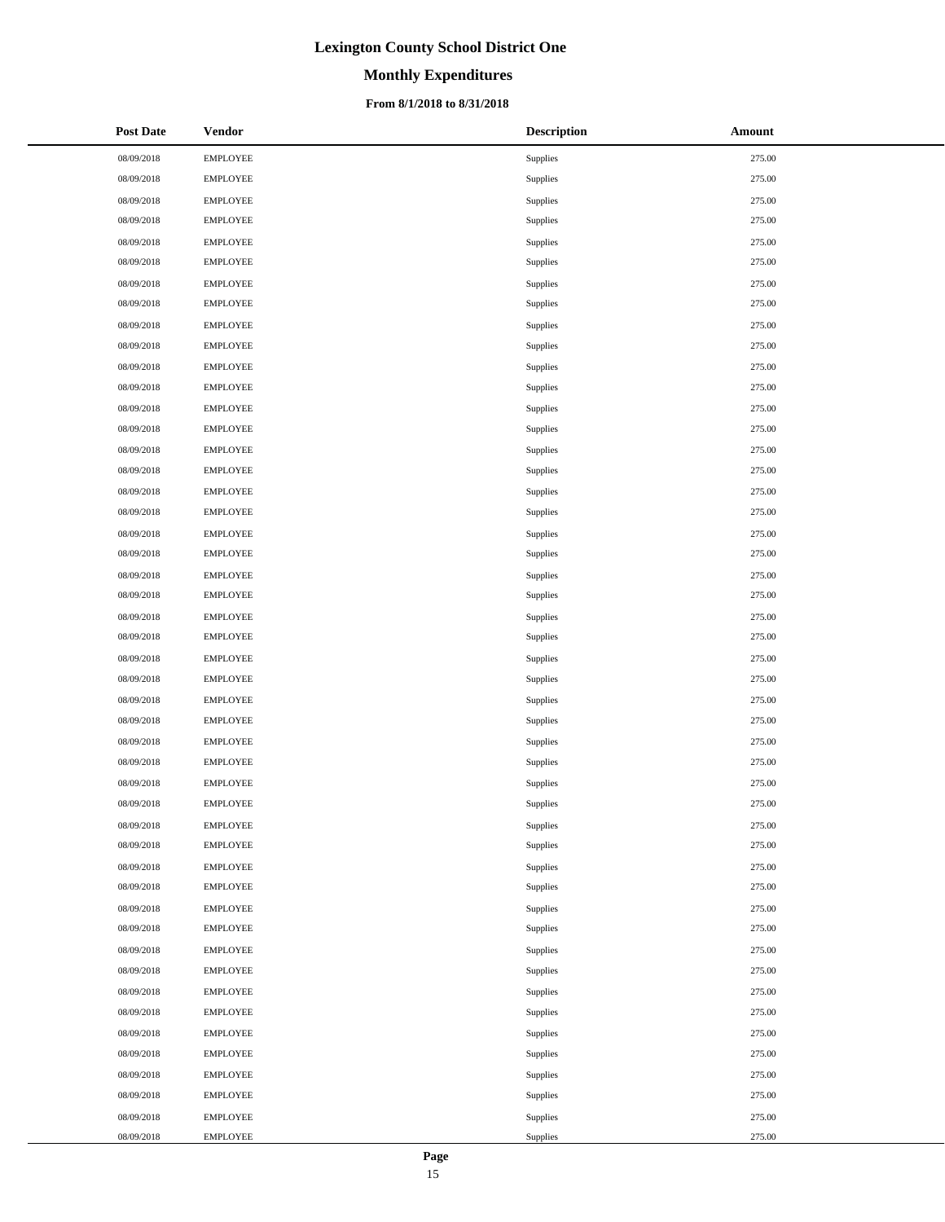# **Monthly Expenditures**

### **From 8/1/2018 to 8/31/2018**

| <b>Post Date</b> | <b>Vendor</b>   | <b>Description</b> | Amount |
|------------------|-----------------|--------------------|--------|
| 08/09/2018       | <b>EMPLOYEE</b> | Supplies           | 275.00 |
| 08/09/2018       | <b>EMPLOYEE</b> | Supplies           | 275.00 |
| 08/09/2018       | <b>EMPLOYEE</b> | Supplies           | 275.00 |
| 08/09/2018       | <b>EMPLOYEE</b> | Supplies           | 275.00 |
| 08/09/2018       | <b>EMPLOYEE</b> | Supplies           | 275.00 |
| 08/09/2018       | <b>EMPLOYEE</b> | Supplies           | 275.00 |
| 08/09/2018       | <b>EMPLOYEE</b> | Supplies           | 275.00 |
| 08/09/2018       | <b>EMPLOYEE</b> | Supplies           | 275.00 |
| 08/09/2018       | <b>EMPLOYEE</b> | Supplies           | 275.00 |
| 08/09/2018       | <b>EMPLOYEE</b> | Supplies           | 275.00 |
| 08/09/2018       | <b>EMPLOYEE</b> | Supplies           | 275.00 |
| 08/09/2018       | <b>EMPLOYEE</b> | Supplies           | 275.00 |
| 08/09/2018       | <b>EMPLOYEE</b> | Supplies           | 275.00 |
| 08/09/2018       | <b>EMPLOYEE</b> | Supplies           | 275.00 |
| 08/09/2018       | <b>EMPLOYEE</b> | Supplies           | 275.00 |
| 08/09/2018       | <b>EMPLOYEE</b> | Supplies           | 275.00 |
| 08/09/2018       | <b>EMPLOYEE</b> | Supplies           | 275.00 |
| 08/09/2018       | <b>EMPLOYEE</b> | Supplies           | 275.00 |
| 08/09/2018       | <b>EMPLOYEE</b> | Supplies           | 275.00 |
| 08/09/2018       | <b>EMPLOYEE</b> | Supplies           | 275.00 |
| 08/09/2018       | <b>EMPLOYEE</b> | Supplies           | 275.00 |
| 08/09/2018       | <b>EMPLOYEE</b> | Supplies           | 275.00 |
| 08/09/2018       | <b>EMPLOYEE</b> | Supplies           | 275.00 |
| 08/09/2018       | <b>EMPLOYEE</b> | Supplies           | 275.00 |
| 08/09/2018       | <b>EMPLOYEE</b> | Supplies           | 275.00 |
| 08/09/2018       | <b>EMPLOYEE</b> | Supplies           | 275.00 |
| 08/09/2018       | EMPLOYEE        | Supplies           | 275.00 |
| 08/09/2018       | <b>EMPLOYEE</b> | Supplies           | 275.00 |
| 08/09/2018       | <b>EMPLOYEE</b> | Supplies           | 275.00 |
| 08/09/2018       | <b>EMPLOYEE</b> | Supplies           | 275.00 |
| 08/09/2018       | <b>EMPLOYEE</b> | Supplies           | 275.00 |
| 08/09/2018       | <b>EMPLOYEE</b> | Supplies           | 275.00 |
| 08/09/2018       | <b>EMPLOYEE</b> | Supplies           | 275.00 |
| 08/09/2018       | <b>EMPLOYEE</b> | Supplies           | 275.00 |
| 08/09/2018       | <b>EMPLOYEE</b> | Supplies           | 275.00 |
| 08/09/2018       | <b>EMPLOYEE</b> | Supplies           | 275.00 |
| 08/09/2018       | <b>EMPLOYEE</b> | Supplies           | 275.00 |
| 08/09/2018       | <b>EMPLOYEE</b> | Supplies           | 275.00 |
| 08/09/2018       | <b>EMPLOYEE</b> | Supplies           | 275.00 |
| 08/09/2018       | <b>EMPLOYEE</b> | Supplies           | 275.00 |
| 08/09/2018       | <b>EMPLOYEE</b> | Supplies           | 275.00 |
| 08/09/2018       | <b>EMPLOYEE</b> | Supplies           | 275.00 |
| 08/09/2018       | <b>EMPLOYEE</b> | Supplies           | 275.00 |
| 08/09/2018       | <b>EMPLOYEE</b> | Supplies           | 275.00 |
| 08/09/2018       | <b>EMPLOYEE</b> | Supplies           | 275.00 |
| 08/09/2018       | <b>EMPLOYEE</b> | Supplies           | 275.00 |
| 08/09/2018       | <b>EMPLOYEE</b> | Supplies           | 275.00 |
| 08/09/2018       | <b>EMPLOYEE</b> | Supplies           | 275.00 |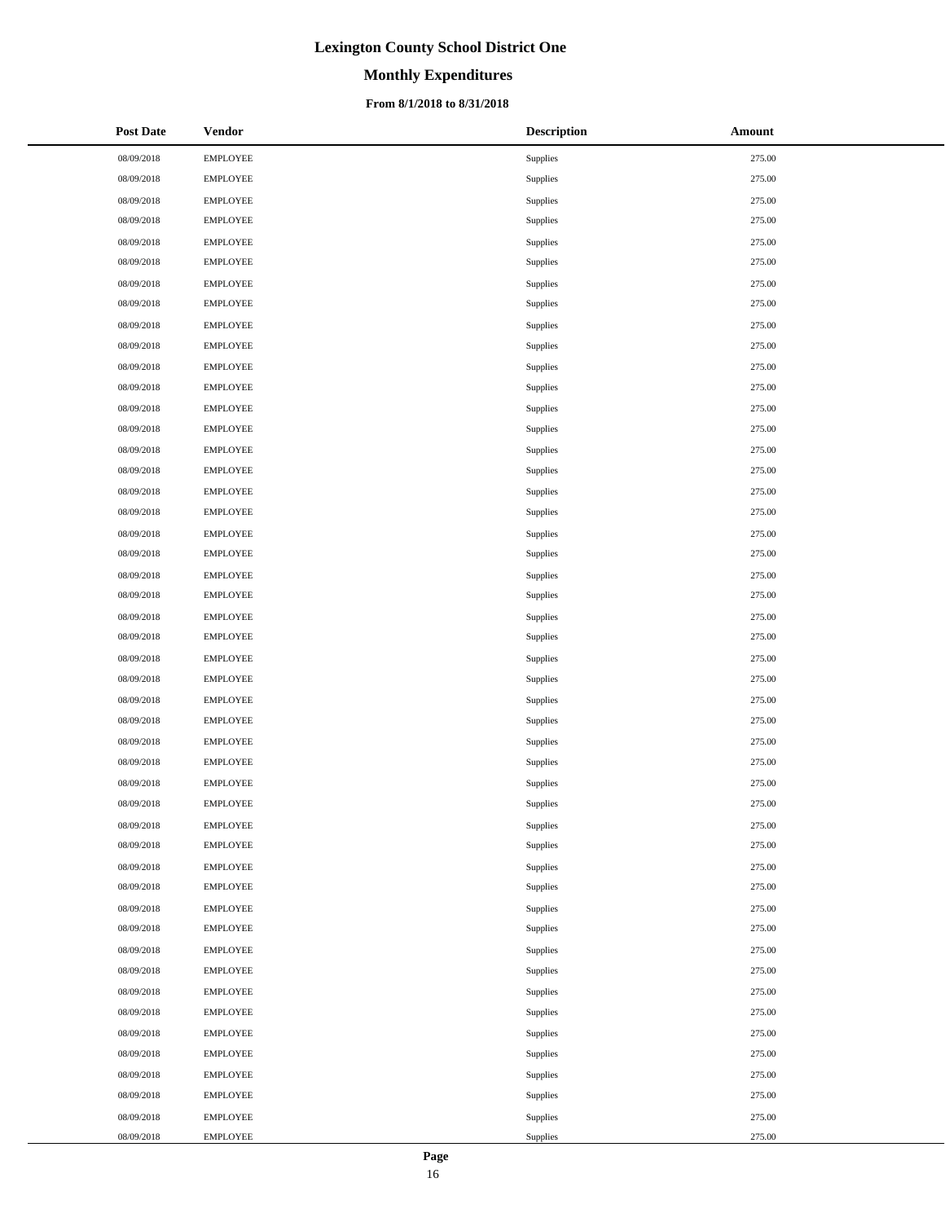# **Monthly Expenditures**

### **From 8/1/2018 to 8/31/2018**

| <b>Post Date</b> | <b>Vendor</b>   | <b>Description</b> | Amount |
|------------------|-----------------|--------------------|--------|
| 08/09/2018       | <b>EMPLOYEE</b> | Supplies           | 275.00 |
| 08/09/2018       | <b>EMPLOYEE</b> | Supplies           | 275.00 |
| 08/09/2018       | <b>EMPLOYEE</b> | Supplies           | 275.00 |
| 08/09/2018       | <b>EMPLOYEE</b> | Supplies           | 275.00 |
| 08/09/2018       | <b>EMPLOYEE</b> | Supplies           | 275.00 |
| 08/09/2018       | <b>EMPLOYEE</b> | Supplies           | 275.00 |
| 08/09/2018       | <b>EMPLOYEE</b> | Supplies           | 275.00 |
| 08/09/2018       | <b>EMPLOYEE</b> | Supplies           | 275.00 |
| 08/09/2018       | <b>EMPLOYEE</b> | Supplies           | 275.00 |
| 08/09/2018       | <b>EMPLOYEE</b> | Supplies           | 275.00 |
| 08/09/2018       | <b>EMPLOYEE</b> | Supplies           | 275.00 |
| 08/09/2018       | <b>EMPLOYEE</b> | Supplies           | 275.00 |
| 08/09/2018       | <b>EMPLOYEE</b> | Supplies           | 275.00 |
| 08/09/2018       | <b>EMPLOYEE</b> | Supplies           | 275.00 |
| 08/09/2018       | <b>EMPLOYEE</b> | Supplies           | 275.00 |
| 08/09/2018       | <b>EMPLOYEE</b> | Supplies           | 275.00 |
| 08/09/2018       | <b>EMPLOYEE</b> | Supplies           | 275.00 |
| 08/09/2018       | <b>EMPLOYEE</b> | Supplies           | 275.00 |
| 08/09/2018       | <b>EMPLOYEE</b> | Supplies           | 275.00 |
| 08/09/2018       | <b>EMPLOYEE</b> | Supplies           | 275.00 |
| 08/09/2018       | <b>EMPLOYEE</b> | Supplies           | 275.00 |
| 08/09/2018       | <b>EMPLOYEE</b> | Supplies           | 275.00 |
| 08/09/2018       | <b>EMPLOYEE</b> | Supplies           | 275.00 |
| 08/09/2018       | <b>EMPLOYEE</b> | Supplies           | 275.00 |
| 08/09/2018       | <b>EMPLOYEE</b> | Supplies           | 275.00 |
| 08/09/2018       | <b>EMPLOYEE</b> | Supplies           | 275.00 |
| 08/09/2018       | <b>EMPLOYEE</b> | Supplies           | 275.00 |
| 08/09/2018       | <b>EMPLOYEE</b> | Supplies           | 275.00 |
| 08/09/2018       | <b>EMPLOYEE</b> | Supplies           | 275.00 |
| 08/09/2018       | <b>EMPLOYEE</b> | Supplies           | 275.00 |
| 08/09/2018       | <b>EMPLOYEE</b> | Supplies           | 275.00 |
| 08/09/2018       | <b>EMPLOYEE</b> | Supplies           | 275.00 |
| 08/09/2018       | <b>EMPLOYEE</b> | Supplies           | 275.00 |
| 08/09/2018       | <b>EMPLOYEE</b> | Supplies           | 275.00 |
| 08/09/2018       | <b>EMPLOYEE</b> | Supplies           | 275.00 |
| 08/09/2018       | <b>EMPLOYEE</b> | Supplies           | 275.00 |
| 08/09/2018       | <b>EMPLOYEE</b> | Supplies           | 275.00 |
| 08/09/2018       | <b>EMPLOYEE</b> | Supplies           | 275.00 |
| 08/09/2018       | <b>EMPLOYEE</b> | Supplies           | 275.00 |
| 08/09/2018       | <b>EMPLOYEE</b> | Supplies           | 275.00 |
| 08/09/2018       | <b>EMPLOYEE</b> | Supplies           | 275.00 |
| 08/09/2018       | <b>EMPLOYEE</b> | Supplies           | 275.00 |
| 08/09/2018       | <b>EMPLOYEE</b> | Supplies           | 275.00 |
| 08/09/2018       | <b>EMPLOYEE</b> | Supplies           | 275.00 |
| 08/09/2018       | <b>EMPLOYEE</b> | Supplies           | 275.00 |
| 08/09/2018       | <b>EMPLOYEE</b> | Supplies           | 275.00 |
| 08/09/2018       | <b>EMPLOYEE</b> | Supplies           | 275.00 |
| 08/09/2018       | <b>EMPLOYEE</b> | Supplies           | 275.00 |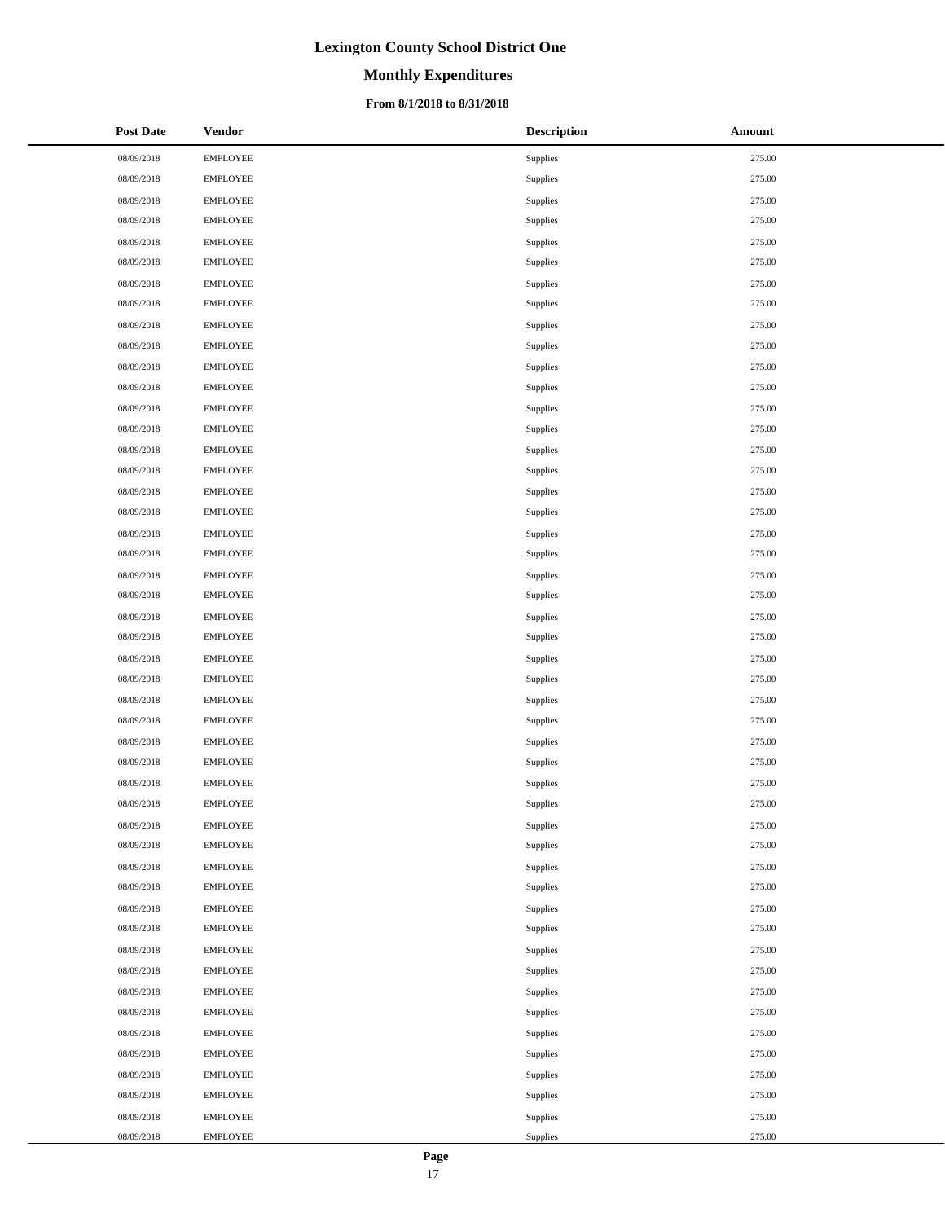# **Monthly Expenditures**

### **From 8/1/2018 to 8/31/2018**

| <b>Post Date</b> | <b>Vendor</b>   | <b>Description</b> | <b>Amount</b> |
|------------------|-----------------|--------------------|---------------|
| 08/09/2018       | <b>EMPLOYEE</b> | Supplies           | 275.00        |
| 08/09/2018       | <b>EMPLOYEE</b> | Supplies           | 275.00        |
| 08/09/2018       | EMPLOYEE        | Supplies           | 275.00        |
| 08/09/2018       | <b>EMPLOYEE</b> | Supplies           | 275.00        |
| 08/09/2018       | <b>EMPLOYEE</b> | Supplies           | 275.00        |
| 08/09/2018       | <b>EMPLOYEE</b> | Supplies           | 275.00        |
| 08/09/2018       | <b>EMPLOYEE</b> | Supplies           | 275.00        |
| 08/09/2018       | <b>EMPLOYEE</b> | Supplies           | 275.00        |
| 08/09/2018       | <b>EMPLOYEE</b> | Supplies           | 275.00        |
| 08/09/2018       | <b>EMPLOYEE</b> | Supplies           | 275.00        |
| 08/09/2018       | EMPLOYEE        | Supplies           | 275.00        |
| 08/09/2018       | <b>EMPLOYEE</b> | Supplies           | 275.00        |
| 08/09/2018       | <b>EMPLOYEE</b> | Supplies           | 275.00        |
| 08/09/2018       | <b>EMPLOYEE</b> | Supplies           | 275.00        |
| 08/09/2018       | <b>EMPLOYEE</b> | Supplies           | 275.00        |
| 08/09/2018       | <b>EMPLOYEE</b> | Supplies           | 275.00        |
| 08/09/2018       | <b>EMPLOYEE</b> | Supplies           | 275.00        |
| 08/09/2018       | <b>EMPLOYEE</b> | Supplies           | 275.00        |
| 08/09/2018       | EMPLOYEE        | Supplies           | 275.00        |
| 08/09/2018       | <b>EMPLOYEE</b> | Supplies           | 275.00        |
| 08/09/2018       | <b>EMPLOYEE</b> | Supplies           | 275.00        |
| 08/09/2018       | <b>EMPLOYEE</b> | Supplies           | 275.00        |
| 08/09/2018       | <b>EMPLOYEE</b> | Supplies           | 275.00        |
| 08/09/2018       | <b>EMPLOYEE</b> | Supplies           | 275.00        |
| 08/09/2018       | <b>EMPLOYEE</b> | Supplies           | 275.00        |
| 08/09/2018       | <b>EMPLOYEE</b> | Supplies           | 275.00        |
| 08/09/2018       | EMPLOYEE        | Supplies           | 275.00        |
| 08/09/2018       | <b>EMPLOYEE</b> | Supplies           | 275.00        |
| 08/09/2018       | <b>EMPLOYEE</b> | Supplies           | 275.00        |
| 08/09/2018       | <b>EMPLOYEE</b> | Supplies           | 275.00        |
| 08/09/2018       | <b>EMPLOYEE</b> | Supplies           | 275.00        |
| 08/09/2018       | <b>EMPLOYEE</b> | Supplies           | 275.00        |
| 08/09/2018       | <b>EMPLOYEE</b> | Supplies           | 275.00        |
| 08/09/2018       | <b>EMPLOYEE</b> | Supplies           | 275.00        |
| 08/09/2018       | <b>EMPLOYEE</b> | Supplies           | 275.00        |
| 08/09/2018       | <b>EMPLOYEE</b> | Supplies           | 275.00        |
| 08/09/2018       | <b>EMPLOYEE</b> | Supplies           | 275.00        |
| 08/09/2018       | <b>EMPLOYEE</b> | Supplies           | 275.00        |
| 08/09/2018       | <b>EMPLOYEE</b> | Supplies           | 275.00        |
| 08/09/2018       | <b>EMPLOYEE</b> | Supplies           | 275.00        |
| 08/09/2018       | <b>EMPLOYEE</b> | Supplies           | 275.00        |
| 08/09/2018       | <b>EMPLOYEE</b> | Supplies           | 275.00        |
| 08/09/2018       | EMPLOYEE        | Supplies           | 275.00        |
| 08/09/2018       | <b>EMPLOYEE</b> | Supplies           | 275.00        |
| 08/09/2018       | <b>EMPLOYEE</b> | Supplies           | 275.00        |
| 08/09/2018       | <b>EMPLOYEE</b> | Supplies           | 275.00        |
| 08/09/2018       | <b>EMPLOYEE</b> | Supplies           | 275.00        |
| 08/09/2018       | <b>EMPLOYEE</b> | Supplies           | 275.00        |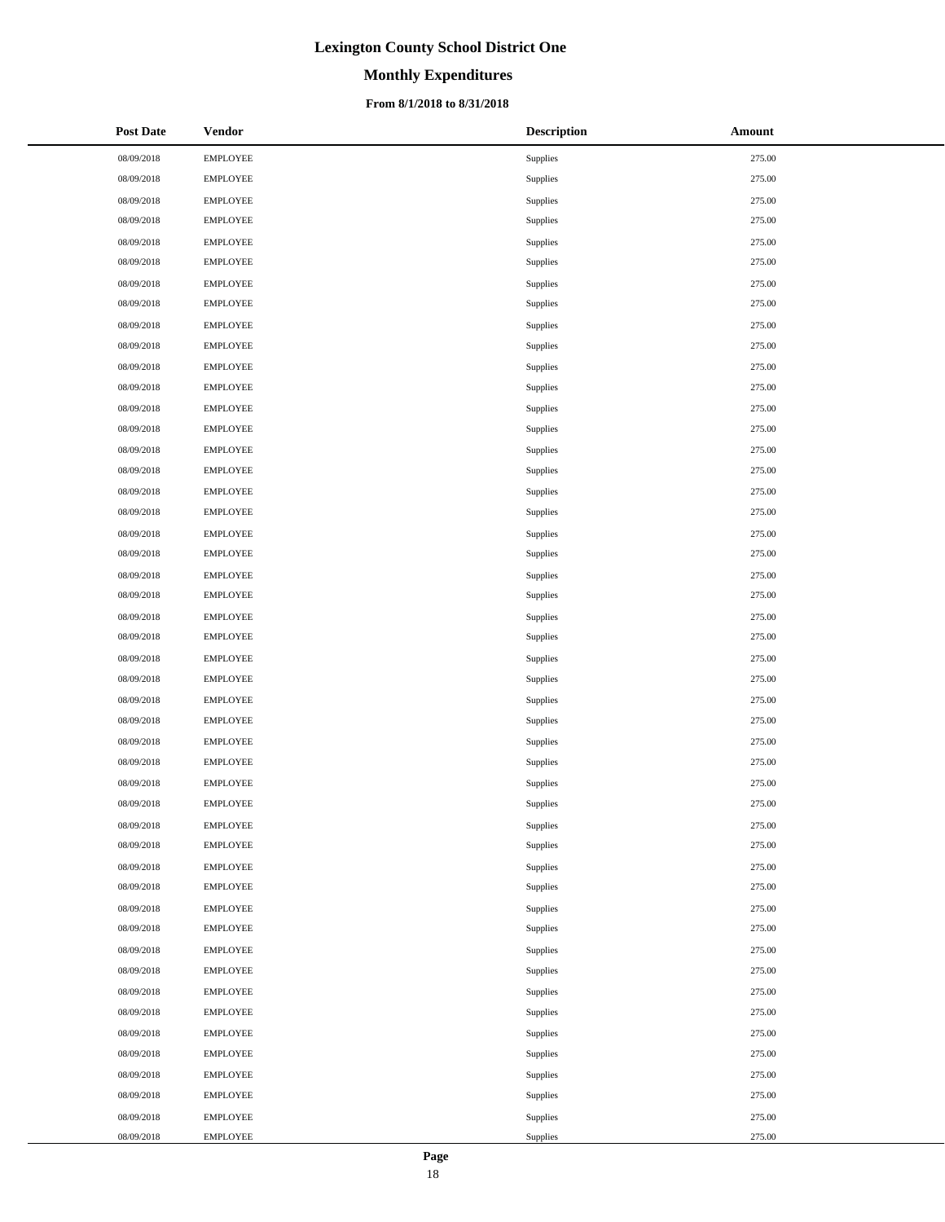# **Monthly Expenditures**

### **From 8/1/2018 to 8/31/2018**

| <b>Post Date</b> | <b>Vendor</b>   | <b>Description</b> | Amount |
|------------------|-----------------|--------------------|--------|
| 08/09/2018       | <b>EMPLOYEE</b> | Supplies           | 275.00 |
| 08/09/2018       | <b>EMPLOYEE</b> | Supplies           | 275.00 |
| 08/09/2018       | <b>EMPLOYEE</b> | Supplies           | 275.00 |
| 08/09/2018       | <b>EMPLOYEE</b> | Supplies           | 275.00 |
| 08/09/2018       | <b>EMPLOYEE</b> | Supplies           | 275.00 |
| 08/09/2018       | EMPLOYEE        | Supplies           | 275.00 |
| 08/09/2018       | <b>EMPLOYEE</b> | Supplies           | 275.00 |
| 08/09/2018       | <b>EMPLOYEE</b> | Supplies           | 275.00 |
| 08/09/2018       | <b>EMPLOYEE</b> | Supplies           | 275.00 |
| 08/09/2018       | <b>EMPLOYEE</b> | Supplies           | 275.00 |
| 08/09/2018       | <b>EMPLOYEE</b> | Supplies           | 275.00 |
| 08/09/2018       | <b>EMPLOYEE</b> | Supplies           | 275.00 |
| 08/09/2018       | <b>EMPLOYEE</b> | Supplies           | 275.00 |
| 08/09/2018       | EMPLOYEE        | Supplies           | 275.00 |
| 08/09/2018       | <b>EMPLOYEE</b> | Supplies           | 275.00 |
| 08/09/2018       | <b>EMPLOYEE</b> | Supplies           | 275.00 |
| 08/09/2018       | <b>EMPLOYEE</b> | Supplies           | 275.00 |
| 08/09/2018       | <b>EMPLOYEE</b> | Supplies           | 275.00 |
| 08/09/2018       | <b>EMPLOYEE</b> | Supplies           | 275.00 |
| 08/09/2018       | <b>EMPLOYEE</b> | Supplies           | 275.00 |
| 08/09/2018       | <b>EMPLOYEE</b> | Supplies           | 275.00 |
| 08/09/2018       | <b>EMPLOYEE</b> | Supplies           | 275.00 |
| 08/09/2018       | <b>EMPLOYEE</b> | Supplies           | 275.00 |
| 08/09/2018       | <b>EMPLOYEE</b> | Supplies           | 275.00 |
| 08/09/2018       | <b>EMPLOYEE</b> | Supplies           | 275.00 |
| 08/09/2018       | <b>EMPLOYEE</b> | Supplies           | 275.00 |
| 08/09/2018       | <b>EMPLOYEE</b> | Supplies           | 275.00 |
| 08/09/2018       | <b>EMPLOYEE</b> | Supplies           | 275.00 |
| 08/09/2018       | <b>EMPLOYEE</b> | Supplies           | 275.00 |
| 08/09/2018       | <b>EMPLOYEE</b> | Supplies           | 275.00 |
| 08/09/2018       | <b>EMPLOYEE</b> | Supplies           | 275.00 |
| 08/09/2018       | <b>EMPLOYEE</b> | Supplies           | 275.00 |
| 08/09/2018       | <b>EMPLOYEE</b> | Supplies           | 275.00 |
| 08/09/2018       | <b>EMPLOYEE</b> | Supplies           | 275.00 |
| 08/09/2018       | <b>EMPLOYEE</b> | Supplies           | 275.00 |
| 08/09/2018       | <b>EMPLOYEE</b> | Supplies           | 275.00 |
| 08/09/2018       | <b>EMPLOYEE</b> | Supplies           | 275.00 |
| 08/09/2018       | <b>EMPLOYEE</b> | Supplies           | 275.00 |
| 08/09/2018       | <b>EMPLOYEE</b> | Supplies           | 275.00 |
| 08/09/2018       | <b>EMPLOYEE</b> | Supplies           | 275.00 |
| 08/09/2018       | <b>EMPLOYEE</b> | Supplies           | 275.00 |
| 08/09/2018       | <b>EMPLOYEE</b> | Supplies           | 275.00 |
| 08/09/2018       | <b>EMPLOYEE</b> | Supplies           | 275.00 |
| 08/09/2018       | <b>EMPLOYEE</b> | Supplies           | 275.00 |
| 08/09/2018       | <b>EMPLOYEE</b> | Supplies           | 275.00 |
| 08/09/2018       | <b>EMPLOYEE</b> | Supplies           | 275.00 |
| 08/09/2018       | <b>EMPLOYEE</b> | Supplies           | 275.00 |
| 08/09/2018       | <b>EMPLOYEE</b> | Supplies           | 275.00 |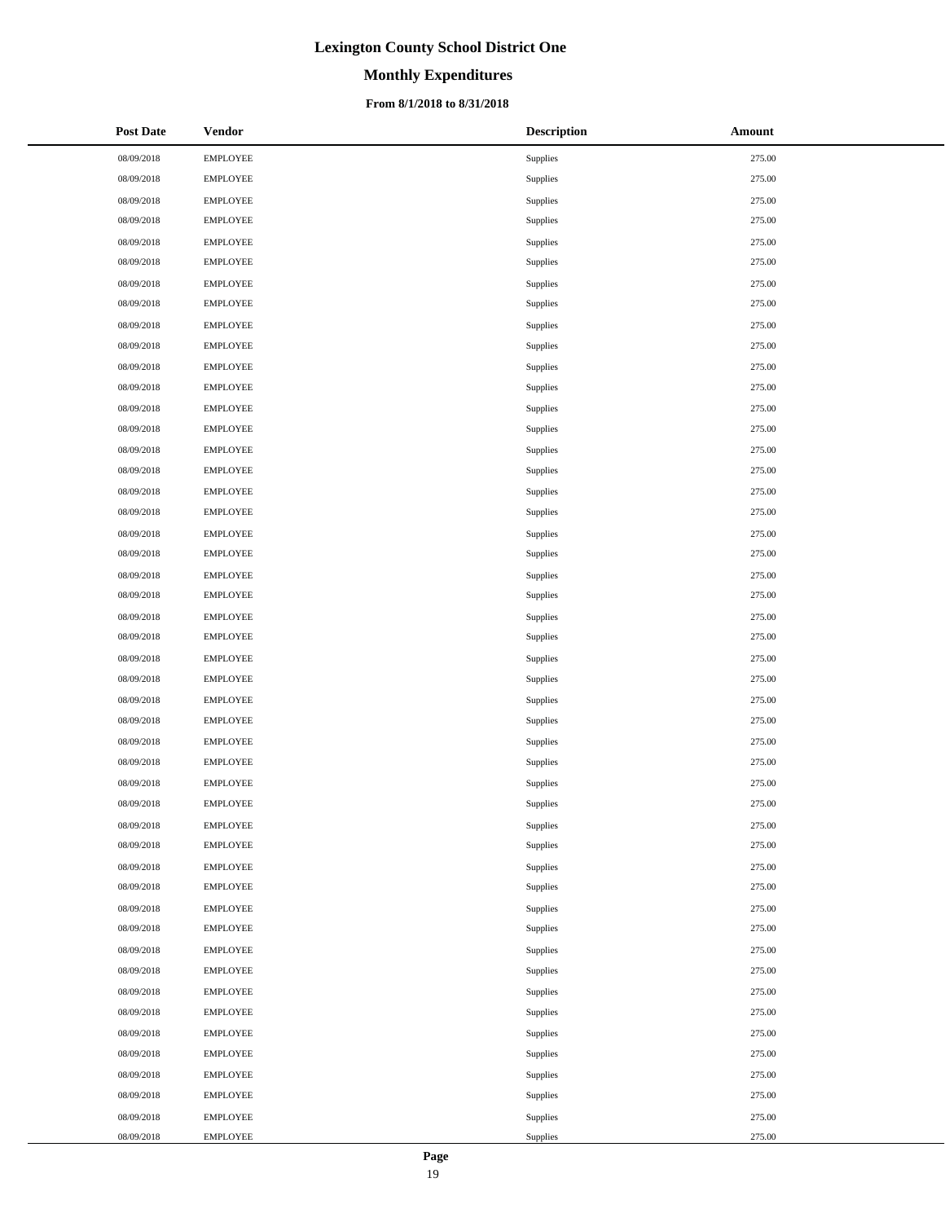# **Monthly Expenditures**

### **From 8/1/2018 to 8/31/2018**

| <b>Post Date</b> | <b>Vendor</b>   | <b>Description</b> | Amount |
|------------------|-----------------|--------------------|--------|
| 08/09/2018       | <b>EMPLOYEE</b> | Supplies           | 275.00 |
| 08/09/2018       | <b>EMPLOYEE</b> | Supplies           | 275.00 |
| 08/09/2018       | <b>EMPLOYEE</b> | Supplies           | 275.00 |
| 08/09/2018       | <b>EMPLOYEE</b> | Supplies           | 275.00 |
| 08/09/2018       | <b>EMPLOYEE</b> | Supplies           | 275.00 |
| 08/09/2018       | <b>EMPLOYEE</b> | Supplies           | 275.00 |
| 08/09/2018       | <b>EMPLOYEE</b> | Supplies           | 275.00 |
| 08/09/2018       | <b>EMPLOYEE</b> | Supplies           | 275.00 |
| 08/09/2018       | <b>EMPLOYEE</b> | Supplies           | 275.00 |
| 08/09/2018       | <b>EMPLOYEE</b> | Supplies           | 275.00 |
| 08/09/2018       | <b>EMPLOYEE</b> | Supplies           | 275.00 |
| 08/09/2018       | <b>EMPLOYEE</b> | Supplies           | 275.00 |
| 08/09/2018       | <b>EMPLOYEE</b> | Supplies           | 275.00 |
| 08/09/2018       | <b>EMPLOYEE</b> | Supplies           | 275.00 |
| 08/09/2018       | <b>EMPLOYEE</b> | Supplies           | 275.00 |
| 08/09/2018       | <b>EMPLOYEE</b> | Supplies           | 275.00 |
| 08/09/2018       | <b>EMPLOYEE</b> | Supplies           | 275.00 |
| 08/09/2018       | <b>EMPLOYEE</b> | Supplies           | 275.00 |
| 08/09/2018       | <b>EMPLOYEE</b> | Supplies           | 275.00 |
| 08/09/2018       | <b>EMPLOYEE</b> | Supplies           | 275.00 |
| 08/09/2018       | <b>EMPLOYEE</b> | Supplies           | 275.00 |
| 08/09/2018       | <b>EMPLOYEE</b> | Supplies           | 275.00 |
| 08/09/2018       | <b>EMPLOYEE</b> | Supplies           | 275.00 |
| 08/09/2018       | <b>EMPLOYEE</b> | Supplies           | 275.00 |
| 08/09/2018       | <b>EMPLOYEE</b> | Supplies           | 275.00 |
| 08/09/2018       | <b>EMPLOYEE</b> | Supplies           | 275.00 |
| 08/09/2018       | <b>EMPLOYEE</b> | Supplies           | 275.00 |
| 08/09/2018       | <b>EMPLOYEE</b> | Supplies           | 275.00 |
| 08/09/2018       | <b>EMPLOYEE</b> | Supplies           | 275.00 |
| 08/09/2018       | <b>EMPLOYEE</b> | Supplies           | 275.00 |
| 08/09/2018       | <b>EMPLOYEE</b> | Supplies           | 275.00 |
| 08/09/2018       | <b>EMPLOYEE</b> | Supplies           | 275.00 |
| 08/09/2018       | <b>EMPLOYEE</b> | Supplies           | 275.00 |
| 08/09/2018       | <b>EMPLOYEE</b> | Supplies           | 275.00 |
| 08/09/2018       | <b>EMPLOYEE</b> | Supplies           | 275.00 |
| 08/09/2018       | <b>EMPLOYEE</b> | Supplies           | 275.00 |
| 08/09/2018       | <b>EMPLOYEE</b> | Supplies           | 275.00 |
| 08/09/2018       | <b>EMPLOYEE</b> | Supplies           | 275.00 |
| 08/09/2018       | <b>EMPLOYEE</b> | Supplies           | 275.00 |
| 08/09/2018       | <b>EMPLOYEE</b> | Supplies           | 275.00 |
| 08/09/2018       | <b>EMPLOYEE</b> | Supplies           | 275.00 |
| 08/09/2018       | <b>EMPLOYEE</b> | Supplies           | 275.00 |
| 08/09/2018       | <b>EMPLOYEE</b> | Supplies           | 275.00 |
| 08/09/2018       | <b>EMPLOYEE</b> | Supplies           | 275.00 |
| 08/09/2018       | <b>EMPLOYEE</b> | Supplies           | 275.00 |
| 08/09/2018       | <b>EMPLOYEE</b> | Supplies           | 275.00 |
| 08/09/2018       | <b>EMPLOYEE</b> | Supplies           | 275.00 |
| 08/09/2018       | <b>EMPLOYEE</b> | Supplies           | 275.00 |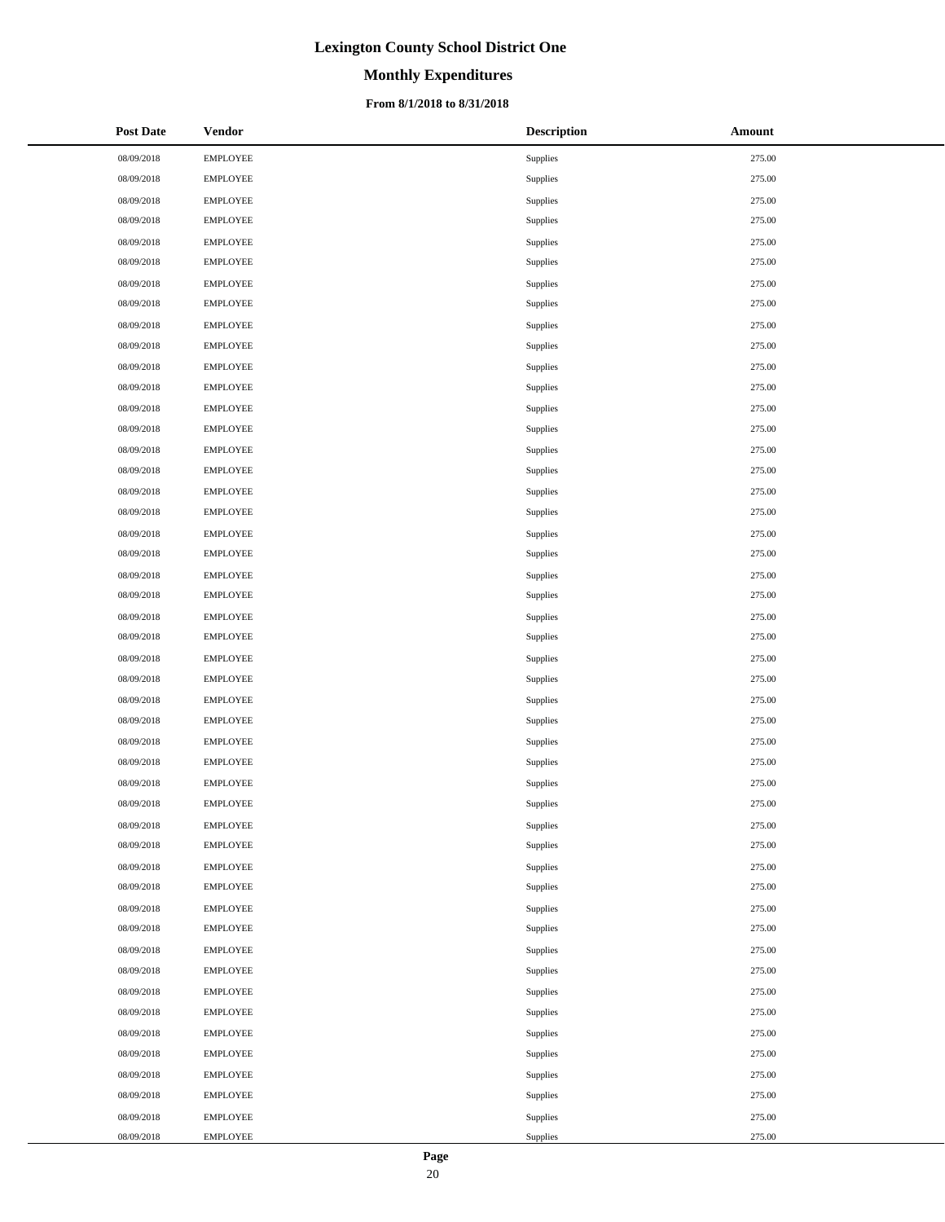# **Monthly Expenditures**

### **From 8/1/2018 to 8/31/2018**

| <b>Post Date</b> | <b>Vendor</b>   | <b>Description</b> | Amount |
|------------------|-----------------|--------------------|--------|
| 08/09/2018       | <b>EMPLOYEE</b> | Supplies           | 275.00 |
| 08/09/2018       | <b>EMPLOYEE</b> | Supplies           | 275.00 |
| 08/09/2018       | <b>EMPLOYEE</b> | Supplies           | 275.00 |
| 08/09/2018       | <b>EMPLOYEE</b> | Supplies           | 275.00 |
| 08/09/2018       | <b>EMPLOYEE</b> | Supplies           | 275.00 |
| 08/09/2018       | <b>EMPLOYEE</b> | Supplies           | 275.00 |
| 08/09/2018       | <b>EMPLOYEE</b> | Supplies           | 275.00 |
| 08/09/2018       | <b>EMPLOYEE</b> | Supplies           | 275.00 |
| 08/09/2018       | <b>EMPLOYEE</b> | Supplies           | 275.00 |
| 08/09/2018       | <b>EMPLOYEE</b> | Supplies           | 275.00 |
| 08/09/2018       | <b>EMPLOYEE</b> | Supplies           | 275.00 |
| 08/09/2018       | <b>EMPLOYEE</b> | Supplies           | 275.00 |
| 08/09/2018       | <b>EMPLOYEE</b> | Supplies           | 275.00 |
| 08/09/2018       | <b>EMPLOYEE</b> | Supplies           | 275.00 |
| 08/09/2018       | <b>EMPLOYEE</b> | Supplies           | 275.00 |
| 08/09/2018       | <b>EMPLOYEE</b> | Supplies           | 275.00 |
| 08/09/2018       | <b>EMPLOYEE</b> | Supplies           | 275.00 |
| 08/09/2018       | EMPLOYEE        | Supplies           | 275.00 |
| 08/09/2018       | <b>EMPLOYEE</b> | Supplies           | 275.00 |
| 08/09/2018       | <b>EMPLOYEE</b> | Supplies           | 275.00 |
| 08/09/2018       | <b>EMPLOYEE</b> | Supplies           | 275.00 |
| 08/09/2018       | <b>EMPLOYEE</b> | Supplies           | 275.00 |
| 08/09/2018       | <b>EMPLOYEE</b> | Supplies           | 275.00 |
| 08/09/2018       | <b>EMPLOYEE</b> | Supplies           | 275.00 |
| 08/09/2018       | <b>EMPLOYEE</b> | Supplies           | 275.00 |
| 08/09/2018       | <b>EMPLOYEE</b> | Supplies           | 275.00 |
| 08/09/2018       | <b>EMPLOYEE</b> | Supplies           | 275.00 |
| 08/09/2018       | <b>EMPLOYEE</b> | Supplies           | 275.00 |
| 08/09/2018       | <b>EMPLOYEE</b> | Supplies           | 275.00 |
| 08/09/2018       | <b>EMPLOYEE</b> | Supplies           | 275.00 |
| 08/09/2018       | <b>EMPLOYEE</b> | Supplies           | 275.00 |
| 08/09/2018       | <b>EMPLOYEE</b> | Supplies           | 275.00 |
| 08/09/2018       | <b>EMPLOYEE</b> | Supplies           | 275.00 |
| 08/09/2018       | <b>EMPLOYEE</b> | Supplies           | 275.00 |
| 08/09/2018       | <b>EMPLOYEE</b> | Supplies           | 275.00 |
| 08/09/2018       | <b>EMPLOYEE</b> | Supplies           | 275.00 |
| 08/09/2018       | <b>EMPLOYEE</b> | Supplies           | 275.00 |
| 08/09/2018       | EMPLOYEE        | Supplies           | 275.00 |
| 08/09/2018       | <b>EMPLOYEE</b> | Supplies           | 275.00 |
| 08/09/2018       | <b>EMPLOYEE</b> | Supplies           | 275.00 |
| 08/09/2018       | <b>EMPLOYEE</b> | Supplies           | 275.00 |
| 08/09/2018       | <b>EMPLOYEE</b> | Supplies           | 275.00 |
| 08/09/2018       | <b>EMPLOYEE</b> | Supplies           | 275.00 |
| 08/09/2018       | <b>EMPLOYEE</b> | Supplies           | 275.00 |
| 08/09/2018       | <b>EMPLOYEE</b> | Supplies           | 275.00 |
| 08/09/2018       | EMPLOYEE        | Supplies           | 275.00 |
| 08/09/2018       | <b>EMPLOYEE</b> | Supplies           | 275.00 |
| 08/09/2018       | <b>EMPLOYEE</b> | Supplies           | 275.00 |

 $\overline{\phantom{a}}$  $\overline{a}$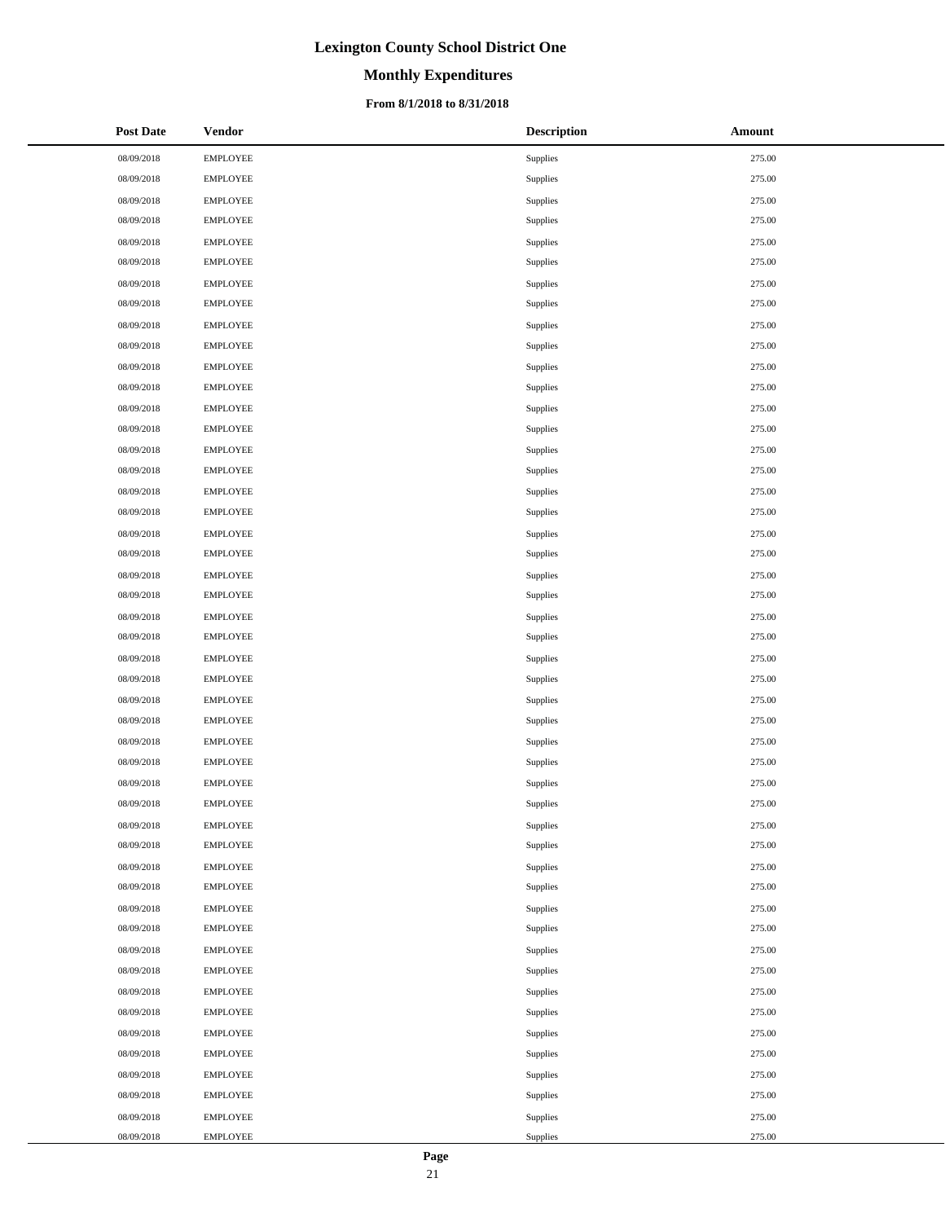# **Monthly Expenditures**

### **From 8/1/2018 to 8/31/2018**

| <b>Post Date</b> | <b>Vendor</b>   | <b>Description</b> | Amount |
|------------------|-----------------|--------------------|--------|
| 08/09/2018       | <b>EMPLOYEE</b> | Supplies           | 275.00 |
| 08/09/2018       | <b>EMPLOYEE</b> | Supplies           | 275.00 |
| 08/09/2018       | <b>EMPLOYEE</b> | Supplies           | 275.00 |
| 08/09/2018       | <b>EMPLOYEE</b> | Supplies           | 275.00 |
| 08/09/2018       | <b>EMPLOYEE</b> | Supplies           | 275.00 |
| 08/09/2018       | <b>EMPLOYEE</b> | Supplies           | 275.00 |
| 08/09/2018       | <b>EMPLOYEE</b> | Supplies           | 275.00 |
| 08/09/2018       | <b>EMPLOYEE</b> | Supplies           | 275.00 |
| 08/09/2018       | <b>EMPLOYEE</b> | Supplies           | 275.00 |
| 08/09/2018       | <b>EMPLOYEE</b> | Supplies           | 275.00 |
| 08/09/2018       | <b>EMPLOYEE</b> | Supplies           | 275.00 |
| 08/09/2018       | <b>EMPLOYEE</b> | Supplies           | 275.00 |
| 08/09/2018       | <b>EMPLOYEE</b> | Supplies           | 275.00 |
| 08/09/2018       | <b>EMPLOYEE</b> | Supplies           | 275.00 |
| 08/09/2018       | <b>EMPLOYEE</b> | Supplies           | 275.00 |
| 08/09/2018       | <b>EMPLOYEE</b> | Supplies           | 275.00 |
| 08/09/2018       | <b>EMPLOYEE</b> | Supplies           | 275.00 |
| 08/09/2018       | <b>EMPLOYEE</b> | Supplies           | 275.00 |
| 08/09/2018       | <b>EMPLOYEE</b> | Supplies           | 275.00 |
| 08/09/2018       | <b>EMPLOYEE</b> | Supplies           | 275.00 |
| 08/09/2018       | <b>EMPLOYEE</b> | Supplies           | 275.00 |
| 08/09/2018       | <b>EMPLOYEE</b> | Supplies           | 275.00 |
| 08/09/2018       | <b>EMPLOYEE</b> | Supplies           | 275.00 |
| 08/09/2018       | <b>EMPLOYEE</b> | Supplies           | 275.00 |
| 08/09/2018       | <b>EMPLOYEE</b> | Supplies           | 275.00 |
| 08/09/2018       | <b>EMPLOYEE</b> | Supplies           | 275.00 |
| 08/09/2018       | <b>EMPLOYEE</b> | Supplies           | 275.00 |
| 08/09/2018       | <b>EMPLOYEE</b> | Supplies           | 275.00 |
| 08/09/2018       | <b>EMPLOYEE</b> | Supplies           | 275.00 |
| 08/09/2018       | <b>EMPLOYEE</b> | Supplies           | 275.00 |
| 08/09/2018       | <b>EMPLOYEE</b> | Supplies           | 275.00 |
| 08/09/2018       | <b>EMPLOYEE</b> | Supplies           | 275.00 |
| 08/09/2018       | <b>EMPLOYEE</b> | Supplies           | 275.00 |
| 08/09/2018       | <b>EMPLOYEE</b> | Supplies           | 275.00 |
| 08/09/2018       | <b>EMPLOYEE</b> | Supplies           | 275.00 |
| 08/09/2018       | <b>EMPLOYEE</b> | Supplies           | 275.00 |
| 08/09/2018       | <b>EMPLOYEE</b> | Supplies           | 275.00 |
| 08/09/2018       | <b>EMPLOYEE</b> | Supplies           | 275.00 |
| 08/09/2018       | <b>EMPLOYEE</b> | Supplies           | 275.00 |
| 08/09/2018       | <b>EMPLOYEE</b> | Supplies           | 275.00 |
| 08/09/2018       | <b>EMPLOYEE</b> | Supplies           | 275.00 |
| 08/09/2018       | <b>EMPLOYEE</b> | Supplies           | 275.00 |
| 08/09/2018       | <b>EMPLOYEE</b> | Supplies           | 275.00 |
| 08/09/2018       | <b>EMPLOYEE</b> | Supplies           | 275.00 |
| 08/09/2018       | <b>EMPLOYEE</b> | Supplies           | 275.00 |
| 08/09/2018       | <b>EMPLOYEE</b> | Supplies           | 275.00 |
| 08/09/2018       | <b>EMPLOYEE</b> | Supplies           | 275.00 |
| 08/09/2018       | <b>EMPLOYEE</b> | Supplies           | 275.00 |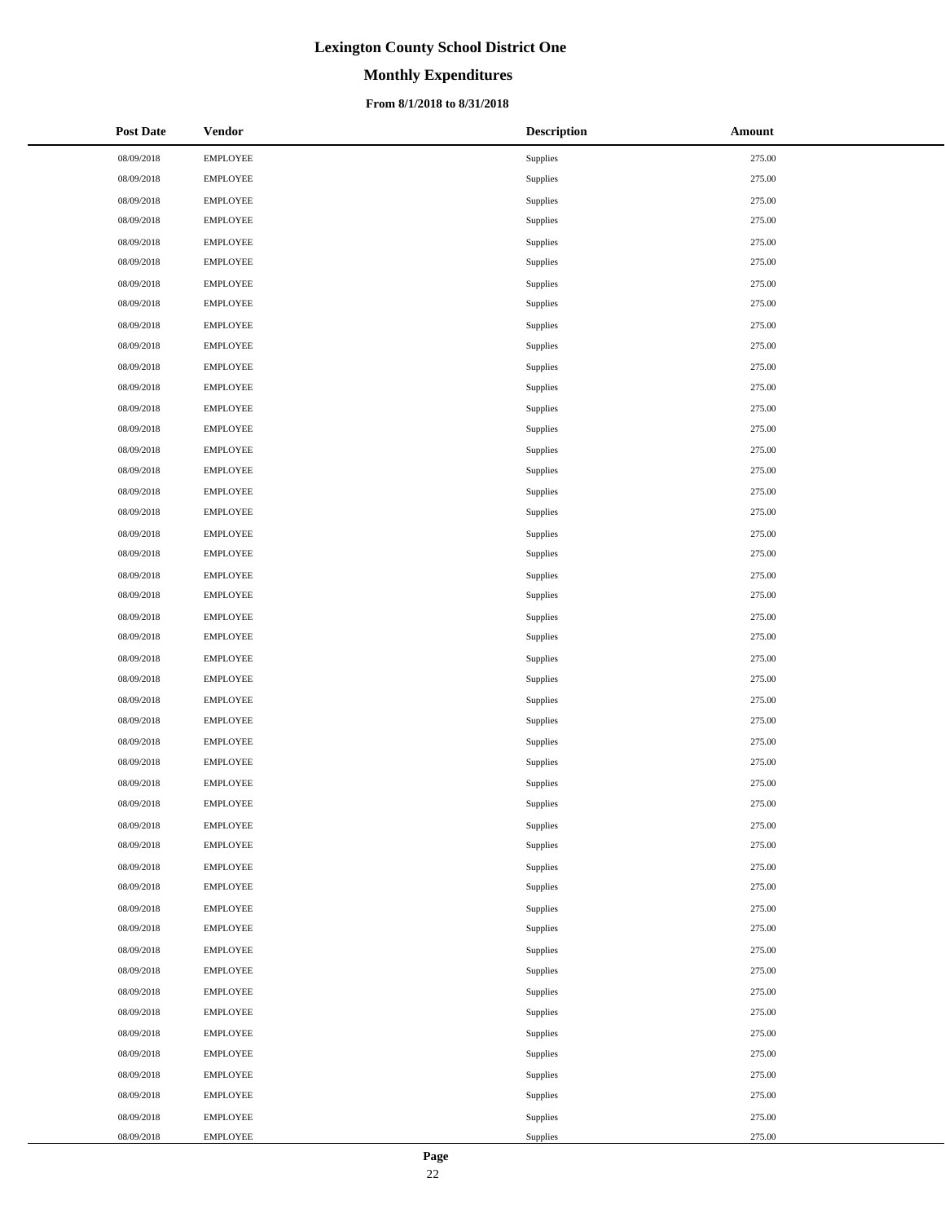# **Monthly Expenditures**

### **From 8/1/2018 to 8/31/2018**

| <b>Post Date</b> | <b>Vendor</b>   | <b>Description</b> | Amount |
|------------------|-----------------|--------------------|--------|
| 08/09/2018       | <b>EMPLOYEE</b> | Supplies           | 275.00 |
| 08/09/2018       | <b>EMPLOYEE</b> | Supplies           | 275.00 |
| 08/09/2018       | <b>EMPLOYEE</b> | Supplies           | 275.00 |
| 08/09/2018       | <b>EMPLOYEE</b> | Supplies           | 275.00 |
| 08/09/2018       | <b>EMPLOYEE</b> | Supplies           | 275.00 |
| 08/09/2018       | <b>EMPLOYEE</b> | Supplies           | 275.00 |
| 08/09/2018       | <b>EMPLOYEE</b> | Supplies           | 275.00 |
| 08/09/2018       | <b>EMPLOYEE</b> | Supplies           | 275.00 |
| 08/09/2018       | <b>EMPLOYEE</b> | Supplies           | 275.00 |
| 08/09/2018       | <b>EMPLOYEE</b> | Supplies           | 275.00 |
| 08/09/2018       | <b>EMPLOYEE</b> | Supplies           | 275.00 |
| 08/09/2018       | <b>EMPLOYEE</b> | Supplies           | 275.00 |
| 08/09/2018       | <b>EMPLOYEE</b> | Supplies           | 275.00 |
| 08/09/2018       | <b>EMPLOYEE</b> | Supplies           | 275.00 |
| 08/09/2018       | <b>EMPLOYEE</b> | Supplies           | 275.00 |
| 08/09/2018       | <b>EMPLOYEE</b> | Supplies           | 275.00 |
| 08/09/2018       | <b>EMPLOYEE</b> | Supplies           | 275.00 |
| 08/09/2018       | <b>EMPLOYEE</b> | Supplies           | 275.00 |
| 08/09/2018       | <b>EMPLOYEE</b> | Supplies           | 275.00 |
| 08/09/2018       | <b>EMPLOYEE</b> | Supplies           | 275.00 |
| 08/09/2018       | <b>EMPLOYEE</b> | Supplies           | 275.00 |
| 08/09/2018       | <b>EMPLOYEE</b> | Supplies           | 275.00 |
| 08/09/2018       | <b>EMPLOYEE</b> | Supplies           | 275.00 |
| 08/09/2018       | <b>EMPLOYEE</b> | Supplies           | 275.00 |
| 08/09/2018       | <b>EMPLOYEE</b> | Supplies           | 275.00 |
| 08/09/2018       | <b>EMPLOYEE</b> | Supplies           | 275.00 |
| 08/09/2018       | <b>EMPLOYEE</b> | Supplies           | 275.00 |
| 08/09/2018       | <b>EMPLOYEE</b> | Supplies           | 275.00 |
| 08/09/2018       | <b>EMPLOYEE</b> | Supplies           | 275.00 |
| 08/09/2018       | <b>EMPLOYEE</b> | Supplies           | 275.00 |
| 08/09/2018       | <b>EMPLOYEE</b> | Supplies           | 275.00 |
| 08/09/2018       | <b>EMPLOYEE</b> | Supplies           | 275.00 |
| 08/09/2018       | <b>EMPLOYEE</b> | Supplies           | 275.00 |
| 08/09/2018       | <b>EMPLOYEE</b> | Supplies           | 275.00 |
| 08/09/2018       | <b>EMPLOYEE</b> | Supplies           | 275.00 |
| 08/09/2018       | <b>EMPLOYEE</b> | Supplies           | 275.00 |
| 08/09/2018       | <b>EMPLOYEE</b> | Supplies           | 275.00 |
| 08/09/2018       | <b>EMPLOYEE</b> | Supplies           | 275.00 |
| 08/09/2018       | <b>EMPLOYEE</b> | Supplies           | 275.00 |
| 08/09/2018       | <b>EMPLOYEE</b> | Supplies           | 275.00 |
| 08/09/2018       | <b>EMPLOYEE</b> | Supplies           | 275.00 |
| 08/09/2018       | <b>EMPLOYEE</b> | Supplies           | 275.00 |
| 08/09/2018       | <b>EMPLOYEE</b> | Supplies           | 275.00 |
| 08/09/2018       | <b>EMPLOYEE</b> | Supplies           | 275.00 |
| 08/09/2018       | <b>EMPLOYEE</b> | Supplies           | 275.00 |
| 08/09/2018       | <b>EMPLOYEE</b> | Supplies           | 275.00 |
| 08/09/2018       | <b>EMPLOYEE</b> | Supplies           | 275.00 |
| 08/09/2018       | <b>EMPLOYEE</b> | Supplies           | 275.00 |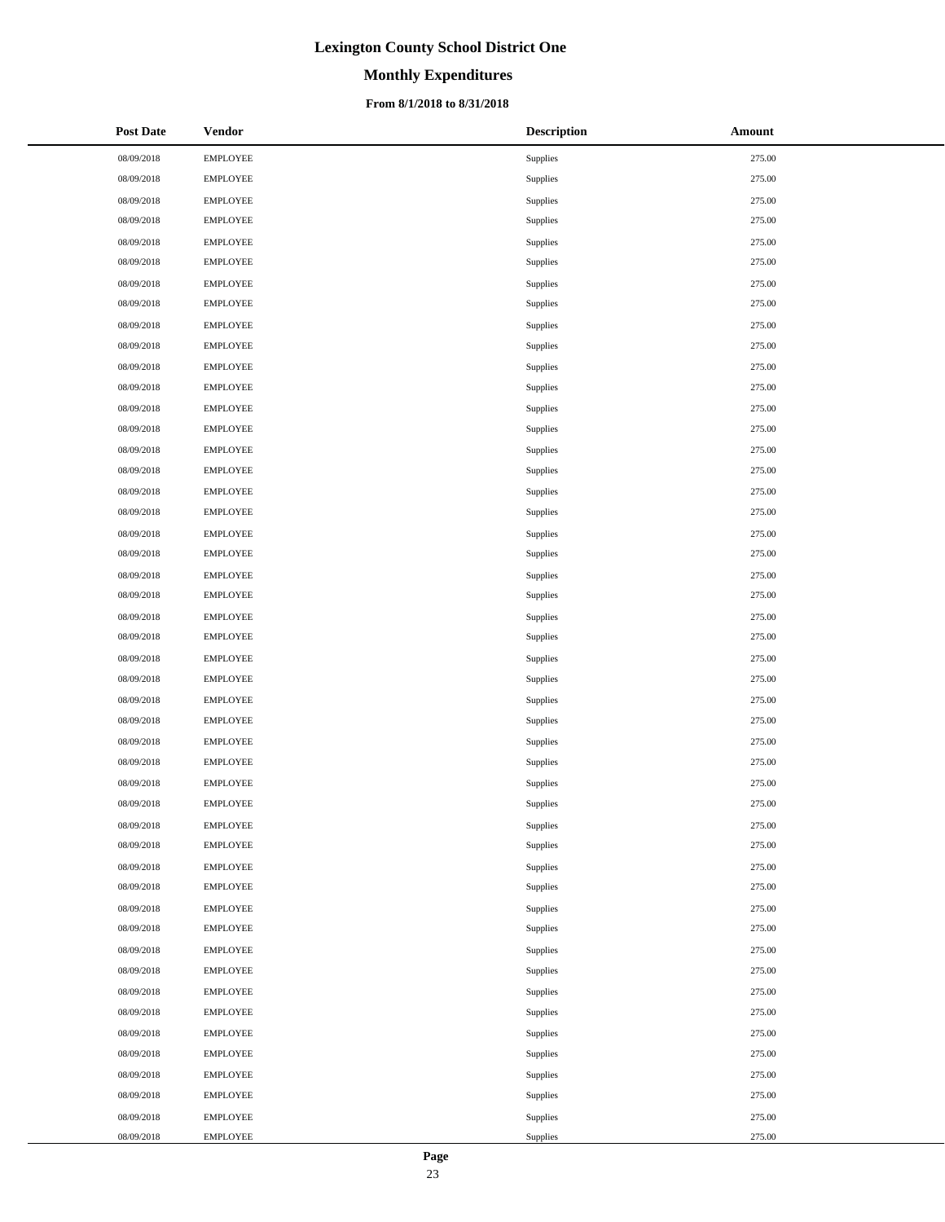# **Monthly Expenditures**

### **From 8/1/2018 to 8/31/2018**

| <b>Post Date</b> | <b>Vendor</b>   | <b>Description</b> | Amount |
|------------------|-----------------|--------------------|--------|
| 08/09/2018       | <b>EMPLOYEE</b> | Supplies           | 275.00 |
| 08/09/2018       | <b>EMPLOYEE</b> | Supplies           | 275.00 |
| 08/09/2018       | <b>EMPLOYEE</b> | Supplies           | 275.00 |
| 08/09/2018       | <b>EMPLOYEE</b> | Supplies           | 275.00 |
| 08/09/2018       | <b>EMPLOYEE</b> | Supplies           | 275.00 |
| 08/09/2018       | <b>EMPLOYEE</b> | Supplies           | 275.00 |
| 08/09/2018       | <b>EMPLOYEE</b> | Supplies           | 275.00 |
| 08/09/2018       | <b>EMPLOYEE</b> | Supplies           | 275.00 |
| 08/09/2018       | <b>EMPLOYEE</b> | Supplies           | 275.00 |
| 08/09/2018       | <b>EMPLOYEE</b> | Supplies           | 275.00 |
| 08/09/2018       | <b>EMPLOYEE</b> | Supplies           | 275.00 |
| 08/09/2018       | <b>EMPLOYEE</b> | Supplies           | 275.00 |
| 08/09/2018       | <b>EMPLOYEE</b> | Supplies           | 275.00 |
| 08/09/2018       | <b>EMPLOYEE</b> | Supplies           | 275.00 |
| 08/09/2018       | <b>EMPLOYEE</b> | Supplies           | 275.00 |
| 08/09/2018       | <b>EMPLOYEE</b> | Supplies           | 275.00 |
| 08/09/2018       | <b>EMPLOYEE</b> | Supplies           | 275.00 |
| 08/09/2018       | <b>EMPLOYEE</b> | Supplies           | 275.00 |
| 08/09/2018       | <b>EMPLOYEE</b> | Supplies           | 275.00 |
| 08/09/2018       | <b>EMPLOYEE</b> | Supplies           | 275.00 |
| 08/09/2018       | <b>EMPLOYEE</b> | Supplies           | 275.00 |
| 08/09/2018       | <b>EMPLOYEE</b> | Supplies           | 275.00 |
| 08/09/2018       | <b>EMPLOYEE</b> | Supplies           | 275.00 |
| 08/09/2018       | <b>EMPLOYEE</b> | Supplies           | 275.00 |
| 08/09/2018       | <b>EMPLOYEE</b> | Supplies           | 275.00 |
| 08/09/2018       | <b>EMPLOYEE</b> | Supplies           | 275.00 |
| 08/09/2018       | <b>EMPLOYEE</b> | Supplies           | 275.00 |
| 08/09/2018       | <b>EMPLOYEE</b> | Supplies           | 275.00 |
| 08/09/2018       | <b>EMPLOYEE</b> | Supplies           | 275.00 |
| 08/09/2018       | <b>EMPLOYEE</b> | Supplies           | 275.00 |
| 08/09/2018       | <b>EMPLOYEE</b> | Supplies           | 275.00 |
| 08/09/2018       | <b>EMPLOYEE</b> | Supplies           | 275.00 |
| 08/09/2018       | <b>EMPLOYEE</b> | Supplies           | 275.00 |
| 08/09/2018       | <b>EMPLOYEE</b> | Supplies           | 275.00 |
| 08/09/2018       | <b>EMPLOYEE</b> | Supplies           | 275.00 |
| 08/09/2018       | <b>EMPLOYEE</b> | Supplies           | 275.00 |
| 08/09/2018       | <b>EMPLOYEE</b> | Supplies           | 275.00 |
| 08/09/2018       | <b>EMPLOYEE</b> | Supplies           | 275.00 |
| 08/09/2018       | <b>EMPLOYEE</b> | Supplies           | 275.00 |
| 08/09/2018       | <b>EMPLOYEE</b> | Supplies           | 275.00 |
| 08/09/2018       | <b>EMPLOYEE</b> | Supplies           | 275.00 |
| 08/09/2018       | <b>EMPLOYEE</b> | Supplies           | 275.00 |
| 08/09/2018       | <b>EMPLOYEE</b> | Supplies           | 275.00 |
| 08/09/2018       | <b>EMPLOYEE</b> | Supplies           | 275.00 |
| 08/09/2018       | <b>EMPLOYEE</b> | Supplies           | 275.00 |
| 08/09/2018       | <b>EMPLOYEE</b> | Supplies           | 275.00 |
| 08/09/2018       | <b>EMPLOYEE</b> | Supplies           | 275.00 |
| 08/09/2018       | <b>EMPLOYEE</b> | Supplies           | 275.00 |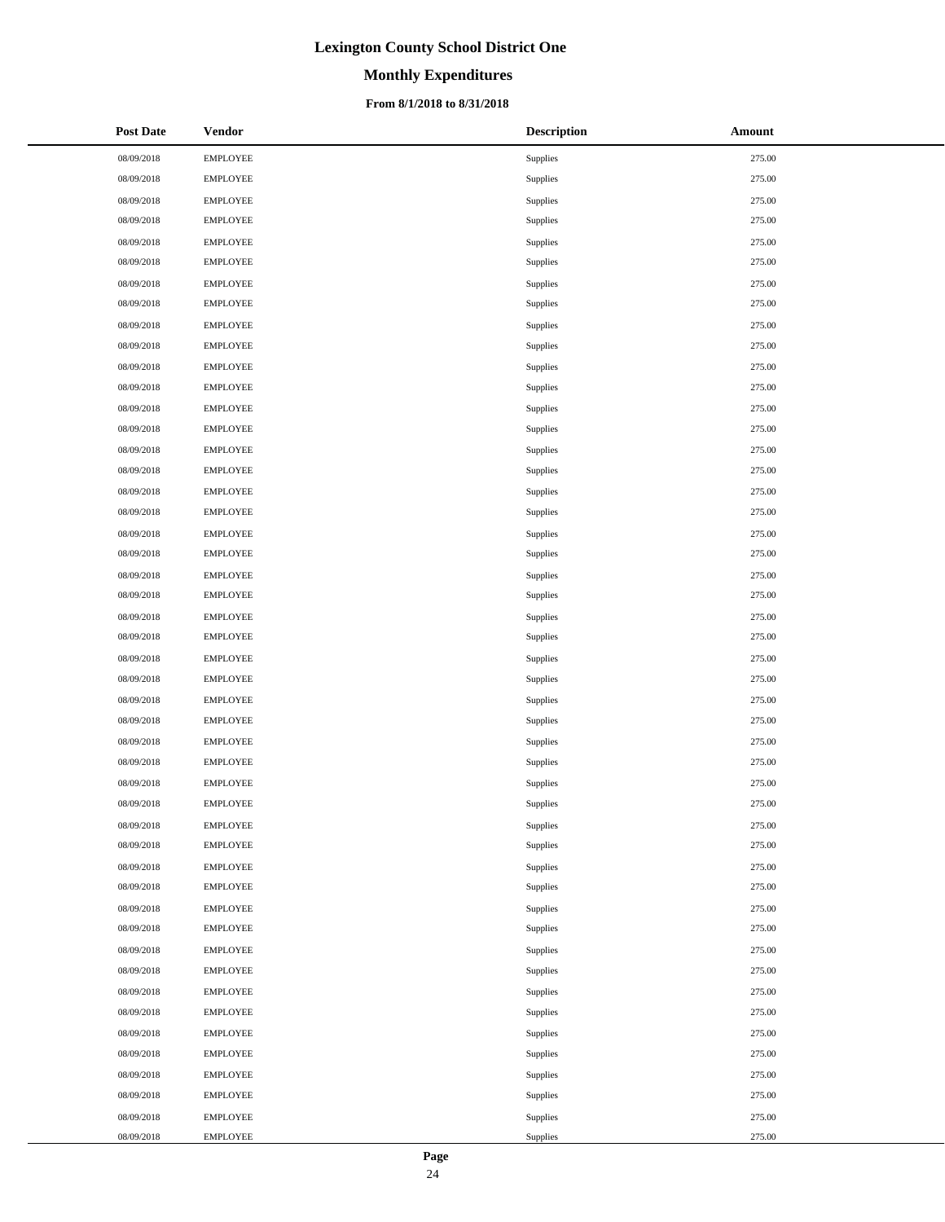# **Monthly Expenditures**

### **From 8/1/2018 to 8/31/2018**

| <b>Post Date</b> | <b>Vendor</b>   | <b>Description</b> | Amount |
|------------------|-----------------|--------------------|--------|
| 08/09/2018       | <b>EMPLOYEE</b> | Supplies           | 275.00 |
| 08/09/2018       | <b>EMPLOYEE</b> | Supplies           | 275.00 |
| 08/09/2018       | <b>EMPLOYEE</b> | Supplies           | 275.00 |
| 08/09/2018       | <b>EMPLOYEE</b> | Supplies           | 275.00 |
| 08/09/2018       | <b>EMPLOYEE</b> | Supplies           | 275.00 |
| 08/09/2018       | <b>EMPLOYEE</b> | Supplies           | 275.00 |
| 08/09/2018       | <b>EMPLOYEE</b> | Supplies           | 275.00 |
| 08/09/2018       | <b>EMPLOYEE</b> | Supplies           | 275.00 |
| 08/09/2018       | <b>EMPLOYEE</b> | Supplies           | 275.00 |
| 08/09/2018       | <b>EMPLOYEE</b> | Supplies           | 275.00 |
| 08/09/2018       | <b>EMPLOYEE</b> | Supplies           | 275.00 |
| 08/09/2018       | <b>EMPLOYEE</b> | Supplies           | 275.00 |
| 08/09/2018       | <b>EMPLOYEE</b> | Supplies           | 275.00 |
| 08/09/2018       | <b>EMPLOYEE</b> | Supplies           | 275.00 |
| 08/09/2018       | <b>EMPLOYEE</b> | Supplies           | 275.00 |
| 08/09/2018       | <b>EMPLOYEE</b> | Supplies           | 275.00 |
| 08/09/2018       | <b>EMPLOYEE</b> | Supplies           | 275.00 |
| 08/09/2018       | <b>EMPLOYEE</b> | Supplies           | 275.00 |
| 08/09/2018       | <b>EMPLOYEE</b> | Supplies           | 275.00 |
| 08/09/2018       | <b>EMPLOYEE</b> | Supplies           | 275.00 |
| 08/09/2018       | <b>EMPLOYEE</b> | Supplies           | 275.00 |
| 08/09/2018       | <b>EMPLOYEE</b> | Supplies           | 275.00 |
| 08/09/2018       | <b>EMPLOYEE</b> | Supplies           | 275.00 |
| 08/09/2018       | <b>EMPLOYEE</b> | Supplies           | 275.00 |
| 08/09/2018       | <b>EMPLOYEE</b> | Supplies           | 275.00 |
| 08/09/2018       | <b>EMPLOYEE</b> | Supplies           | 275.00 |
| 08/09/2018       | <b>EMPLOYEE</b> | Supplies           | 275.00 |
| 08/09/2018       | <b>EMPLOYEE</b> | Supplies           | 275.00 |
| 08/09/2018       | <b>EMPLOYEE</b> | Supplies           | 275.00 |
| 08/09/2018       | <b>EMPLOYEE</b> | Supplies           | 275.00 |
| 08/09/2018       | <b>EMPLOYEE</b> | Supplies           | 275.00 |
| 08/09/2018       | <b>EMPLOYEE</b> | Supplies           | 275.00 |
| 08/09/2018       | <b>EMPLOYEE</b> | Supplies           | 275.00 |
| 08/09/2018       | <b>EMPLOYEE</b> | Supplies           | 275.00 |
| 08/09/2018       | <b>EMPLOYEE</b> | Supplies           | 275.00 |
| 08/09/2018       | <b>EMPLOYEE</b> | Supplies           | 275.00 |
| 08/09/2018       | <b>EMPLOYEE</b> | Supplies           | 275.00 |
| 08/09/2018       | <b>EMPLOYEE</b> | Supplies           | 275.00 |
| 08/09/2018       | <b>EMPLOYEE</b> | Supplies           | 275.00 |
| 08/09/2018       | <b>EMPLOYEE</b> | Supplies           | 275.00 |
| 08/09/2018       | <b>EMPLOYEE</b> | Supplies           | 275.00 |
| 08/09/2018       | <b>EMPLOYEE</b> | Supplies           | 275.00 |
| 08/09/2018       | <b>EMPLOYEE</b> | Supplies           | 275.00 |
| 08/09/2018       | <b>EMPLOYEE</b> | Supplies           | 275.00 |
| 08/09/2018       | <b>EMPLOYEE</b> | Supplies           | 275.00 |
| 08/09/2018       | <b>EMPLOYEE</b> | Supplies           | 275.00 |
| 08/09/2018       | <b>EMPLOYEE</b> | Supplies           | 275.00 |
| 08/09/2018       | <b>EMPLOYEE</b> | Supplies           | 275.00 |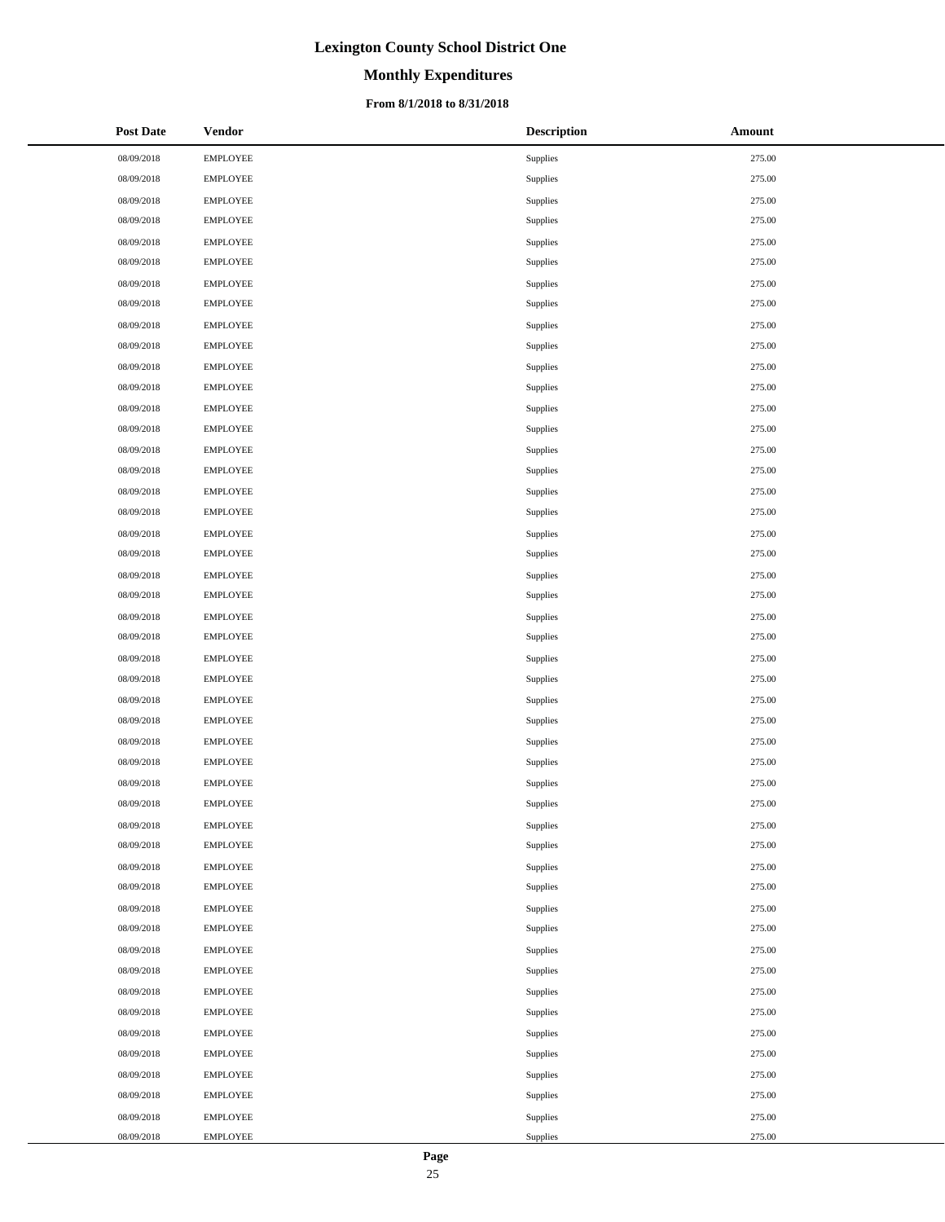# **Monthly Expenditures**

### **From 8/1/2018 to 8/31/2018**

| <b>Post Date</b> | <b>Vendor</b>   | <b>Description</b> | Amount |
|------------------|-----------------|--------------------|--------|
| 08/09/2018       | <b>EMPLOYEE</b> | Supplies           | 275.00 |
| 08/09/2018       | <b>EMPLOYEE</b> | Supplies           | 275.00 |
| 08/09/2018       | <b>EMPLOYEE</b> | Supplies           | 275.00 |
| 08/09/2018       | <b>EMPLOYEE</b> | Supplies           | 275.00 |
| 08/09/2018       | <b>EMPLOYEE</b> | Supplies           | 275.00 |
| 08/09/2018       | <b>EMPLOYEE</b> | Supplies           | 275.00 |
| 08/09/2018       | <b>EMPLOYEE</b> | Supplies           | 275.00 |
| 08/09/2018       | <b>EMPLOYEE</b> | Supplies           | 275.00 |
| 08/09/2018       | <b>EMPLOYEE</b> | Supplies           | 275.00 |
| 08/09/2018       | <b>EMPLOYEE</b> | Supplies           | 275.00 |
| 08/09/2018       | <b>EMPLOYEE</b> | Supplies           | 275.00 |
| 08/09/2018       | <b>EMPLOYEE</b> | Supplies           | 275.00 |
| 08/09/2018       | <b>EMPLOYEE</b> | Supplies           | 275.00 |
| 08/09/2018       | <b>EMPLOYEE</b> | Supplies           | 275.00 |
| 08/09/2018       | <b>EMPLOYEE</b> | Supplies           | 275.00 |
| 08/09/2018       | <b>EMPLOYEE</b> | Supplies           | 275.00 |
| 08/09/2018       | <b>EMPLOYEE</b> | Supplies           | 275.00 |
| 08/09/2018       | <b>EMPLOYEE</b> | Supplies           | 275.00 |
| 08/09/2018       | <b>EMPLOYEE</b> | Supplies           | 275.00 |
| 08/09/2018       | <b>EMPLOYEE</b> | Supplies           | 275.00 |
| 08/09/2018       | <b>EMPLOYEE</b> | Supplies           | 275.00 |
| 08/09/2018       | <b>EMPLOYEE</b> | Supplies           | 275.00 |
| 08/09/2018       | <b>EMPLOYEE</b> | Supplies           | 275.00 |
| 08/09/2018       | <b>EMPLOYEE</b> | Supplies           | 275.00 |
| 08/09/2018       | <b>EMPLOYEE</b> | Supplies           | 275.00 |
| 08/09/2018       | <b>EMPLOYEE</b> | Supplies           | 275.00 |
| 08/09/2018       | <b>EMPLOYEE</b> | Supplies           | 275.00 |
| 08/09/2018       | <b>EMPLOYEE</b> | Supplies           | 275.00 |
| 08/09/2018       | <b>EMPLOYEE</b> | Supplies           | 275.00 |
| 08/09/2018       | <b>EMPLOYEE</b> | Supplies           | 275.00 |
| 08/09/2018       | <b>EMPLOYEE</b> | Supplies           | 275.00 |
| 08/09/2018       | <b>EMPLOYEE</b> | Supplies           | 275.00 |
| 08/09/2018       | <b>EMPLOYEE</b> | Supplies           | 275.00 |
| 08/09/2018       | <b>EMPLOYEE</b> | Supplies           | 275.00 |
| 08/09/2018       | <b>EMPLOYEE</b> | Supplies           | 275.00 |
| 08/09/2018       | <b>EMPLOYEE</b> | Supplies           | 275.00 |
| 08/09/2018       | <b>EMPLOYEE</b> | Supplies           | 275.00 |
| 08/09/2018       | <b>EMPLOYEE</b> | Supplies           | 275.00 |
| 08/09/2018       | <b>EMPLOYEE</b> | Supplies           | 275.00 |
| 08/09/2018       | <b>EMPLOYEE</b> | Supplies           | 275.00 |
| 08/09/2018       | <b>EMPLOYEE</b> | Supplies           | 275.00 |
| 08/09/2018       | <b>EMPLOYEE</b> | Supplies           | 275.00 |
| 08/09/2018       | <b>EMPLOYEE</b> | Supplies           | 275.00 |
| 08/09/2018       | <b>EMPLOYEE</b> | Supplies           | 275.00 |
| 08/09/2018       | <b>EMPLOYEE</b> | Supplies           | 275.00 |
| 08/09/2018       | <b>EMPLOYEE</b> | Supplies           | 275.00 |
| 08/09/2018       | <b>EMPLOYEE</b> | Supplies           | 275.00 |
| 08/09/2018       | <b>EMPLOYEE</b> | Supplies           | 275.00 |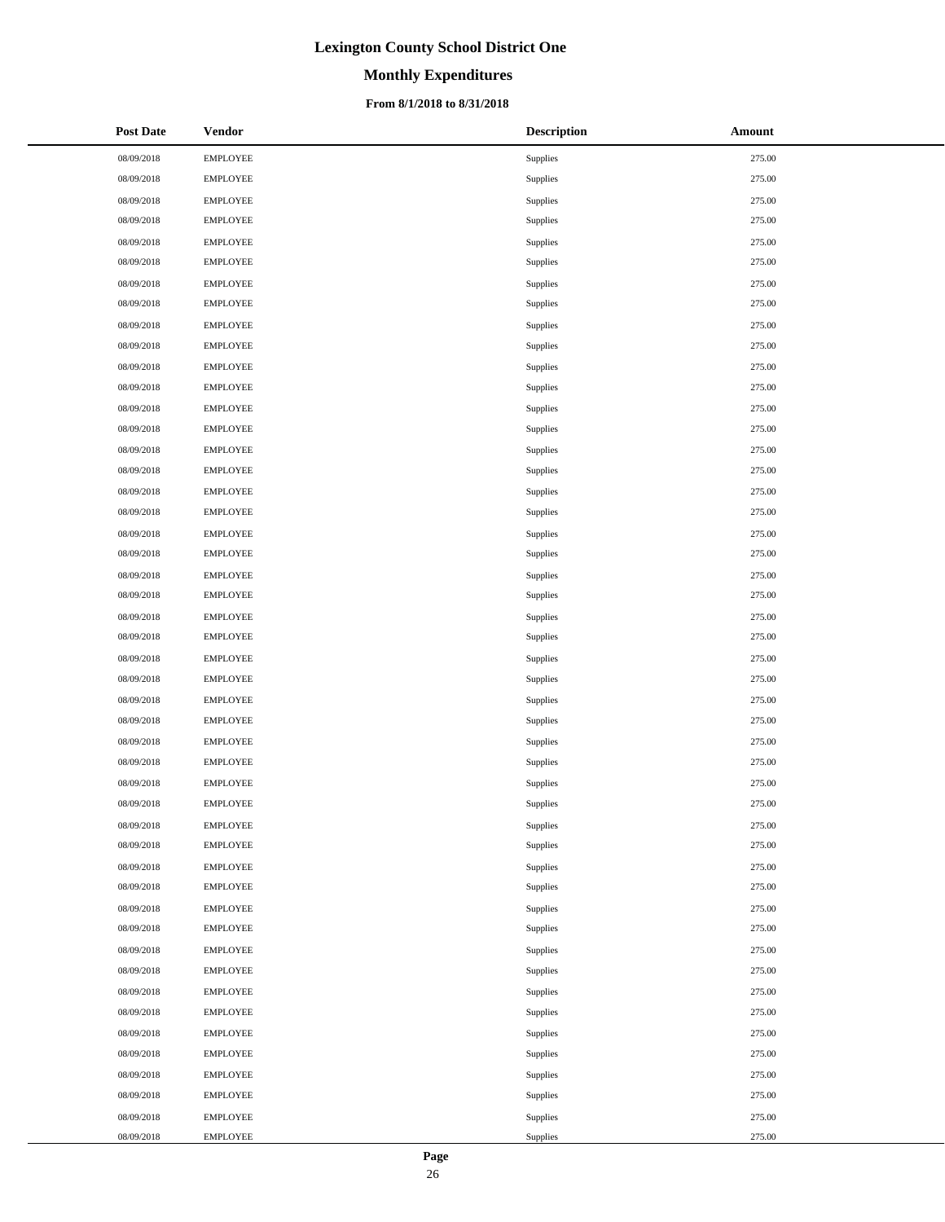# **Monthly Expenditures**

### **From 8/1/2018 to 8/31/2018**

| <b>Post Date</b> | <b>Vendor</b>   | <b>Description</b> | <b>Amount</b> |
|------------------|-----------------|--------------------|---------------|
| 08/09/2018       | <b>EMPLOYEE</b> | Supplies           | 275.00        |
| 08/09/2018       | <b>EMPLOYEE</b> | Supplies           | 275.00        |
| 08/09/2018       | EMPLOYEE        | Supplies           | 275.00        |
| 08/09/2018       | <b>EMPLOYEE</b> | Supplies           | 275.00        |
| 08/09/2018       | <b>EMPLOYEE</b> | Supplies           | 275.00        |
| 08/09/2018       | <b>EMPLOYEE</b> | Supplies           | 275.00        |
| 08/09/2018       | <b>EMPLOYEE</b> | Supplies           | 275.00        |
| 08/09/2018       | <b>EMPLOYEE</b> | Supplies           | 275.00        |
| 08/09/2018       | <b>EMPLOYEE</b> | Supplies           | 275.00        |
| 08/09/2018       | <b>EMPLOYEE</b> | Supplies           | 275.00        |
| 08/09/2018       | EMPLOYEE        | Supplies           | 275.00        |
| 08/09/2018       | <b>EMPLOYEE</b> | Supplies           | 275.00        |
| 08/09/2018       | <b>EMPLOYEE</b> | Supplies           | 275.00        |
| 08/09/2018       | <b>EMPLOYEE</b> | Supplies           | 275.00        |
| 08/09/2018       | <b>EMPLOYEE</b> | Supplies           | 275.00        |
| 08/09/2018       | <b>EMPLOYEE</b> | Supplies           | 275.00        |
| 08/09/2018       | <b>EMPLOYEE</b> | Supplies           | 275.00        |
| 08/09/2018       | <b>EMPLOYEE</b> | Supplies           | 275.00        |
| 08/09/2018       | EMPLOYEE        | Supplies           | 275.00        |
| 08/09/2018       | <b>EMPLOYEE</b> | Supplies           | 275.00        |
| 08/09/2018       | <b>EMPLOYEE</b> | Supplies           | 275.00        |
| 08/09/2018       | <b>EMPLOYEE</b> | Supplies           | 275.00        |
| 08/09/2018       | <b>EMPLOYEE</b> | Supplies           | 275.00        |
| 08/09/2018       | <b>EMPLOYEE</b> | Supplies           | 275.00        |
| 08/09/2018       | <b>EMPLOYEE</b> | Supplies           | 275.00        |
| 08/09/2018       | <b>EMPLOYEE</b> | Supplies           | 275.00        |
| 08/09/2018       | EMPLOYEE        | Supplies           | 275.00        |
| 08/09/2018       | <b>EMPLOYEE</b> | Supplies           | 275.00        |
| 08/09/2018       | <b>EMPLOYEE</b> | Supplies           | 275.00        |
| 08/09/2018       | <b>EMPLOYEE</b> | Supplies           | 275.00        |
| 08/09/2018       | <b>EMPLOYEE</b> | Supplies           | 275.00        |
| 08/09/2018       | <b>EMPLOYEE</b> | Supplies           | 275.00        |
| 08/09/2018       | <b>EMPLOYEE</b> | Supplies           | 275.00        |
| 08/09/2018       | <b>EMPLOYEE</b> | Supplies           | 275.00        |
| 08/09/2018       | <b>EMPLOYEE</b> | Supplies           | 275.00        |
| 08/09/2018       | <b>EMPLOYEE</b> | Supplies           | 275.00        |
| 08/09/2018       | <b>EMPLOYEE</b> | Supplies           | 275.00        |
| 08/09/2018       | <b>EMPLOYEE</b> | Supplies           | 275.00        |
| 08/09/2018       | <b>EMPLOYEE</b> | Supplies           | 275.00        |
| 08/09/2018       | <b>EMPLOYEE</b> | Supplies           | 275.00        |
| 08/09/2018       | <b>EMPLOYEE</b> | Supplies           | 275.00        |
| 08/09/2018       | <b>EMPLOYEE</b> | Supplies           | 275.00        |
| 08/09/2018       | EMPLOYEE        | Supplies           | 275.00        |
| 08/09/2018       | <b>EMPLOYEE</b> | Supplies           | 275.00        |
| 08/09/2018       | <b>EMPLOYEE</b> | Supplies           | 275.00        |
| 08/09/2018       | <b>EMPLOYEE</b> | Supplies           | 275.00        |
| 08/09/2018       | <b>EMPLOYEE</b> | Supplies           | 275.00        |
| 08/09/2018       | <b>EMPLOYEE</b> | Supplies           | 275.00        |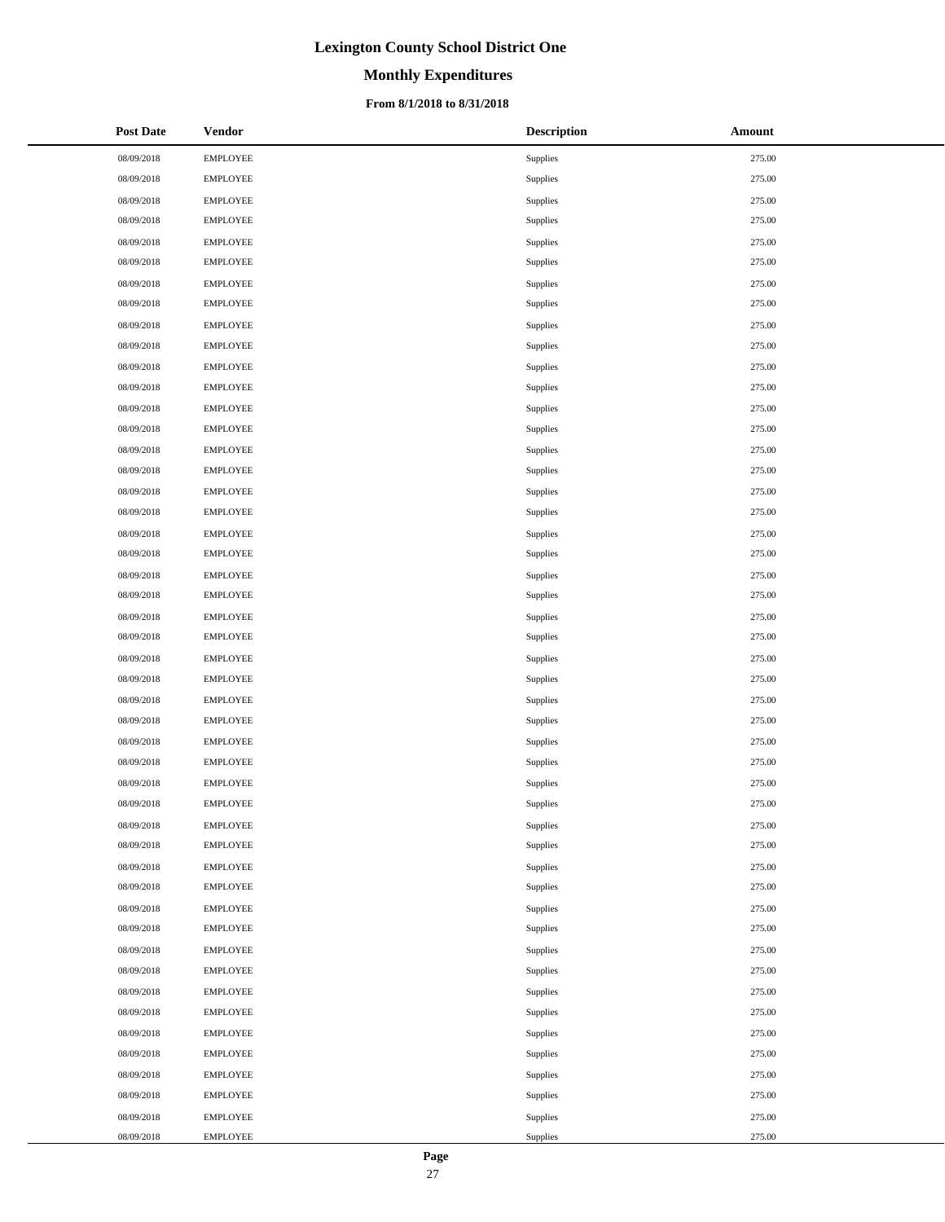# **Monthly Expenditures**

### **From 8/1/2018 to 8/31/2018**

| <b>Post Date</b> | <b>Vendor</b>   | <b>Description</b> | Amount |
|------------------|-----------------|--------------------|--------|
| 08/09/2018       | <b>EMPLOYEE</b> | Supplies           | 275.00 |
| 08/09/2018       | <b>EMPLOYEE</b> | Supplies           | 275.00 |
| 08/09/2018       | <b>EMPLOYEE</b> | Supplies           | 275.00 |
| 08/09/2018       | <b>EMPLOYEE</b> | Supplies           | 275.00 |
| 08/09/2018       | <b>EMPLOYEE</b> | Supplies           | 275.00 |
| 08/09/2018       | <b>EMPLOYEE</b> | Supplies           | 275.00 |
| 08/09/2018       | <b>EMPLOYEE</b> | Supplies           | 275.00 |
| 08/09/2018       | <b>EMPLOYEE</b> | Supplies           | 275.00 |
| 08/09/2018       | <b>EMPLOYEE</b> | Supplies           | 275.00 |
| 08/09/2018       | <b>EMPLOYEE</b> | Supplies           | 275.00 |
| 08/09/2018       | <b>EMPLOYEE</b> | Supplies           | 275.00 |
| 08/09/2018       | <b>EMPLOYEE</b> | Supplies           | 275.00 |
| 08/09/2018       | <b>EMPLOYEE</b> | Supplies           | 275.00 |
| 08/09/2018       | <b>EMPLOYEE</b> | Supplies           | 275.00 |
| 08/09/2018       | <b>EMPLOYEE</b> | Supplies           | 275.00 |
| 08/09/2018       | <b>EMPLOYEE</b> | Supplies           | 275.00 |
| 08/09/2018       | <b>EMPLOYEE</b> | Supplies           | 275.00 |
| 08/09/2018       | <b>EMPLOYEE</b> | Supplies           | 275.00 |
| 08/09/2018       | <b>EMPLOYEE</b> | Supplies           | 275.00 |
| 08/09/2018       | <b>EMPLOYEE</b> | Supplies           | 275.00 |
| 08/09/2018       | <b>EMPLOYEE</b> | Supplies           | 275.00 |
| 08/09/2018       | <b>EMPLOYEE</b> | Supplies           | 275.00 |
| 08/09/2018       | <b>EMPLOYEE</b> | Supplies           | 275.00 |
| 08/09/2018       | <b>EMPLOYEE</b> | Supplies           | 275.00 |
| 08/09/2018       | <b>EMPLOYEE</b> | Supplies           | 275.00 |
| 08/09/2018       | <b>EMPLOYEE</b> | Supplies           | 275.00 |
| 08/09/2018       | <b>EMPLOYEE</b> | Supplies           | 275.00 |
| 08/09/2018       | <b>EMPLOYEE</b> | Supplies           | 275.00 |
| 08/09/2018       | <b>EMPLOYEE</b> | Supplies           | 275.00 |
| 08/09/2018       | <b>EMPLOYEE</b> | Supplies           | 275.00 |
| 08/09/2018       | <b>EMPLOYEE</b> | Supplies           | 275.00 |
| 08/09/2018       | <b>EMPLOYEE</b> | Supplies           | 275.00 |
| 08/09/2018       | <b>EMPLOYEE</b> | Supplies           | 275.00 |
| 08/09/2018       | <b>EMPLOYEE</b> | Supplies           | 275.00 |
| 08/09/2018       | <b>EMPLOYEE</b> | Supplies           | 275.00 |
| 08/09/2018       | <b>EMPLOYEE</b> | Supplies           | 275.00 |
| 08/09/2018       | <b>EMPLOYEE</b> | Supplies           | 275.00 |
| 08/09/2018       | <b>EMPLOYEE</b> | Supplies           | 275.00 |
| 08/09/2018       | <b>EMPLOYEE</b> | Supplies           | 275.00 |
| 08/09/2018       | <b>EMPLOYEE</b> | Supplies           | 275.00 |
| 08/09/2018       | <b>EMPLOYEE</b> | Supplies           | 275.00 |
| 08/09/2018       | <b>EMPLOYEE</b> | Supplies           | 275.00 |
| 08/09/2018       | <b>EMPLOYEE</b> | Supplies           | 275.00 |
| 08/09/2018       | <b>EMPLOYEE</b> | Supplies           | 275.00 |
| 08/09/2018       | <b>EMPLOYEE</b> | Supplies           | 275.00 |
| 08/09/2018       | <b>EMPLOYEE</b> | Supplies           | 275.00 |
| 08/09/2018       | <b>EMPLOYEE</b> | Supplies           | 275.00 |
| 08/09/2018       | <b>EMPLOYEE</b> | Supplies           | 275.00 |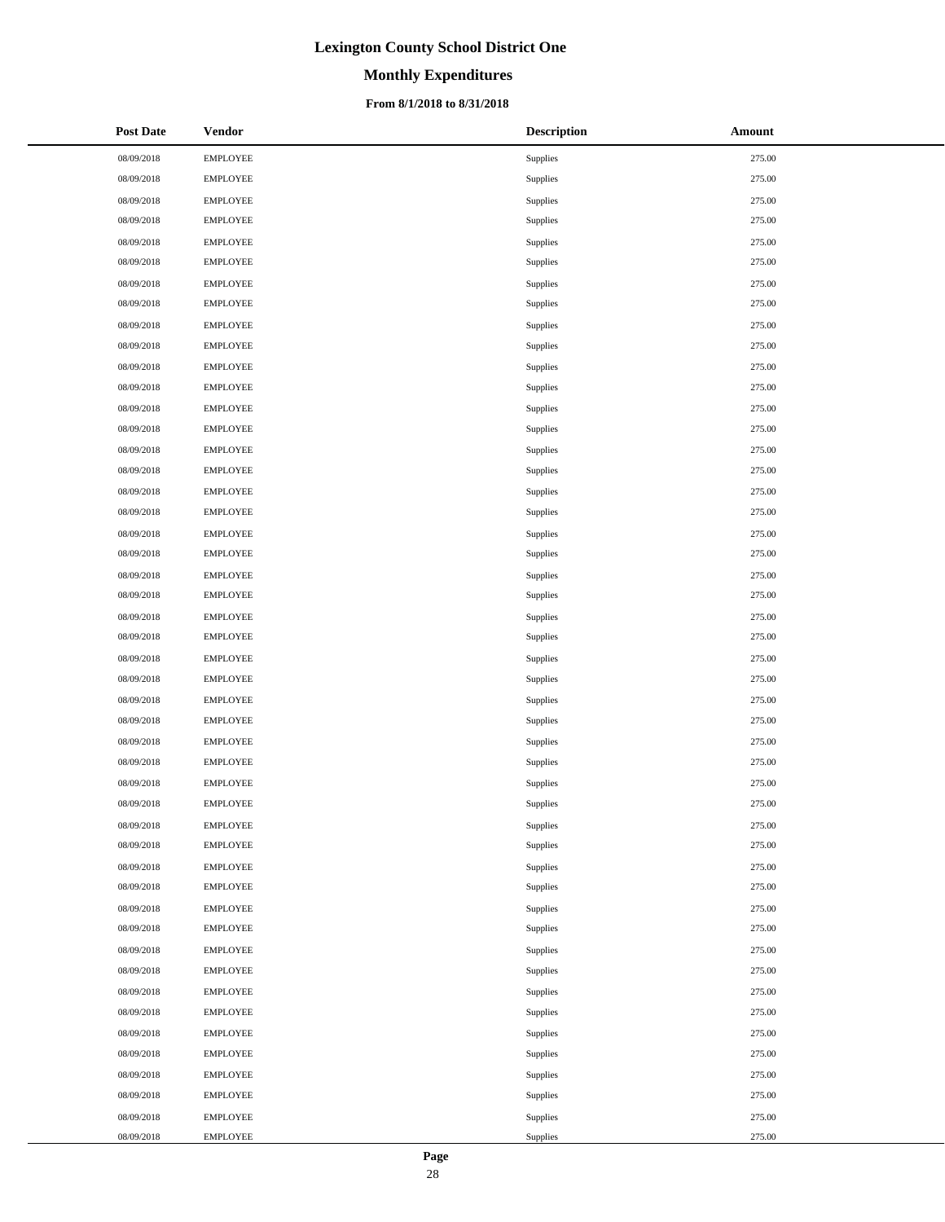# **Monthly Expenditures**

### **From 8/1/2018 to 8/31/2018**

| <b>Post Date</b> | <b>Vendor</b>   | <b>Description</b> | Amount |
|------------------|-----------------|--------------------|--------|
| 08/09/2018       | <b>EMPLOYEE</b> | Supplies           | 275.00 |
| 08/09/2018       | <b>EMPLOYEE</b> | Supplies           | 275.00 |
| 08/09/2018       | <b>EMPLOYEE</b> | Supplies           | 275.00 |
| 08/09/2018       | <b>EMPLOYEE</b> | Supplies           | 275.00 |
| 08/09/2018       | <b>EMPLOYEE</b> | Supplies           | 275.00 |
| 08/09/2018       | EMPLOYEE        | Supplies           | 275.00 |
| 08/09/2018       | <b>EMPLOYEE</b> | Supplies           | 275.00 |
| 08/09/2018       | <b>EMPLOYEE</b> | Supplies           | 275.00 |
| 08/09/2018       | <b>EMPLOYEE</b> | Supplies           | 275.00 |
| 08/09/2018       | <b>EMPLOYEE</b> | Supplies           | 275.00 |
| 08/09/2018       | <b>EMPLOYEE</b> | Supplies           | 275.00 |
| 08/09/2018       | <b>EMPLOYEE</b> | Supplies           | 275.00 |
| 08/09/2018       | <b>EMPLOYEE</b> | Supplies           | 275.00 |
| 08/09/2018       | EMPLOYEE        | Supplies           | 275.00 |
| 08/09/2018       | <b>EMPLOYEE</b> | Supplies           | 275.00 |
| 08/09/2018       | <b>EMPLOYEE</b> | Supplies           | 275.00 |
| 08/09/2018       | <b>EMPLOYEE</b> | Supplies           | 275.00 |
| 08/09/2018       | <b>EMPLOYEE</b> | Supplies           | 275.00 |
| 08/09/2018       | <b>EMPLOYEE</b> | Supplies           | 275.00 |
| 08/09/2018       | <b>EMPLOYEE</b> | Supplies           | 275.00 |
| 08/09/2018       | <b>EMPLOYEE</b> | Supplies           | 275.00 |
| 08/09/2018       | <b>EMPLOYEE</b> | Supplies           | 275.00 |
| 08/09/2018       | <b>EMPLOYEE</b> | Supplies           | 275.00 |
| 08/09/2018       | <b>EMPLOYEE</b> | Supplies           | 275.00 |
| 08/09/2018       | <b>EMPLOYEE</b> | Supplies           | 275.00 |
| 08/09/2018       | <b>EMPLOYEE</b> | Supplies           | 275.00 |
| 08/09/2018       | <b>EMPLOYEE</b> | Supplies           | 275.00 |
| 08/09/2018       | <b>EMPLOYEE</b> | Supplies           | 275.00 |
| 08/09/2018       | <b>EMPLOYEE</b> | Supplies           | 275.00 |
| 08/09/2018       | <b>EMPLOYEE</b> | Supplies           | 275.00 |
| 08/09/2018       | <b>EMPLOYEE</b> | Supplies           | 275.00 |
| 08/09/2018       | <b>EMPLOYEE</b> | Supplies           | 275.00 |
| 08/09/2018       | <b>EMPLOYEE</b> | Supplies           | 275.00 |
| 08/09/2018       | <b>EMPLOYEE</b> | Supplies           | 275.00 |
| 08/09/2018       | <b>EMPLOYEE</b> | Supplies           | 275.00 |
| 08/09/2018       | <b>EMPLOYEE</b> | Supplies           | 275.00 |
| 08/09/2018       | <b>EMPLOYEE</b> | Supplies           | 275.00 |
| 08/09/2018       | <b>EMPLOYEE</b> | Supplies           | 275.00 |
| 08/09/2018       | <b>EMPLOYEE</b> | Supplies           | 275.00 |
| 08/09/2018       | <b>EMPLOYEE</b> | Supplies           | 275.00 |
| 08/09/2018       | <b>EMPLOYEE</b> | Supplies           | 275.00 |
| 08/09/2018       | <b>EMPLOYEE</b> | Supplies           | 275.00 |
| 08/09/2018       | <b>EMPLOYEE</b> | Supplies           | 275.00 |
| 08/09/2018       | <b>EMPLOYEE</b> | Supplies           | 275.00 |
| 08/09/2018       | <b>EMPLOYEE</b> | Supplies           | 275.00 |
| 08/09/2018       | <b>EMPLOYEE</b> | Supplies           | 275.00 |
| 08/09/2018       | <b>EMPLOYEE</b> | Supplies           | 275.00 |
| 08/09/2018       | <b>EMPLOYEE</b> | Supplies           | 275.00 |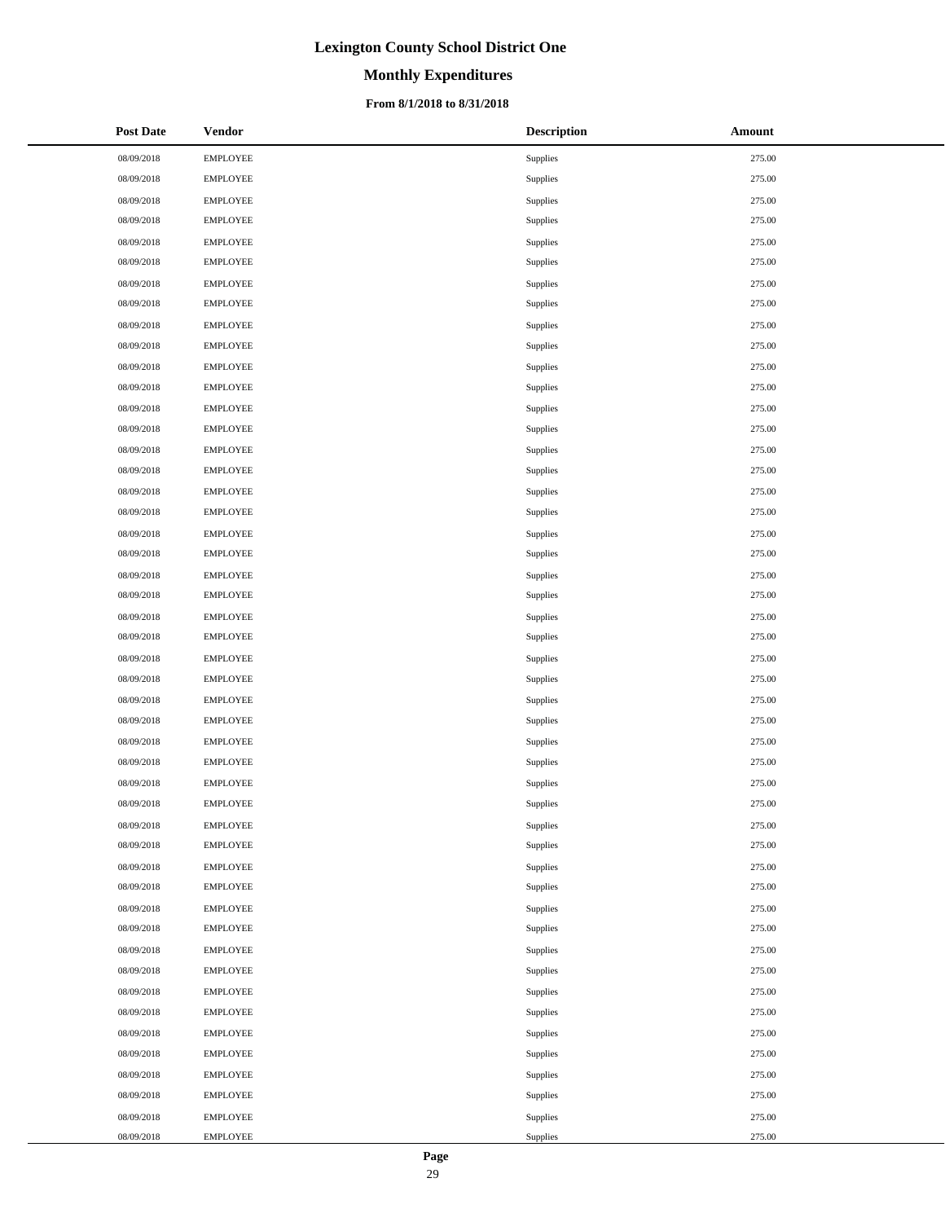# **Monthly Expenditures**

### **From 8/1/2018 to 8/31/2018**

| <b>Post Date</b> | <b>Vendor</b>   | <b>Description</b> | Amount |
|------------------|-----------------|--------------------|--------|
| 08/09/2018       | <b>EMPLOYEE</b> | Supplies           | 275.00 |
| 08/09/2018       | <b>EMPLOYEE</b> | Supplies           | 275.00 |
| 08/09/2018       | <b>EMPLOYEE</b> | Supplies           | 275.00 |
| 08/09/2018       | <b>EMPLOYEE</b> | Supplies           | 275.00 |
| 08/09/2018       | <b>EMPLOYEE</b> | Supplies           | 275.00 |
| 08/09/2018       | <b>EMPLOYEE</b> | Supplies           | 275.00 |
| 08/09/2018       | <b>EMPLOYEE</b> | Supplies           | 275.00 |
| 08/09/2018       | <b>EMPLOYEE</b> | Supplies           | 275.00 |
| 08/09/2018       | <b>EMPLOYEE</b> | Supplies           | 275.00 |
| 08/09/2018       | <b>EMPLOYEE</b> | Supplies           | 275.00 |
| 08/09/2018       | <b>EMPLOYEE</b> | Supplies           | 275.00 |
| 08/09/2018       | <b>EMPLOYEE</b> | Supplies           | 275.00 |
| 08/09/2018       | <b>EMPLOYEE</b> | Supplies           | 275.00 |
| 08/09/2018       | <b>EMPLOYEE</b> | Supplies           | 275.00 |
| 08/09/2018       | <b>EMPLOYEE</b> | Supplies           | 275.00 |
| 08/09/2018       | <b>EMPLOYEE</b> | Supplies           | 275.00 |
| 08/09/2018       | <b>EMPLOYEE</b> | Supplies           | 275.00 |
| 08/09/2018       | EMPLOYEE        | Supplies           | 275.00 |
| 08/09/2018       | <b>EMPLOYEE</b> | Supplies           | 275.00 |
| 08/09/2018       | <b>EMPLOYEE</b> | Supplies           | 275.00 |
| 08/09/2018       | <b>EMPLOYEE</b> | Supplies           | 275.00 |
| 08/09/2018       | <b>EMPLOYEE</b> | Supplies           | 275.00 |
| 08/09/2018       | <b>EMPLOYEE</b> | Supplies           | 275.00 |
| 08/09/2018       | <b>EMPLOYEE</b> | Supplies           | 275.00 |
| 08/09/2018       | <b>EMPLOYEE</b> | Supplies           | 275.00 |
| 08/09/2018       | <b>EMPLOYEE</b> | Supplies           | 275.00 |
| 08/09/2018       | <b>EMPLOYEE</b> | Supplies           | 275.00 |
| 08/09/2018       | <b>EMPLOYEE</b> | Supplies           | 275.00 |
| 08/09/2018       | <b>EMPLOYEE</b> | Supplies           | 275.00 |
| 08/09/2018       | <b>EMPLOYEE</b> | Supplies           | 275.00 |
| 08/09/2018       | <b>EMPLOYEE</b> | Supplies           | 275.00 |
| 08/09/2018       | <b>EMPLOYEE</b> | Supplies           | 275.00 |
| 08/09/2018       | <b>EMPLOYEE</b> | Supplies           | 275.00 |
| 08/09/2018       | <b>EMPLOYEE</b> | Supplies           | 275.00 |
| 08/09/2018       | <b>EMPLOYEE</b> | Supplies           | 275.00 |
| 08/09/2018       | <b>EMPLOYEE</b> | Supplies           | 275.00 |
| 08/09/2018       | <b>EMPLOYEE</b> | Supplies           | 275.00 |
| 08/09/2018       | EMPLOYEE        | Supplies           | 275.00 |
| 08/09/2018       | <b>EMPLOYEE</b> | Supplies           | 275.00 |
| 08/09/2018       | <b>EMPLOYEE</b> | Supplies           | 275.00 |
| 08/09/2018       | <b>EMPLOYEE</b> | Supplies           | 275.00 |
| 08/09/2018       | <b>EMPLOYEE</b> | Supplies           | 275.00 |
| 08/09/2018       | <b>EMPLOYEE</b> | Supplies           | 275.00 |
| 08/09/2018       | <b>EMPLOYEE</b> | Supplies           | 275.00 |
| 08/09/2018       | <b>EMPLOYEE</b> | Supplies           | 275.00 |
| 08/09/2018       | EMPLOYEE        | Supplies           | 275.00 |
| 08/09/2018       | <b>EMPLOYEE</b> | Supplies           | 275.00 |
| 08/09/2018       | <b>EMPLOYEE</b> | Supplies           | 275.00 |

 $\overline{\phantom{a}}$  $\overline{a}$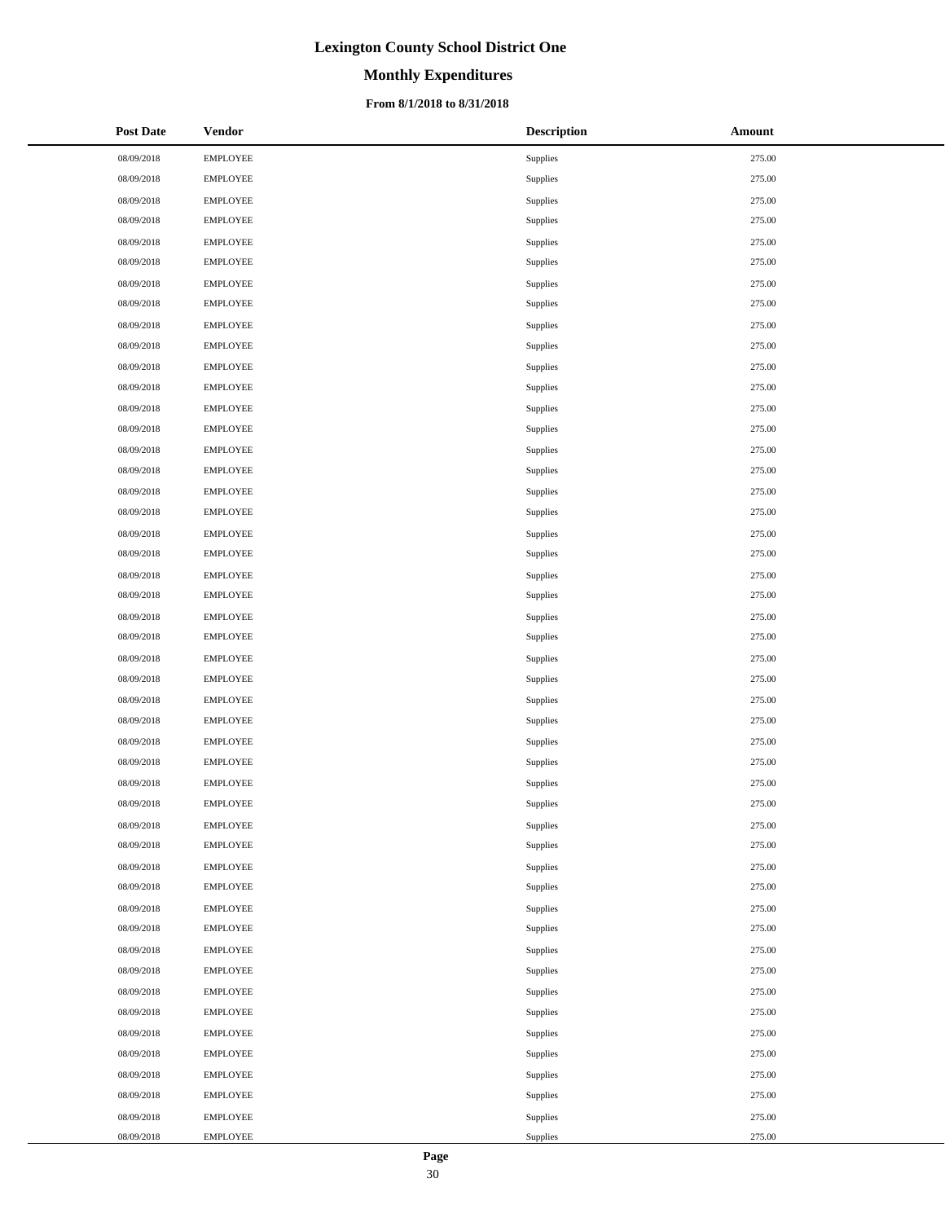# **Monthly Expenditures**

### **From 8/1/2018 to 8/31/2018**

| <b>Post Date</b> | <b>Vendor</b>   | <b>Description</b> | Amount |
|------------------|-----------------|--------------------|--------|
| 08/09/2018       | <b>EMPLOYEE</b> | Supplies           | 275.00 |
| 08/09/2018       | <b>EMPLOYEE</b> | Supplies           | 275.00 |
| 08/09/2018       | <b>EMPLOYEE</b> | Supplies           | 275.00 |
| 08/09/2018       | <b>EMPLOYEE</b> | Supplies           | 275.00 |
| 08/09/2018       | <b>EMPLOYEE</b> | Supplies           | 275.00 |
| 08/09/2018       | <b>EMPLOYEE</b> | Supplies           | 275.00 |
| 08/09/2018       | <b>EMPLOYEE</b> | Supplies           | 275.00 |
| 08/09/2018       | <b>EMPLOYEE</b> | Supplies           | 275.00 |
| 08/09/2018       | <b>EMPLOYEE</b> | Supplies           | 275.00 |
| 08/09/2018       | <b>EMPLOYEE</b> | Supplies           | 275.00 |
| 08/09/2018       | <b>EMPLOYEE</b> | Supplies           | 275.00 |
| 08/09/2018       | <b>EMPLOYEE</b> | Supplies           | 275.00 |
| 08/09/2018       | <b>EMPLOYEE</b> | Supplies           | 275.00 |
| 08/09/2018       | <b>EMPLOYEE</b> | Supplies           | 275.00 |
| 08/09/2018       | <b>EMPLOYEE</b> | Supplies           | 275.00 |
| 08/09/2018       | <b>EMPLOYEE</b> | Supplies           | 275.00 |
| 08/09/2018       | <b>EMPLOYEE</b> | Supplies           | 275.00 |
| 08/09/2018       | <b>EMPLOYEE</b> | Supplies           | 275.00 |
| 08/09/2018       | <b>EMPLOYEE</b> | Supplies           | 275.00 |
| 08/09/2018       | <b>EMPLOYEE</b> | Supplies           | 275.00 |
| 08/09/2018       | <b>EMPLOYEE</b> | Supplies           | 275.00 |
| 08/09/2018       | <b>EMPLOYEE</b> | Supplies           | 275.00 |
| 08/09/2018       | <b>EMPLOYEE</b> | Supplies           | 275.00 |
| 08/09/2018       | <b>EMPLOYEE</b> | Supplies           | 275.00 |
| 08/09/2018       | <b>EMPLOYEE</b> | Supplies           | 275.00 |
| 08/09/2018       | <b>EMPLOYEE</b> | Supplies           | 275.00 |
| 08/09/2018       | EMPLOYEE        | Supplies           | 275.00 |
| 08/09/2018       | <b>EMPLOYEE</b> | Supplies           | 275.00 |
| 08/09/2018       | <b>EMPLOYEE</b> | Supplies           | 275.00 |
| 08/09/2018       | <b>EMPLOYEE</b> | Supplies           | 275.00 |
| 08/09/2018       | <b>EMPLOYEE</b> | Supplies           | 275.00 |
| 08/09/2018       | <b>EMPLOYEE</b> | Supplies           | 275.00 |
| 08/09/2018       | <b>EMPLOYEE</b> | Supplies           | 275.00 |
| 08/09/2018       | <b>EMPLOYEE</b> | Supplies           | 275.00 |
| 08/09/2018       | <b>EMPLOYEE</b> | Supplies           | 275.00 |
| 08/09/2018       | <b>EMPLOYEE</b> | Supplies           | 275.00 |
| 08/09/2018       | <b>EMPLOYEE</b> | Supplies           | 275.00 |
| 08/09/2018       | <b>EMPLOYEE</b> | Supplies           | 275.00 |
| 08/09/2018       | <b>EMPLOYEE</b> | Supplies           | 275.00 |
| 08/09/2018       | <b>EMPLOYEE</b> | Supplies           | 275.00 |
| 08/09/2018       | <b>EMPLOYEE</b> | Supplies           | 275.00 |
| 08/09/2018       | <b>EMPLOYEE</b> | Supplies           | 275.00 |
| 08/09/2018       | <b>EMPLOYEE</b> | Supplies           | 275.00 |
| 08/09/2018       | <b>EMPLOYEE</b> | Supplies           | 275.00 |
| 08/09/2018       | <b>EMPLOYEE</b> | Supplies           | 275.00 |
| 08/09/2018       | <b>EMPLOYEE</b> | Supplies           | 275.00 |
| 08/09/2018       | <b>EMPLOYEE</b> | Supplies           | 275.00 |
| 08/09/2018       | <b>EMPLOYEE</b> | Supplies           | 275.00 |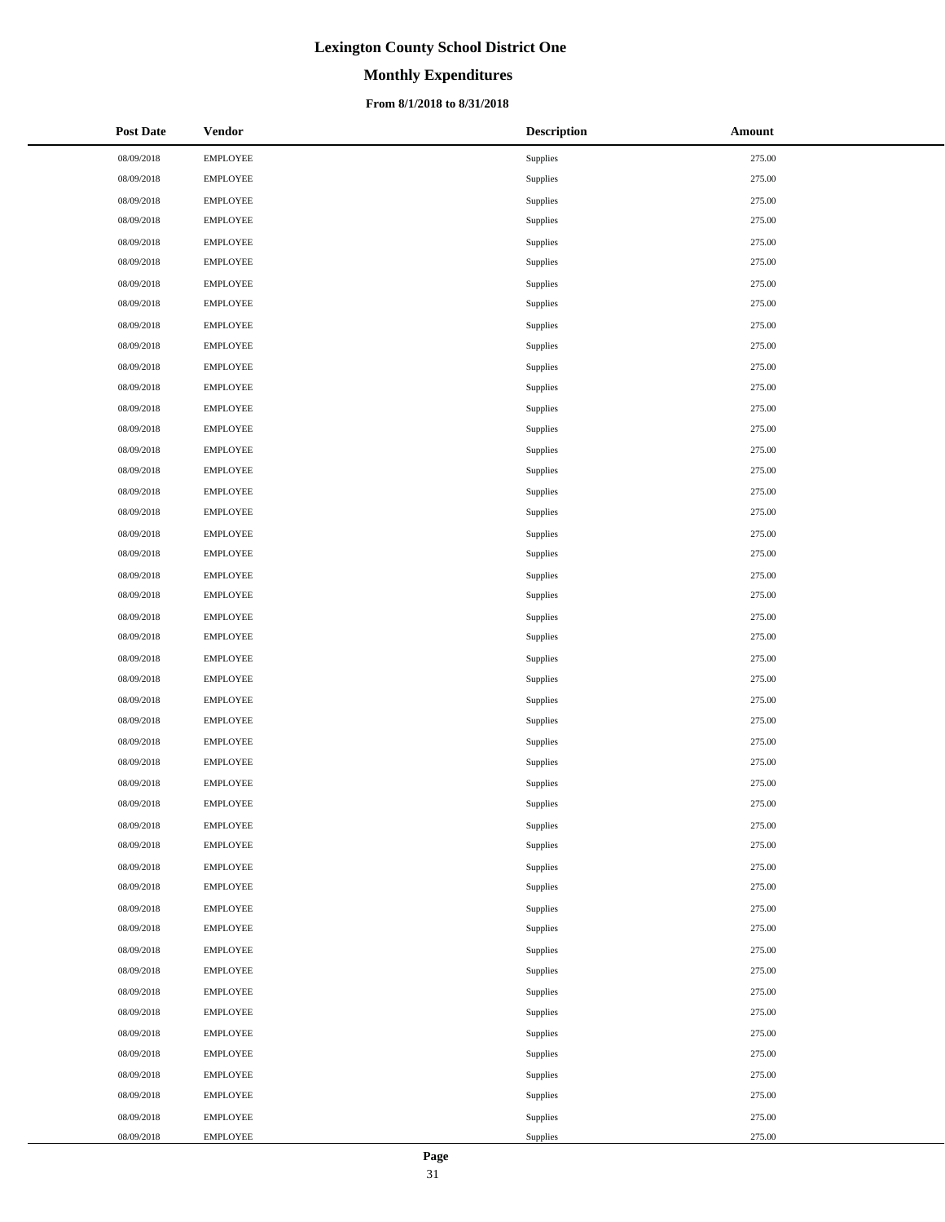# **Monthly Expenditures**

### **From 8/1/2018 to 8/31/2018**

| <b>Post Date</b> | <b>Vendor</b>   | <b>Description</b> | <b>Amount</b> |
|------------------|-----------------|--------------------|---------------|
| 08/09/2018       | <b>EMPLOYEE</b> | Supplies           | 275.00        |
| 08/09/2018       | <b>EMPLOYEE</b> | Supplies           | 275.00        |
| 08/09/2018       | EMPLOYEE        | Supplies           | 275.00        |
| 08/09/2018       | <b>EMPLOYEE</b> | Supplies           | 275.00        |
| 08/09/2018       | <b>EMPLOYEE</b> | Supplies           | 275.00        |
| 08/09/2018       | <b>EMPLOYEE</b> | Supplies           | 275.00        |
| 08/09/2018       | <b>EMPLOYEE</b> | Supplies           | 275.00        |
| 08/09/2018       | <b>EMPLOYEE</b> | Supplies           | 275.00        |
| 08/09/2018       | <b>EMPLOYEE</b> | Supplies           | 275.00        |
| 08/09/2018       | <b>EMPLOYEE</b> | Supplies           | 275.00        |
| 08/09/2018       | EMPLOYEE        | Supplies           | 275.00        |
| 08/09/2018       | <b>EMPLOYEE</b> | Supplies           | 275.00        |
| 08/09/2018       | <b>EMPLOYEE</b> | Supplies           | 275.00        |
| 08/09/2018       | <b>EMPLOYEE</b> | Supplies           | 275.00        |
| 08/09/2018       | <b>EMPLOYEE</b> | Supplies           | 275.00        |
| 08/09/2018       | <b>EMPLOYEE</b> | Supplies           | 275.00        |
| 08/09/2018       | <b>EMPLOYEE</b> | Supplies           | 275.00        |
| 08/09/2018       | <b>EMPLOYEE</b> | Supplies           | 275.00        |
| 08/09/2018       | EMPLOYEE        | Supplies           | 275.00        |
| 08/09/2018       | <b>EMPLOYEE</b> | Supplies           | 275.00        |
| 08/09/2018       | <b>EMPLOYEE</b> | Supplies           | 275.00        |
| 08/09/2018       | <b>EMPLOYEE</b> | Supplies           | 275.00        |
| 08/09/2018       | <b>EMPLOYEE</b> | Supplies           | 275.00        |
| 08/09/2018       | <b>EMPLOYEE</b> | Supplies           | 275.00        |
| 08/09/2018       | <b>EMPLOYEE</b> | Supplies           | 275.00        |
| 08/09/2018       | <b>EMPLOYEE</b> | Supplies           | 275.00        |
| 08/09/2018       | EMPLOYEE        | Supplies           | 275.00        |
| 08/09/2018       | <b>EMPLOYEE</b> | Supplies           | 275.00        |
| 08/09/2018       | <b>EMPLOYEE</b> | Supplies           | 275.00        |
| 08/09/2018       | <b>EMPLOYEE</b> | Supplies           | 275.00        |
| 08/09/2018       | <b>EMPLOYEE</b> | Supplies           | 275.00        |
| 08/09/2018       | <b>EMPLOYEE</b> | Supplies           | 275.00        |
| 08/09/2018       | <b>EMPLOYEE</b> | Supplies           | 275.00        |
| 08/09/2018       | <b>EMPLOYEE</b> | Supplies           | 275.00        |
| 08/09/2018       | <b>EMPLOYEE</b> | Supplies           | 275.00        |
| 08/09/2018       | <b>EMPLOYEE</b> | Supplies           | 275.00        |
| 08/09/2018       | <b>EMPLOYEE</b> | Supplies           | 275.00        |
| 08/09/2018       | <b>EMPLOYEE</b> | Supplies           | 275.00        |
| 08/09/2018       | <b>EMPLOYEE</b> | Supplies           | 275.00        |
| 08/09/2018       | <b>EMPLOYEE</b> | Supplies           | 275.00        |
| 08/09/2018       | <b>EMPLOYEE</b> | Supplies           | 275.00        |
| 08/09/2018       | <b>EMPLOYEE</b> | Supplies           | 275.00        |
| 08/09/2018       | EMPLOYEE        | Supplies           | 275.00        |
| 08/09/2018       | <b>EMPLOYEE</b> | Supplies           | 275.00        |
| 08/09/2018       | <b>EMPLOYEE</b> | Supplies           | 275.00        |
| 08/09/2018       | <b>EMPLOYEE</b> | Supplies           | 275.00        |
| 08/09/2018       | <b>EMPLOYEE</b> | Supplies           | 275.00        |
| 08/09/2018       | <b>EMPLOYEE</b> | Supplies           | 275.00        |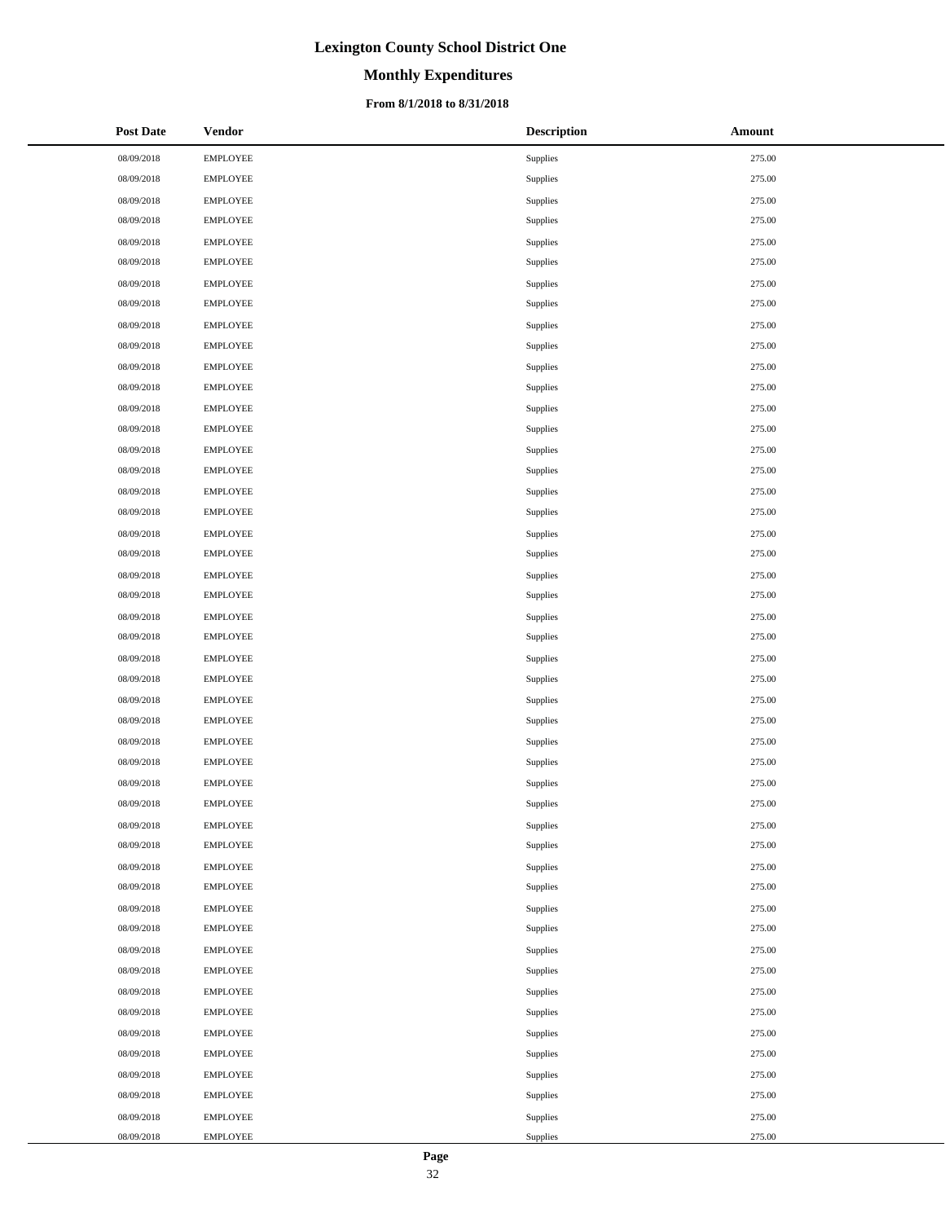# **Monthly Expenditures**

### **From 8/1/2018 to 8/31/2018**

| <b>Post Date</b> | <b>Vendor</b>   | <b>Description</b> | <b>Amount</b> |
|------------------|-----------------|--------------------|---------------|
| 08/09/2018       | <b>EMPLOYEE</b> | Supplies           | 275.00        |
| 08/09/2018       | <b>EMPLOYEE</b> | Supplies           | 275.00        |
| 08/09/2018       | EMPLOYEE        | Supplies           | 275.00        |
| 08/09/2018       | <b>EMPLOYEE</b> | Supplies           | 275.00        |
| 08/09/2018       | <b>EMPLOYEE</b> | Supplies           | 275.00        |
| 08/09/2018       | <b>EMPLOYEE</b> | Supplies           | 275.00        |
| 08/09/2018       | <b>EMPLOYEE</b> | Supplies           | 275.00        |
| 08/09/2018       | <b>EMPLOYEE</b> | Supplies           | 275.00        |
| 08/09/2018       | <b>EMPLOYEE</b> | Supplies           | 275.00        |
| 08/09/2018       | <b>EMPLOYEE</b> | Supplies           | 275.00        |
| 08/09/2018       | EMPLOYEE        | Supplies           | 275.00        |
| 08/09/2018       | <b>EMPLOYEE</b> | Supplies           | 275.00        |
| 08/09/2018       | <b>EMPLOYEE</b> | Supplies           | 275.00        |
| 08/09/2018       | <b>EMPLOYEE</b> | Supplies           | 275.00        |
| 08/09/2018       | <b>EMPLOYEE</b> | Supplies           | 275.00        |
| 08/09/2018       | <b>EMPLOYEE</b> | Supplies           | 275.00        |
| 08/09/2018       | <b>EMPLOYEE</b> | Supplies           | 275.00        |
| 08/09/2018       | <b>EMPLOYEE</b> | Supplies           | 275.00        |
| 08/09/2018       | EMPLOYEE        | Supplies           | 275.00        |
| 08/09/2018       | <b>EMPLOYEE</b> | Supplies           | 275.00        |
| 08/09/2018       | <b>EMPLOYEE</b> | Supplies           | 275.00        |
| 08/09/2018       | <b>EMPLOYEE</b> | Supplies           | 275.00        |
| 08/09/2018       | <b>EMPLOYEE</b> | Supplies           | 275.00        |
| 08/09/2018       | <b>EMPLOYEE</b> | Supplies           | 275.00        |
| 08/09/2018       | <b>EMPLOYEE</b> | Supplies           | 275.00        |
| 08/09/2018       | <b>EMPLOYEE</b> | Supplies           | 275.00        |
| 08/09/2018       | EMPLOYEE        | Supplies           | 275.00        |
| 08/09/2018       | <b>EMPLOYEE</b> | Supplies           | 275.00        |
| 08/09/2018       | <b>EMPLOYEE</b> | Supplies           | 275.00        |
| 08/09/2018       | <b>EMPLOYEE</b> | Supplies           | 275.00        |
| 08/09/2018       | <b>EMPLOYEE</b> | Supplies           | 275.00        |
| 08/09/2018       | <b>EMPLOYEE</b> | Supplies           | 275.00        |
| 08/09/2018       | <b>EMPLOYEE</b> | Supplies           | 275.00        |
| 08/09/2018       | <b>EMPLOYEE</b> | Supplies           | 275.00        |
| 08/09/2018       | <b>EMPLOYEE</b> | Supplies           | 275.00        |
| 08/09/2018       | <b>EMPLOYEE</b> | Supplies           | 275.00        |
| 08/09/2018       | <b>EMPLOYEE</b> | Supplies           | 275.00        |
| 08/09/2018       | <b>EMPLOYEE</b> | Supplies           | 275.00        |
| 08/09/2018       | <b>EMPLOYEE</b> | Supplies           | 275.00        |
| 08/09/2018       | <b>EMPLOYEE</b> | Supplies           | 275.00        |
| 08/09/2018       | <b>EMPLOYEE</b> | Supplies           | 275.00        |
| 08/09/2018       | <b>EMPLOYEE</b> | Supplies           | 275.00        |
| 08/09/2018       | EMPLOYEE        | Supplies           | 275.00        |
| 08/09/2018       | <b>EMPLOYEE</b> | Supplies           | 275.00        |
| 08/09/2018       | <b>EMPLOYEE</b> | Supplies           | 275.00        |
| 08/09/2018       | <b>EMPLOYEE</b> | Supplies           | 275.00        |
| 08/09/2018       | <b>EMPLOYEE</b> | Supplies           | 275.00        |
| 08/09/2018       | <b>EMPLOYEE</b> | Supplies           | 275.00        |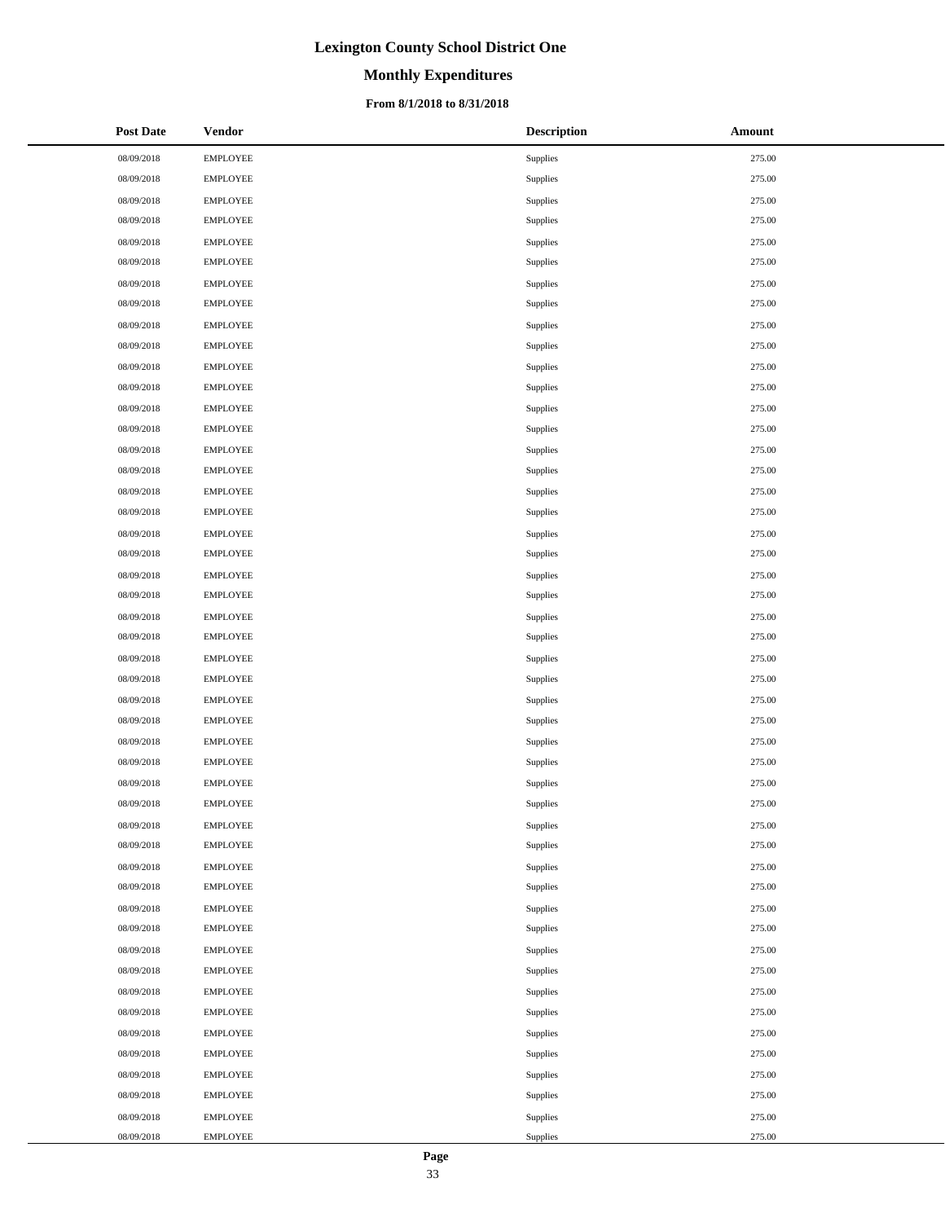# **Monthly Expenditures**

### **From 8/1/2018 to 8/31/2018**

| <b>Post Date</b> | <b>Vendor</b>   | <b>Description</b> | Amount |
|------------------|-----------------|--------------------|--------|
| 08/09/2018       | <b>EMPLOYEE</b> | Supplies           | 275.00 |
| 08/09/2018       | <b>EMPLOYEE</b> | Supplies           | 275.00 |
| 08/09/2018       | <b>EMPLOYEE</b> | Supplies           | 275.00 |
| 08/09/2018       | <b>EMPLOYEE</b> | Supplies           | 275.00 |
| 08/09/2018       | <b>EMPLOYEE</b> | Supplies           | 275.00 |
| 08/09/2018       | <b>EMPLOYEE</b> | Supplies           | 275.00 |
| 08/09/2018       | <b>EMPLOYEE</b> | Supplies           | 275.00 |
| 08/09/2018       | <b>EMPLOYEE</b> | Supplies           | 275.00 |
| 08/09/2018       | <b>EMPLOYEE</b> | Supplies           | 275.00 |
| 08/09/2018       | <b>EMPLOYEE</b> | Supplies           | 275.00 |
| 08/09/2018       | <b>EMPLOYEE</b> | Supplies           | 275.00 |
| 08/09/2018       | <b>EMPLOYEE</b> | Supplies           | 275.00 |
| 08/09/2018       | <b>EMPLOYEE</b> | Supplies           | 275.00 |
| 08/09/2018       | <b>EMPLOYEE</b> | Supplies           | 275.00 |
| 08/09/2018       | <b>EMPLOYEE</b> | Supplies           | 275.00 |
| 08/09/2018       | <b>EMPLOYEE</b> | Supplies           | 275.00 |
| 08/09/2018       | <b>EMPLOYEE</b> | Supplies           | 275.00 |
| 08/09/2018       | <b>EMPLOYEE</b> | Supplies           | 275.00 |
| 08/09/2018       | <b>EMPLOYEE</b> | Supplies           | 275.00 |
| 08/09/2018       | <b>EMPLOYEE</b> | Supplies           | 275.00 |
| 08/09/2018       | <b>EMPLOYEE</b> | Supplies           | 275.00 |
| 08/09/2018       | <b>EMPLOYEE</b> | Supplies           | 275.00 |
| 08/09/2018       | <b>EMPLOYEE</b> | Supplies           | 275.00 |
| 08/09/2018       | <b>EMPLOYEE</b> | Supplies           | 275.00 |
| 08/09/2018       | <b>EMPLOYEE</b> | Supplies           | 275.00 |
| 08/09/2018       | <b>EMPLOYEE</b> | Supplies           | 275.00 |
| 08/09/2018       | <b>EMPLOYEE</b> | Supplies           | 275.00 |
| 08/09/2018       | <b>EMPLOYEE</b> | Supplies           | 275.00 |
| 08/09/2018       | <b>EMPLOYEE</b> | Supplies           | 275.00 |
| 08/09/2018       | <b>EMPLOYEE</b> | Supplies           | 275.00 |
| 08/09/2018       | <b>EMPLOYEE</b> | Supplies           | 275.00 |
| 08/09/2018       | <b>EMPLOYEE</b> | Supplies           | 275.00 |
| 08/09/2018       | <b>EMPLOYEE</b> | Supplies           | 275.00 |
| 08/09/2018       | <b>EMPLOYEE</b> | Supplies           | 275.00 |
| 08/09/2018       | <b>EMPLOYEE</b> | Supplies           | 275.00 |
| 08/09/2018       | <b>EMPLOYEE</b> | Supplies           | 275.00 |
| 08/09/2018       | <b>EMPLOYEE</b> | Supplies           | 275.00 |
| 08/09/2018       | <b>EMPLOYEE</b> | Supplies           | 275.00 |
| 08/09/2018       | <b>EMPLOYEE</b> | Supplies           | 275.00 |
| 08/09/2018       | <b>EMPLOYEE</b> | Supplies           | 275.00 |
| 08/09/2018       | <b>EMPLOYEE</b> | Supplies           | 275.00 |
| 08/09/2018       | <b>EMPLOYEE</b> | Supplies           | 275.00 |
| 08/09/2018       | <b>EMPLOYEE</b> | Supplies           | 275.00 |
| 08/09/2018       | <b>EMPLOYEE</b> | Supplies           | 275.00 |
| 08/09/2018       | <b>EMPLOYEE</b> | Supplies           | 275.00 |
| 08/09/2018       | <b>EMPLOYEE</b> | Supplies           | 275.00 |
| 08/09/2018       | <b>EMPLOYEE</b> | Supplies           | 275.00 |
| 08/09/2018       | <b>EMPLOYEE</b> | Supplies           | 275.00 |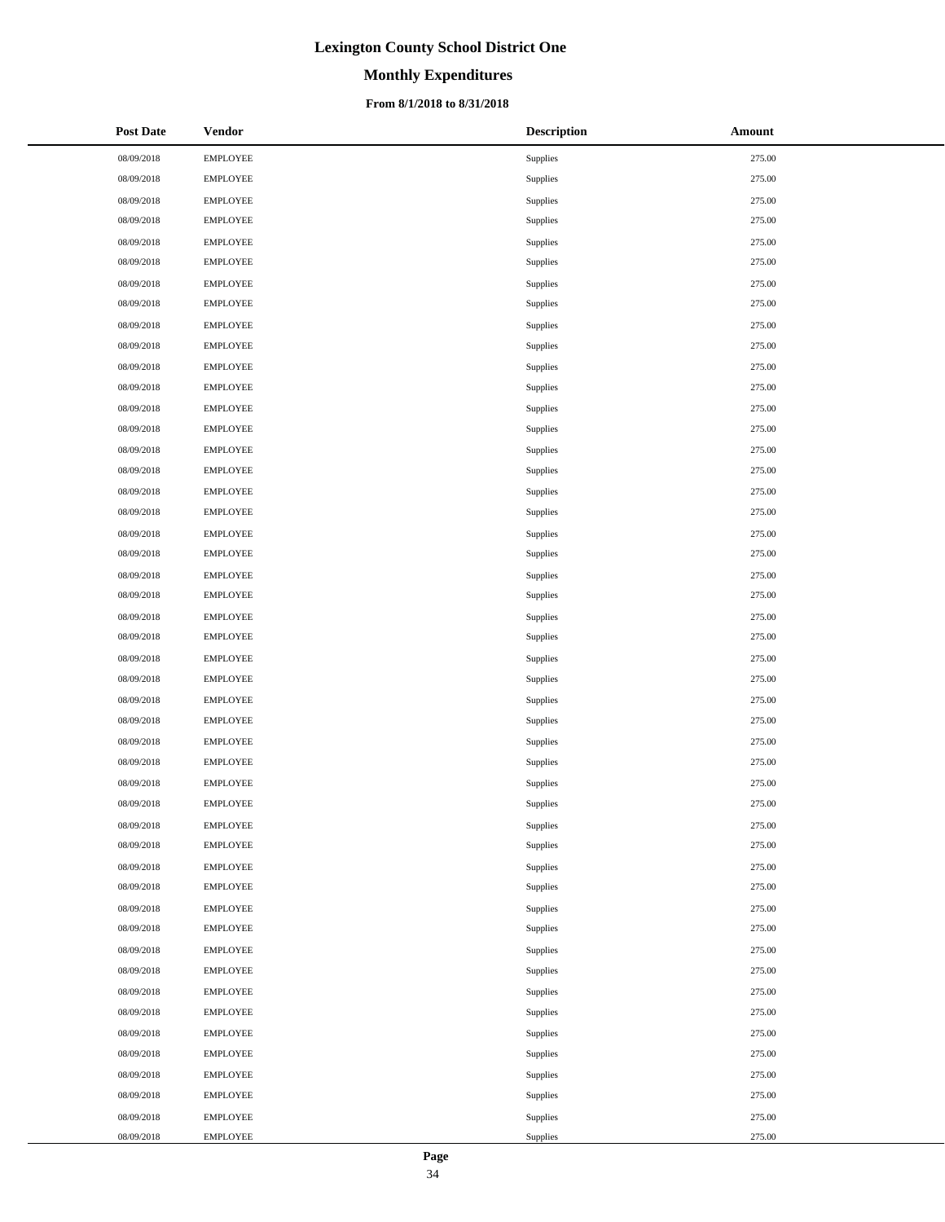# **Monthly Expenditures**

### **From 8/1/2018 to 8/31/2018**

| <b>Post Date</b> | <b>Vendor</b>   | <b>Description</b> | <b>Amount</b> |
|------------------|-----------------|--------------------|---------------|
| 08/09/2018       | <b>EMPLOYEE</b> | Supplies           | 275.00        |
| 08/09/2018       | <b>EMPLOYEE</b> | Supplies           | 275.00        |
| 08/09/2018       | EMPLOYEE        | Supplies           | 275.00        |
| 08/09/2018       | <b>EMPLOYEE</b> | Supplies           | 275.00        |
| 08/09/2018       | <b>EMPLOYEE</b> | Supplies           | 275.00        |
| 08/09/2018       | <b>EMPLOYEE</b> | Supplies           | 275.00        |
| 08/09/2018       | <b>EMPLOYEE</b> | Supplies           | 275.00        |
| 08/09/2018       | <b>EMPLOYEE</b> | Supplies           | 275.00        |
| 08/09/2018       | <b>EMPLOYEE</b> | Supplies           | 275.00        |
| 08/09/2018       | <b>EMPLOYEE</b> | Supplies           | 275.00        |
| 08/09/2018       | EMPLOYEE        | Supplies           | 275.00        |
| 08/09/2018       | <b>EMPLOYEE</b> | Supplies           | 275.00        |
| 08/09/2018       | <b>EMPLOYEE</b> | Supplies           | 275.00        |
| 08/09/2018       | <b>EMPLOYEE</b> | Supplies           | 275.00        |
| 08/09/2018       | <b>EMPLOYEE</b> | Supplies           | 275.00        |
| 08/09/2018       | <b>EMPLOYEE</b> | Supplies           | 275.00        |
| 08/09/2018       | <b>EMPLOYEE</b> | Supplies           | 275.00        |
| 08/09/2018       | <b>EMPLOYEE</b> | Supplies           | 275.00        |
| 08/09/2018       | EMPLOYEE        | Supplies           | 275.00        |
| 08/09/2018       | <b>EMPLOYEE</b> | Supplies           | 275.00        |
| 08/09/2018       | <b>EMPLOYEE</b> | Supplies           | 275.00        |
| 08/09/2018       | <b>EMPLOYEE</b> | Supplies           | 275.00        |
| 08/09/2018       | <b>EMPLOYEE</b> | Supplies           | 275.00        |
| 08/09/2018       | <b>EMPLOYEE</b> | Supplies           | 275.00        |
| 08/09/2018       | <b>EMPLOYEE</b> | Supplies           | 275.00        |
| 08/09/2018       | <b>EMPLOYEE</b> | Supplies           | 275.00        |
| 08/09/2018       | EMPLOYEE        | Supplies           | 275.00        |
| 08/09/2018       | <b>EMPLOYEE</b> | Supplies           | 275.00        |
| 08/09/2018       | <b>EMPLOYEE</b> | Supplies           | 275.00        |
| 08/09/2018       | <b>EMPLOYEE</b> | Supplies           | 275.00        |
| 08/09/2018       | <b>EMPLOYEE</b> | Supplies           | 275.00        |
| 08/09/2018       | <b>EMPLOYEE</b> | Supplies           | 275.00        |
| 08/09/2018       | <b>EMPLOYEE</b> | Supplies           | 275.00        |
| 08/09/2018       | <b>EMPLOYEE</b> | Supplies           | 275.00        |
| 08/09/2018       | <b>EMPLOYEE</b> | Supplies           | 275.00        |
| 08/09/2018       | <b>EMPLOYEE</b> | Supplies           | 275.00        |
| 08/09/2018       | <b>EMPLOYEE</b> | Supplies           | 275.00        |
| 08/09/2018       | <b>EMPLOYEE</b> | Supplies           | 275.00        |
| 08/09/2018       | <b>EMPLOYEE</b> | Supplies           | 275.00        |
| 08/09/2018       | <b>EMPLOYEE</b> | Supplies           | 275.00        |
| 08/09/2018       | <b>EMPLOYEE</b> | Supplies           | 275.00        |
| 08/09/2018       | <b>EMPLOYEE</b> | Supplies           | 275.00        |
| 08/09/2018       | EMPLOYEE        | Supplies           | 275.00        |
| 08/09/2018       | <b>EMPLOYEE</b> | Supplies           | 275.00        |
| 08/09/2018       | <b>EMPLOYEE</b> | Supplies           | 275.00        |
| 08/09/2018       | <b>EMPLOYEE</b> | Supplies           | 275.00        |
| 08/09/2018       | <b>EMPLOYEE</b> | Supplies           | 275.00        |
| 08/09/2018       | <b>EMPLOYEE</b> | Supplies           | 275.00        |

 $\overline{a}$  $\overline{\phantom{0}}$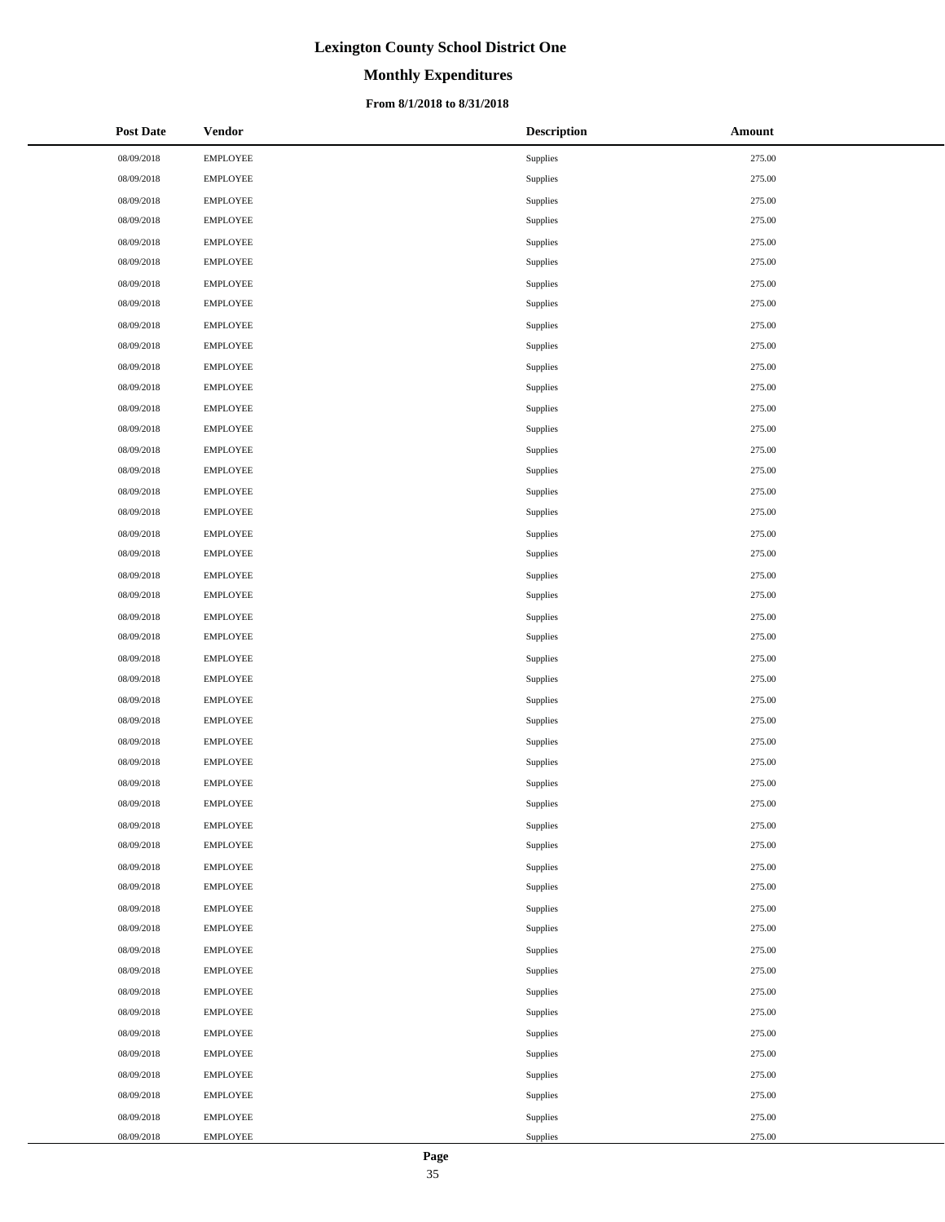# **Monthly Expenditures**

### **From 8/1/2018 to 8/31/2018**

| <b>Post Date</b> | <b>Vendor</b>   | <b>Description</b> | <b>Amount</b> |
|------------------|-----------------|--------------------|---------------|
| 08/09/2018       | <b>EMPLOYEE</b> | Supplies           | 275.00        |
| 08/09/2018       | <b>EMPLOYEE</b> | Supplies           | 275.00        |
| 08/09/2018       | EMPLOYEE        | Supplies           | 275.00        |
| 08/09/2018       | <b>EMPLOYEE</b> | Supplies           | 275.00        |
| 08/09/2018       | <b>EMPLOYEE</b> | Supplies           | 275.00        |
| 08/09/2018       | <b>EMPLOYEE</b> | Supplies           | 275.00        |
| 08/09/2018       | <b>EMPLOYEE</b> | Supplies           | 275.00        |
| 08/09/2018       | <b>EMPLOYEE</b> | Supplies           | 275.00        |
| 08/09/2018       | <b>EMPLOYEE</b> | Supplies           | 275.00        |
| 08/09/2018       | <b>EMPLOYEE</b> | Supplies           | 275.00        |
| 08/09/2018       | EMPLOYEE        | Supplies           | 275.00        |
| 08/09/2018       | <b>EMPLOYEE</b> | Supplies           | 275.00        |
| 08/09/2018       | <b>EMPLOYEE</b> | Supplies           | 275.00        |
| 08/09/2018       | <b>EMPLOYEE</b> | Supplies           | 275.00        |
| 08/09/2018       | <b>EMPLOYEE</b> | Supplies           | 275.00        |
| 08/09/2018       | <b>EMPLOYEE</b> | Supplies           | 275.00        |
| 08/09/2018       | <b>EMPLOYEE</b> | Supplies           | 275.00        |
| 08/09/2018       | <b>EMPLOYEE</b> | Supplies           | 275.00        |
| 08/09/2018       | EMPLOYEE        | Supplies           | 275.00        |
| 08/09/2018       | <b>EMPLOYEE</b> | Supplies           | 275.00        |
| 08/09/2018       | <b>EMPLOYEE</b> | Supplies           | 275.00        |
| 08/09/2018       | <b>EMPLOYEE</b> | Supplies           | 275.00        |
| 08/09/2018       | <b>EMPLOYEE</b> | Supplies           | 275.00        |
| 08/09/2018       | <b>EMPLOYEE</b> | Supplies           | 275.00        |
| 08/09/2018       | <b>EMPLOYEE</b> | Supplies           | 275.00        |
| 08/09/2018       | <b>EMPLOYEE</b> | Supplies           | 275.00        |
| 08/09/2018       | EMPLOYEE        | Supplies           | 275.00        |
| 08/09/2018       | <b>EMPLOYEE</b> | Supplies           | 275.00        |
| 08/09/2018       | <b>EMPLOYEE</b> | Supplies           | 275.00        |
| 08/09/2018       | <b>EMPLOYEE</b> | Supplies           | 275.00        |
| 08/09/2018       | <b>EMPLOYEE</b> | Supplies           | 275.00        |
| 08/09/2018       | <b>EMPLOYEE</b> | Supplies           | 275.00        |
| 08/09/2018       | <b>EMPLOYEE</b> | Supplies           | 275.00        |
| 08/09/2018       | <b>EMPLOYEE</b> | Supplies           | 275.00        |
| 08/09/2018       | <b>EMPLOYEE</b> | Supplies           | 275.00        |
| 08/09/2018       | <b>EMPLOYEE</b> | Supplies           | 275.00        |
| 08/09/2018       | <b>EMPLOYEE</b> | Supplies           | 275.00        |
| 08/09/2018       | <b>EMPLOYEE</b> | Supplies           | 275.00        |
| 08/09/2018       | <b>EMPLOYEE</b> | Supplies           | 275.00        |
| 08/09/2018       | <b>EMPLOYEE</b> | Supplies           | 275.00        |
| 08/09/2018       | <b>EMPLOYEE</b> | Supplies           | 275.00        |
| 08/09/2018       | <b>EMPLOYEE</b> | Supplies           | 275.00        |
| 08/09/2018       | EMPLOYEE        | Supplies           | 275.00        |
| 08/09/2018       | <b>EMPLOYEE</b> | Supplies           | 275.00        |
| 08/09/2018       | <b>EMPLOYEE</b> | Supplies           | 275.00        |
| 08/09/2018       | <b>EMPLOYEE</b> | Supplies           | 275.00        |
| 08/09/2018       | <b>EMPLOYEE</b> | Supplies           | 275.00        |
| 08/09/2018       | <b>EMPLOYEE</b> | Supplies           | 275.00        |

 $\overline{a}$  $\overline{\phantom{0}}$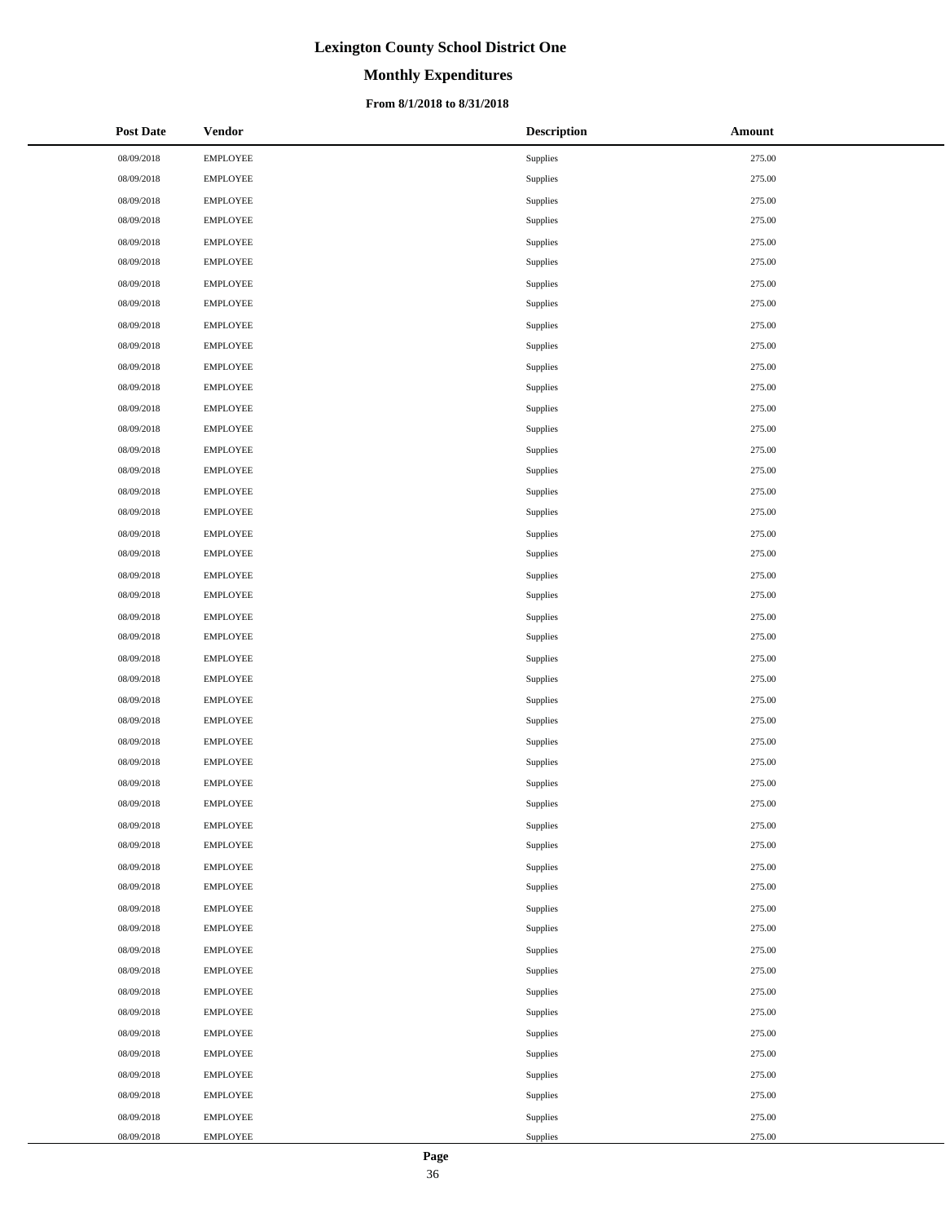# **Monthly Expenditures**

### **From 8/1/2018 to 8/31/2018**

| <b>Post Date</b> | <b>Vendor</b>   | <b>Description</b> | Amount |
|------------------|-----------------|--------------------|--------|
| 08/09/2018       | <b>EMPLOYEE</b> | Supplies           | 275.00 |
| 08/09/2018       | <b>EMPLOYEE</b> | Supplies           | 275.00 |
| 08/09/2018       | <b>EMPLOYEE</b> | Supplies           | 275.00 |
| 08/09/2018       | <b>EMPLOYEE</b> | Supplies           | 275.00 |
| 08/09/2018       | <b>EMPLOYEE</b> | Supplies           | 275.00 |
| 08/09/2018       | <b>EMPLOYEE</b> | Supplies           | 275.00 |
| 08/09/2018       | <b>EMPLOYEE</b> | Supplies           | 275.00 |
| 08/09/2018       | <b>EMPLOYEE</b> | Supplies           | 275.00 |
| 08/09/2018       | <b>EMPLOYEE</b> | Supplies           | 275.00 |
| 08/09/2018       | <b>EMPLOYEE</b> | Supplies           | 275.00 |
| 08/09/2018       | <b>EMPLOYEE</b> | Supplies           | 275.00 |
| 08/09/2018       | <b>EMPLOYEE</b> | Supplies           | 275.00 |
| 08/09/2018       | <b>EMPLOYEE</b> | Supplies           | 275.00 |
| 08/09/2018       | <b>EMPLOYEE</b> | Supplies           | 275.00 |
| 08/09/2018       | <b>EMPLOYEE</b> | Supplies           | 275.00 |
| 08/09/2018       | <b>EMPLOYEE</b> | Supplies           | 275.00 |
| 08/09/2018       | <b>EMPLOYEE</b> | Supplies           | 275.00 |
| 08/09/2018       | <b>EMPLOYEE</b> | Supplies           | 275.00 |
| 08/09/2018       | <b>EMPLOYEE</b> | Supplies           | 275.00 |
| 08/09/2018       | <b>EMPLOYEE</b> | Supplies           | 275.00 |
| 08/09/2018       | <b>EMPLOYEE</b> | Supplies           | 275.00 |
| 08/09/2018       | <b>EMPLOYEE</b> | Supplies           | 275.00 |
| 08/09/2018       | <b>EMPLOYEE</b> | Supplies           | 275.00 |
| 08/09/2018       | <b>EMPLOYEE</b> | Supplies           | 275.00 |
| 08/09/2018       | <b>EMPLOYEE</b> | Supplies           | 275.00 |
| 08/09/2018       | <b>EMPLOYEE</b> | Supplies           | 275.00 |
| 08/09/2018       | <b>EMPLOYEE</b> | Supplies           | 275.00 |
| 08/09/2018       | <b>EMPLOYEE</b> | Supplies           | 275.00 |
| 08/09/2018       | <b>EMPLOYEE</b> | Supplies           | 275.00 |
| 08/09/2018       | <b>EMPLOYEE</b> | Supplies           | 275.00 |
| 08/09/2018       | <b>EMPLOYEE</b> | Supplies           | 275.00 |
| 08/09/2018       | <b>EMPLOYEE</b> | Supplies           | 275.00 |
| 08/09/2018       | <b>EMPLOYEE</b> | Supplies           | 275.00 |
| 08/09/2018       | <b>EMPLOYEE</b> | Supplies           | 275.00 |
| 08/09/2018       | <b>EMPLOYEE</b> | Supplies           | 275.00 |
| 08/09/2018       | <b>EMPLOYEE</b> | Supplies           | 275.00 |
| 08/09/2018       | <b>EMPLOYEE</b> | Supplies           | 275.00 |
| 08/09/2018       | <b>EMPLOYEE</b> | Supplies           | 275.00 |
| 08/09/2018       | <b>EMPLOYEE</b> | Supplies           | 275.00 |
| 08/09/2018       | <b>EMPLOYEE</b> | Supplies           | 275.00 |
| 08/09/2018       | <b>EMPLOYEE</b> | Supplies           | 275.00 |
| 08/09/2018       | <b>EMPLOYEE</b> | Supplies           | 275.00 |
| 08/09/2018       | <b>EMPLOYEE</b> | Supplies           | 275.00 |
| 08/09/2018       | <b>EMPLOYEE</b> | Supplies           | 275.00 |
| 08/09/2018       | <b>EMPLOYEE</b> | Supplies           | 275.00 |
| 08/09/2018       | <b>EMPLOYEE</b> | Supplies           | 275.00 |
| 08/09/2018       | <b>EMPLOYEE</b> | Supplies           | 275.00 |
| 08/09/2018       | <b>EMPLOYEE</b> | Supplies           | 275.00 |

 $\overline{a}$  $\overline{\phantom{0}}$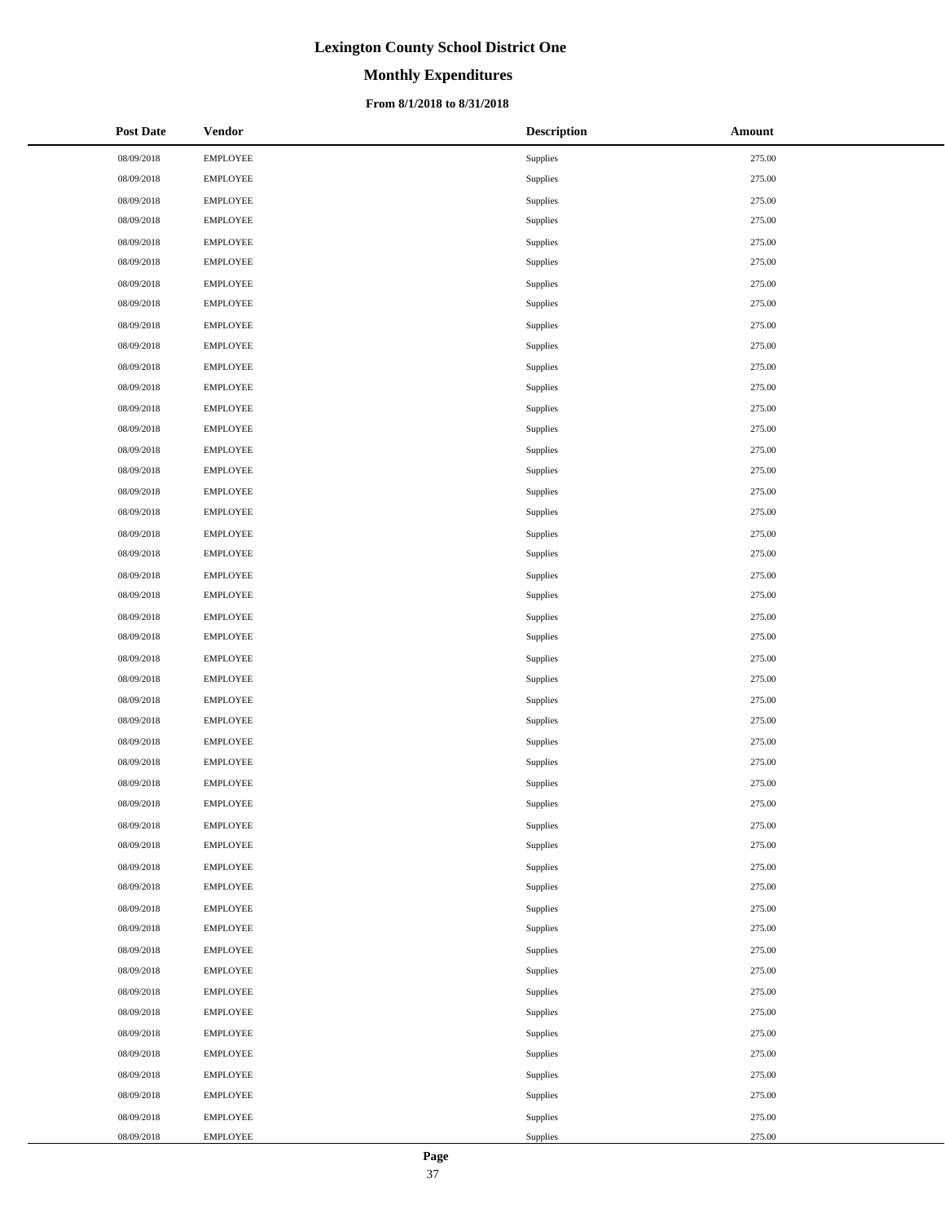# **Monthly Expenditures**

### **From 8/1/2018 to 8/31/2018**

| <b>Post Date</b> | <b>Vendor</b>   | <b>Description</b> | Amount |
|------------------|-----------------|--------------------|--------|
| 08/09/2018       | <b>EMPLOYEE</b> | Supplies           | 275.00 |
| 08/09/2018       | <b>EMPLOYEE</b> | Supplies           | 275.00 |
| 08/09/2018       | <b>EMPLOYEE</b> | Supplies           | 275.00 |
| 08/09/2018       | <b>EMPLOYEE</b> | Supplies           | 275.00 |
| 08/09/2018       | <b>EMPLOYEE</b> | Supplies           | 275.00 |
| 08/09/2018       | <b>EMPLOYEE</b> | Supplies           | 275.00 |
| 08/09/2018       | <b>EMPLOYEE</b> | Supplies           | 275.00 |
| 08/09/2018       | <b>EMPLOYEE</b> | Supplies           | 275.00 |
| 08/09/2018       | <b>EMPLOYEE</b> | Supplies           | 275.00 |
| 08/09/2018       | <b>EMPLOYEE</b> | Supplies           | 275.00 |
| 08/09/2018       | <b>EMPLOYEE</b> | Supplies           | 275.00 |
| 08/09/2018       | <b>EMPLOYEE</b> | Supplies           | 275.00 |
| 08/09/2018       | <b>EMPLOYEE</b> | Supplies           | 275.00 |
| 08/09/2018       | <b>EMPLOYEE</b> | Supplies           | 275.00 |
| 08/09/2018       | <b>EMPLOYEE</b> | Supplies           | 275.00 |
| 08/09/2018       | <b>EMPLOYEE</b> | Supplies           | 275.00 |
| 08/09/2018       | <b>EMPLOYEE</b> | Supplies           | 275.00 |
| 08/09/2018       | <b>EMPLOYEE</b> | Supplies           | 275.00 |
| 08/09/2018       | <b>EMPLOYEE</b> | Supplies           | 275.00 |
| 08/09/2018       | <b>EMPLOYEE</b> | Supplies           | 275.00 |
| 08/09/2018       | <b>EMPLOYEE</b> | Supplies           | 275.00 |
| 08/09/2018       | <b>EMPLOYEE</b> | Supplies           | 275.00 |
| 08/09/2018       | <b>EMPLOYEE</b> | Supplies           | 275.00 |
| 08/09/2018       | <b>EMPLOYEE</b> | Supplies           | 275.00 |
| 08/09/2018       | <b>EMPLOYEE</b> | Supplies           | 275.00 |
| 08/09/2018       | <b>EMPLOYEE</b> | Supplies           | 275.00 |
| 08/09/2018       | <b>EMPLOYEE</b> | Supplies           | 275.00 |
| 08/09/2018       | <b>EMPLOYEE</b> | Supplies           | 275.00 |
| 08/09/2018       | <b>EMPLOYEE</b> | Supplies           | 275.00 |
| 08/09/2018       | <b>EMPLOYEE</b> | Supplies           | 275.00 |
| 08/09/2018       | <b>EMPLOYEE</b> | Supplies           | 275.00 |
| 08/09/2018       | <b>EMPLOYEE</b> | Supplies           | 275.00 |
| 08/09/2018       | <b>EMPLOYEE</b> | Supplies           | 275.00 |
| 08/09/2018       | <b>EMPLOYEE</b> | Supplies           | 275.00 |
| 08/09/2018       | <b>EMPLOYEE</b> | Supplies           | 275.00 |
| 08/09/2018       | <b>EMPLOYEE</b> | Supplies           | 275.00 |
| 08/09/2018       | <b>EMPLOYEE</b> | Supplies           | 275.00 |
| 08/09/2018       | <b>EMPLOYEE</b> | Supplies           | 275.00 |
| 08/09/2018       | <b>EMPLOYEE</b> | Supplies           | 275.00 |
| 08/09/2018       | <b>EMPLOYEE</b> | Supplies           | 275.00 |
| 08/09/2018       | <b>EMPLOYEE</b> | Supplies           | 275.00 |
| 08/09/2018       | <b>EMPLOYEE</b> | Supplies           | 275.00 |
| 08/09/2018       | <b>EMPLOYEE</b> | Supplies           | 275.00 |
| 08/09/2018       | <b>EMPLOYEE</b> | Supplies           | 275.00 |
| 08/09/2018       | <b>EMPLOYEE</b> | Supplies           | 275.00 |
| 08/09/2018       | <b>EMPLOYEE</b> | Supplies           | 275.00 |
| 08/09/2018       | <b>EMPLOYEE</b> | Supplies           | 275.00 |
| 08/09/2018       | <b>EMPLOYEE</b> | Supplies           | 275.00 |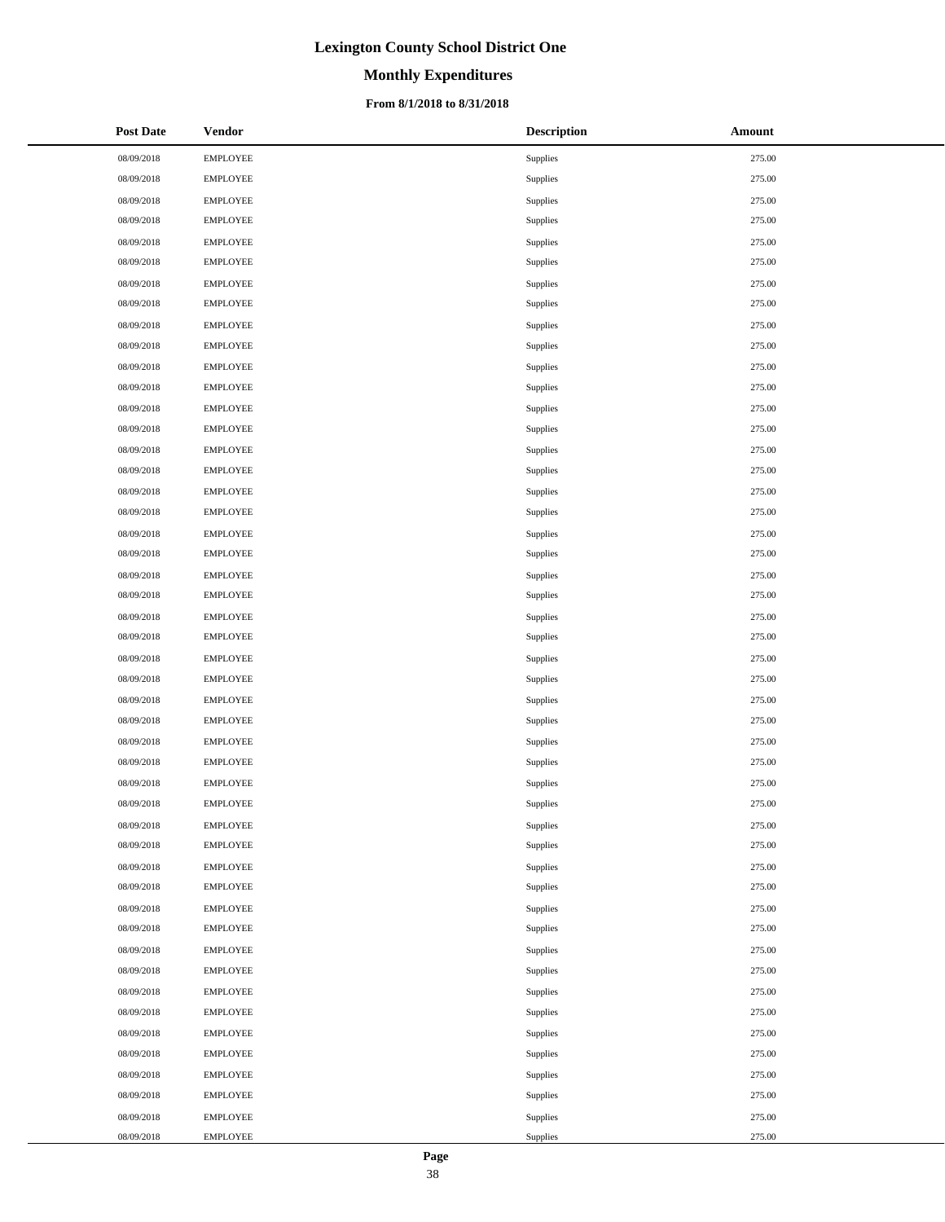# **Monthly Expenditures**

### **From 8/1/2018 to 8/31/2018**

| <b>Post Date</b> | Vendor          | <b>Description</b> | Amount |
|------------------|-----------------|--------------------|--------|
| 08/09/2018       | <b>EMPLOYEE</b> | Supplies           | 275.00 |
| 08/09/2018       | <b>EMPLOYEE</b> | Supplies           | 275.00 |
| 08/09/2018       | <b>EMPLOYEE</b> | Supplies           | 275.00 |
| 08/09/2018       | <b>EMPLOYEE</b> | Supplies           | 275.00 |
| 08/09/2018       | <b>EMPLOYEE</b> | Supplies           | 275.00 |
| 08/09/2018       | <b>EMPLOYEE</b> | Supplies           | 275.00 |
| 08/09/2018       | <b>EMPLOYEE</b> | Supplies           | 275.00 |
| 08/09/2018       | EMPLOYEE        | Supplies           | 275.00 |
| 08/09/2018       | <b>EMPLOYEE</b> | Supplies           | 275.00 |
| 08/09/2018       | <b>EMPLOYEE</b> | Supplies           | 275.00 |
| 08/09/2018       | <b>EMPLOYEE</b> | Supplies           | 275.00 |
| 08/09/2018       | EMPLOYEE        | Supplies           | 275.00 |
| 08/09/2018       | <b>EMPLOYEE</b> | Supplies           | 275.00 |
| 08/09/2018       | <b>EMPLOYEE</b> | Supplies           | 275.00 |
| 08/09/2018       | <b>EMPLOYEE</b> | Supplies           | 275.00 |
| 08/09/2018       | <b>EMPLOYEE</b> | Supplies           | 275.00 |
| 08/09/2018       | <b>EMPLOYEE</b> | Supplies           | 275.00 |
| 08/09/2018       | <b>EMPLOYEE</b> | Supplies           | 275.00 |
| 08/09/2018       | <b>EMPLOYEE</b> | Supplies           | 275.00 |
| 08/09/2018       | EMPLOYEE        | Supplies           | 275.00 |
| 08/09/2018       | <b>EMPLOYEE</b> | Supplies           | 275.00 |
| 08/09/2018       | <b>EMPLOYEE</b> | Supplies           | 275.00 |
| 08/09/2018       | <b>EMPLOYEE</b> | Supplies           | 275.00 |
| 08/09/2018       | <b>EMPLOYEE</b> | Supplies           | 275.00 |
| 08/09/2018       | <b>EMPLOYEE</b> | Supplies           | 275.00 |
| 08/09/2018       | <b>EMPLOYEE</b> | Supplies           | 275.00 |
| 08/09/2018       | <b>EMPLOYEE</b> | Supplies           | 275.00 |
| 08/09/2018       | EMPLOYEE        | Supplies           | 275.00 |
| 08/09/2018       | <b>EMPLOYEE</b> | Supplies           | 275.00 |
| 08/09/2018       | <b>EMPLOYEE</b> | Supplies           | 275.00 |
| 08/09/2018       | <b>EMPLOYEE</b> | Supplies           | 275.00 |
| 08/09/2018       | <b>EMPLOYEE</b> | Supplies           | 275.00 |
| 08/09/2018       | <b>EMPLOYEE</b> | Supplies           | 275.00 |
| 08/09/2018       | <b>EMPLOYEE</b> | Supplies           | 275.00 |
| 08/09/2018       | <b>EMPLOYEE</b> | Supplies           | 275.00 |
| 08/09/2018       | EMPLOYEE        | Supplies           | 275.00 |
| 08/09/2018       | <b>EMPLOYEE</b> | Supplies           | 275.00 |
| 08/09/2018       | <b>EMPLOYEE</b> | Supplies           | 275.00 |
| 08/09/2018       | <b>EMPLOYEE</b> | Supplies           | 275.00 |
| 08/09/2018       | EMPLOYEE        | Supplies           | 275.00 |
| 08/09/2018       | <b>EMPLOYEE</b> | Supplies           | 275.00 |
| 08/09/2018       | <b>EMPLOYEE</b> | Supplies           | 275.00 |
| 08/09/2018       | <b>EMPLOYEE</b> | Supplies           | 275.00 |
| 08/09/2018       | EMPLOYEE        | Supplies           | 275.00 |
| 08/09/2018       | <b>EMPLOYEE</b> | Supplies           | 275.00 |
| 08/09/2018       | <b>EMPLOYEE</b> | Supplies           | 275.00 |
| 08/09/2018       | <b>EMPLOYEE</b> | Supplies           | 275.00 |
| 08/09/2018       | <b>EMPLOYEE</b> | Supplies           | 275.00 |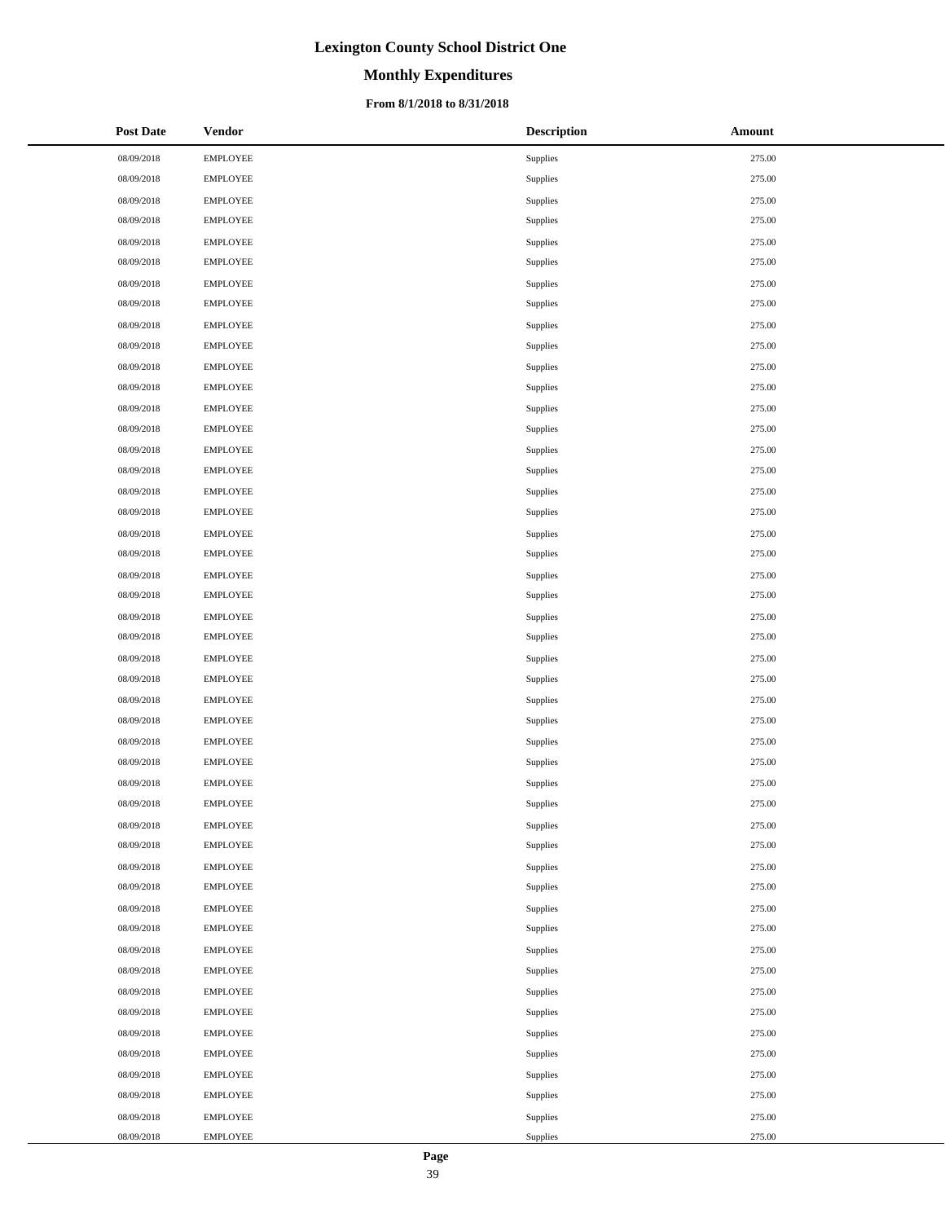# **Monthly Expenditures**

### **From 8/1/2018 to 8/31/2018**

| <b>Post Date</b> | <b>Vendor</b>   | <b>Description</b> | Amount |
|------------------|-----------------|--------------------|--------|
| 08/09/2018       | <b>EMPLOYEE</b> | Supplies           | 275.00 |
| 08/09/2018       | <b>EMPLOYEE</b> | Supplies           | 275.00 |
| 08/09/2018       | <b>EMPLOYEE</b> | Supplies           | 275.00 |
| 08/09/2018       | <b>EMPLOYEE</b> | Supplies           | 275.00 |
| 08/09/2018       | <b>EMPLOYEE</b> | Supplies           | 275.00 |
| 08/09/2018       | <b>EMPLOYEE</b> | Supplies           | 275.00 |
| 08/09/2018       | <b>EMPLOYEE</b> | Supplies           | 275.00 |
| 08/09/2018       | <b>EMPLOYEE</b> | Supplies           | 275.00 |
| 08/09/2018       | <b>EMPLOYEE</b> | Supplies           | 275.00 |
| 08/09/2018       | <b>EMPLOYEE</b> | Supplies           | 275.00 |
| 08/09/2018       | <b>EMPLOYEE</b> | Supplies           | 275.00 |
| 08/09/2018       | <b>EMPLOYEE</b> | Supplies           | 275.00 |
| 08/09/2018       | <b>EMPLOYEE</b> | Supplies           | 275.00 |
| 08/09/2018       | <b>EMPLOYEE</b> | Supplies           | 275.00 |
| 08/09/2018       | <b>EMPLOYEE</b> | Supplies           | 275.00 |
| 08/09/2018       | <b>EMPLOYEE</b> | Supplies           | 275.00 |
| 08/09/2018       | <b>EMPLOYEE</b> | Supplies           | 275.00 |
| 08/09/2018       | EMPLOYEE        | Supplies           | 275.00 |
| 08/09/2018       | <b>EMPLOYEE</b> | Supplies           | 275.00 |
| 08/09/2018       | <b>EMPLOYEE</b> | Supplies           | 275.00 |
| 08/09/2018       | <b>EMPLOYEE</b> | Supplies           | 275.00 |
| 08/09/2018       | <b>EMPLOYEE</b> | Supplies           | 275.00 |
| 08/09/2018       | <b>EMPLOYEE</b> | Supplies           | 275.00 |
| 08/09/2018       | <b>EMPLOYEE</b> | Supplies           | 275.00 |
| 08/09/2018       | <b>EMPLOYEE</b> | Supplies           | 275.00 |
| 08/09/2018       | <b>EMPLOYEE</b> | Supplies           | 275.00 |
| 08/09/2018       | <b>EMPLOYEE</b> | Supplies           | 275.00 |
| 08/09/2018       | <b>EMPLOYEE</b> | Supplies           | 275.00 |
| 08/09/2018       | <b>EMPLOYEE</b> | Supplies           | 275.00 |
| 08/09/2018       | <b>EMPLOYEE</b> | Supplies           | 275.00 |
| 08/09/2018       | <b>EMPLOYEE</b> | Supplies           | 275.00 |
| 08/09/2018       | <b>EMPLOYEE</b> | Supplies           | 275.00 |
| 08/09/2018       | <b>EMPLOYEE</b> | Supplies           | 275.00 |
| 08/09/2018       | <b>EMPLOYEE</b> | Supplies           | 275.00 |
| 08/09/2018       | <b>EMPLOYEE</b> | Supplies           | 275.00 |
| 08/09/2018       | <b>EMPLOYEE</b> | Supplies           | 275.00 |
| 08/09/2018       | <b>EMPLOYEE</b> | Supplies           | 275.00 |
| 08/09/2018       | EMPLOYEE        | Supplies           | 275.00 |
| 08/09/2018       | <b>EMPLOYEE</b> | Supplies           | 275.00 |
| 08/09/2018       | <b>EMPLOYEE</b> | Supplies           | 275.00 |
| 08/09/2018       | <b>EMPLOYEE</b> | Supplies           | 275.00 |
| 08/09/2018       | <b>EMPLOYEE</b> | Supplies           | 275.00 |
| 08/09/2018       | <b>EMPLOYEE</b> | Supplies           | 275.00 |
| 08/09/2018       | <b>EMPLOYEE</b> | Supplies           | 275.00 |
| 08/09/2018       | <b>EMPLOYEE</b> | Supplies           | 275.00 |
| 08/09/2018       | EMPLOYEE        | Supplies           | 275.00 |
| 08/09/2018       | <b>EMPLOYEE</b> | Supplies           | 275.00 |
| 08/09/2018       | <b>EMPLOYEE</b> | Supplies           | 275.00 |

 $\overline{\phantom{a}}$  $\overline{a}$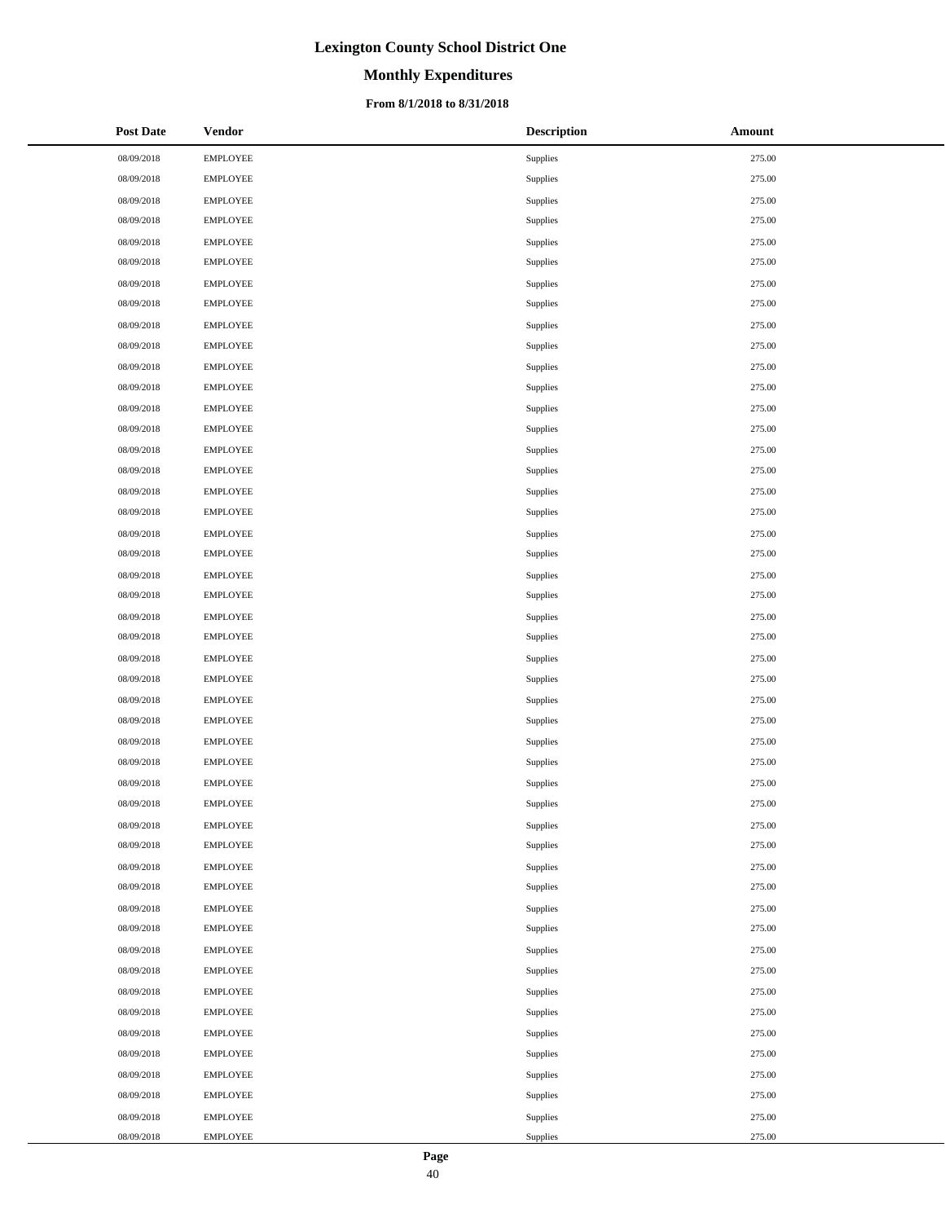# **Monthly Expenditures**

### **From 8/1/2018 to 8/31/2018**

| <b>Post Date</b> | <b>Vendor</b>   | <b>Description</b> | <b>Amount</b> |
|------------------|-----------------|--------------------|---------------|
| 08/09/2018       | <b>EMPLOYEE</b> | Supplies           | 275.00        |
| 08/09/2018       | <b>EMPLOYEE</b> | Supplies           | 275.00        |
| 08/09/2018       | EMPLOYEE        | Supplies           | 275.00        |
| 08/09/2018       | <b>EMPLOYEE</b> | Supplies           | 275.00        |
| 08/09/2018       | <b>EMPLOYEE</b> | Supplies           | 275.00        |
| 08/09/2018       | <b>EMPLOYEE</b> | Supplies           | 275.00        |
| 08/09/2018       | <b>EMPLOYEE</b> | Supplies           | 275.00        |
| 08/09/2018       | <b>EMPLOYEE</b> | Supplies           | 275.00        |
| 08/09/2018       | <b>EMPLOYEE</b> | Supplies           | 275.00        |
| 08/09/2018       | <b>EMPLOYEE</b> | Supplies           | 275.00        |
| 08/09/2018       | EMPLOYEE        | Supplies           | 275.00        |
| 08/09/2018       | <b>EMPLOYEE</b> | Supplies           | 275.00        |
| 08/09/2018       | <b>EMPLOYEE</b> | Supplies           | 275.00        |
| 08/09/2018       | <b>EMPLOYEE</b> | Supplies           | 275.00        |
| 08/09/2018       | <b>EMPLOYEE</b> | Supplies           | 275.00        |
| 08/09/2018       | <b>EMPLOYEE</b> | Supplies           | 275.00        |
| 08/09/2018       | <b>EMPLOYEE</b> | Supplies           | 275.00        |
| 08/09/2018       | <b>EMPLOYEE</b> | Supplies           | 275.00        |
| 08/09/2018       | EMPLOYEE        | Supplies           | 275.00        |
| 08/09/2018       | <b>EMPLOYEE</b> | Supplies           | 275.00        |
| 08/09/2018       | <b>EMPLOYEE</b> | Supplies           | 275.00        |
| 08/09/2018       | <b>EMPLOYEE</b> | Supplies           | 275.00        |
| 08/09/2018       | <b>EMPLOYEE</b> | Supplies           | 275.00        |
| 08/09/2018       | <b>EMPLOYEE</b> | Supplies           | 275.00        |
| 08/09/2018       | <b>EMPLOYEE</b> | Supplies           | 275.00        |
| 08/09/2018       | <b>EMPLOYEE</b> | Supplies           | 275.00        |
| 08/09/2018       | EMPLOYEE        | Supplies           | 275.00        |
| 08/09/2018       | <b>EMPLOYEE</b> | Supplies           | 275.00        |
| 08/09/2018       | <b>EMPLOYEE</b> | Supplies           | 275.00        |
| 08/09/2018       | <b>EMPLOYEE</b> | Supplies           | 275.00        |
| 08/09/2018       | <b>EMPLOYEE</b> | Supplies           | 275.00        |
| 08/09/2018       | <b>EMPLOYEE</b> | Supplies           | 275.00        |
| 08/09/2018       | <b>EMPLOYEE</b> | Supplies           | 275.00        |
| 08/09/2018       | <b>EMPLOYEE</b> | Supplies           | 275.00        |
| 08/09/2018       | <b>EMPLOYEE</b> | Supplies           | 275.00        |
| 08/09/2018       | <b>EMPLOYEE</b> | Supplies           | 275.00        |
| 08/09/2018       | <b>EMPLOYEE</b> | Supplies           | 275.00        |
| 08/09/2018       | <b>EMPLOYEE</b> | Supplies           | 275.00        |
| 08/09/2018       | <b>EMPLOYEE</b> | Supplies           | 275.00        |
| 08/09/2018       | <b>EMPLOYEE</b> | Supplies           | 275.00        |
| 08/09/2018       | <b>EMPLOYEE</b> | Supplies           | 275.00        |
| 08/09/2018       | <b>EMPLOYEE</b> | Supplies           | 275.00        |
| 08/09/2018       | EMPLOYEE        | Supplies           | 275.00        |
| 08/09/2018       | <b>EMPLOYEE</b> | Supplies           | 275.00        |
| 08/09/2018       | <b>EMPLOYEE</b> | Supplies           | 275.00        |
| 08/09/2018       | <b>EMPLOYEE</b> | Supplies           | 275.00        |
| 08/09/2018       | <b>EMPLOYEE</b> | Supplies           | 275.00        |
| 08/09/2018       | <b>EMPLOYEE</b> | Supplies           | 275.00        |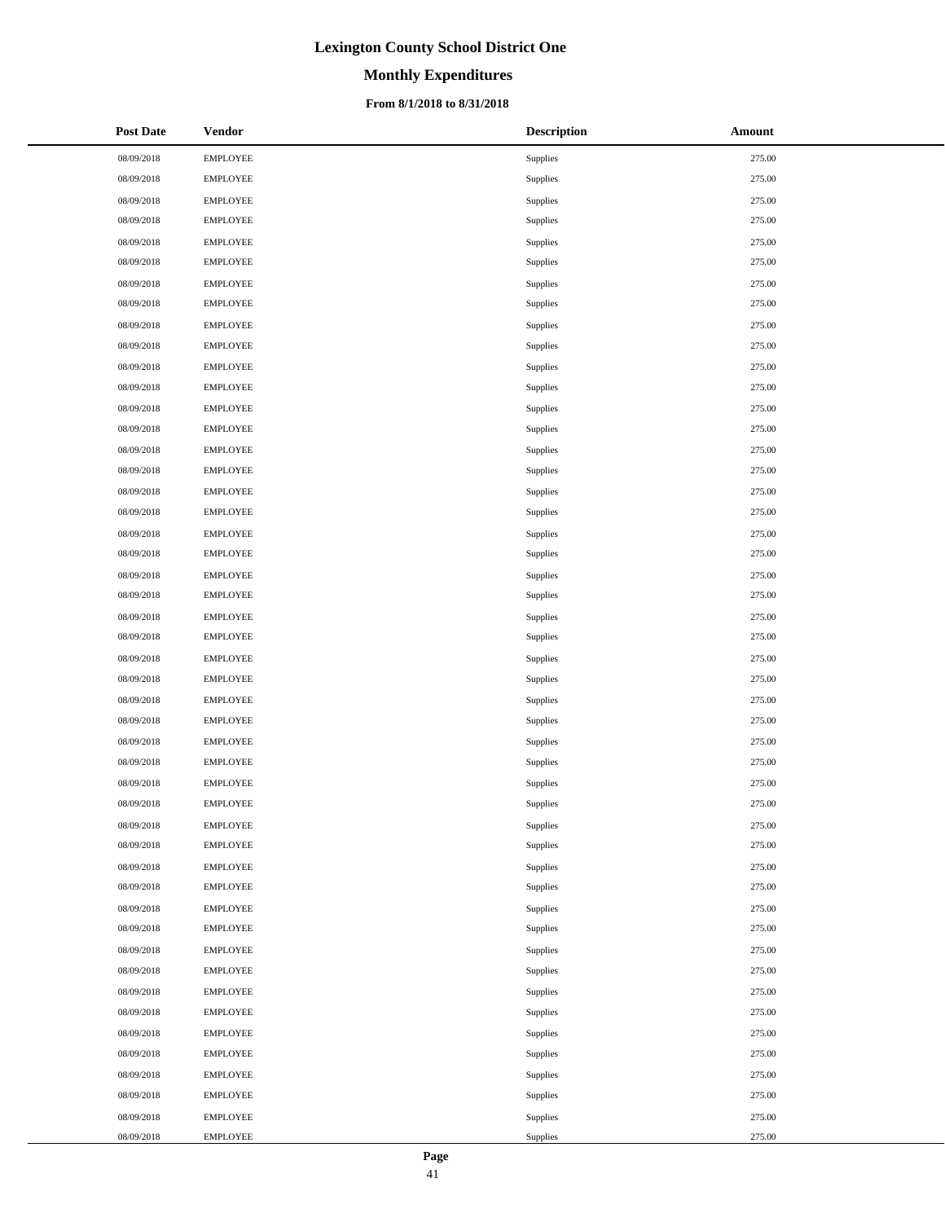# **Monthly Expenditures**

### **From 8/1/2018 to 8/31/2018**

| <b>Post Date</b> | <b>Vendor</b>   | <b>Description</b> | <b>Amount</b> |
|------------------|-----------------|--------------------|---------------|
| 08/09/2018       | <b>EMPLOYEE</b> | Supplies           | 275.00        |
| 08/09/2018       | <b>EMPLOYEE</b> | Supplies           | 275.00        |
| 08/09/2018       | EMPLOYEE        | Supplies           | 275.00        |
| 08/09/2018       | <b>EMPLOYEE</b> | Supplies           | 275.00        |
| 08/09/2018       | <b>EMPLOYEE</b> | Supplies           | 275.00        |
| 08/09/2018       | <b>EMPLOYEE</b> | Supplies           | 275.00        |
| 08/09/2018       | <b>EMPLOYEE</b> | Supplies           | 275.00        |
| 08/09/2018       | <b>EMPLOYEE</b> | Supplies           | 275.00        |
| 08/09/2018       | <b>EMPLOYEE</b> | Supplies           | 275.00        |
| 08/09/2018       | <b>EMPLOYEE</b> | Supplies           | 275.00        |
| 08/09/2018       | EMPLOYEE        | Supplies           | 275.00        |
| 08/09/2018       | <b>EMPLOYEE</b> | Supplies           | 275.00        |
| 08/09/2018       | <b>EMPLOYEE</b> | Supplies           | 275.00        |
| 08/09/2018       | <b>EMPLOYEE</b> | Supplies           | 275.00        |
| 08/09/2018       | <b>EMPLOYEE</b> | Supplies           | 275.00        |
| 08/09/2018       | <b>EMPLOYEE</b> | Supplies           | 275.00        |
| 08/09/2018       | <b>EMPLOYEE</b> | Supplies           | 275.00        |
| 08/09/2018       | <b>EMPLOYEE</b> | Supplies           | 275.00        |
| 08/09/2018       | EMPLOYEE        | Supplies           | 275.00        |
| 08/09/2018       | <b>EMPLOYEE</b> | Supplies           | 275.00        |
| 08/09/2018       | <b>EMPLOYEE</b> | Supplies           | 275.00        |
| 08/09/2018       | <b>EMPLOYEE</b> | Supplies           | 275.00        |
| 08/09/2018       | <b>EMPLOYEE</b> | Supplies           | 275.00        |
| 08/09/2018       | <b>EMPLOYEE</b> | Supplies           | 275.00        |
| 08/09/2018       | <b>EMPLOYEE</b> | Supplies           | 275.00        |
| 08/09/2018       | <b>EMPLOYEE</b> | Supplies           | 275.00        |
| 08/09/2018       | EMPLOYEE        | Supplies           | 275.00        |
| 08/09/2018       | <b>EMPLOYEE</b> | Supplies           | 275.00        |
| 08/09/2018       | <b>EMPLOYEE</b> | Supplies           | 275.00        |
| 08/09/2018       | <b>EMPLOYEE</b> | Supplies           | 275.00        |
| 08/09/2018       | <b>EMPLOYEE</b> | Supplies           | 275.00        |
| 08/09/2018       | <b>EMPLOYEE</b> | Supplies           | 275.00        |
| 08/09/2018       | <b>EMPLOYEE</b> | Supplies           | 275.00        |
| 08/09/2018       | <b>EMPLOYEE</b> | Supplies           | 275.00        |
| 08/09/2018       | <b>EMPLOYEE</b> | Supplies           | 275.00        |
| 08/09/2018       | <b>EMPLOYEE</b> | Supplies           | 275.00        |
| 08/09/2018       | <b>EMPLOYEE</b> | Supplies           | 275.00        |
| 08/09/2018       | <b>EMPLOYEE</b> | Supplies           | 275.00        |
| 08/09/2018       | <b>EMPLOYEE</b> | Supplies           | 275.00        |
| 08/09/2018       | <b>EMPLOYEE</b> | Supplies           | 275.00        |
| 08/09/2018       | <b>EMPLOYEE</b> | Supplies           | 275.00        |
| 08/09/2018       | <b>EMPLOYEE</b> | Supplies           | 275.00        |
| 08/09/2018       | EMPLOYEE        | Supplies           | 275.00        |
| 08/09/2018       | <b>EMPLOYEE</b> | Supplies           | 275.00        |
| 08/09/2018       | <b>EMPLOYEE</b> | Supplies           | 275.00        |
| 08/09/2018       | <b>EMPLOYEE</b> | Supplies           | 275.00        |
| 08/09/2018       | <b>EMPLOYEE</b> | Supplies           | 275.00        |
| 08/09/2018       | <b>EMPLOYEE</b> | Supplies           | 275.00        |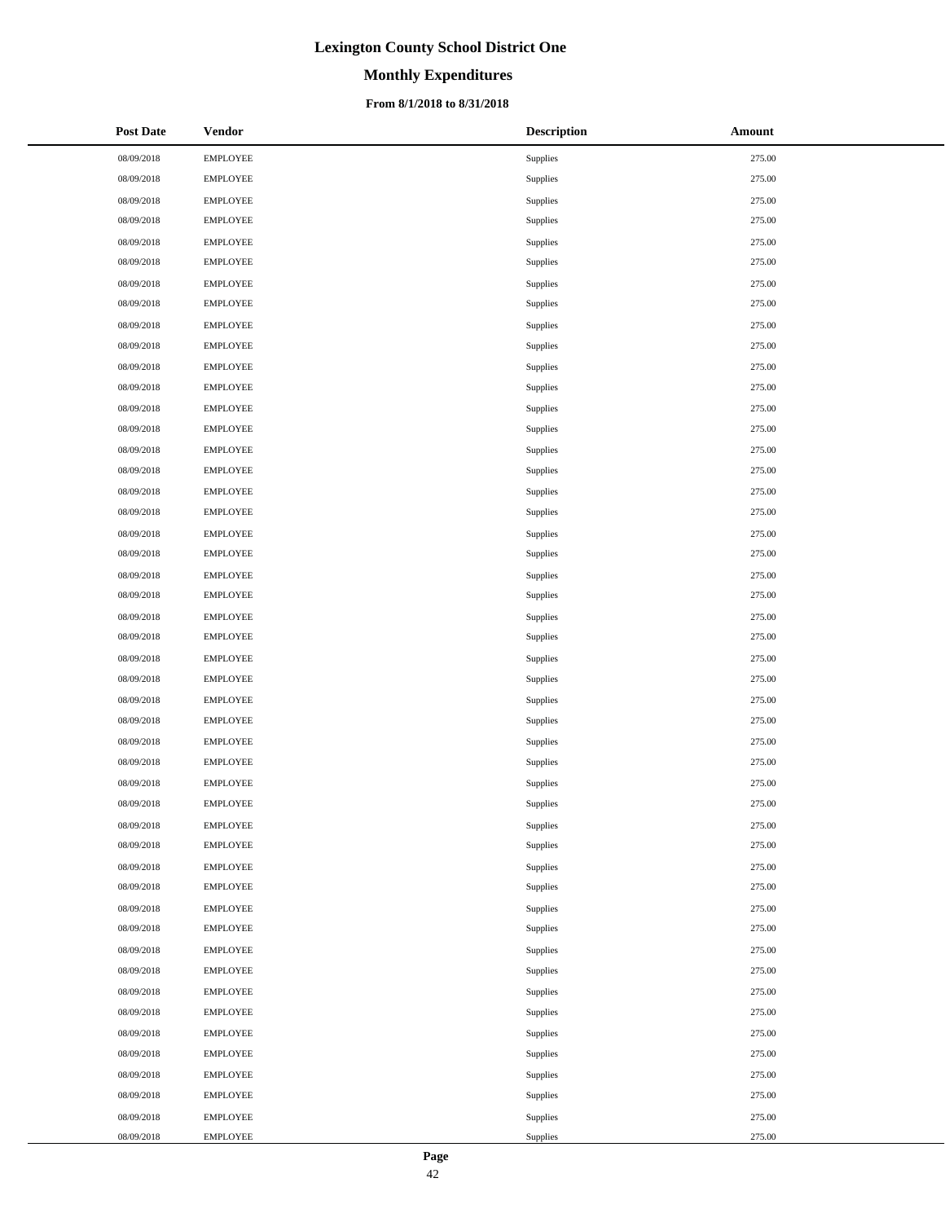# **Monthly Expenditures**

### **From 8/1/2018 to 8/31/2018**

| <b>Post Date</b> | <b>Vendor</b>   | <b>Description</b> | Amount |
|------------------|-----------------|--------------------|--------|
| 08/09/2018       | <b>EMPLOYEE</b> | Supplies           | 275.00 |
| 08/09/2018       | <b>EMPLOYEE</b> | Supplies           | 275.00 |
| 08/09/2018       | <b>EMPLOYEE</b> | Supplies           | 275.00 |
| 08/09/2018       | <b>EMPLOYEE</b> | Supplies           | 275.00 |
| 08/09/2018       | <b>EMPLOYEE</b> | Supplies           | 275.00 |
| 08/09/2018       | <b>EMPLOYEE</b> | Supplies           | 275.00 |
| 08/09/2018       | <b>EMPLOYEE</b> | Supplies           | 275.00 |
| 08/09/2018       | <b>EMPLOYEE</b> | Supplies           | 275.00 |
| 08/09/2018       | <b>EMPLOYEE</b> | Supplies           | 275.00 |
| 08/09/2018       | <b>EMPLOYEE</b> | Supplies           | 275.00 |
| 08/09/2018       | <b>EMPLOYEE</b> | Supplies           | 275.00 |
| 08/09/2018       | <b>EMPLOYEE</b> | Supplies           | 275.00 |
| 08/09/2018       | <b>EMPLOYEE</b> | Supplies           | 275.00 |
| 08/09/2018       | <b>EMPLOYEE</b> | Supplies           | 275.00 |
| 08/09/2018       | <b>EMPLOYEE</b> | Supplies           | 275.00 |
| 08/09/2018       | <b>EMPLOYEE</b> | Supplies           | 275.00 |
| 08/09/2018       | <b>EMPLOYEE</b> | Supplies           | 275.00 |
| 08/09/2018       | <b>EMPLOYEE</b> | Supplies           | 275.00 |
| 08/09/2018       | <b>EMPLOYEE</b> | Supplies           | 275.00 |
| 08/09/2018       | <b>EMPLOYEE</b> | Supplies           | 275.00 |
| 08/09/2018       | <b>EMPLOYEE</b> | Supplies           | 275.00 |
| 08/09/2018       | <b>EMPLOYEE</b> | Supplies           | 275.00 |
| 08/09/2018       | <b>EMPLOYEE</b> | Supplies           | 275.00 |
| 08/09/2018       | <b>EMPLOYEE</b> | Supplies           | 275.00 |
| 08/09/2018       | <b>EMPLOYEE</b> | Supplies           | 275.00 |
| 08/09/2018       | <b>EMPLOYEE</b> | Supplies           | 275.00 |
| 08/09/2018       | <b>EMPLOYEE</b> | Supplies           | 275.00 |
| 08/09/2018       | <b>EMPLOYEE</b> | Supplies           | 275.00 |
| 08/09/2018       | <b>EMPLOYEE</b> | Supplies           | 275.00 |
| 08/09/2018       | <b>EMPLOYEE</b> | Supplies           | 275.00 |
| 08/09/2018       | <b>EMPLOYEE</b> | Supplies           | 275.00 |
| 08/09/2018       | <b>EMPLOYEE</b> | Supplies           | 275.00 |
| 08/09/2018       | <b>EMPLOYEE</b> | Supplies           | 275.00 |
| 08/09/2018       | <b>EMPLOYEE</b> | Supplies           | 275.00 |
| 08/09/2018       | <b>EMPLOYEE</b> | Supplies           | 275.00 |
| 08/09/2018       | <b>EMPLOYEE</b> | Supplies           | 275.00 |
| 08/09/2018       | <b>EMPLOYEE</b> | Supplies           | 275.00 |
| 08/09/2018       | <b>EMPLOYEE</b> | Supplies           | 275.00 |
| 08/09/2018       | <b>EMPLOYEE</b> | Supplies           | 275.00 |
| 08/09/2018       | <b>EMPLOYEE</b> | Supplies           | 275.00 |
| 08/09/2018       | <b>EMPLOYEE</b> | Supplies           | 275.00 |
| 08/09/2018       | <b>EMPLOYEE</b> | Supplies           | 275.00 |
| 08/09/2018       | <b>EMPLOYEE</b> | Supplies           | 275.00 |
| 08/09/2018       | <b>EMPLOYEE</b> | Supplies           | 275.00 |
| 08/09/2018       | <b>EMPLOYEE</b> | Supplies           | 275.00 |
| 08/09/2018       | <b>EMPLOYEE</b> | Supplies           | 275.00 |
| 08/09/2018       | <b>EMPLOYEE</b> | Supplies           | 275.00 |
| 08/09/2018       | <b>EMPLOYEE</b> | Supplies           | 275.00 |

 $\overline{\phantom{a}}$  $\overline{a}$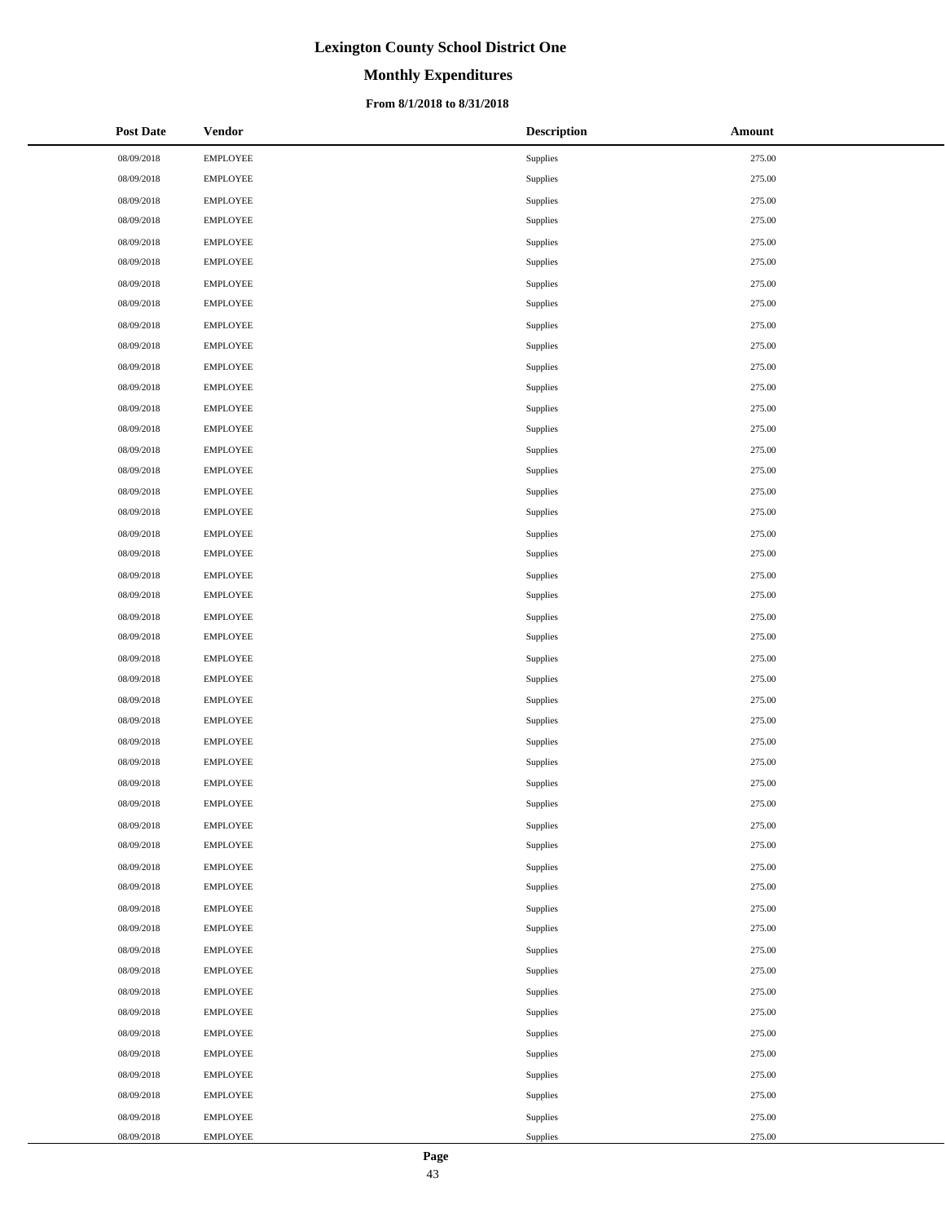# **Monthly Expenditures**

### **From 8/1/2018 to 8/31/2018**

| <b>Post Date</b> | <b>Vendor</b>   | <b>Description</b> | Amount |
|------------------|-----------------|--------------------|--------|
| 08/09/2018       | <b>EMPLOYEE</b> | Supplies           | 275.00 |
| 08/09/2018       | <b>EMPLOYEE</b> | Supplies           | 275.00 |
| 08/09/2018       | <b>EMPLOYEE</b> | Supplies           | 275.00 |
| 08/09/2018       | <b>EMPLOYEE</b> | Supplies           | 275.00 |
| 08/09/2018       | <b>EMPLOYEE</b> | Supplies           | 275.00 |
| 08/09/2018       | <b>EMPLOYEE</b> | Supplies           | 275.00 |
| 08/09/2018       | <b>EMPLOYEE</b> | Supplies           | 275.00 |
| 08/09/2018       | <b>EMPLOYEE</b> | Supplies           | 275.00 |
| 08/09/2018       | <b>EMPLOYEE</b> | Supplies           | 275.00 |
| 08/09/2018       | <b>EMPLOYEE</b> | Supplies           | 275.00 |
| 08/09/2018       | <b>EMPLOYEE</b> | Supplies           | 275.00 |
| 08/09/2018       | <b>EMPLOYEE</b> | Supplies           | 275.00 |
| 08/09/2018       | <b>EMPLOYEE</b> | Supplies           | 275.00 |
| 08/09/2018       | <b>EMPLOYEE</b> | Supplies           | 275.00 |
| 08/09/2018       | <b>EMPLOYEE</b> | Supplies           | 275.00 |
| 08/09/2018       | <b>EMPLOYEE</b> | Supplies           | 275.00 |
| 08/09/2018       | <b>EMPLOYEE</b> | Supplies           | 275.00 |
| 08/09/2018       | <b>EMPLOYEE</b> | Supplies           | 275.00 |
| 08/09/2018       | <b>EMPLOYEE</b> | Supplies           | 275.00 |
| 08/09/2018       | <b>EMPLOYEE</b> | Supplies           | 275.00 |
| 08/09/2018       | <b>EMPLOYEE</b> | Supplies           | 275.00 |
| 08/09/2018       | <b>EMPLOYEE</b> | Supplies           | 275.00 |
| 08/09/2018       | <b>EMPLOYEE</b> | Supplies           | 275.00 |
| 08/09/2018       | <b>EMPLOYEE</b> | Supplies           | 275.00 |
| 08/09/2018       | <b>EMPLOYEE</b> | Supplies           | 275.00 |
| 08/09/2018       | <b>EMPLOYEE</b> | Supplies           | 275.00 |
| 08/09/2018       | <b>EMPLOYEE</b> | Supplies           | 275.00 |
| 08/09/2018       | <b>EMPLOYEE</b> | Supplies           | 275.00 |
| 08/09/2018       | <b>EMPLOYEE</b> | Supplies           | 275.00 |
| 08/09/2018       | <b>EMPLOYEE</b> | Supplies           | 275.00 |
| 08/09/2018       | <b>EMPLOYEE</b> | Supplies           | 275.00 |
| 08/09/2018       | <b>EMPLOYEE</b> | Supplies           | 275.00 |
| 08/09/2018       | <b>EMPLOYEE</b> | Supplies           | 275.00 |
| 08/09/2018       | <b>EMPLOYEE</b> | Supplies           | 275.00 |
| 08/09/2018       | <b>EMPLOYEE</b> | Supplies           | 275.00 |
| 08/09/2018       | <b>EMPLOYEE</b> | Supplies           | 275.00 |
| 08/09/2018       | <b>EMPLOYEE</b> | Supplies           | 275.00 |
| 08/09/2018       | <b>EMPLOYEE</b> | Supplies           | 275.00 |
| 08/09/2018       | <b>EMPLOYEE</b> | Supplies           | 275.00 |
| 08/09/2018       | <b>EMPLOYEE</b> | Supplies           | 275.00 |
| 08/09/2018       | <b>EMPLOYEE</b> | Supplies           | 275.00 |
| 08/09/2018       | <b>EMPLOYEE</b> | Supplies           | 275.00 |
| 08/09/2018       | <b>EMPLOYEE</b> | Supplies           | 275.00 |
| 08/09/2018       | <b>EMPLOYEE</b> | Supplies           | 275.00 |
| 08/09/2018       | <b>EMPLOYEE</b> | Supplies           | 275.00 |
| 08/09/2018       | <b>EMPLOYEE</b> | Supplies           | 275.00 |
| 08/09/2018       | <b>EMPLOYEE</b> | Supplies           | 275.00 |
| 08/09/2018       | <b>EMPLOYEE</b> | Supplies           | 275.00 |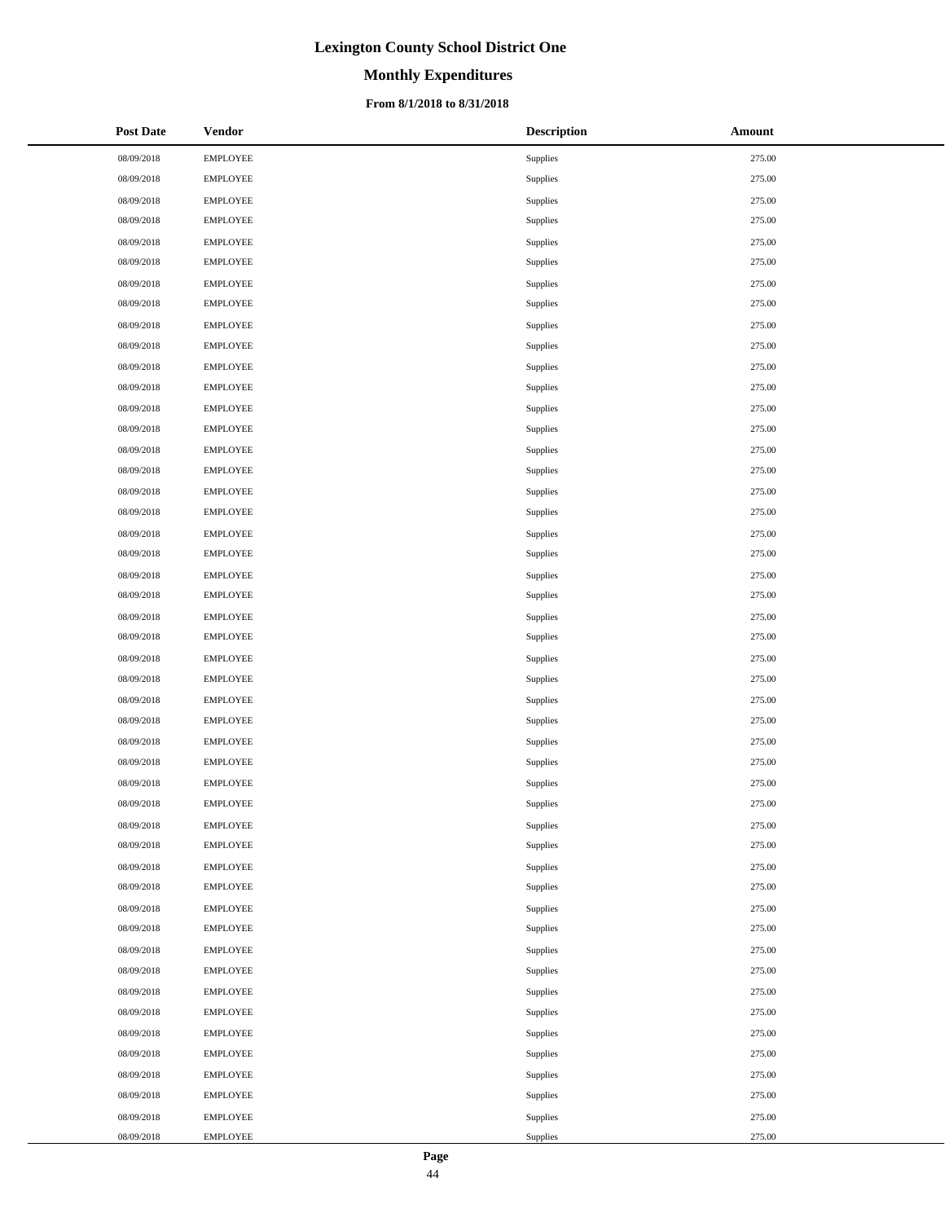# **Monthly Expenditures**

### **From 8/1/2018 to 8/31/2018**

| <b>Post Date</b> | <b>Vendor</b>   | <b>Description</b> | Amount |
|------------------|-----------------|--------------------|--------|
| 08/09/2018       | <b>EMPLOYEE</b> | Supplies           | 275.00 |
| 08/09/2018       | <b>EMPLOYEE</b> | Supplies           | 275.00 |
| 08/09/2018       | <b>EMPLOYEE</b> | Supplies           | 275.00 |
| 08/09/2018       | <b>EMPLOYEE</b> | Supplies           | 275.00 |
| 08/09/2018       | <b>EMPLOYEE</b> | Supplies           | 275.00 |
| 08/09/2018       | <b>EMPLOYEE</b> | Supplies           | 275.00 |
| 08/09/2018       | <b>EMPLOYEE</b> | Supplies           | 275.00 |
| 08/09/2018       | <b>EMPLOYEE</b> | Supplies           | 275.00 |
| 08/09/2018       | <b>EMPLOYEE</b> | Supplies           | 275.00 |
| 08/09/2018       | <b>EMPLOYEE</b> | Supplies           | 275.00 |
| 08/09/2018       | <b>EMPLOYEE</b> | Supplies           | 275.00 |
| 08/09/2018       | <b>EMPLOYEE</b> | Supplies           | 275.00 |
| 08/09/2018       | <b>EMPLOYEE</b> | Supplies           | 275.00 |
| 08/09/2018       | <b>EMPLOYEE</b> | Supplies           | 275.00 |
| 08/09/2018       | <b>EMPLOYEE</b> | Supplies           | 275.00 |
| 08/09/2018       | <b>EMPLOYEE</b> | Supplies           | 275.00 |
| 08/09/2018       | <b>EMPLOYEE</b> | Supplies           | 275.00 |
| 08/09/2018       | <b>EMPLOYEE</b> | Supplies           | 275.00 |
| 08/09/2018       | <b>EMPLOYEE</b> | Supplies           | 275.00 |
| 08/09/2018       | <b>EMPLOYEE</b> | Supplies           | 275.00 |
| 08/09/2018       | <b>EMPLOYEE</b> | Supplies           | 275.00 |
| 08/09/2018       | <b>EMPLOYEE</b> | Supplies           | 275.00 |
| 08/09/2018       | <b>EMPLOYEE</b> | Supplies           | 275.00 |
| 08/09/2018       | <b>EMPLOYEE</b> | Supplies           | 275.00 |
| 08/09/2018       | <b>EMPLOYEE</b> | Supplies           | 275.00 |
| 08/09/2018       | <b>EMPLOYEE</b> | Supplies           | 275.00 |
| 08/09/2018       | EMPLOYEE        | Supplies           | 275.00 |
| 08/09/2018       | <b>EMPLOYEE</b> | Supplies           | 275.00 |
| 08/09/2018       | <b>EMPLOYEE</b> | Supplies           | 275.00 |
| 08/09/2018       | <b>EMPLOYEE</b> | Supplies           | 275.00 |
| 08/09/2018       | <b>EMPLOYEE</b> | Supplies           | 275.00 |
| 08/09/2018       | <b>EMPLOYEE</b> | Supplies           | 275.00 |
| 08/09/2018       | <b>EMPLOYEE</b> | Supplies           | 275.00 |
| 08/09/2018       | <b>EMPLOYEE</b> | Supplies           | 275.00 |
| 08/09/2018       | <b>EMPLOYEE</b> | Supplies           | 275.00 |
| 08/09/2018       | <b>EMPLOYEE</b> | Supplies           | 275.00 |
| 08/09/2018       | <b>EMPLOYEE</b> | Supplies           | 275.00 |
| 08/09/2018       | <b>EMPLOYEE</b> | Supplies           | 275.00 |
| 08/09/2018       | <b>EMPLOYEE</b> | Supplies           | 275.00 |
| 08/09/2018       | <b>EMPLOYEE</b> | Supplies           | 275.00 |
| 08/09/2018       | <b>EMPLOYEE</b> | Supplies           | 275.00 |
| 08/09/2018       | <b>EMPLOYEE</b> | Supplies           | 275.00 |
| 08/09/2018       | <b>EMPLOYEE</b> | Supplies           | 275.00 |
| 08/09/2018       | <b>EMPLOYEE</b> | Supplies           | 275.00 |
| 08/09/2018       | <b>EMPLOYEE</b> | Supplies           | 275.00 |
| 08/09/2018       | <b>EMPLOYEE</b> | Supplies           | 275.00 |
| 08/09/2018       | <b>EMPLOYEE</b> | Supplies           | 275.00 |
| 08/09/2018       | <b>EMPLOYEE</b> | Supplies           | 275.00 |

 $\overline{\phantom{a}}$  $\overline{a}$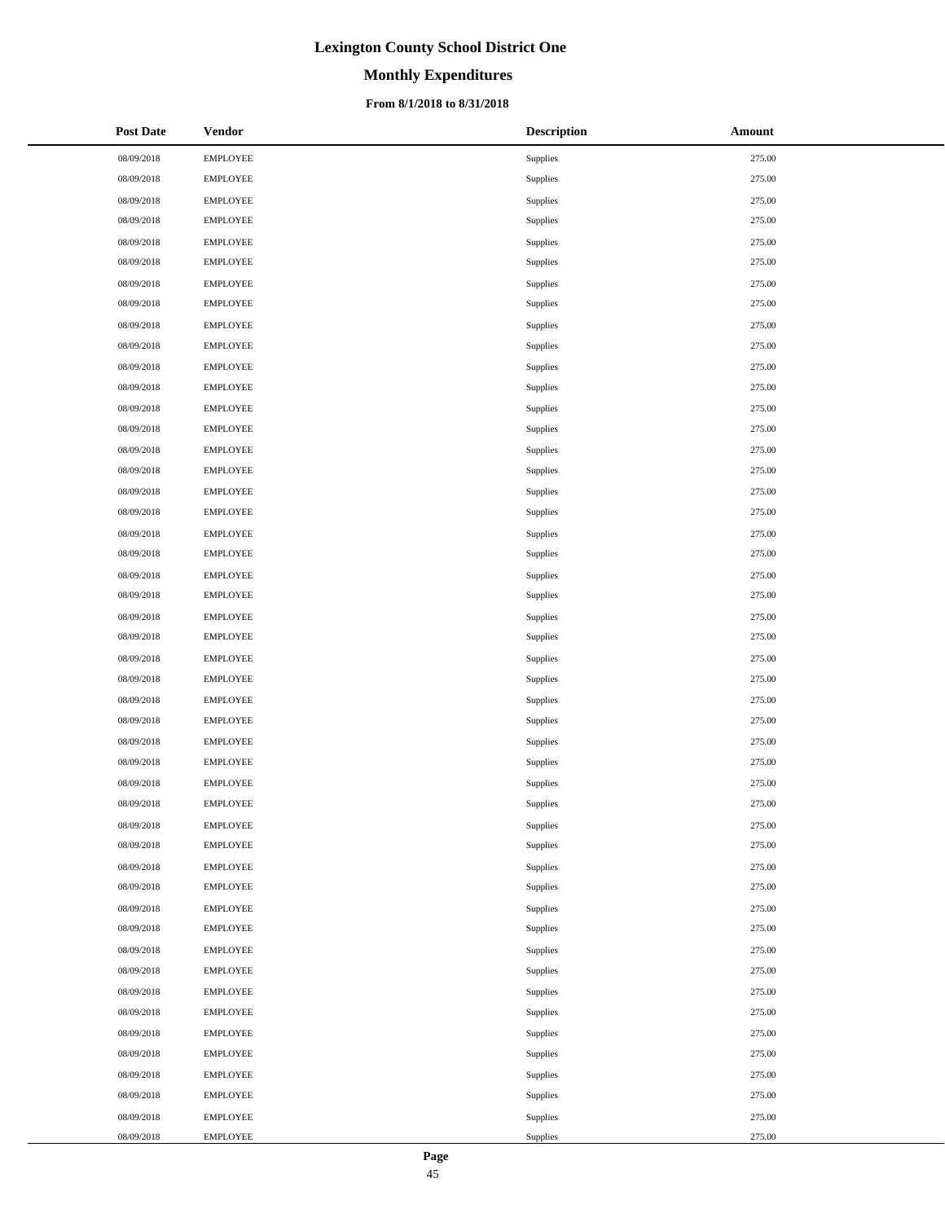# **Monthly Expenditures**

### **From 8/1/2018 to 8/31/2018**

| <b>Post Date</b> | <b>Vendor</b>   | <b>Description</b> | Amount |
|------------------|-----------------|--------------------|--------|
| 08/09/2018       | <b>EMPLOYEE</b> | Supplies           | 275.00 |
| 08/09/2018       | <b>EMPLOYEE</b> | Supplies           | 275.00 |
| 08/09/2018       | <b>EMPLOYEE</b> | Supplies           | 275.00 |
| 08/09/2018       | <b>EMPLOYEE</b> | Supplies           | 275.00 |
| 08/09/2018       | <b>EMPLOYEE</b> | Supplies           | 275.00 |
| 08/09/2018       | <b>EMPLOYEE</b> | Supplies           | 275.00 |
| 08/09/2018       | <b>EMPLOYEE</b> | Supplies           | 275.00 |
| 08/09/2018       | <b>EMPLOYEE</b> | Supplies           | 275.00 |
| 08/09/2018       | <b>EMPLOYEE</b> | Supplies           | 275.00 |
| 08/09/2018       | <b>EMPLOYEE</b> | Supplies           | 275.00 |
| 08/09/2018       | <b>EMPLOYEE</b> | Supplies           | 275.00 |
| 08/09/2018       | <b>EMPLOYEE</b> | Supplies           | 275.00 |
| 08/09/2018       | <b>EMPLOYEE</b> | Supplies           | 275.00 |
| 08/09/2018       | <b>EMPLOYEE</b> | Supplies           | 275.00 |
| 08/09/2018       | <b>EMPLOYEE</b> | Supplies           | 275.00 |
| 08/09/2018       | <b>EMPLOYEE</b> | Supplies           | 275.00 |
| 08/09/2018       | <b>EMPLOYEE</b> | Supplies           | 275.00 |
| 08/09/2018       | <b>EMPLOYEE</b> | Supplies           | 275.00 |
| 08/09/2018       | <b>EMPLOYEE</b> | Supplies           | 275.00 |
| 08/09/2018       | <b>EMPLOYEE</b> | Supplies           | 275.00 |
| 08/09/2018       | <b>EMPLOYEE</b> | Supplies           | 275.00 |
| 08/09/2018       | <b>EMPLOYEE</b> | Supplies           | 275.00 |
| 08/09/2018       | <b>EMPLOYEE</b> | Supplies           | 275.00 |
| 08/09/2018       | <b>EMPLOYEE</b> | Supplies           | 275.00 |
| 08/09/2018       | <b>EMPLOYEE</b> | Supplies           | 275.00 |
| 08/09/2018       | <b>EMPLOYEE</b> | Supplies           | 275.00 |
| 08/09/2018       | <b>EMPLOYEE</b> | Supplies           | 275.00 |
| 08/09/2018       | <b>EMPLOYEE</b> | Supplies           | 275.00 |
| 08/09/2018       | <b>EMPLOYEE</b> | Supplies           | 275.00 |
| 08/09/2018       | <b>EMPLOYEE</b> | Supplies           | 275.00 |
| 08/09/2018       | <b>EMPLOYEE</b> | Supplies           | 275.00 |
| 08/09/2018       | <b>EMPLOYEE</b> | Supplies           | 275.00 |
| 08/09/2018       | <b>EMPLOYEE</b> | Supplies           | 275.00 |
| 08/09/2018       | <b>EMPLOYEE</b> | Supplies           | 275.00 |
| 08/09/2018       | <b>EMPLOYEE</b> | Supplies           | 275.00 |
| 08/09/2018       | <b>EMPLOYEE</b> | Supplies           | 275.00 |
| 08/09/2018       | <b>EMPLOYEE</b> | Supplies           | 275.00 |
| 08/09/2018       | <b>EMPLOYEE</b> | Supplies           | 275.00 |
| 08/09/2018       | <b>EMPLOYEE</b> | Supplies           | 275.00 |
| 08/09/2018       | <b>EMPLOYEE</b> | Supplies           | 275.00 |
| 08/09/2018       | <b>EMPLOYEE</b> | Supplies           | 275.00 |
| 08/09/2018       | <b>EMPLOYEE</b> | Supplies           | 275.00 |
| 08/09/2018       | <b>EMPLOYEE</b> | Supplies           | 275.00 |
| 08/09/2018       | <b>EMPLOYEE</b> | Supplies           | 275.00 |
| 08/09/2018       | <b>EMPLOYEE</b> | Supplies           | 275.00 |
| 08/09/2018       | <b>EMPLOYEE</b> | Supplies           | 275.00 |
| 08/09/2018       | <b>EMPLOYEE</b> | Supplies           | 275.00 |
| 08/09/2018       | <b>EMPLOYEE</b> | Supplies           | 275.00 |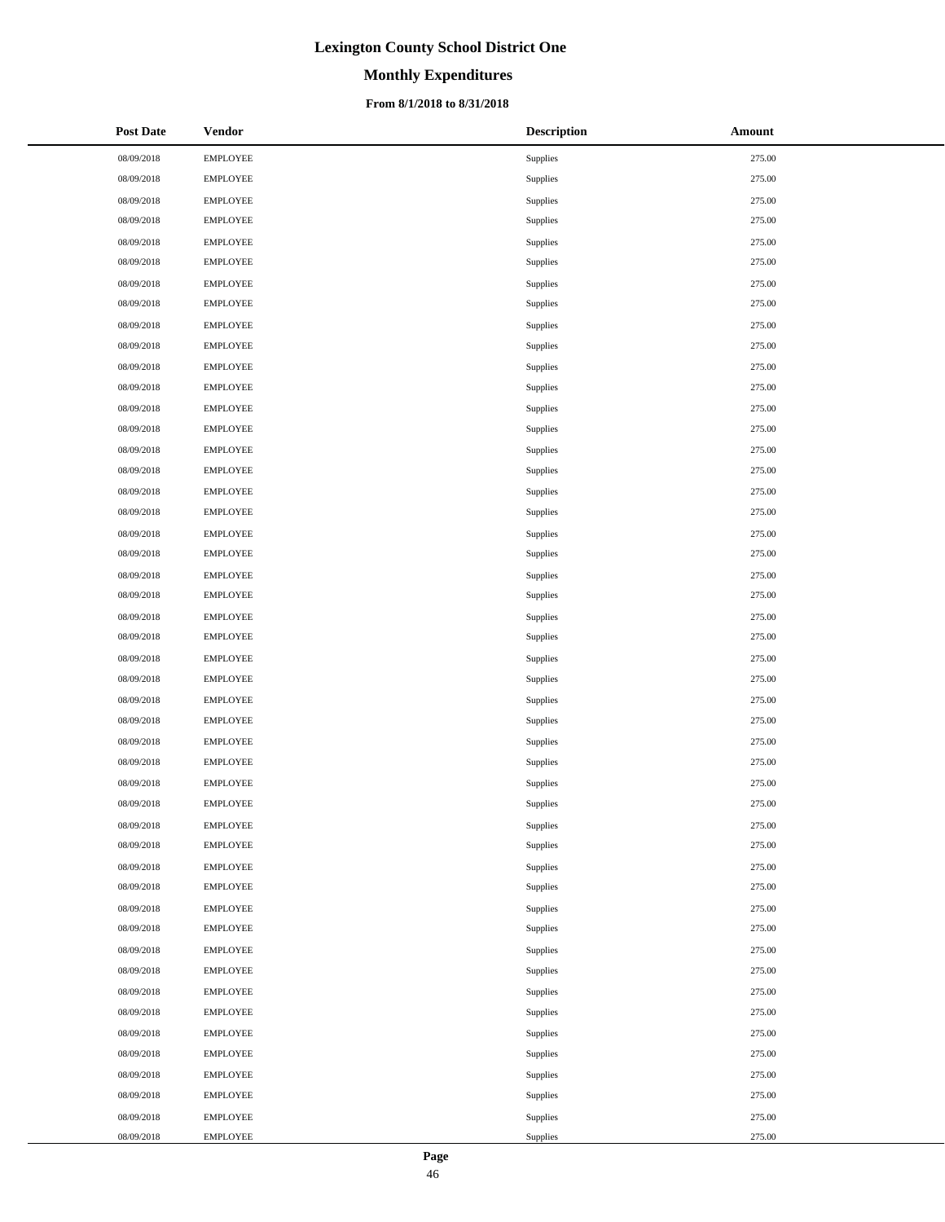# **Monthly Expenditures**

### **From 8/1/2018 to 8/31/2018**

| <b>Post Date</b> | <b>Vendor</b>   | <b>Description</b> | <b>Amount</b> |
|------------------|-----------------|--------------------|---------------|
| 08/09/2018       | <b>EMPLOYEE</b> | Supplies           | 275.00        |
| 08/09/2018       | <b>EMPLOYEE</b> | Supplies           | 275.00        |
| 08/09/2018       | EMPLOYEE        | Supplies           | 275.00        |
| 08/09/2018       | <b>EMPLOYEE</b> | Supplies           | 275.00        |
| 08/09/2018       | <b>EMPLOYEE</b> | Supplies           | 275.00        |
| 08/09/2018       | <b>EMPLOYEE</b> | Supplies           | 275.00        |
| 08/09/2018       | <b>EMPLOYEE</b> | Supplies           | 275.00        |
| 08/09/2018       | <b>EMPLOYEE</b> | Supplies           | 275.00        |
| 08/09/2018       | <b>EMPLOYEE</b> | Supplies           | 275.00        |
| 08/09/2018       | <b>EMPLOYEE</b> | Supplies           | 275.00        |
| 08/09/2018       | EMPLOYEE        | Supplies           | 275.00        |
| 08/09/2018       | <b>EMPLOYEE</b> | Supplies           | 275.00        |
| 08/09/2018       | <b>EMPLOYEE</b> | Supplies           | 275.00        |
| 08/09/2018       | <b>EMPLOYEE</b> | Supplies           | 275.00        |
| 08/09/2018       | <b>EMPLOYEE</b> | Supplies           | 275.00        |
| 08/09/2018       | <b>EMPLOYEE</b> | Supplies           | 275.00        |
| 08/09/2018       | <b>EMPLOYEE</b> | Supplies           | 275.00        |
| 08/09/2018       | <b>EMPLOYEE</b> | Supplies           | 275.00        |
| 08/09/2018       | EMPLOYEE        | Supplies           | 275.00        |
| 08/09/2018       | <b>EMPLOYEE</b> | Supplies           | 275.00        |
| 08/09/2018       | <b>EMPLOYEE</b> | Supplies           | 275.00        |
| 08/09/2018       | <b>EMPLOYEE</b> | Supplies           | 275.00        |
| 08/09/2018       | <b>EMPLOYEE</b> | Supplies           | 275.00        |
| 08/09/2018       | <b>EMPLOYEE</b> | Supplies           | 275.00        |
| 08/09/2018       | <b>EMPLOYEE</b> | Supplies           | 275.00        |
| 08/09/2018       | <b>EMPLOYEE</b> | Supplies           | 275.00        |
| 08/09/2018       | EMPLOYEE        | Supplies           | 275.00        |
| 08/09/2018       | <b>EMPLOYEE</b> | Supplies           | 275.00        |
| 08/09/2018       | <b>EMPLOYEE</b> | Supplies           | 275.00        |
| 08/09/2018       | <b>EMPLOYEE</b> | Supplies           | 275.00        |
| 08/09/2018       | <b>EMPLOYEE</b> | Supplies           | 275.00        |
| 08/09/2018       | <b>EMPLOYEE</b> | Supplies           | 275.00        |
| 08/09/2018       | <b>EMPLOYEE</b> | Supplies           | 275.00        |
| 08/09/2018       | <b>EMPLOYEE</b> | Supplies           | 275.00        |
| 08/09/2018       | <b>EMPLOYEE</b> | Supplies           | 275.00        |
| 08/09/2018       | <b>EMPLOYEE</b> | Supplies           | 275.00        |
| 08/09/2018       | <b>EMPLOYEE</b> | Supplies           | 275.00        |
| 08/09/2018       | <b>EMPLOYEE</b> | Supplies           | 275.00        |
| 08/09/2018       | <b>EMPLOYEE</b> | Supplies           | 275.00        |
| 08/09/2018       | <b>EMPLOYEE</b> | Supplies           | 275.00        |
| 08/09/2018       | <b>EMPLOYEE</b> | Supplies           | 275.00        |
| 08/09/2018       | <b>EMPLOYEE</b> | Supplies           | 275.00        |
| 08/09/2018       | EMPLOYEE        | Supplies           | 275.00        |
| 08/09/2018       | <b>EMPLOYEE</b> | Supplies           | 275.00        |
| 08/09/2018       | <b>EMPLOYEE</b> | Supplies           | 275.00        |
| 08/09/2018       | <b>EMPLOYEE</b> | Supplies           | 275.00        |
| 08/09/2018       | <b>EMPLOYEE</b> | Supplies           | 275.00        |
| 08/09/2018       | <b>EMPLOYEE</b> | Supplies           | 275.00        |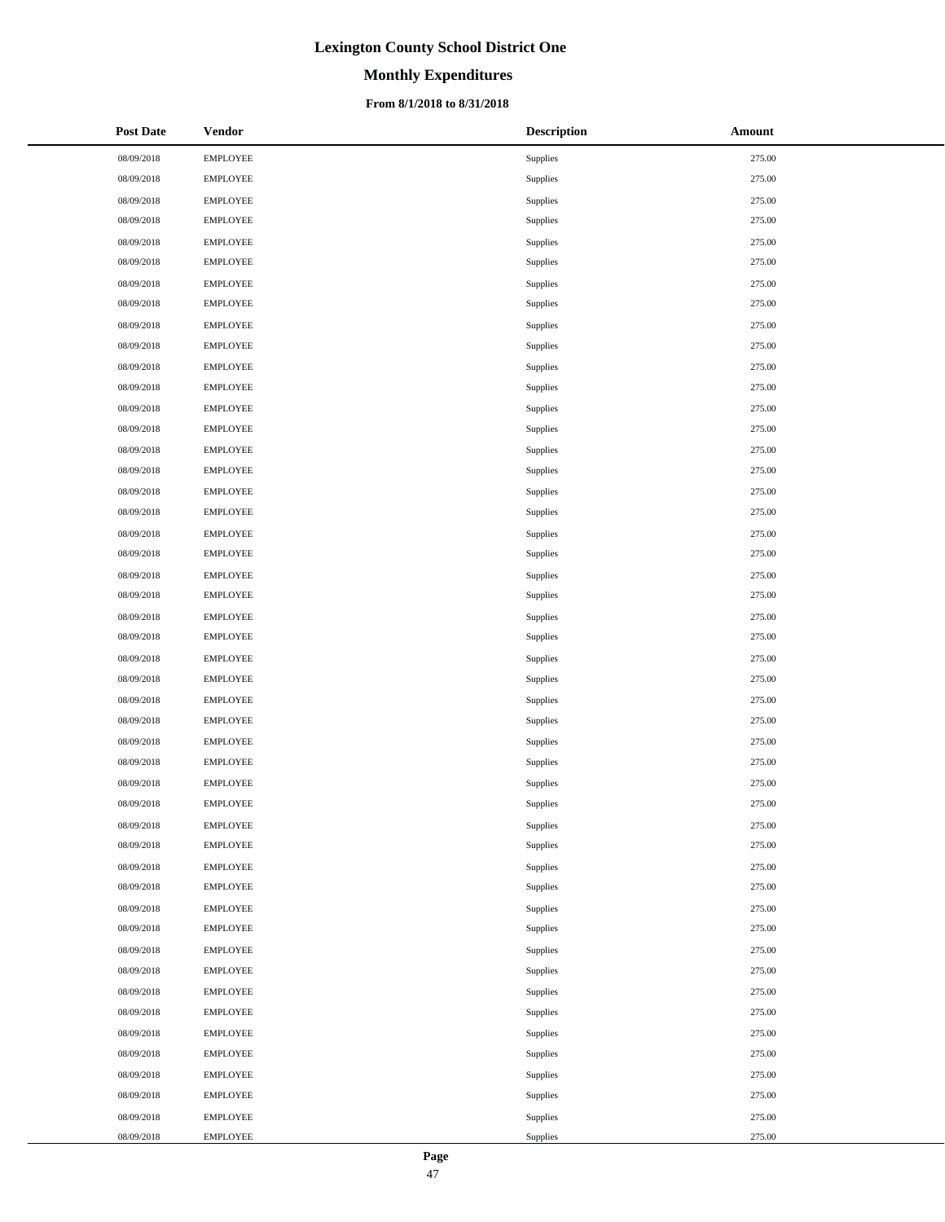# **Monthly Expenditures**

### **From 8/1/2018 to 8/31/2018**

| <b>Post Date</b> | <b>Vendor</b>   | <b>Description</b> | Amount |
|------------------|-----------------|--------------------|--------|
| 08/09/2018       | <b>EMPLOYEE</b> | Supplies           | 275.00 |
| 08/09/2018       | <b>EMPLOYEE</b> | Supplies           | 275.00 |
| 08/09/2018       | <b>EMPLOYEE</b> | Supplies           | 275.00 |
| 08/09/2018       | <b>EMPLOYEE</b> | Supplies           | 275.00 |
| 08/09/2018       | <b>EMPLOYEE</b> | Supplies           | 275.00 |
| 08/09/2018       | <b>EMPLOYEE</b> | Supplies           | 275.00 |
| 08/09/2018       | <b>EMPLOYEE</b> | Supplies           | 275.00 |
| 08/09/2018       | <b>EMPLOYEE</b> | Supplies           | 275.00 |
| 08/09/2018       | <b>EMPLOYEE</b> | Supplies           | 275.00 |
| 08/09/2018       | <b>EMPLOYEE</b> | Supplies           | 275.00 |
| 08/09/2018       | <b>EMPLOYEE</b> | Supplies           | 275.00 |
| 08/09/2018       | <b>EMPLOYEE</b> | Supplies           | 275.00 |
| 08/09/2018       | <b>EMPLOYEE</b> | Supplies           | 275.00 |
| 08/09/2018       | <b>EMPLOYEE</b> | Supplies           | 275.00 |
| 08/09/2018       | <b>EMPLOYEE</b> | Supplies           | 275.00 |
| 08/09/2018       | <b>EMPLOYEE</b> | Supplies           | 275.00 |
| 08/09/2018       | <b>EMPLOYEE</b> | Supplies           | 275.00 |
| 08/09/2018       | <b>EMPLOYEE</b> | Supplies           | 275.00 |
| 08/09/2018       | <b>EMPLOYEE</b> | Supplies           | 275.00 |
| 08/09/2018       | <b>EMPLOYEE</b> | Supplies           | 275.00 |
| 08/09/2018       | <b>EMPLOYEE</b> | Supplies           | 275.00 |
| 08/09/2018       | <b>EMPLOYEE</b> | Supplies           | 275.00 |
| 08/09/2018       | <b>EMPLOYEE</b> | Supplies           | 275.00 |
| 08/09/2018       | <b>EMPLOYEE</b> | Supplies           | 275.00 |
| 08/09/2018       | <b>EMPLOYEE</b> | Supplies           | 275.00 |
| 08/09/2018       | <b>EMPLOYEE</b> | Supplies           | 275.00 |
| 08/09/2018       | <b>EMPLOYEE</b> | Supplies           | 275.00 |
| 08/09/2018       | <b>EMPLOYEE</b> | Supplies           | 275.00 |
| 08/09/2018       | <b>EMPLOYEE</b> | Supplies           | 275.00 |
| 08/09/2018       | <b>EMPLOYEE</b> | Supplies           | 275.00 |
| 08/09/2018       | <b>EMPLOYEE</b> | Supplies           | 275.00 |
| 08/09/2018       | <b>EMPLOYEE</b> | Supplies           | 275.00 |
| 08/09/2018       | <b>EMPLOYEE</b> | Supplies           | 275.00 |
| 08/09/2018       | <b>EMPLOYEE</b> | Supplies           | 275.00 |
| 08/09/2018       | <b>EMPLOYEE</b> | Supplies           | 275.00 |
| 08/09/2018       | <b>EMPLOYEE</b> | Supplies           | 275.00 |
| 08/09/2018       | <b>EMPLOYEE</b> | Supplies           | 275.00 |
| 08/09/2018       | <b>EMPLOYEE</b> | Supplies           | 275.00 |
| 08/09/2018       | <b>EMPLOYEE</b> | Supplies           | 275.00 |
| 08/09/2018       | <b>EMPLOYEE</b> | Supplies           | 275.00 |
| 08/09/2018       | <b>EMPLOYEE</b> | Supplies           | 275.00 |
| 08/09/2018       | <b>EMPLOYEE</b> | Supplies           | 275.00 |
| 08/09/2018       | <b>EMPLOYEE</b> | Supplies           | 275.00 |
| 08/09/2018       | <b>EMPLOYEE</b> | Supplies           | 275.00 |
| 08/09/2018       | <b>EMPLOYEE</b> | Supplies           | 275.00 |
| 08/09/2018       | <b>EMPLOYEE</b> | Supplies           | 275.00 |
| 08/09/2018       | <b>EMPLOYEE</b> | Supplies           | 275.00 |
| 08/09/2018       | <b>EMPLOYEE</b> | Supplies           | 275.00 |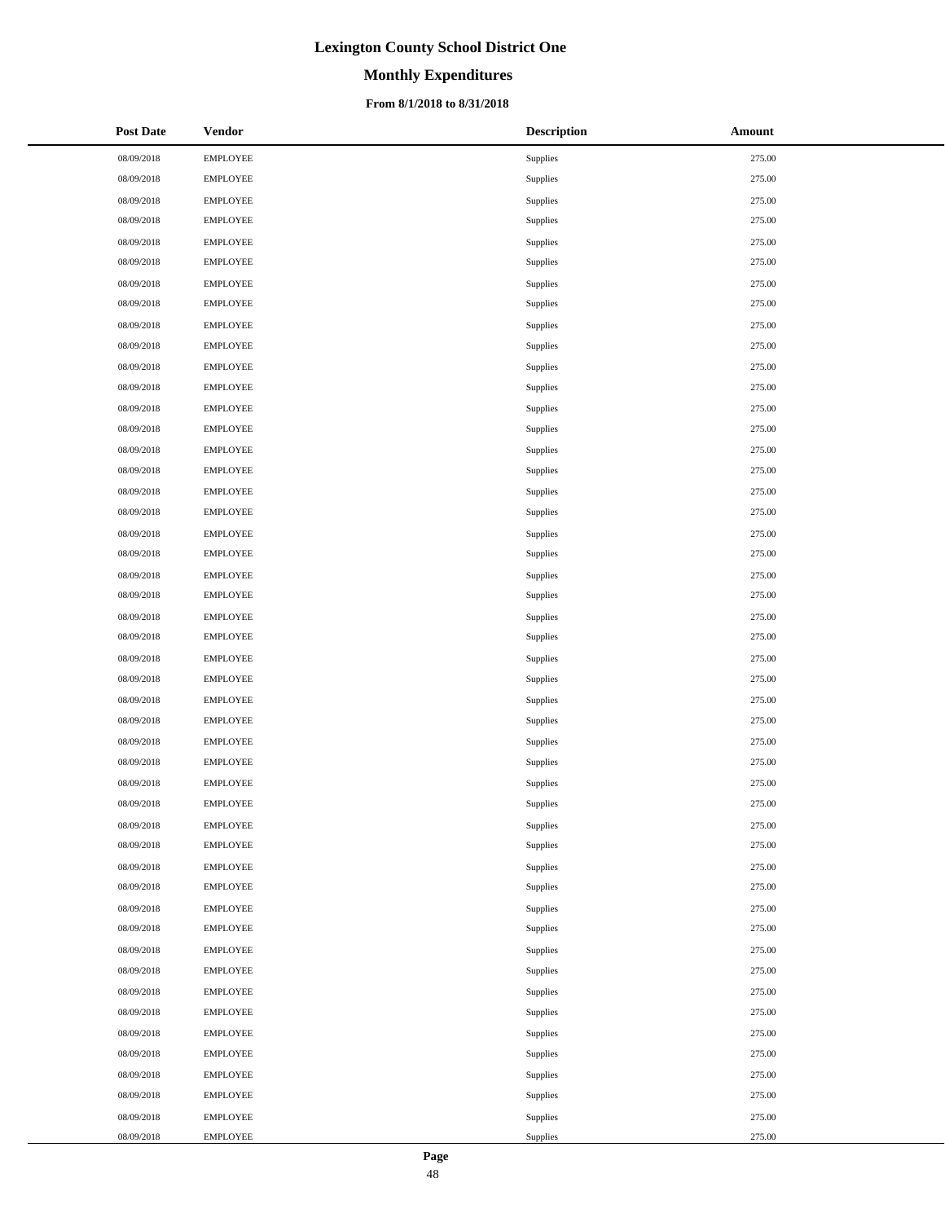# **Monthly Expenditures**

### **From 8/1/2018 to 8/31/2018**

| <b>Post Date</b> | <b>Vendor</b>   | <b>Description</b> | Amount |
|------------------|-----------------|--------------------|--------|
| 08/09/2018       | <b>EMPLOYEE</b> | Supplies           | 275.00 |
| 08/09/2018       | <b>EMPLOYEE</b> | Supplies           | 275.00 |
| 08/09/2018       | <b>EMPLOYEE</b> | Supplies           | 275.00 |
| 08/09/2018       | <b>EMPLOYEE</b> | Supplies           | 275.00 |
| 08/09/2018       | <b>EMPLOYEE</b> | Supplies           | 275.00 |
| 08/09/2018       | EMPLOYEE        | Supplies           | 275.00 |
| 08/09/2018       | <b>EMPLOYEE</b> | Supplies           | 275.00 |
| 08/09/2018       | <b>EMPLOYEE</b> | Supplies           | 275.00 |
| 08/09/2018       | <b>EMPLOYEE</b> | Supplies           | 275.00 |
| 08/09/2018       | <b>EMPLOYEE</b> | Supplies           | 275.00 |
| 08/09/2018       | <b>EMPLOYEE</b> | Supplies           | 275.00 |
| 08/09/2018       | <b>EMPLOYEE</b> | Supplies           | 275.00 |
| 08/09/2018       | <b>EMPLOYEE</b> | Supplies           | 275.00 |
| 08/09/2018       | EMPLOYEE        | Supplies           | 275.00 |
| 08/09/2018       | <b>EMPLOYEE</b> | Supplies           | 275.00 |
| 08/09/2018       | <b>EMPLOYEE</b> | Supplies           | 275.00 |
| 08/09/2018       | <b>EMPLOYEE</b> | Supplies           | 275.00 |
| 08/09/2018       | <b>EMPLOYEE</b> | Supplies           | 275.00 |
| 08/09/2018       | <b>EMPLOYEE</b> | Supplies           | 275.00 |
| 08/09/2018       | <b>EMPLOYEE</b> | Supplies           | 275.00 |
| 08/09/2018       | <b>EMPLOYEE</b> | Supplies           | 275.00 |
| 08/09/2018       | <b>EMPLOYEE</b> | Supplies           | 275.00 |
| 08/09/2018       | <b>EMPLOYEE</b> | Supplies           | 275.00 |
| 08/09/2018       | <b>EMPLOYEE</b> | Supplies           | 275.00 |
| 08/09/2018       | <b>EMPLOYEE</b> | Supplies           | 275.00 |
| 08/09/2018       | <b>EMPLOYEE</b> | Supplies           | 275.00 |
| 08/09/2018       | <b>EMPLOYEE</b> | Supplies           | 275.00 |
| 08/09/2018       | <b>EMPLOYEE</b> | Supplies           | 275.00 |
| 08/09/2018       | <b>EMPLOYEE</b> | Supplies           | 275.00 |
| 08/09/2018       | <b>EMPLOYEE</b> | Supplies           | 275.00 |
| 08/09/2018       | <b>EMPLOYEE</b> | Supplies           | 275.00 |
| 08/09/2018       | <b>EMPLOYEE</b> | Supplies           | 275.00 |
| 08/09/2018       | <b>EMPLOYEE</b> | Supplies           | 275.00 |
| 08/09/2018       | <b>EMPLOYEE</b> | Supplies           | 275.00 |
| 08/09/2018       | <b>EMPLOYEE</b> | Supplies           | 275.00 |
| 08/09/2018       | <b>EMPLOYEE</b> | Supplies           | 275.00 |
| 08/09/2018       | <b>EMPLOYEE</b> | Supplies           | 275.00 |
| 08/09/2018       | <b>EMPLOYEE</b> | Supplies           | 275.00 |
| 08/09/2018       | <b>EMPLOYEE</b> | Supplies           | 275.00 |
| 08/09/2018       | <b>EMPLOYEE</b> | Supplies           | 275.00 |
| 08/09/2018       | <b>EMPLOYEE</b> | Supplies           | 275.00 |
| 08/09/2018       | <b>EMPLOYEE</b> | Supplies           | 275.00 |
| 08/09/2018       | <b>EMPLOYEE</b> | Supplies           | 275.00 |
| 08/09/2018       | <b>EMPLOYEE</b> | Supplies           | 275.00 |
| 08/09/2018       | <b>EMPLOYEE</b> | Supplies           | 275.00 |
| 08/09/2018       | <b>EMPLOYEE</b> | Supplies           | 275.00 |
| 08/09/2018       | <b>EMPLOYEE</b> | Supplies           | 275.00 |
| 08/09/2018       | <b>EMPLOYEE</b> | Supplies           | 275.00 |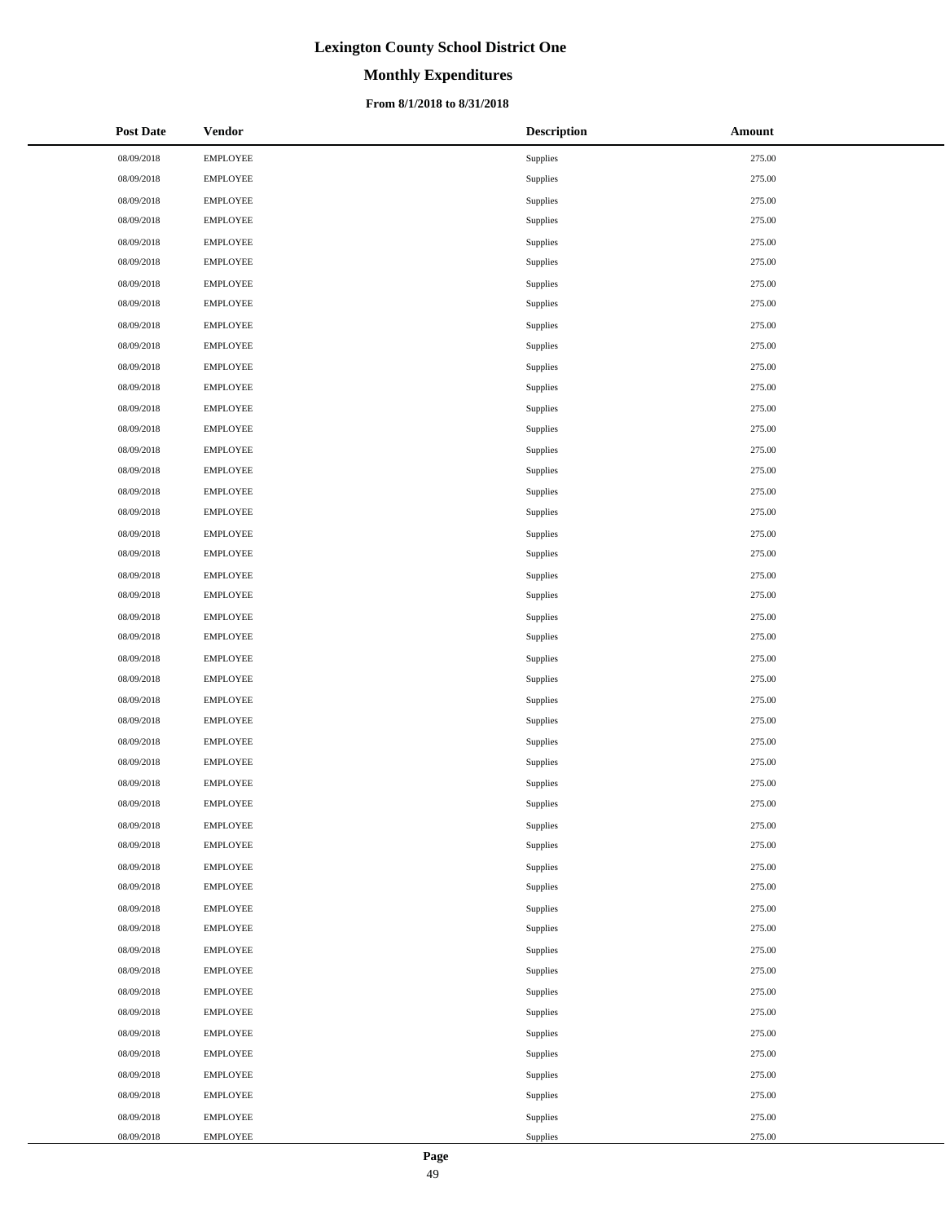# **Monthly Expenditures**

### **From 8/1/2018 to 8/31/2018**

| <b>Post Date</b> | <b>Vendor</b>   | <b>Description</b> | Amount |
|------------------|-----------------|--------------------|--------|
| 08/09/2018       | <b>EMPLOYEE</b> | Supplies           | 275.00 |
| 08/09/2018       | <b>EMPLOYEE</b> | Supplies           | 275.00 |
| 08/09/2018       | <b>EMPLOYEE</b> | Supplies           | 275.00 |
| 08/09/2018       | <b>EMPLOYEE</b> | Supplies           | 275.00 |
| 08/09/2018       | <b>EMPLOYEE</b> | Supplies           | 275.00 |
| 08/09/2018       | <b>EMPLOYEE</b> | Supplies           | 275.00 |
| 08/09/2018       | <b>EMPLOYEE</b> | Supplies           | 275.00 |
| 08/09/2018       | <b>EMPLOYEE</b> | Supplies           | 275.00 |
| 08/09/2018       | <b>EMPLOYEE</b> | Supplies           | 275.00 |
| 08/09/2018       | <b>EMPLOYEE</b> | Supplies           | 275.00 |
| 08/09/2018       | <b>EMPLOYEE</b> | Supplies           | 275.00 |
| 08/09/2018       | <b>EMPLOYEE</b> | Supplies           | 275.00 |
| 08/09/2018       | <b>EMPLOYEE</b> | Supplies           | 275.00 |
| 08/09/2018       | <b>EMPLOYEE</b> | Supplies           | 275.00 |
| 08/09/2018       | <b>EMPLOYEE</b> | Supplies           | 275.00 |
| 08/09/2018       | <b>EMPLOYEE</b> | Supplies           | 275.00 |
| 08/09/2018       | <b>EMPLOYEE</b> | Supplies           | 275.00 |
| 08/09/2018       | <b>EMPLOYEE</b> | Supplies           | 275.00 |
| 08/09/2018       | <b>EMPLOYEE</b> | Supplies           | 275.00 |
| 08/09/2018       | <b>EMPLOYEE</b> | Supplies           | 275.00 |
| 08/09/2018       | <b>EMPLOYEE</b> | Supplies           | 275.00 |
| 08/09/2018       | <b>EMPLOYEE</b> | Supplies           | 275.00 |
| 08/09/2018       | <b>EMPLOYEE</b> | Supplies           | 275.00 |
| 08/09/2018       | <b>EMPLOYEE</b> | Supplies           | 275.00 |
| 08/09/2018       | <b>EMPLOYEE</b> | Supplies           | 275.00 |
| 08/09/2018       | <b>EMPLOYEE</b> | Supplies           | 275.00 |
| 08/09/2018       | <b>EMPLOYEE</b> | Supplies           | 275.00 |
| 08/09/2018       | <b>EMPLOYEE</b> | Supplies           | 275.00 |
| 08/09/2018       | <b>EMPLOYEE</b> | Supplies           | 275.00 |
| 08/09/2018       | <b>EMPLOYEE</b> | Supplies           | 275.00 |
| 08/09/2018       | <b>EMPLOYEE</b> | Supplies           | 275.00 |
| 08/09/2018       | <b>EMPLOYEE</b> | Supplies           | 275.00 |
| 08/09/2018       | <b>EMPLOYEE</b> | Supplies           | 275.00 |
| 08/09/2018       | <b>EMPLOYEE</b> | Supplies           | 275.00 |
| 08/09/2018       | <b>EMPLOYEE</b> | Supplies           | 275.00 |
| 08/09/2018       | <b>EMPLOYEE</b> | Supplies           | 275.00 |
| 08/09/2018       | <b>EMPLOYEE</b> | Supplies           | 275.00 |
| 08/09/2018       | <b>EMPLOYEE</b> | Supplies           | 275.00 |
| 08/09/2018       | <b>EMPLOYEE</b> | Supplies           | 275.00 |
| 08/09/2018       | <b>EMPLOYEE</b> | Supplies           | 275.00 |
| 08/09/2018       | <b>EMPLOYEE</b> | Supplies           | 275.00 |
| 08/09/2018       | <b>EMPLOYEE</b> | Supplies           | 275.00 |
| 08/09/2018       | <b>EMPLOYEE</b> | Supplies           | 275.00 |
| 08/09/2018       | <b>EMPLOYEE</b> | Supplies           | 275.00 |
| 08/09/2018       | <b>EMPLOYEE</b> | Supplies           | 275.00 |
| 08/09/2018       | <b>EMPLOYEE</b> | Supplies           | 275.00 |
| 08/09/2018       | <b>EMPLOYEE</b> | Supplies           | 275.00 |
| 08/09/2018       | <b>EMPLOYEE</b> | Supplies           | 275.00 |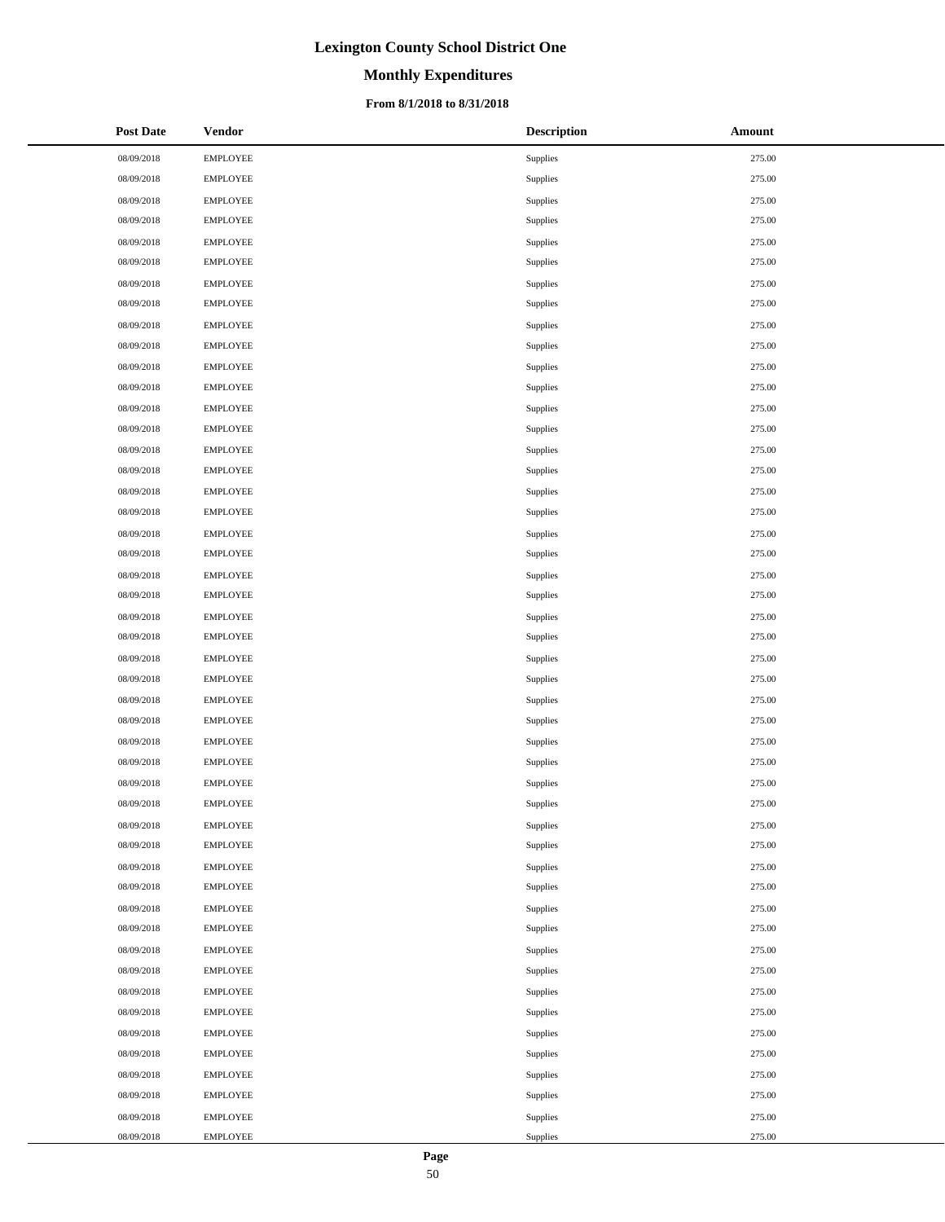# **Monthly Expenditures**

### **From 8/1/2018 to 8/31/2018**

| <b>Post Date</b> | <b>Vendor</b>   | <b>Description</b> | Amount |
|------------------|-----------------|--------------------|--------|
| 08/09/2018       | <b>EMPLOYEE</b> | Supplies           | 275.00 |
| 08/09/2018       | <b>EMPLOYEE</b> | Supplies           | 275.00 |
| 08/09/2018       | <b>EMPLOYEE</b> | Supplies           | 275.00 |
| 08/09/2018       | <b>EMPLOYEE</b> | Supplies           | 275.00 |
| 08/09/2018       | <b>EMPLOYEE</b> | Supplies           | 275.00 |
| 08/09/2018       | <b>EMPLOYEE</b> | Supplies           | 275.00 |
| 08/09/2018       | <b>EMPLOYEE</b> | Supplies           | 275.00 |
| 08/09/2018       | <b>EMPLOYEE</b> | Supplies           | 275.00 |
| 08/09/2018       | <b>EMPLOYEE</b> | Supplies           | 275.00 |
| 08/09/2018       | <b>EMPLOYEE</b> | Supplies           | 275.00 |
| 08/09/2018       | <b>EMPLOYEE</b> | Supplies           | 275.00 |
| 08/09/2018       | <b>EMPLOYEE</b> | Supplies           | 275.00 |
| 08/09/2018       | <b>EMPLOYEE</b> | Supplies           | 275.00 |
| 08/09/2018       | <b>EMPLOYEE</b> | Supplies           | 275.00 |
| 08/09/2018       | <b>EMPLOYEE</b> | Supplies           | 275.00 |
| 08/09/2018       | <b>EMPLOYEE</b> | Supplies           | 275.00 |
| 08/09/2018       | <b>EMPLOYEE</b> | Supplies           | 275.00 |
| 08/09/2018       | <b>EMPLOYEE</b> | Supplies           | 275.00 |
| 08/09/2018       | <b>EMPLOYEE</b> | Supplies           | 275.00 |
| 08/09/2018       | <b>EMPLOYEE</b> | Supplies           | 275.00 |
| 08/09/2018       | <b>EMPLOYEE</b> | Supplies           | 275.00 |
| 08/09/2018       | <b>EMPLOYEE</b> | Supplies           | 275.00 |
| 08/09/2018       | <b>EMPLOYEE</b> | Supplies           | 275.00 |
| 08/09/2018       | <b>EMPLOYEE</b> | Supplies           | 275.00 |
| 08/09/2018       | <b>EMPLOYEE</b> | Supplies           | 275.00 |
| 08/09/2018       | <b>EMPLOYEE</b> | Supplies           | 275.00 |
| 08/09/2018       | <b>EMPLOYEE</b> | Supplies           | 275.00 |
| 08/09/2018       | <b>EMPLOYEE</b> | Supplies           | 275.00 |
| 08/09/2018       | <b>EMPLOYEE</b> | Supplies           | 275.00 |
| 08/09/2018       | <b>EMPLOYEE</b> | Supplies           | 275.00 |
| 08/09/2018       | <b>EMPLOYEE</b> | Supplies           | 275.00 |
| 08/09/2018       | <b>EMPLOYEE</b> | Supplies           | 275.00 |
| 08/09/2018       | <b>EMPLOYEE</b> | Supplies           | 275.00 |
| 08/09/2018       | <b>EMPLOYEE</b> | Supplies           | 275.00 |
| 08/09/2018       | <b>EMPLOYEE</b> | Supplies           | 275.00 |
| 08/09/2018       | <b>EMPLOYEE</b> | Supplies           | 275.00 |
| 08/09/2018       | <b>EMPLOYEE</b> | Supplies           | 275.00 |
| 08/09/2018       | <b>EMPLOYEE</b> | Supplies           | 275.00 |
| 08/09/2018       | <b>EMPLOYEE</b> | Supplies           | 275.00 |
| 08/09/2018       | <b>EMPLOYEE</b> | Supplies           | 275.00 |
| 08/09/2018       | <b>EMPLOYEE</b> | Supplies           | 275.00 |
| 08/09/2018       | <b>EMPLOYEE</b> | Supplies           | 275.00 |
| 08/09/2018       | <b>EMPLOYEE</b> | Supplies           | 275.00 |
| 08/09/2018       | <b>EMPLOYEE</b> | Supplies           | 275.00 |
| 08/09/2018       | <b>EMPLOYEE</b> | Supplies           | 275.00 |
| 08/09/2018       | <b>EMPLOYEE</b> | Supplies           | 275.00 |
| 08/09/2018       | <b>EMPLOYEE</b> | Supplies           | 275.00 |
| 08/09/2018       | <b>EMPLOYEE</b> | Supplies           | 275.00 |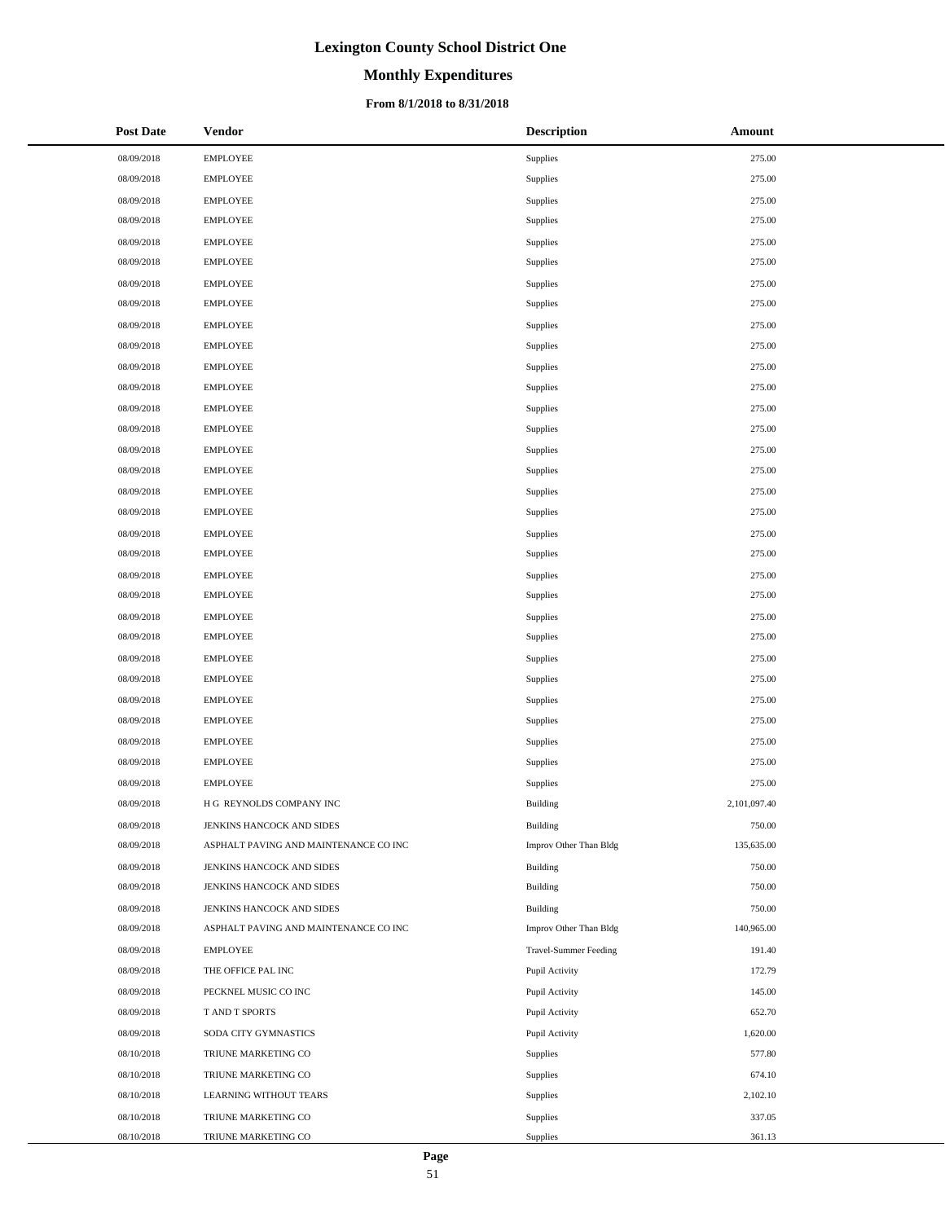# **Monthly Expenditures**

### **From 8/1/2018 to 8/31/2018**

| <b>Post Date</b> | <b>Vendor</b>                         | <b>Description</b>           | Amount       |
|------------------|---------------------------------------|------------------------------|--------------|
| 08/09/2018       | <b>EMPLOYEE</b>                       | Supplies                     | 275.00       |
| 08/09/2018       | <b>EMPLOYEE</b>                       | Supplies                     | 275.00       |
| 08/09/2018       | <b>EMPLOYEE</b>                       | Supplies                     | 275.00       |
| 08/09/2018       | <b>EMPLOYEE</b>                       | Supplies                     | 275.00       |
| 08/09/2018       | <b>EMPLOYEE</b>                       | Supplies                     | 275.00       |
| 08/09/2018       | <b>EMPLOYEE</b>                       | Supplies                     | 275.00       |
| 08/09/2018       | <b>EMPLOYEE</b>                       | Supplies                     | 275.00       |
| 08/09/2018       | <b>EMPLOYEE</b>                       | Supplies                     | 275.00       |
| 08/09/2018       | <b>EMPLOYEE</b>                       | Supplies                     | 275.00       |
| 08/09/2018       | <b>EMPLOYEE</b>                       | Supplies                     | 275.00       |
| 08/09/2018       | <b>EMPLOYEE</b>                       | Supplies                     | 275.00       |
| 08/09/2018       | <b>EMPLOYEE</b>                       | Supplies                     | 275.00       |
| 08/09/2018       | <b>EMPLOYEE</b>                       | Supplies                     | 275.00       |
| 08/09/2018       | <b>EMPLOYEE</b>                       | Supplies                     | 275.00       |
| 08/09/2018       | <b>EMPLOYEE</b>                       | Supplies                     | 275.00       |
| 08/09/2018       | <b>EMPLOYEE</b>                       | Supplies                     | 275.00       |
| 08/09/2018       | <b>EMPLOYEE</b>                       | Supplies                     | 275.00       |
| 08/09/2018       | <b>EMPLOYEE</b>                       | Supplies                     | 275.00       |
| 08/09/2018       | <b>EMPLOYEE</b>                       | Supplies                     | 275.00       |
| 08/09/2018       | <b>EMPLOYEE</b>                       | Supplies                     | 275.00       |
| 08/09/2018       | <b>EMPLOYEE</b>                       | Supplies                     | 275.00       |
| 08/09/2018       | <b>EMPLOYEE</b>                       | Supplies                     | 275.00       |
| 08/09/2018       | <b>EMPLOYEE</b>                       | Supplies                     | 275.00       |
| 08/09/2018       | <b>EMPLOYEE</b>                       | Supplies                     | 275.00       |
| 08/09/2018       | <b>EMPLOYEE</b>                       | Supplies                     | 275.00       |
| 08/09/2018       | <b>EMPLOYEE</b>                       | Supplies                     | 275.00       |
| 08/09/2018       | <b>EMPLOYEE</b>                       | Supplies                     | 275.00       |
| 08/09/2018       | <b>EMPLOYEE</b>                       | Supplies                     | 275.00       |
| 08/09/2018       | <b>EMPLOYEE</b>                       | Supplies                     | 275.00       |
| 08/09/2018       | <b>EMPLOYEE</b>                       | Supplies                     | 275.00       |
| 08/09/2018       | <b>EMPLOYEE</b>                       | Supplies                     | 275.00       |
| 08/09/2018       | H G REYNOLDS COMPANY INC              | <b>Building</b>              | 2,101,097.40 |
| 08/09/2018       | JENKINS HANCOCK AND SIDES             | Building                     | 750.00       |
| 08/09/2018       | ASPHALT PAVING AND MAINTENANCE CO INC | Improv Other Than Bldg       | 135,635.00   |
| 08/09/2018       | JENKINS HANCOCK AND SIDES             | Building                     | 750.00       |
| 08/09/2018       | JENKINS HANCOCK AND SIDES             | Building                     | 750.00       |
| 08/09/2018       | JENKINS HANCOCK AND SIDES             | Building                     | 750.00       |
| 08/09/2018       | ASPHALT PAVING AND MAINTENANCE CO INC | Improv Other Than Bldg       | 140,965.00   |
| 08/09/2018       | <b>EMPLOYEE</b>                       | <b>Travel-Summer Feeding</b> | 191.40       |
| 08/09/2018       | THE OFFICE PAL INC                    | Pupil Activity               | 172.79       |
| 08/09/2018       | PECKNEL MUSIC CO INC                  | Pupil Activity               | 145.00       |
| 08/09/2018       | T AND T SPORTS                        | Pupil Activity               | 652.70       |
| 08/09/2018       | SODA CITY GYMNASTICS                  | Pupil Activity               | 1,620.00     |
| 08/10/2018       | TRIUNE MARKETING CO                   | Supplies                     | 577.80       |
| 08/10/2018       | TRIUNE MARKETING CO                   | Supplies                     | 674.10       |
| 08/10/2018       | LEARNING WITHOUT TEARS                | Supplies                     | 2,102.10     |
| 08/10/2018       | TRIUNE MARKETING CO                   | Supplies                     | 337.05       |
| 08/10/2018       | TRIUNE MARKETING CO                   | Supplies                     | 361.13       |

 $\overline{\phantom{a}}$  $\overline{a}$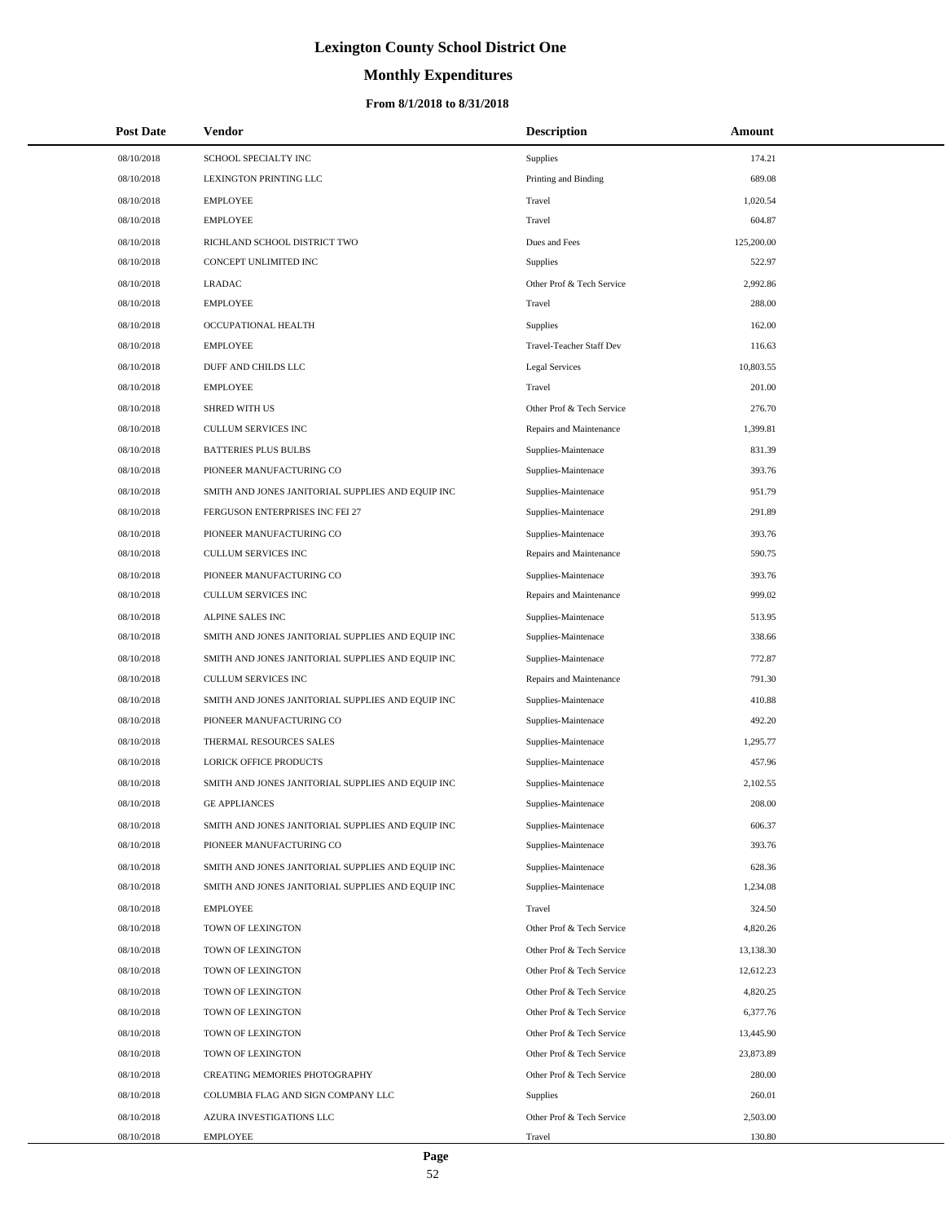# **Monthly Expenditures**

| <b>Post Date</b> | Vendor                                            | <b>Description</b>        | Amount     |
|------------------|---------------------------------------------------|---------------------------|------------|
| 08/10/2018       | SCHOOL SPECIALTY INC                              | Supplies                  | 174.21     |
| 08/10/2018       | LEXINGTON PRINTING LLC                            | Printing and Binding      | 689.08     |
| 08/10/2018       | <b>EMPLOYEE</b>                                   | Travel                    | 1,020.54   |
| 08/10/2018       | <b>EMPLOYEE</b>                                   | Travel                    | 604.87     |
| 08/10/2018       | RICHLAND SCHOOL DISTRICT TWO                      | Dues and Fees             | 125,200.00 |
| 08/10/2018       | CONCEPT UNLIMITED INC                             | Supplies                  | 522.97     |
| 08/10/2018       | <b>LRADAC</b>                                     | Other Prof & Tech Service | 2,992.86   |
| 08/10/2018       | <b>EMPLOYEE</b>                                   | Travel                    | 288.00     |
| 08/10/2018       | OCCUPATIONAL HEALTH                               | <b>Supplies</b>           | 162.00     |
| 08/10/2018       | <b>EMPLOYEE</b>                                   | Travel-Teacher Staff Dev  | 116.63     |
| 08/10/2018       | DUFF AND CHILDS LLC                               | Legal Services            | 10,803.55  |
| 08/10/2018       | <b>EMPLOYEE</b>                                   | Travel                    | 201.00     |
| 08/10/2018       | <b>SHRED WITH US</b>                              | Other Prof & Tech Service | 276.70     |
| 08/10/2018       | <b>CULLUM SERVICES INC</b>                        | Repairs and Maintenance   | 1,399.81   |
| 08/10/2018       | <b>BATTERIES PLUS BULBS</b>                       | Supplies-Maintenace       | 831.39     |
| 08/10/2018       | PIONEER MANUFACTURING CO                          | Supplies-Maintenace       | 393.76     |
| 08/10/2018       | SMITH AND JONES JANITORIAL SUPPLIES AND EQUIP INC | Supplies-Maintenace       | 951.79     |
| 08/10/2018       | FERGUSON ENTERPRISES INC FEI 27                   | Supplies-Maintenace       | 291.89     |
| 08/10/2018       | PIONEER MANUFACTURING CO                          | Supplies-Maintenace       | 393.76     |
| 08/10/2018       | <b>CULLUM SERVICES INC</b>                        | Repairs and Maintenance   | 590.75     |
| 08/10/2018       | PIONEER MANUFACTURING CO                          | Supplies-Maintenace       | 393.76     |
| 08/10/2018       | <b>CULLUM SERVICES INC</b>                        | Repairs and Maintenance   | 999.02     |
| 08/10/2018       | ALPINE SALES INC                                  | Supplies-Maintenace       | 513.95     |
| 08/10/2018       | SMITH AND JONES JANITORIAL SUPPLIES AND EQUIP INC | Supplies-Maintenace       | 338.66     |
| 08/10/2018       | SMITH AND JONES JANITORIAL SUPPLIES AND EQUIP INC | Supplies-Maintenace       | 772.87     |
| 08/10/2018       | <b>CULLUM SERVICES INC</b>                        | Repairs and Maintenance   | 791.30     |
| 08/10/2018       | SMITH AND JONES JANITORIAL SUPPLIES AND EQUIP INC | Supplies-Maintenace       | 410.88     |
| 08/10/2018       | PIONEER MANUFACTURING CO                          | Supplies-Maintenace       | 492.20     |
| 08/10/2018       | THERMAL RESOURCES SALES                           | Supplies-Maintenace       | 1,295.77   |
| 08/10/2018       | LORICK OFFICE PRODUCTS                            | Supplies-Maintenace       | 457.96     |
| 08/10/2018       | SMITH AND JONES JANITORIAL SUPPLIES AND EQUIP INC | Supplies-Maintenace       | 2,102.55   |
| 08/10/2018       | <b>GE APPLIANCES</b>                              | Supplies-Maintenace       | 208.00     |
| 08/10/2018       | SMITH AND JONES JANITORIAL SUPPLIES AND EQUIP INC | Supplies-Maintenace       | 606.37     |
| 08/10/2018       | PIONEER MANUFACTURING CO                          | Supplies-Maintenace       | 393.76     |
| 08/10/2018       | SMITH AND JONES JANITORIAL SUPPLIES AND EQUIP INC | Supplies-Maintenace       | 628.36     |
| 08/10/2018       | SMITH AND JONES JANITORIAL SUPPLIES AND EQUIP INC | Supplies-Maintenace       | 1,234.08   |
| 08/10/2018       | <b>EMPLOYEE</b>                                   | Travel                    | 324.50     |
| 08/10/2018       | TOWN OF LEXINGTON                                 | Other Prof & Tech Service | 4,820.26   |
| 08/10/2018       | TOWN OF LEXINGTON                                 | Other Prof & Tech Service | 13,138.30  |
| 08/10/2018       | TOWN OF LEXINGTON                                 | Other Prof & Tech Service | 12,612.23  |
| 08/10/2018       | TOWN OF LEXINGTON                                 | Other Prof & Tech Service | 4,820.25   |
| 08/10/2018       | TOWN OF LEXINGTON                                 | Other Prof & Tech Service | 6,377.76   |
| 08/10/2018       | TOWN OF LEXINGTON                                 | Other Prof & Tech Service | 13,445.90  |
| 08/10/2018       | TOWN OF LEXINGTON                                 | Other Prof & Tech Service | 23,873.89  |
| 08/10/2018       | CREATING MEMORIES PHOTOGRAPHY                     | Other Prof & Tech Service | 280.00     |
| 08/10/2018       | COLUMBIA FLAG AND SIGN COMPANY LLC                | <b>Supplies</b>           | 260.01     |
| 08/10/2018       | AZURA INVESTIGATIONS LLC                          | Other Prof & Tech Service | 2,503.00   |
| 08/10/2018       | <b>EMPLOYEE</b>                                   | Travel                    | 130.80     |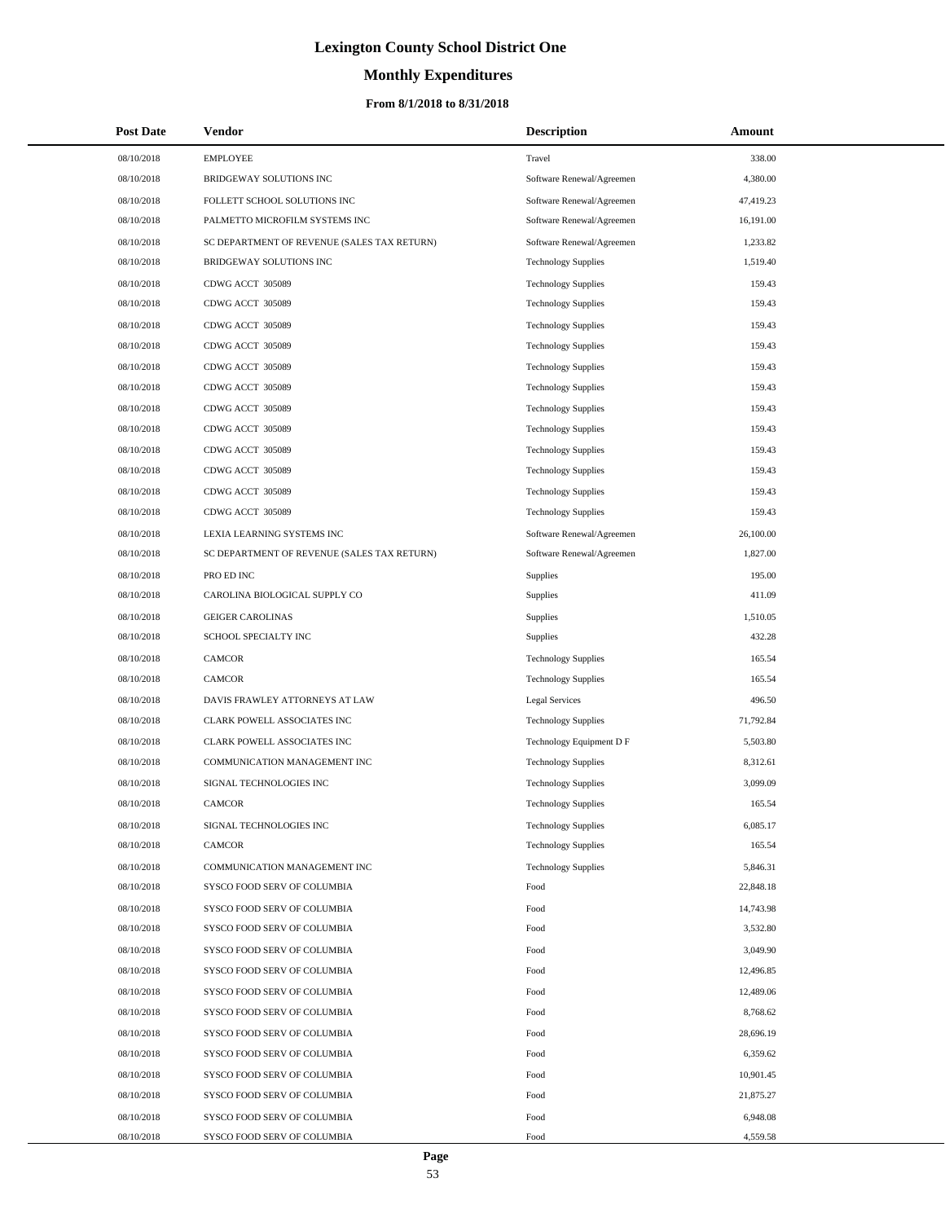# **Monthly Expenditures**

| <b>Post Date</b> | Vendor                                      | <b>Description</b>         | Amount    |
|------------------|---------------------------------------------|----------------------------|-----------|
| 08/10/2018       | <b>EMPLOYEE</b>                             | Travel                     | 338.00    |
| 08/10/2018       | BRIDGEWAY SOLUTIONS INC                     | Software Renewal/Agreemen  | 4,380.00  |
| 08/10/2018       | FOLLETT SCHOOL SOLUTIONS INC                | Software Renewal/Agreemen  | 47,419.23 |
| 08/10/2018       | PALMETTO MICROFILM SYSTEMS INC              | Software Renewal/Agreemen  | 16,191.00 |
| 08/10/2018       | SC DEPARTMENT OF REVENUE (SALES TAX RETURN) | Software Renewal/Agreemen  | 1,233.82  |
| 08/10/2018       | BRIDGEWAY SOLUTIONS INC                     | <b>Technology Supplies</b> | 1,519.40  |
| 08/10/2018       | CDWG ACCT 305089                            | <b>Technology Supplies</b> | 159.43    |
| 08/10/2018       | CDWG ACCT 305089                            | <b>Technology Supplies</b> | 159.43    |
| 08/10/2018       | CDWG ACCT 305089                            | <b>Technology Supplies</b> | 159.43    |
| 08/10/2018       | CDWG ACCT 305089                            | <b>Technology Supplies</b> | 159.43    |
| 08/10/2018       | CDWG ACCT 305089                            | <b>Technology Supplies</b> | 159.43    |
| 08/10/2018       | CDWG ACCT 305089                            | <b>Technology Supplies</b> | 159.43    |
| 08/10/2018       | CDWG ACCT 305089                            | <b>Technology Supplies</b> | 159.43    |
| 08/10/2018       | CDWG ACCT 305089                            | <b>Technology Supplies</b> | 159.43    |
| 08/10/2018       | CDWG ACCT 305089                            | <b>Technology Supplies</b> | 159.43    |
| 08/10/2018       | CDWG ACCT 305089                            | <b>Technology Supplies</b> | 159.43    |
| 08/10/2018       | CDWG ACCT 305089                            | <b>Technology Supplies</b> | 159.43    |
| 08/10/2018       | CDWG ACCT 305089                            | <b>Technology Supplies</b> | 159.43    |
| 08/10/2018       | LEXIA LEARNING SYSTEMS INC                  | Software Renewal/Agreemen  | 26,100.00 |
| 08/10/2018       | SC DEPARTMENT OF REVENUE (SALES TAX RETURN) | Software Renewal/Agreemen  | 1,827.00  |
| 08/10/2018       | PRO ED INC                                  | Supplies                   | 195.00    |
| 08/10/2018       | CAROLINA BIOLOGICAL SUPPLY CO               | Supplies                   | 411.09    |
| 08/10/2018       | <b>GEIGER CAROLINAS</b>                     | Supplies                   | 1,510.05  |
| 08/10/2018       | SCHOOL SPECIALTY INC                        | Supplies                   | 432.28    |
| 08/10/2018       | <b>CAMCOR</b>                               | <b>Technology Supplies</b> | 165.54    |
| 08/10/2018       | <b>CAMCOR</b>                               | <b>Technology Supplies</b> | 165.54    |
| 08/10/2018       | DAVIS FRAWLEY ATTORNEYS AT LAW              | <b>Legal Services</b>      | 496.50    |
| 08/10/2018       | CLARK POWELL ASSOCIATES INC                 | <b>Technology Supplies</b> | 71,792.84 |
| 08/10/2018       | CLARK POWELL ASSOCIATES INC                 | Technology Equipment D F   | 5,503.80  |
| 08/10/2018       | COMMUNICATION MANAGEMENT INC                | <b>Technology Supplies</b> | 8,312.61  |
| 08/10/2018       | SIGNAL TECHNOLOGIES INC                     | <b>Technology Supplies</b> | 3,099.09  |
| 08/10/2018       | <b>CAMCOR</b>                               | <b>Technology Supplies</b> | 165.54    |
| 08/10/2018       | SIGNAL TECHNOLOGIES INC                     | <b>Technology Supplies</b> | 6,085.17  |
| 08/10/2018       | <b>CAMCOR</b>                               | <b>Technology Supplies</b> | 165.54    |
| 08/10/2018       | COMMUNICATION MANAGEMENT INC                | <b>Technology Supplies</b> | 5,846.31  |
| 08/10/2018       | SYSCO FOOD SERV OF COLUMBIA                 | Food                       | 22,848.18 |
| 08/10/2018       | SYSCO FOOD SERV OF COLUMBIA                 | Food                       | 14,743.98 |
| 08/10/2018       | SYSCO FOOD SERV OF COLUMBIA                 | Food                       | 3,532.80  |
| 08/10/2018       | SYSCO FOOD SERV OF COLUMBIA                 | Food                       | 3,049.90  |
| 08/10/2018       | SYSCO FOOD SERV OF COLUMBIA                 | Food                       | 12,496.85 |
| 08/10/2018       | SYSCO FOOD SERV OF COLUMBIA                 | Food                       | 12,489.06 |
| 08/10/2018       | SYSCO FOOD SERV OF COLUMBIA                 | Food                       | 8,768.62  |
| 08/10/2018       | SYSCO FOOD SERV OF COLUMBIA                 | Food                       | 28,696.19 |
| 08/10/2018       | SYSCO FOOD SERV OF COLUMBIA                 | Food                       | 6,359.62  |
| 08/10/2018       | SYSCO FOOD SERV OF COLUMBIA                 | Food                       | 10,901.45 |
| 08/10/2018       | SYSCO FOOD SERV OF COLUMBIA                 | Food                       | 21,875.27 |
| 08/10/2018       | SYSCO FOOD SERV OF COLUMBIA                 | Food                       | 6,948.08  |
| 08/10/2018       | SYSCO FOOD SERV OF COLUMBIA                 | Food                       | 4,559.58  |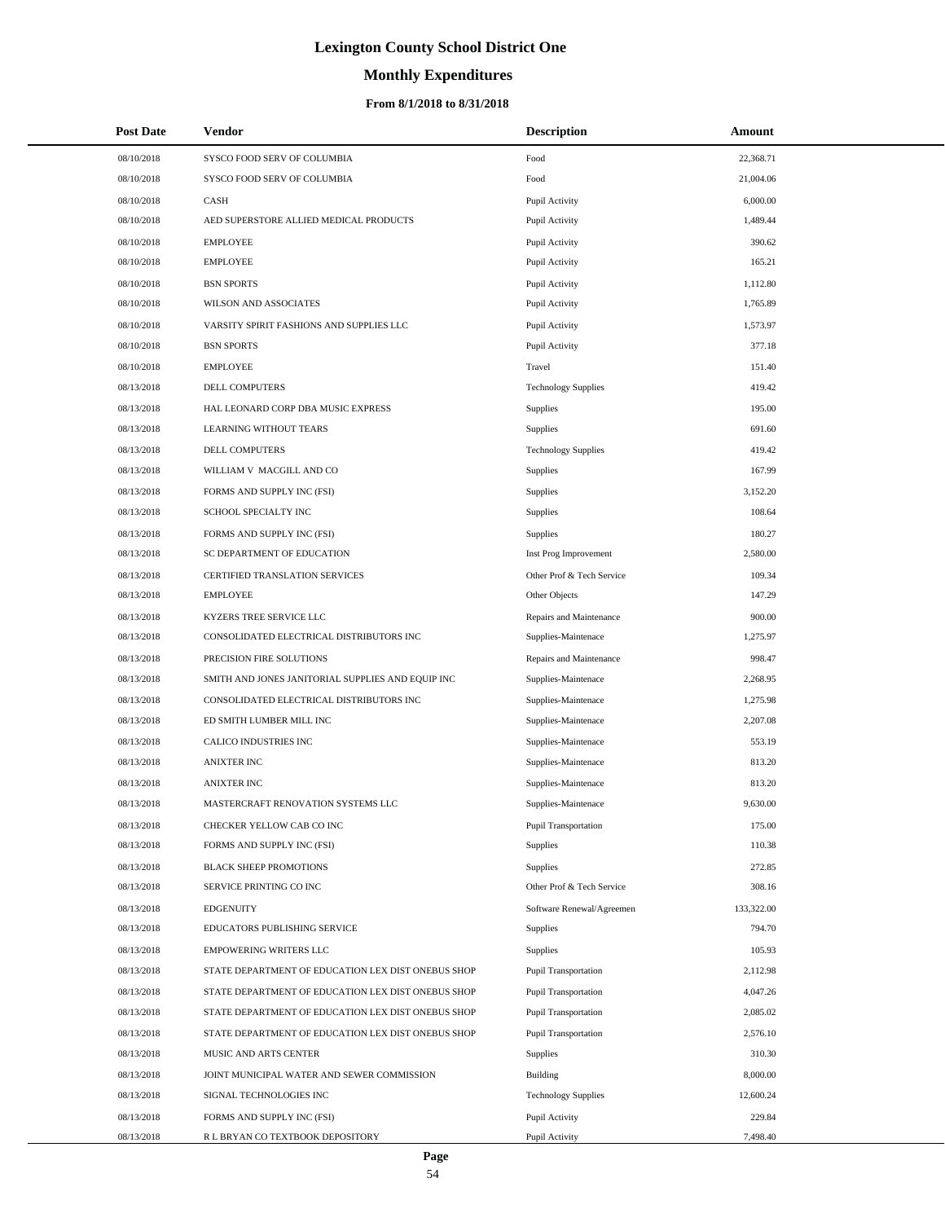# **Monthly Expenditures**

| <b>Post Date</b> | Vendor                                             | <b>Description</b>          | Amount     |
|------------------|----------------------------------------------------|-----------------------------|------------|
| 08/10/2018       | SYSCO FOOD SERV OF COLUMBIA                        | Food                        | 22,368.71  |
| 08/10/2018       | SYSCO FOOD SERV OF COLUMBIA                        | Food                        | 21,004.06  |
| 08/10/2018       | CASH                                               | Pupil Activity              | 6,000.00   |
| 08/10/2018       | AED SUPERSTORE ALLIED MEDICAL PRODUCTS             | Pupil Activity              | 1,489.44   |
| 08/10/2018       | <b>EMPLOYEE</b>                                    | Pupil Activity              | 390.62     |
| 08/10/2018       | <b>EMPLOYEE</b>                                    | Pupil Activity              | 165.21     |
| 08/10/2018       | <b>BSN SPORTS</b>                                  | Pupil Activity              | 1,112.80   |
| 08/10/2018       | WILSON AND ASSOCIATES                              | Pupil Activity              | 1,765.89   |
| 08/10/2018       | VARSITY SPIRIT FASHIONS AND SUPPLIES LLC           | Pupil Activity              | 1,573.97   |
| 08/10/2018       | <b>BSN SPORTS</b>                                  | Pupil Activity              | 377.18     |
| 08/10/2018       | <b>EMPLOYEE</b>                                    | Travel                      | 151.40     |
| 08/13/2018       | DELL COMPUTERS                                     | <b>Technology Supplies</b>  | 419.42     |
| 08/13/2018       | HAL LEONARD CORP DBA MUSIC EXPRESS                 | <b>Supplies</b>             | 195.00     |
| 08/13/2018       | LEARNING WITHOUT TEARS                             | Supplies                    | 691.60     |
| 08/13/2018       | DELL COMPUTERS                                     | <b>Technology Supplies</b>  | 419.42     |
| 08/13/2018       | WILLIAM V MACGILL AND CO                           | <b>Supplies</b>             | 167.99     |
| 08/13/2018       | FORMS AND SUPPLY INC (FSI)                         | Supplies                    | 3,152.20   |
| 08/13/2018       | SCHOOL SPECIALTY INC                               | Supplies                    | 108.64     |
| 08/13/2018       | FORMS AND SUPPLY INC (FSI)                         | Supplies                    | 180.27     |
| 08/13/2018       | SC DEPARTMENT OF EDUCATION                         | Inst Prog Improvement       | 2,580.00   |
| 08/13/2018       | CERTIFIED TRANSLATION SERVICES                     | Other Prof & Tech Service   | 109.34     |
| 08/13/2018       | <b>EMPLOYEE</b>                                    | Other Objects               | 147.29     |
| 08/13/2018       | KYZERS TREE SERVICE LLC                            | Repairs and Maintenance     | 900.00     |
| 08/13/2018       | CONSOLIDATED ELECTRICAL DISTRIBUTORS INC           | Supplies-Maintenace         | 1,275.97   |
| 08/13/2018       | PRECISION FIRE SOLUTIONS                           | Repairs and Maintenance     | 998.47     |
| 08/13/2018       | SMITH AND JONES JANITORIAL SUPPLIES AND EQUIP INC  | Supplies-Maintenace         | 2,268.95   |
| 08/13/2018       | CONSOLIDATED ELECTRICAL DISTRIBUTORS INC           | Supplies-Maintenace         | 1,275.98   |
| 08/13/2018       | ED SMITH LUMBER MILL INC                           | Supplies-Maintenace         | 2,207.08   |
| 08/13/2018       | CALICO INDUSTRIES INC                              | Supplies-Maintenace         | 553.19     |
| 08/13/2018       | <b>ANIXTER INC</b>                                 | Supplies-Maintenace         | 813.20     |
| 08/13/2018       | <b>ANIXTER INC</b>                                 | Supplies-Maintenace         | 813.20     |
| 08/13/2018       | MASTERCRAFT RENOVATION SYSTEMS LLC                 | Supplies-Maintenace         | 9,630.00   |
| 08/13/2018       | CHECKER YELLOW CAB CO INC                          | Pupil Transportation        | 175.00     |
| 08/13/2018       | FORMS AND SUPPLY INC (FSI)                         | Supplies                    | 110.38     |
| 08/13/2018       | <b>BLACK SHEEP PROMOTIONS</b>                      | <b>Supplies</b>             | 272.85     |
| 08/13/2018       | SERVICE PRINTING CO INC                            | Other Prof & Tech Service   | 308.16     |
| 08/13/2018       | <b>EDGENUITY</b>                                   | Software Renewal/Agreemen   | 133,322.00 |
| 08/13/2018       | EDUCATORS PUBLISHING SERVICE                       | <b>Supplies</b>             | 794.70     |
| 08/13/2018       | <b>EMPOWERING WRITERS LLC</b>                      | <b>Supplies</b>             | 105.93     |
| 08/13/2018       | STATE DEPARTMENT OF EDUCATION LEX DIST ONEBUS SHOP | <b>Pupil Transportation</b> | 2,112.98   |
| 08/13/2018       | STATE DEPARTMENT OF EDUCATION LEX DIST ONEBUS SHOP | Pupil Transportation        | 4,047.26   |
| 08/13/2018       | STATE DEPARTMENT OF EDUCATION LEX DIST ONEBUS SHOP | Pupil Transportation        | 2,085.02   |
| 08/13/2018       | STATE DEPARTMENT OF EDUCATION LEX DIST ONEBUS SHOP | Pupil Transportation        | 2,576.10   |
| 08/13/2018       | MUSIC AND ARTS CENTER                              | <b>Supplies</b>             | 310.30     |
| 08/13/2018       | JOINT MUNICIPAL WATER AND SEWER COMMISSION         | Building                    | 8,000.00   |
| 08/13/2018       | SIGNAL TECHNOLOGIES INC                            | <b>Technology Supplies</b>  | 12,600.24  |
| 08/13/2018       | FORMS AND SUPPLY INC (FSI)                         | Pupil Activity              | 229.84     |
| 08/13/2018       | R L BRYAN CO TEXTBOOK DEPOSITORY                   | Pupil Activity              | 7,498.40   |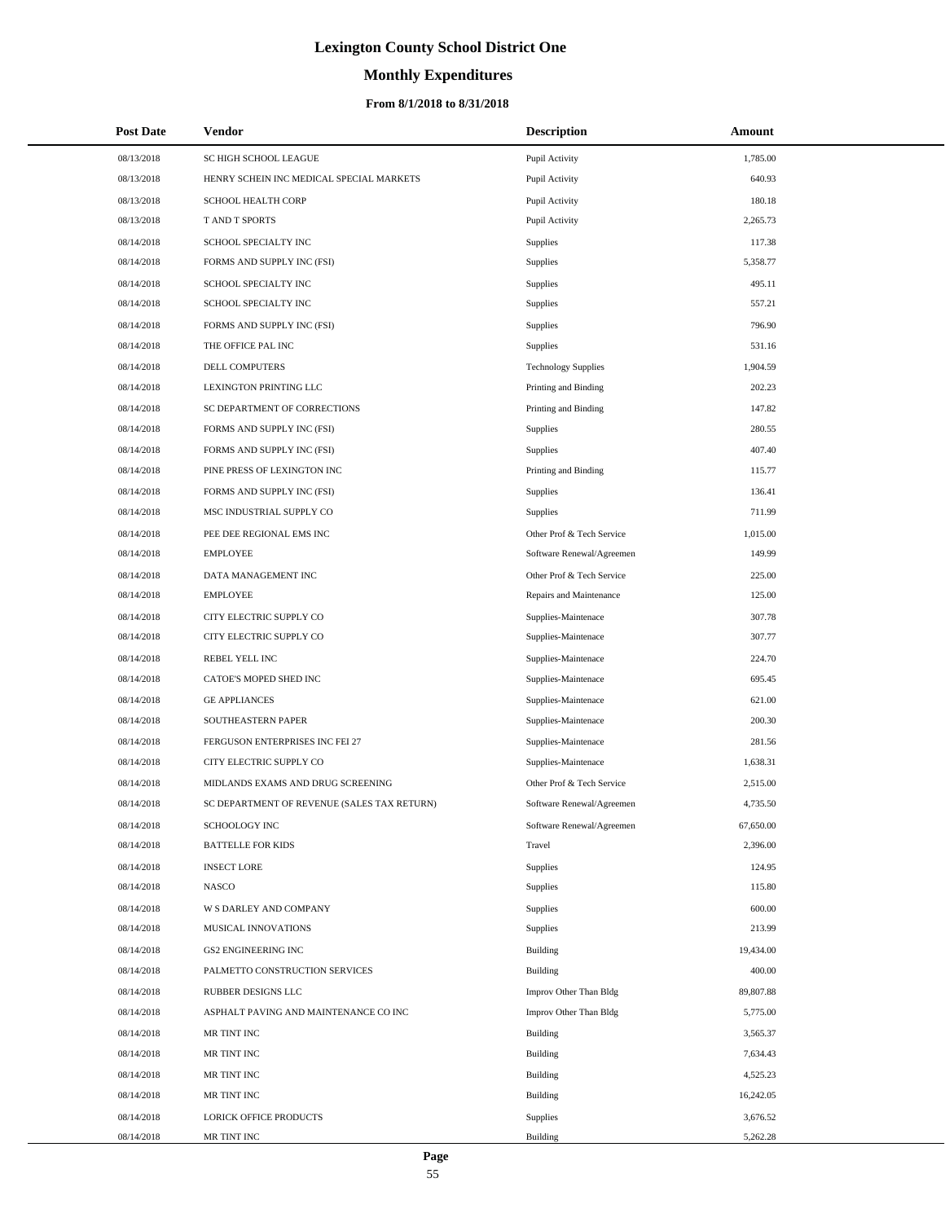# **Monthly Expenditures**

## **From 8/1/2018 to 8/31/2018**

| <b>Post Date</b> | Vendor                                      | <b>Description</b>         | Amount    |  |
|------------------|---------------------------------------------|----------------------------|-----------|--|
| 08/13/2018       | SC HIGH SCHOOL LEAGUE                       | Pupil Activity             | 1,785.00  |  |
| 08/13/2018       | HENRY SCHEIN INC MEDICAL SPECIAL MARKETS    | Pupil Activity             | 640.93    |  |
| 08/13/2018       | SCHOOL HEALTH CORP                          | Pupil Activity             | 180.18    |  |
| 08/13/2018       | T AND T SPORTS                              | Pupil Activity             | 2,265.73  |  |
| 08/14/2018       | SCHOOL SPECIALTY INC                        | Supplies                   | 117.38    |  |
| 08/14/2018       | FORMS AND SUPPLY INC (FSI)                  | Supplies                   | 5,358.77  |  |
| 08/14/2018       | SCHOOL SPECIALTY INC                        | Supplies                   | 495.11    |  |
| 08/14/2018       | SCHOOL SPECIALTY INC                        | Supplies                   | 557.21    |  |
| 08/14/2018       | FORMS AND SUPPLY INC (FSI)                  | Supplies                   | 796.90    |  |
| 08/14/2018       | THE OFFICE PAL INC                          | Supplies                   | 531.16    |  |
| 08/14/2018       | DELL COMPUTERS                              | <b>Technology Supplies</b> | 1,904.59  |  |
| 08/14/2018       | LEXINGTON PRINTING LLC                      | Printing and Binding       | 202.23    |  |
| 08/14/2018       | SC DEPARTMENT OF CORRECTIONS                | Printing and Binding       | 147.82    |  |
| 08/14/2018       | FORMS AND SUPPLY INC (FSI)                  | Supplies                   | 280.55    |  |
| 08/14/2018       | FORMS AND SUPPLY INC (FSI)                  | Supplies                   | 407.40    |  |
| 08/14/2018       | PINE PRESS OF LEXINGTON INC                 | Printing and Binding       | 115.77    |  |
| 08/14/2018       | FORMS AND SUPPLY INC (FSI)                  | Supplies                   | 136.41    |  |
| 08/14/2018       | MSC INDUSTRIAL SUPPLY CO                    | Supplies                   | 711.99    |  |
| 08/14/2018       | PEE DEE REGIONAL EMS INC                    | Other Prof & Tech Service  | 1,015.00  |  |
| 08/14/2018       | <b>EMPLOYEE</b>                             | Software Renewal/Agreemen  | 149.99    |  |
| 08/14/2018       | DATA MANAGEMENT INC                         | Other Prof & Tech Service  | 225.00    |  |
| 08/14/2018       | <b>EMPLOYEE</b>                             | Repairs and Maintenance    | 125.00    |  |
| 08/14/2018       | CITY ELECTRIC SUPPLY CO                     | Supplies-Maintenace        | 307.78    |  |
| 08/14/2018       | CITY ELECTRIC SUPPLY CO                     | Supplies-Maintenace        | 307.77    |  |
| 08/14/2018       | REBEL YELL INC                              | Supplies-Maintenace        | 224.70    |  |
| 08/14/2018       | CATOE'S MOPED SHED INC                      | Supplies-Maintenace        | 695.45    |  |
| 08/14/2018       | <b>GE APPLIANCES</b>                        | Supplies-Maintenace        | 621.00    |  |
| 08/14/2018       | SOUTHEASTERN PAPER                          | Supplies-Maintenace        | 200.30    |  |
| 08/14/2018       | FERGUSON ENTERPRISES INC FEI 27             | Supplies-Maintenace        | 281.56    |  |
| 08/14/2018       | CITY ELECTRIC SUPPLY CO                     | Supplies-Maintenace        | 1,638.31  |  |
| 08/14/2018       | MIDLANDS EXAMS AND DRUG SCREENING           | Other Prof & Tech Service  | 2,515.00  |  |
| 08/14/2018       | SC DEPARTMENT OF REVENUE (SALES TAX RETURN) | Software Renewal/Agreemen  | 4,735.50  |  |
| 08/14/2018       | <b>SCHOOLOGY INC</b>                        | Software Renewal/Agreemen  | 67,650.00 |  |
| 08/14/2018       | <b>BATTELLE FOR KIDS</b>                    | Travel                     | 2,396.00  |  |
| 08/14/2018       | <b>INSECT LORE</b>                          | Supplies                   | 124.95    |  |
| 08/14/2018       | <b>NASCO</b>                                | Supplies                   | 115.80    |  |
| 08/14/2018       | W S DARLEY AND COMPANY                      | Supplies                   | 600.00    |  |
| 08/14/2018       | MUSICAL INNOVATIONS                         | Supplies                   | 213.99    |  |
| 08/14/2018       | <b>GS2 ENGINEERING INC</b>                  | Building                   | 19,434.00 |  |
| 08/14/2018       | PALMETTO CONSTRUCTION SERVICES              | Building                   | 400.00    |  |
| 08/14/2018       | <b>RUBBER DESIGNS LLC</b>                   | Improv Other Than Bldg     | 89,807.88 |  |
| 08/14/2018       | ASPHALT PAVING AND MAINTENANCE CO INC       | Improv Other Than Bldg     | 5,775.00  |  |
| 08/14/2018       | MR TINT INC                                 | Building                   | 3,565.37  |  |
| 08/14/2018       | MR TINT INC                                 | Building                   | 7,634.43  |  |
| 08/14/2018       | MR TINT INC                                 | Building                   | 4,525.23  |  |
| 08/14/2018       | MR TINT INC                                 | Building                   | 16,242.05 |  |
| 08/14/2018       | LORICK OFFICE PRODUCTS                      | Supplies                   | 3,676.52  |  |
| 08/14/2018       | MR TINT INC                                 | Building                   | 5,262.28  |  |

÷.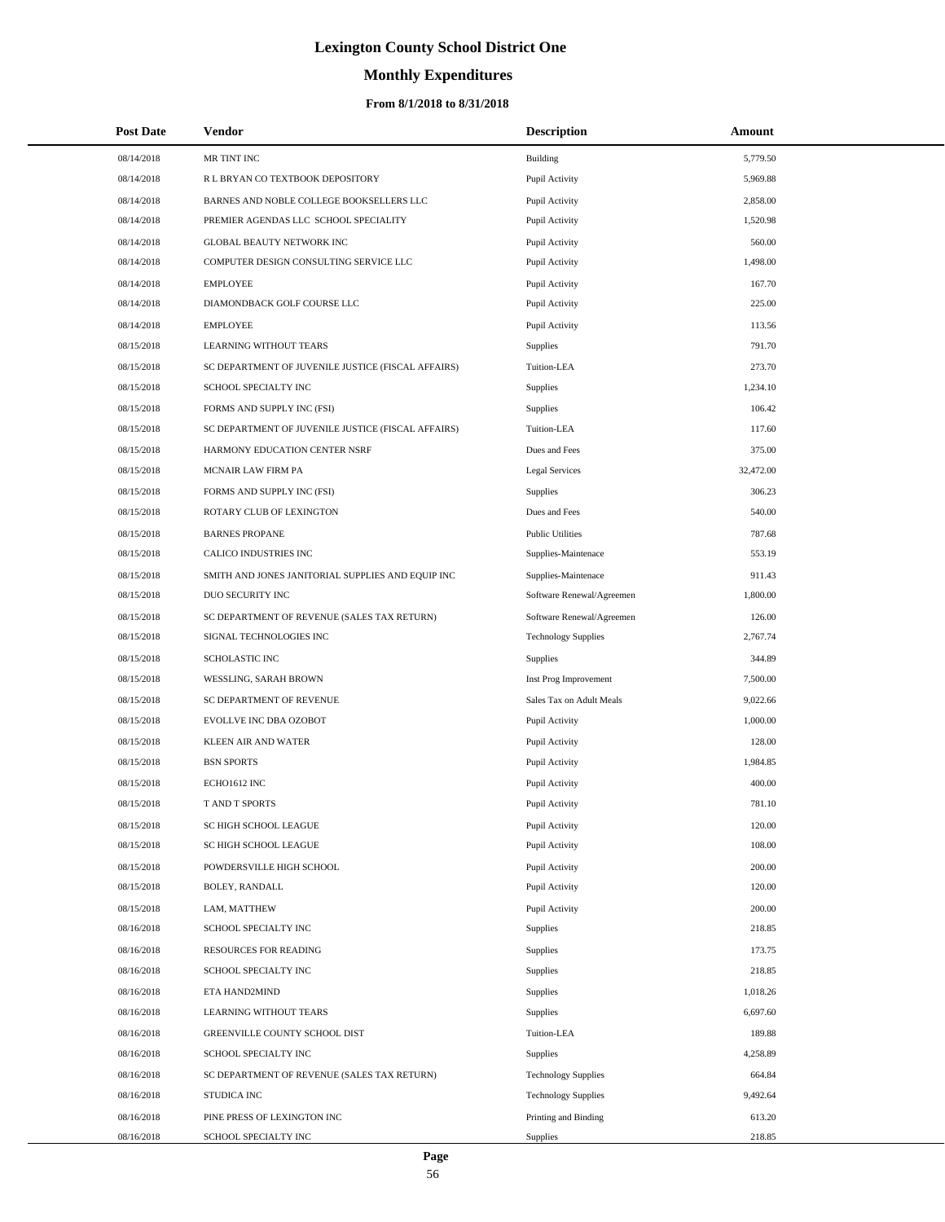# **Monthly Expenditures**

### **From 8/1/2018 to 8/31/2018**

| <b>Post Date</b> | <b>Vendor</b>                                      | <b>Description</b>         | Amount    |
|------------------|----------------------------------------------------|----------------------------|-----------|
| 08/14/2018       | MR TINT INC                                        | Building                   | 5,779.50  |
| 08/14/2018       | R L BRYAN CO TEXTBOOK DEPOSITORY                   | Pupil Activity             | 5,969.88  |
| 08/14/2018       | BARNES AND NOBLE COLLEGE BOOKSELLERS LLC           | Pupil Activity             | 2,858.00  |
| 08/14/2018       | PREMIER AGENDAS LLC SCHOOL SPECIALITY              | Pupil Activity             | 1,520.98  |
| 08/14/2018       | GLOBAL BEAUTY NETWORK INC                          | Pupil Activity             | 560.00    |
| 08/14/2018       | COMPUTER DESIGN CONSULTING SERVICE LLC             | Pupil Activity             | 1,498.00  |
| 08/14/2018       | <b>EMPLOYEE</b>                                    | Pupil Activity             | 167.70    |
| 08/14/2018       | DIAMONDBACK GOLF COURSE LLC                        | Pupil Activity             | 225.00    |
| 08/14/2018       | <b>EMPLOYEE</b>                                    | Pupil Activity             | 113.56    |
| 08/15/2018       | LEARNING WITHOUT TEARS                             | Supplies                   | 791.70    |
| 08/15/2018       | SC DEPARTMENT OF JUVENILE JUSTICE (FISCAL AFFAIRS) | Tuition-LEA                | 273.70    |
| 08/15/2018       | SCHOOL SPECIALTY INC                               | Supplies                   | 1,234.10  |
| 08/15/2018       | FORMS AND SUPPLY INC (FSI)                         | <b>Supplies</b>            | 106.42    |
| 08/15/2018       | SC DEPARTMENT OF JUVENILE JUSTICE (FISCAL AFFAIRS) | Tuition-LEA                | 117.60    |
| 08/15/2018       | HARMONY EDUCATION CENTER NSRF                      | Dues and Fees              | 375.00    |
| 08/15/2018       | MCNAIR LAW FIRM PA                                 | <b>Legal Services</b>      | 32,472.00 |
| 08/15/2018       | FORMS AND SUPPLY INC (FSI)                         | <b>Supplies</b>            | 306.23    |
| 08/15/2018       | ROTARY CLUB OF LEXINGTON                           | Dues and Fees              | 540.00    |
| 08/15/2018       | <b>BARNES PROPANE</b>                              | <b>Public Utilities</b>    | 787.68    |
| 08/15/2018       | CALICO INDUSTRIES INC                              | Supplies-Maintenace        | 553.19    |
| 08/15/2018       | SMITH AND JONES JANITORIAL SUPPLIES AND EQUIP INC  | Supplies-Maintenace        | 911.43    |
| 08/15/2018       | DUO SECURITY INC                                   | Software Renewal/Agreemen  | 1,800.00  |
| 08/15/2018       | SC DEPARTMENT OF REVENUE (SALES TAX RETURN)        | Software Renewal/Agreemen  | 126.00    |
| 08/15/2018       | SIGNAL TECHNOLOGIES INC                            | <b>Technology Supplies</b> | 2,767.74  |
| 08/15/2018       | SCHOLASTIC INC                                     | <b>Supplies</b>            | 344.89    |
| 08/15/2018       | WESSLING, SARAH BROWN                              | Inst Prog Improvement      | 7,500.00  |
| 08/15/2018       | SC DEPARTMENT OF REVENUE                           | Sales Tax on Adult Meals   | 9,022.66  |
| 08/15/2018       | EVOLLVE INC DBA OZOBOT                             | Pupil Activity             | 1,000.00  |
| 08/15/2018       | <b>KLEEN AIR AND WATER</b>                         | Pupil Activity             | 128.00    |
| 08/15/2018       | <b>BSN SPORTS</b>                                  | Pupil Activity             | 1,984.85  |
| 08/15/2018       | ECHO1612 INC                                       | Pupil Activity             | 400.00    |
| 08/15/2018       | <b>TAND T SPORTS</b>                               | Pupil Activity             | 781.10    |
| 08/15/2018       | SC HIGH SCHOOL LEAGUE                              | Pupil Activity             | 120.00    |
| 08/15/2018       | SC HIGH SCHOOL LEAGUE                              | Pupil Activity             | 108.00    |
| 08/15/2018       | POWDERSVILLE HIGH SCHOOL                           | Pupil Activity             | 200.00    |
| 08/15/2018       | BOLEY, RANDALL                                     | Pupil Activity             | 120.00    |
| 08/15/2018       | LAM, MATTHEW                                       | Pupil Activity             | 200.00    |
| 08/16/2018       | SCHOOL SPECIALTY INC                               | Supplies                   | 218.85    |
| 08/16/2018       | RESOURCES FOR READING                              | Supplies                   | 173.75    |
| 08/16/2018       | SCHOOL SPECIALTY INC                               | <b>Supplies</b>            | 218.85    |
| 08/16/2018       | ETA HAND2MIND                                      | Supplies                   | 1,018.26  |
| 08/16/2018       | LEARNING WITHOUT TEARS                             | <b>Supplies</b>            | 6,697.60  |
| 08/16/2018       | GREENVILLE COUNTY SCHOOL DIST                      | Tuition-LEA                | 189.88    |
| 08/16/2018       | SCHOOL SPECIALTY INC                               | <b>Supplies</b>            | 4,258.89  |
| 08/16/2018       | SC DEPARTMENT OF REVENUE (SALES TAX RETURN)        | <b>Technology Supplies</b> | 664.84    |
| 08/16/2018       | STUDICA INC                                        | <b>Technology Supplies</b> | 9,492.64  |
| 08/16/2018       | PINE PRESS OF LEXINGTON INC                        | Printing and Binding       | 613.20    |
| 08/16/2018       | SCHOOL SPECIALTY INC                               | Supplies                   | 218.85    |

 $\overline{\phantom{0}}$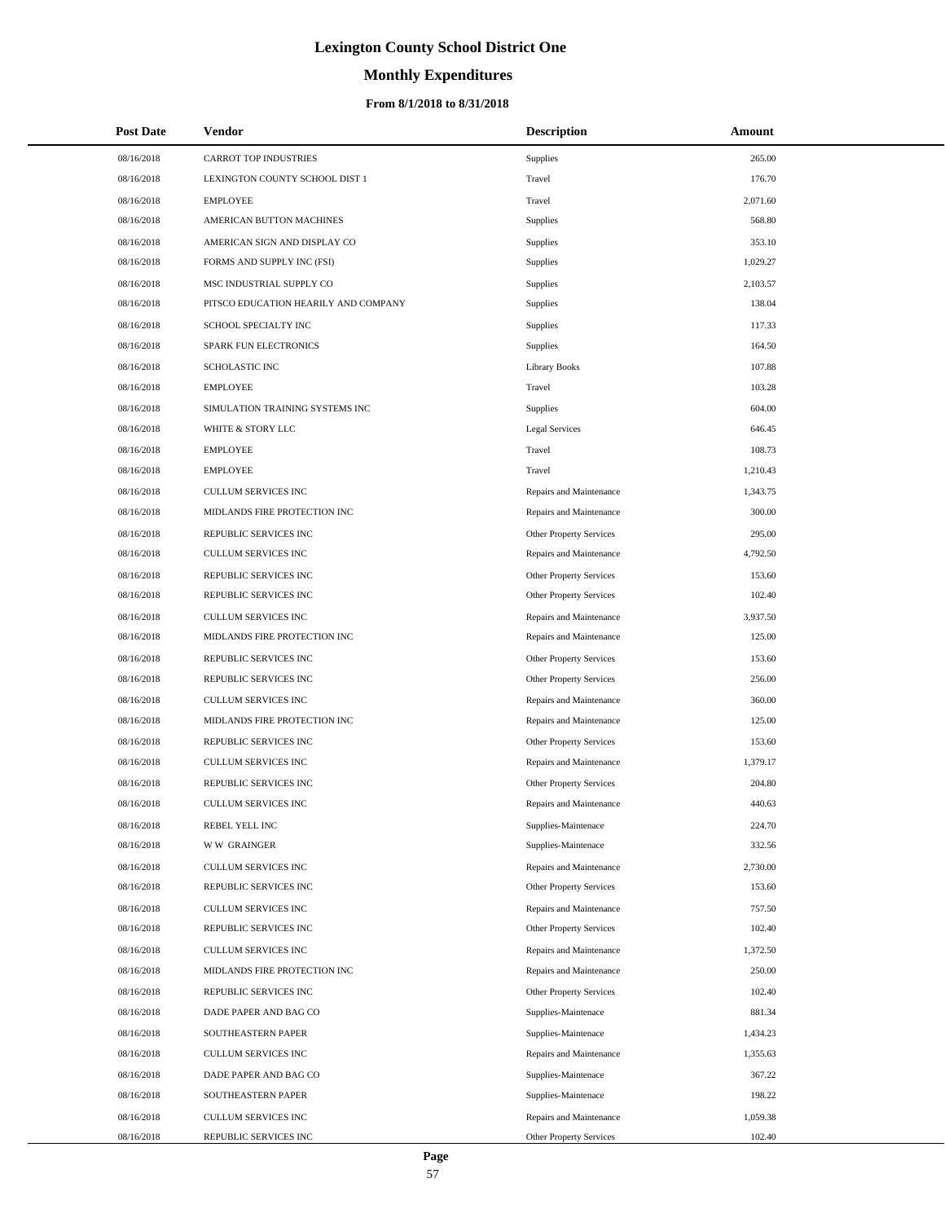# **Monthly Expenditures**

### **From 8/1/2018 to 8/31/2018**

| <b>Post Date</b> | Vendor                               | <b>Description</b>      | Amount   |
|------------------|--------------------------------------|-------------------------|----------|
| 08/16/2018       | <b>CARROT TOP INDUSTRIES</b>         | Supplies                | 265.00   |
| 08/16/2018       | LEXINGTON COUNTY SCHOOL DIST 1       | Travel                  | 176.70   |
| 08/16/2018       | <b>EMPLOYEE</b>                      | Travel                  | 2,071.60 |
| 08/16/2018       | AMERICAN BUTTON MACHINES             | Supplies                | 568.80   |
| 08/16/2018       | AMERICAN SIGN AND DISPLAY CO         | Supplies                | 353.10   |
| 08/16/2018       | FORMS AND SUPPLY INC (FSI)           | Supplies                | 1,029.27 |
| 08/16/2018       | MSC INDUSTRIAL SUPPLY CO             | Supplies                | 2,103.57 |
| 08/16/2018       | PITSCO EDUCATION HEARILY AND COMPANY | Supplies                | 138.04   |
| 08/16/2018       | SCHOOL SPECIALTY INC                 | Supplies                | 117.33   |
| 08/16/2018       | SPARK FUN ELECTRONICS                | Supplies                | 164.50   |
| 08/16/2018       | <b>SCHOLASTIC INC</b>                | <b>Library Books</b>    | 107.88   |
| 08/16/2018       | <b>EMPLOYEE</b>                      | Travel                  | 103.28   |
| 08/16/2018       | SIMULATION TRAINING SYSTEMS INC      | Supplies                | 604.00   |
| 08/16/2018       | WHITE & STORY LLC                    | <b>Legal Services</b>   | 646.45   |
| 08/16/2018       | <b>EMPLOYEE</b>                      | Travel                  | 108.73   |
| 08/16/2018       | <b>EMPLOYEE</b>                      | Travel                  | 1,210.43 |
| 08/16/2018       | CULLUM SERVICES INC                  | Repairs and Maintenance | 1,343.75 |
| 08/16/2018       | MIDLANDS FIRE PROTECTION INC         | Repairs and Maintenance | 300.00   |
| 08/16/2018       | REPUBLIC SERVICES INC                | Other Property Services | 295.00   |
| 08/16/2018       | <b>CULLUM SERVICES INC</b>           | Repairs and Maintenance | 4,792.50 |
| 08/16/2018       | REPUBLIC SERVICES INC                | Other Property Services | 153.60   |
| 08/16/2018       | REPUBLIC SERVICES INC                | Other Property Services | 102.40   |
| 08/16/2018       | CULLUM SERVICES INC                  | Repairs and Maintenance | 3,937.50 |
| 08/16/2018       | MIDLANDS FIRE PROTECTION INC         | Repairs and Maintenance | 125.00   |
| 08/16/2018       | REPUBLIC SERVICES INC                | Other Property Services | 153.60   |
| 08/16/2018       | REPUBLIC SERVICES INC                | Other Property Services | 256.00   |
| 08/16/2018       | CULLUM SERVICES INC                  | Repairs and Maintenance | 360.00   |
| 08/16/2018       | MIDLANDS FIRE PROTECTION INC         | Repairs and Maintenance | 125.00   |
| 08/16/2018       | REPUBLIC SERVICES INC                | Other Property Services | 153.60   |
| 08/16/2018       | CULLUM SERVICES INC                  | Repairs and Maintenance | 1,379.17 |
| 08/16/2018       | REPUBLIC SERVICES INC                | Other Property Services | 204.80   |
| 08/16/2018       | CULLUM SERVICES INC                  | Repairs and Maintenance | 440.63   |
| 08/16/2018       | REBEL YELL INC                       | Supplies-Maintenace     | 224.70   |
| 08/16/2018       | <b>WW GRAINGER</b>                   | Supplies-Maintenace     | 332.56   |
| 08/16/2018       | <b>CULLUM SERVICES INC</b>           | Repairs and Maintenance | 2,730.00 |
| 08/16/2018       | REPUBLIC SERVICES INC                | Other Property Services | 153.60   |
| 08/16/2018       | <b>CULLUM SERVICES INC</b>           | Repairs and Maintenance | 757.50   |
| 08/16/2018       | REPUBLIC SERVICES INC                | Other Property Services | 102.40   |
| 08/16/2018       | CULLUM SERVICES INC                  | Repairs and Maintenance | 1,372.50 |
| 08/16/2018       | MIDLANDS FIRE PROTECTION INC         | Repairs and Maintenance | 250.00   |
| 08/16/2018       | REPUBLIC SERVICES INC                | Other Property Services | 102.40   |
| 08/16/2018       | DADE PAPER AND BAG CO                | Supplies-Maintenace     | 881.34   |
| 08/16/2018       | SOUTHEASTERN PAPER                   | Supplies-Maintenace     | 1,434.23 |
| 08/16/2018       | CULLUM SERVICES INC                  | Repairs and Maintenance | 1,355.63 |
| 08/16/2018       | DADE PAPER AND BAG CO                | Supplies-Maintenace     | 367.22   |
| 08/16/2018       | SOUTHEASTERN PAPER                   | Supplies-Maintenace     | 198.22   |
| 08/16/2018       | CULLUM SERVICES INC                  | Repairs and Maintenance | 1,059.38 |
| 08/16/2018       | REPUBLIC SERVICES INC                | Other Property Services | 102.40   |

 $\overline{\phantom{0}}$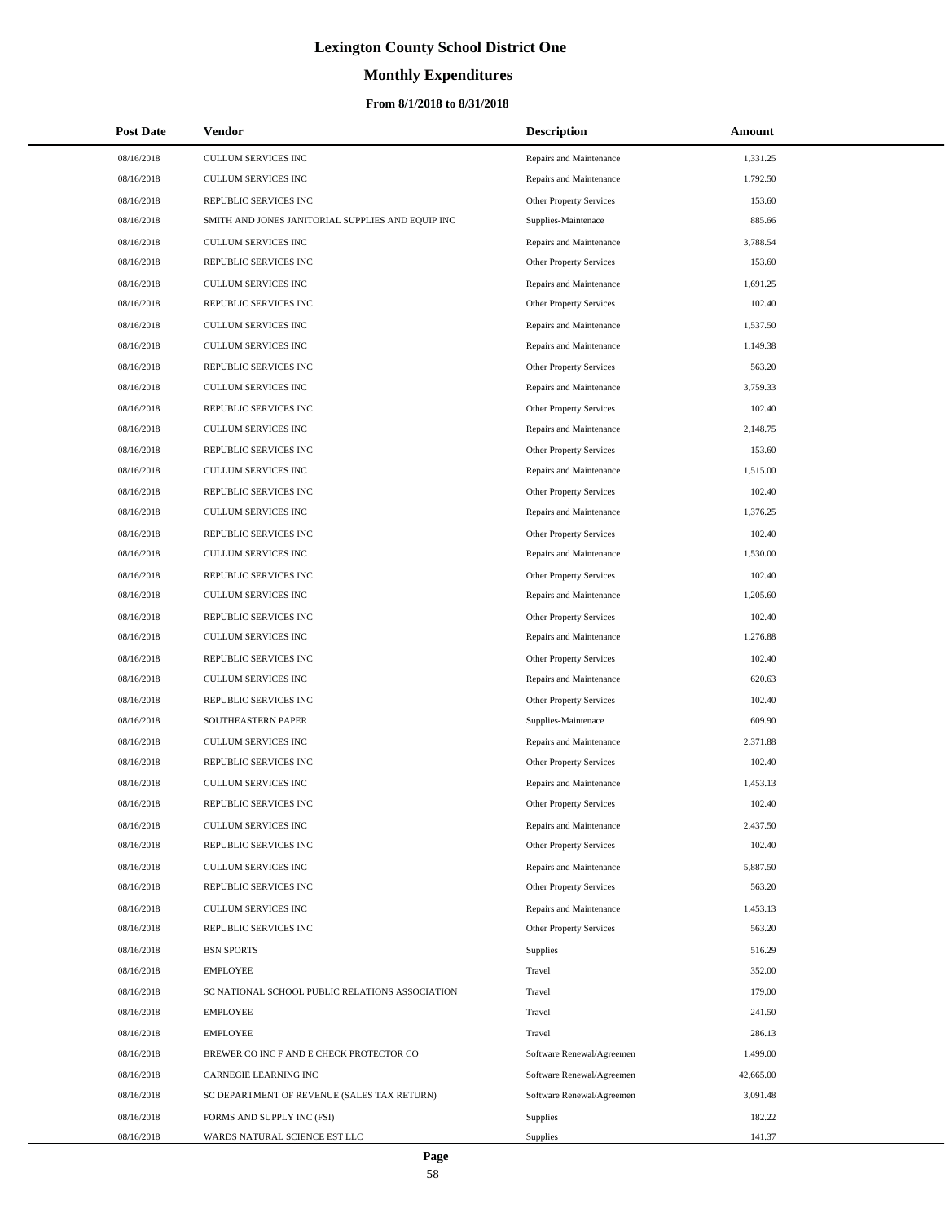# **Monthly Expenditures**

| <b>Post Date</b> | Vendor                                            | <b>Description</b>             | Amount    |
|------------------|---------------------------------------------------|--------------------------------|-----------|
| 08/16/2018       | CULLUM SERVICES INC                               | Repairs and Maintenance        | 1,331.25  |
| 08/16/2018       | CULLUM SERVICES INC                               | Repairs and Maintenance        | 1,792.50  |
| 08/16/2018       | REPUBLIC SERVICES INC                             | Other Property Services        | 153.60    |
| 08/16/2018       | SMITH AND JONES JANITORIAL SUPPLIES AND EQUIP INC | Supplies-Maintenace            | 885.66    |
| 08/16/2018       | CULLUM SERVICES INC                               | Repairs and Maintenance        | 3,788.54  |
| 08/16/2018       | REPUBLIC SERVICES INC                             | Other Property Services        | 153.60    |
| 08/16/2018       | CULLUM SERVICES INC                               | Repairs and Maintenance        | 1,691.25  |
| 08/16/2018       | REPUBLIC SERVICES INC                             | Other Property Services        | 102.40    |
| 08/16/2018       | <b>CULLUM SERVICES INC</b>                        | Repairs and Maintenance        | 1,537.50  |
| 08/16/2018       | CULLUM SERVICES INC                               | Repairs and Maintenance        | 1,149.38  |
| 08/16/2018       | REPUBLIC SERVICES INC                             | Other Property Services        | 563.20    |
| 08/16/2018       | CULLUM SERVICES INC                               | Repairs and Maintenance        | 3,759.33  |
| 08/16/2018       | REPUBLIC SERVICES INC                             | Other Property Services        | 102.40    |
| 08/16/2018       | <b>CULLUM SERVICES INC</b>                        | Repairs and Maintenance        | 2,148.75  |
| 08/16/2018       | REPUBLIC SERVICES INC                             | <b>Other Property Services</b> | 153.60    |
| 08/16/2018       | CULLUM SERVICES INC                               | Repairs and Maintenance        | 1,515.00  |
| 08/16/2018       | REPUBLIC SERVICES INC                             | Other Property Services        | 102.40    |
| 08/16/2018       | CULLUM SERVICES INC                               | Repairs and Maintenance        | 1,376.25  |
| 08/16/2018       | REPUBLIC SERVICES INC                             | Other Property Services        | 102.40    |
| 08/16/2018       | CULLUM SERVICES INC                               | Repairs and Maintenance        | 1,530.00  |
| 08/16/2018       | REPUBLIC SERVICES INC                             | Other Property Services        | 102.40    |
| 08/16/2018       | CULLUM SERVICES INC                               | Repairs and Maintenance        | 1,205.60  |
| 08/16/2018       | REPUBLIC SERVICES INC                             | Other Property Services        | 102.40    |
| 08/16/2018       | CULLUM SERVICES INC                               | Repairs and Maintenance        | 1,276.88  |
| 08/16/2018       | REPUBLIC SERVICES INC                             | Other Property Services        | 102.40    |
| 08/16/2018       | CULLUM SERVICES INC                               | Repairs and Maintenance        | 620.63    |
| 08/16/2018       | REPUBLIC SERVICES INC                             | Other Property Services        | 102.40    |
| 08/16/2018       | SOUTHEASTERN PAPER                                | Supplies-Maintenace            | 609.90    |
| 08/16/2018       | CULLUM SERVICES INC                               | Repairs and Maintenance        | 2,371.88  |
| 08/16/2018       | REPUBLIC SERVICES INC                             | Other Property Services        | 102.40    |
| 08/16/2018       | CULLUM SERVICES INC                               | Repairs and Maintenance        | 1,453.13  |
| 08/16/2018       | REPUBLIC SERVICES INC                             | <b>Other Property Services</b> | 102.40    |
| 08/16/2018       | CULLUM SERVICES INC                               | Repairs and Maintenance        | 2,437.50  |
| 08/16/2018       | REPUBLIC SERVICES INC                             | <b>Other Property Services</b> | 102.40    |
| 08/16/2018       | CULLUM SERVICES INC                               | Repairs and Maintenance        | 5,887.50  |
| 08/16/2018       | REPUBLIC SERVICES INC                             | Other Property Services        | 563.20    |
| 08/16/2018       | <b>CULLUM SERVICES INC</b>                        | Repairs and Maintenance        | 1,453.13  |
| 08/16/2018       | REPUBLIC SERVICES INC                             | Other Property Services        | 563.20    |
| 08/16/2018       | <b>BSN SPORTS</b>                                 | Supplies                       | 516.29    |
| 08/16/2018       | <b>EMPLOYEE</b>                                   | Travel                         | 352.00    |
| 08/16/2018       | SC NATIONAL SCHOOL PUBLIC RELATIONS ASSOCIATION   | Travel                         | 179.00    |
| 08/16/2018       | <b>EMPLOYEE</b>                                   | Travel                         | 241.50    |
| 08/16/2018       | <b>EMPLOYEE</b>                                   | Travel                         | 286.13    |
| 08/16/2018       | BREWER CO INC F AND E CHECK PROTECTOR CO          | Software Renewal/Agreemen      | 1,499.00  |
| 08/16/2018       | CARNEGIE LEARNING INC                             | Software Renewal/Agreemen      | 42,665.00 |
| 08/16/2018       | SC DEPARTMENT OF REVENUE (SALES TAX RETURN)       | Software Renewal/Agreemen      | 3,091.48  |
| 08/16/2018       | FORMS AND SUPPLY INC (FSI)                        | Supplies                       | 182.22    |
| 08/16/2018       | WARDS NATURAL SCIENCE EST LLC                     | Supplies                       | 141.37    |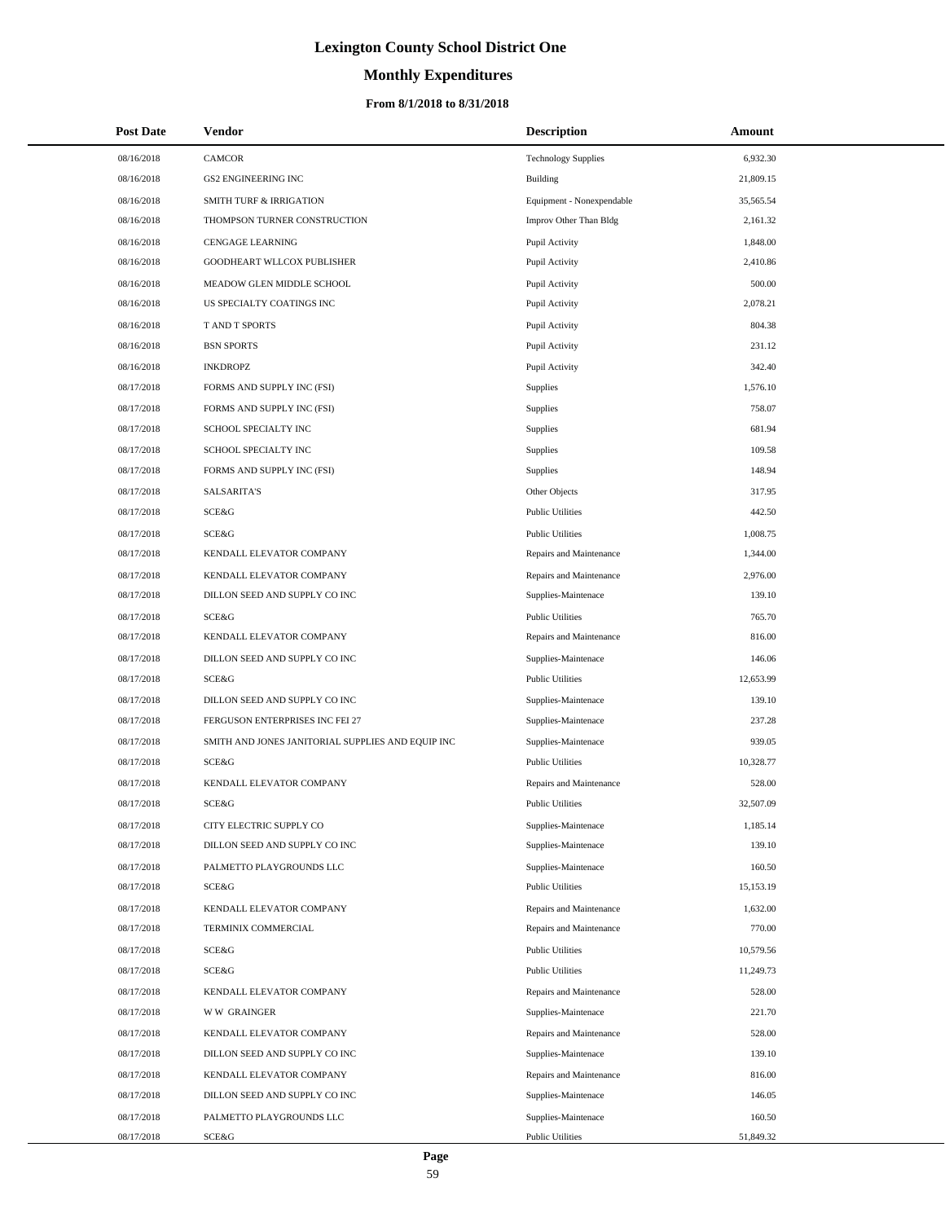# **Monthly Expenditures**

| <b>Post Date</b> | Vendor                                            | <b>Description</b>         | Amount    |
|------------------|---------------------------------------------------|----------------------------|-----------|
| 08/16/2018       | <b>CAMCOR</b>                                     | <b>Technology Supplies</b> | 6,932.30  |
| 08/16/2018       | <b>GS2 ENGINEERING INC</b>                        | Building                   | 21,809.15 |
| 08/16/2018       | <b>SMITH TURF &amp; IRRIGATION</b>                | Equipment - Nonexpendable  | 35,565.54 |
| 08/16/2018       | THOMPSON TURNER CONSTRUCTION                      | Improv Other Than Bldg     | 2,161.32  |
| 08/16/2018       | CENGAGE LEARNING                                  | Pupil Activity             | 1,848.00  |
| 08/16/2018       | GOODHEART WLLCOX PUBLISHER                        | Pupil Activity             | 2,410.86  |
| 08/16/2018       | MEADOW GLEN MIDDLE SCHOOL                         | Pupil Activity             | 500.00    |
| 08/16/2018       | US SPECIALTY COATINGS INC                         | Pupil Activity             | 2,078.21  |
| 08/16/2018       | T AND T SPORTS                                    | Pupil Activity             | 804.38    |
| 08/16/2018       | <b>BSN SPORTS</b>                                 | Pupil Activity             | 231.12    |
| 08/16/2018       | <b>INKDROPZ</b>                                   | Pupil Activity             | 342.40    |
| 08/17/2018       | FORMS AND SUPPLY INC (FSI)                        | Supplies                   | 1,576.10  |
| 08/17/2018       | FORMS AND SUPPLY INC (FSI)                        | Supplies                   | 758.07    |
| 08/17/2018       | SCHOOL SPECIALTY INC                              | Supplies                   | 681.94    |
| 08/17/2018       | SCHOOL SPECIALTY INC                              | Supplies                   | 109.58    |
| 08/17/2018       | FORMS AND SUPPLY INC (FSI)                        | Supplies                   | 148.94    |
| 08/17/2018       | <b>SALSARITA'S</b>                                | Other Objects              | 317.95    |
| 08/17/2018       | SCE&G                                             | <b>Public Utilities</b>    | 442.50    |
| 08/17/2018       | SCE&G                                             | <b>Public Utilities</b>    | 1,008.75  |
| 08/17/2018       | KENDALL ELEVATOR COMPANY                          | Repairs and Maintenance    | 1,344.00  |
| 08/17/2018       | KENDALL ELEVATOR COMPANY                          | Repairs and Maintenance    | 2,976.00  |
| 08/17/2018       | DILLON SEED AND SUPPLY CO INC                     | Supplies-Maintenace        | 139.10    |
| 08/17/2018       | SCE&G                                             | <b>Public Utilities</b>    | 765.70    |
| 08/17/2018       | KENDALL ELEVATOR COMPANY                          | Repairs and Maintenance    | 816.00    |
| 08/17/2018       | DILLON SEED AND SUPPLY CO INC                     | Supplies-Maintenace        | 146.06    |
| 08/17/2018       | SCE&G                                             | <b>Public Utilities</b>    | 12,653.99 |
| 08/17/2018       | DILLON SEED AND SUPPLY CO INC                     | Supplies-Maintenace        | 139.10    |
| 08/17/2018       | FERGUSON ENTERPRISES INC FEI 27                   | Supplies-Maintenace        | 237.28    |
| 08/17/2018       | SMITH AND JONES JANITORIAL SUPPLIES AND EQUIP INC | Supplies-Maintenace        | 939.05    |
| 08/17/2018       | SCE&G                                             | <b>Public Utilities</b>    | 10,328.77 |
| 08/17/2018       | KENDALL ELEVATOR COMPANY                          | Repairs and Maintenance    | 528.00    |
| 08/17/2018       | SCE&G                                             | <b>Public Utilities</b>    | 32,507.09 |
| 08/17/2018       | CITY ELECTRIC SUPPLY CO                           | Supplies-Maintenace        | 1,185.14  |
| 08/17/2018       | DILLON SEED AND SUPPLY CO INC                     | Supplies-Maintenace        | 139.10    |
| 08/17/2018       | PALMETTO PLAYGROUNDS LLC                          | Supplies-Maintenace        | 160.50    |
| 08/17/2018       | SCE&G                                             | <b>Public Utilities</b>    | 15,153.19 |
| 08/17/2018       | KENDALL ELEVATOR COMPANY                          | Repairs and Maintenance    | 1,632.00  |
| 08/17/2018       | TERMINIX COMMERCIAL                               | Repairs and Maintenance    | 770.00    |
| 08/17/2018       | SCE&G                                             | <b>Public Utilities</b>    | 10,579.56 |
| 08/17/2018       | SCE&G                                             | <b>Public Utilities</b>    | 11,249.73 |
| 08/17/2018       | KENDALL ELEVATOR COMPANY                          | Repairs and Maintenance    | 528.00    |
| 08/17/2018       | <b>WW GRAINGER</b>                                | Supplies-Maintenace        | 221.70    |
| 08/17/2018       | KENDALL ELEVATOR COMPANY                          | Repairs and Maintenance    | 528.00    |
| 08/17/2018       | DILLON SEED AND SUPPLY CO INC                     | Supplies-Maintenace        | 139.10    |
| 08/17/2018       | KENDALL ELEVATOR COMPANY                          | Repairs and Maintenance    | 816.00    |
| 08/17/2018       | DILLON SEED AND SUPPLY CO INC                     | Supplies-Maintenace        | 146.05    |
| 08/17/2018       | PALMETTO PLAYGROUNDS LLC                          | Supplies-Maintenace        | 160.50    |
| 08/17/2018       | SCE&G                                             | <b>Public Utilities</b>    | 51,849.32 |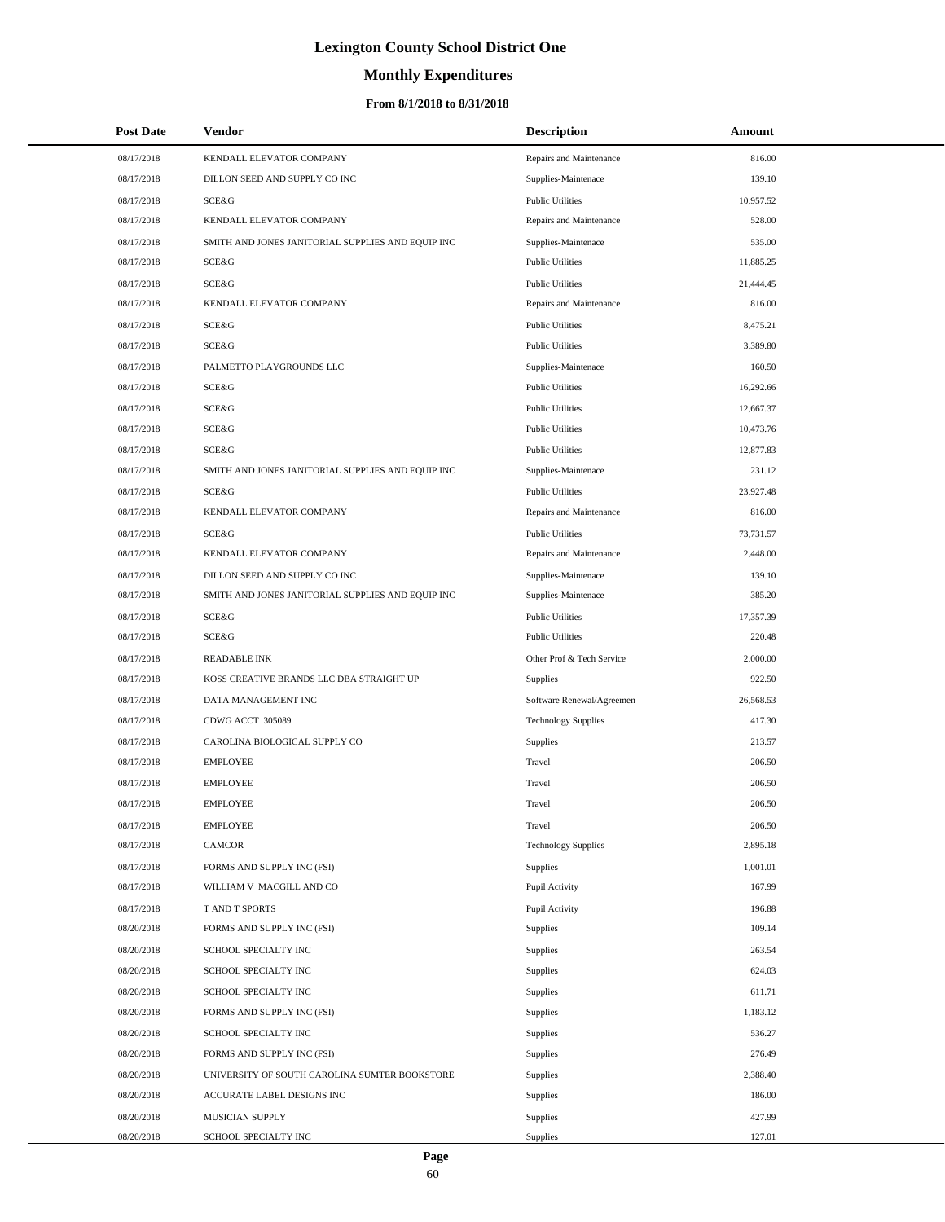# **Monthly Expenditures**

### **From 8/1/2018 to 8/31/2018**

| <b>Post Date</b> | Vendor                                            | <b>Description</b>         | Amount    |  |
|------------------|---------------------------------------------------|----------------------------|-----------|--|
| 08/17/2018       | KENDALL ELEVATOR COMPANY                          | Repairs and Maintenance    | 816.00    |  |
| 08/17/2018       | DILLON SEED AND SUPPLY CO INC                     | Supplies-Maintenace        | 139.10    |  |
| 08/17/2018       | SCE&G                                             | <b>Public Utilities</b>    | 10,957.52 |  |
| 08/17/2018       | KENDALL ELEVATOR COMPANY                          | Repairs and Maintenance    | 528.00    |  |
| 08/17/2018       | SMITH AND JONES JANITORIAL SUPPLIES AND EQUIP INC | Supplies-Maintenace        | 535.00    |  |
| 08/17/2018       | <b>SCE&amp;G</b>                                  | <b>Public Utilities</b>    | 11,885.25 |  |
| 08/17/2018       | SCE&G                                             | <b>Public Utilities</b>    | 21,444.45 |  |
| 08/17/2018       | KENDALL ELEVATOR COMPANY                          | Repairs and Maintenance    | 816.00    |  |
| 08/17/2018       | SCE&G                                             | <b>Public Utilities</b>    | 8,475.21  |  |
| 08/17/2018       | SCE&G                                             | <b>Public Utilities</b>    | 3,389.80  |  |
| 08/17/2018       | PALMETTO PLAYGROUNDS LLC                          | Supplies-Maintenace        | 160.50    |  |
| 08/17/2018       | SCE&G                                             | <b>Public Utilities</b>    | 16,292.66 |  |
| 08/17/2018       | SCE&G                                             | <b>Public Utilities</b>    | 12,667.37 |  |
| 08/17/2018       | SCE&G                                             | <b>Public Utilities</b>    | 10,473.76 |  |
| 08/17/2018       | SCE&G                                             | <b>Public Utilities</b>    | 12,877.83 |  |
| 08/17/2018       | SMITH AND JONES JANITORIAL SUPPLIES AND EQUIP INC | Supplies-Maintenace        | 231.12    |  |
| 08/17/2018       | SCE&G                                             | <b>Public Utilities</b>    | 23,927.48 |  |
| 08/17/2018       | KENDALL ELEVATOR COMPANY                          | Repairs and Maintenance    | 816.00    |  |
| 08/17/2018       | SCE&G                                             | <b>Public Utilities</b>    | 73,731.57 |  |
| 08/17/2018       | KENDALL ELEVATOR COMPANY                          | Repairs and Maintenance    | 2,448.00  |  |
| 08/17/2018       | DILLON SEED AND SUPPLY CO INC                     | Supplies-Maintenace        | 139.10    |  |
| 08/17/2018       | SMITH AND JONES JANITORIAL SUPPLIES AND EQUIP INC | Supplies-Maintenace        | 385.20    |  |
| 08/17/2018       | SCE&G                                             | <b>Public Utilities</b>    | 17,357.39 |  |
| 08/17/2018       | <b>SCE&amp;G</b>                                  | <b>Public Utilities</b>    | 220.48    |  |
| 08/17/2018       | <b>READABLE INK</b>                               | Other Prof & Tech Service  | 2,000.00  |  |
| 08/17/2018       | KOSS CREATIVE BRANDS LLC DBA STRAIGHT UP          | Supplies                   | 922.50    |  |
| 08/17/2018       | DATA MANAGEMENT INC                               | Software Renewal/Agreemen  | 26,568.53 |  |
| 08/17/2018       | CDWG ACCT 305089                                  | <b>Technology Supplies</b> | 417.30    |  |
| 08/17/2018       | CAROLINA BIOLOGICAL SUPPLY CO                     | Supplies                   | 213.57    |  |
| 08/17/2018       | <b>EMPLOYEE</b>                                   | Travel                     | 206.50    |  |
| 08/17/2018       | <b>EMPLOYEE</b>                                   | Travel                     | 206.50    |  |
| 08/17/2018       | <b>EMPLOYEE</b>                                   | Travel                     | 206.50    |  |
| 08/17/2018       | <b>EMPLOYEE</b>                                   | Travel                     | 206.50    |  |
| 08/17/2018       | <b>CAMCOR</b>                                     | <b>Technology Supplies</b> | 2,895.18  |  |
| 08/17/2018       | FORMS AND SUPPLY INC (FSI)                        | Supplies                   | 1,001.01  |  |
| 08/17/2018       | WILLIAM V MACGILL AND CO                          | Pupil Activity             | 167.99    |  |
| 08/17/2018       | T AND T SPORTS                                    | Pupil Activity             | 196.88    |  |
| 08/20/2018       | FORMS AND SUPPLY INC (FSI)                        | Supplies                   | 109.14    |  |
| 08/20/2018       | SCHOOL SPECIALTY INC                              | Supplies                   | 263.54    |  |
| 08/20/2018       | SCHOOL SPECIALTY INC                              | Supplies                   | 624.03    |  |
| 08/20/2018       | SCHOOL SPECIALTY INC                              | Supplies                   | 611.71    |  |
| 08/20/2018       | FORMS AND SUPPLY INC (FSI)                        | Supplies                   | 1,183.12  |  |
| 08/20/2018       | SCHOOL SPECIALTY INC                              | Supplies                   | 536.27    |  |
| 08/20/2018       | FORMS AND SUPPLY INC (FSI)                        | Supplies                   | 276.49    |  |
| 08/20/2018       | UNIVERSITY OF SOUTH CAROLINA SUMTER BOOKSTORE     | Supplies                   | 2,388.40  |  |
| 08/20/2018       | ACCURATE LABEL DESIGNS INC                        | Supplies                   | 186.00    |  |
| 08/20/2018       | MUSICIAN SUPPLY                                   | Supplies                   | 427.99    |  |
| 08/20/2018       | SCHOOL SPECIALTY INC                              | Supplies                   | 127.01    |  |

 $\overline{\phantom{0}}$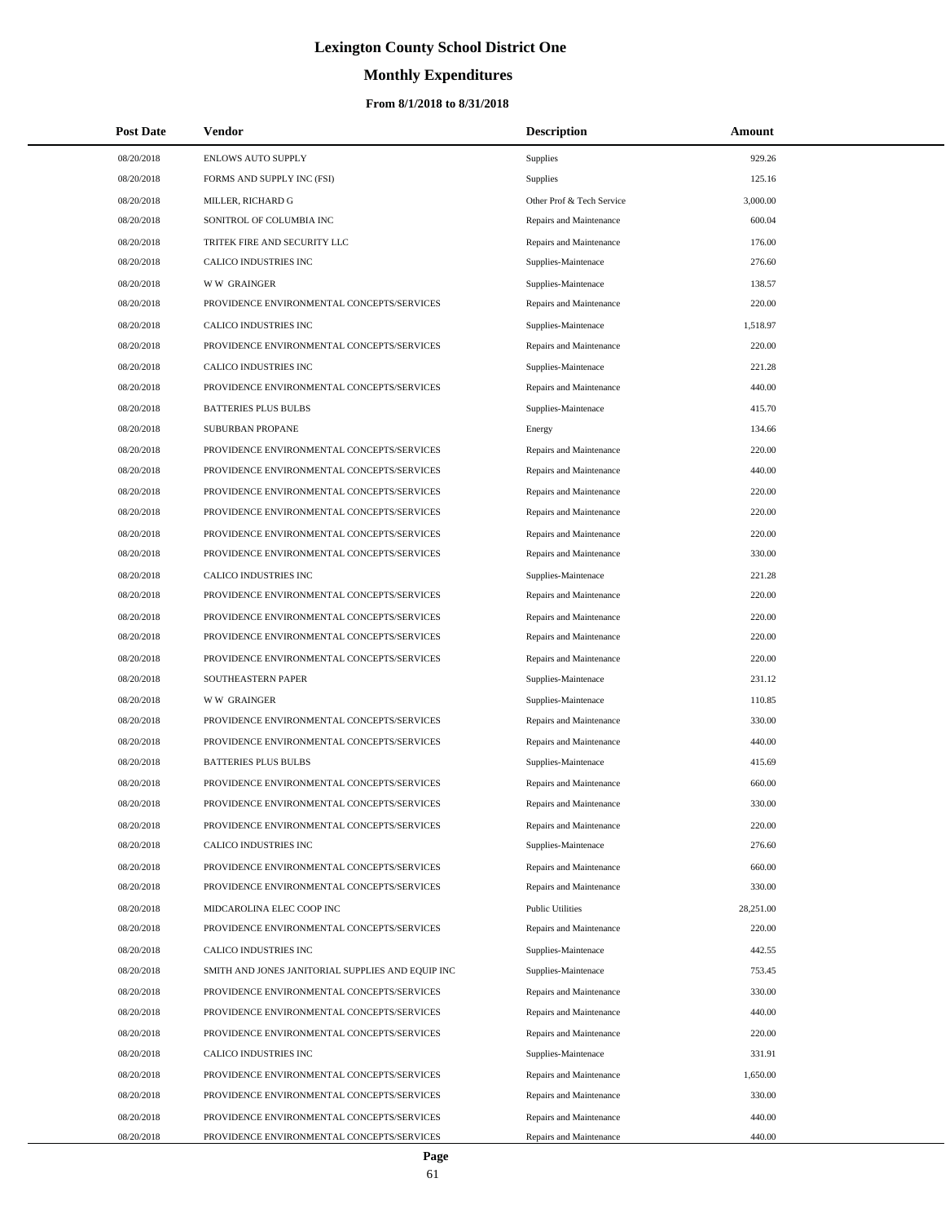# **Monthly Expenditures**

| <b>Post Date</b>         | Vendor                                                                                   | <b>Description</b>                                 | Amount             |
|--------------------------|------------------------------------------------------------------------------------------|----------------------------------------------------|--------------------|
| 08/20/2018               | ENLOWS AUTO SUPPLY                                                                       | Supplies                                           | 929.26             |
| 08/20/2018               | FORMS AND SUPPLY INC (FSI)                                                               | Supplies                                           | 125.16             |
| 08/20/2018               | MILLER, RICHARD G                                                                        | Other Prof & Tech Service                          | 3,000.00           |
| 08/20/2018               | SONITROL OF COLUMBIA INC                                                                 | Repairs and Maintenance                            | 600.04             |
| 08/20/2018               | TRITEK FIRE AND SECURITY LLC                                                             | Repairs and Maintenance                            | 176.00             |
| 08/20/2018               | CALICO INDUSTRIES INC                                                                    | Supplies-Maintenace                                | 276.60             |
| 08/20/2018               | <b>WW GRAINGER</b>                                                                       | Supplies-Maintenace                                | 138.57             |
| 08/20/2018               | PROVIDENCE ENVIRONMENTAL CONCEPTS/SERVICES                                               | Repairs and Maintenance                            | 220.00             |
| 08/20/2018               | CALICO INDUSTRIES INC                                                                    | Supplies-Maintenace                                | 1,518.97           |
| 08/20/2018               | PROVIDENCE ENVIRONMENTAL CONCEPTS/SERVICES                                               | Repairs and Maintenance                            | 220.00             |
| 08/20/2018               | CALICO INDUSTRIES INC                                                                    | Supplies-Maintenace                                | 221.28             |
| 08/20/2018               | PROVIDENCE ENVIRONMENTAL CONCEPTS/SERVICES                                               | Repairs and Maintenance                            | 440.00             |
| 08/20/2018               | <b>BATTERIES PLUS BULBS</b>                                                              | Supplies-Maintenace                                | 415.70             |
| 08/20/2018               | SUBURBAN PROPANE                                                                         | Energy                                             | 134.66             |
| 08/20/2018               | PROVIDENCE ENVIRONMENTAL CONCEPTS/SERVICES                                               | Repairs and Maintenance                            | 220.00             |
| 08/20/2018               | PROVIDENCE ENVIRONMENTAL CONCEPTS/SERVICES                                               | Repairs and Maintenance                            | 440.00             |
| 08/20/2018               | PROVIDENCE ENVIRONMENTAL CONCEPTS/SERVICES                                               | Repairs and Maintenance                            | 220.00             |
| 08/20/2018               | PROVIDENCE ENVIRONMENTAL CONCEPTS/SERVICES                                               | Repairs and Maintenance                            | 220.00             |
| 08/20/2018               | PROVIDENCE ENVIRONMENTAL CONCEPTS/SERVICES                                               | Repairs and Maintenance                            | 220.00             |
| 08/20/2018               | PROVIDENCE ENVIRONMENTAL CONCEPTS/SERVICES                                               | Repairs and Maintenance                            | 330.00             |
| 08/20/2018               | CALICO INDUSTRIES INC                                                                    | Supplies-Maintenace                                | 221.28             |
| 08/20/2018               | PROVIDENCE ENVIRONMENTAL CONCEPTS/SERVICES                                               | Repairs and Maintenance                            | 220.00             |
| 08/20/2018               | PROVIDENCE ENVIRONMENTAL CONCEPTS/SERVICES                                               | Repairs and Maintenance                            | 220.00             |
| 08/20/2018               | PROVIDENCE ENVIRONMENTAL CONCEPTS/SERVICES                                               | Repairs and Maintenance                            | 220.00             |
| 08/20/2018               | PROVIDENCE ENVIRONMENTAL CONCEPTS/SERVICES                                               | Repairs and Maintenance                            | 220.00             |
| 08/20/2018               | SOUTHEASTERN PAPER                                                                       | Supplies-Maintenace                                | 231.12             |
| 08/20/2018               | <b>WW GRAINGER</b>                                                                       | Supplies-Maintenace                                | 110.85             |
| 08/20/2018               | PROVIDENCE ENVIRONMENTAL CONCEPTS/SERVICES                                               | Repairs and Maintenance                            | 330.00             |
| 08/20/2018               | PROVIDENCE ENVIRONMENTAL CONCEPTS/SERVICES                                               | Repairs and Maintenance                            | 440.00             |
| 08/20/2018               | <b>BATTERIES PLUS BULBS</b>                                                              | Supplies-Maintenace                                | 415.69             |
| 08/20/2018               | PROVIDENCE ENVIRONMENTAL CONCEPTS/SERVICES                                               | Repairs and Maintenance                            | 660.00             |
| 08/20/2018               | PROVIDENCE ENVIRONMENTAL CONCEPTS/SERVICES                                               | Repairs and Maintenance                            | 330.00             |
| 08/20/2018               | PROVIDENCE ENVIRONMENTAL CONCEPTS/SERVICES                                               | Repairs and Maintenance                            | 220.00             |
| 08/20/2018               | CALICO INDUSTRIES INC                                                                    | Supplies-Maintenace                                | 276.60             |
| 08/20/2018               | PROVIDENCE ENVIRONMENTAL CONCEPTS/SERVICES                                               | Repairs and Maintenance                            | 660.00             |
| 08/20/2018               | PROVIDENCE ENVIRONMENTAL CONCEPTS/SERVICES                                               | Repairs and Maintenance                            | 330.00             |
| 08/20/2018               | MIDCAROLINA ELEC COOP INC                                                                | <b>Public Utilities</b>                            | 28,251.00          |
| 08/20/2018               | PROVIDENCE ENVIRONMENTAL CONCEPTS/SERVICES                                               | Repairs and Maintenance                            | 220.00             |
| 08/20/2018               | CALICO INDUSTRIES INC                                                                    | Supplies-Maintenace                                | 442.55             |
| 08/20/2018               | SMITH AND JONES JANITORIAL SUPPLIES AND EQUIP INC                                        | Supplies-Maintenace                                | 753.45             |
| 08/20/2018               | PROVIDENCE ENVIRONMENTAL CONCEPTS/SERVICES                                               | Repairs and Maintenance                            | 330.00             |
| 08/20/2018               | PROVIDENCE ENVIRONMENTAL CONCEPTS/SERVICES                                               | Repairs and Maintenance                            | 440.00             |
| 08/20/2018               | PROVIDENCE ENVIRONMENTAL CONCEPTS/SERVICES                                               | Repairs and Maintenance                            | 220.00             |
| 08/20/2018               | CALICO INDUSTRIES INC                                                                    | Supplies-Maintenace                                | 331.91             |
| 08/20/2018<br>08/20/2018 | PROVIDENCE ENVIRONMENTAL CONCEPTS/SERVICES<br>PROVIDENCE ENVIRONMENTAL CONCEPTS/SERVICES | Repairs and Maintenance                            | 1,650.00<br>330.00 |
| 08/20/2018               | PROVIDENCE ENVIRONMENTAL CONCEPTS/SERVICES                                               | Repairs and Maintenance                            | 440.00             |
| 08/20/2018               | PROVIDENCE ENVIRONMENTAL CONCEPTS/SERVICES                                               | Repairs and Maintenance<br>Repairs and Maintenance | 440.00             |
|                          |                                                                                          |                                                    |                    |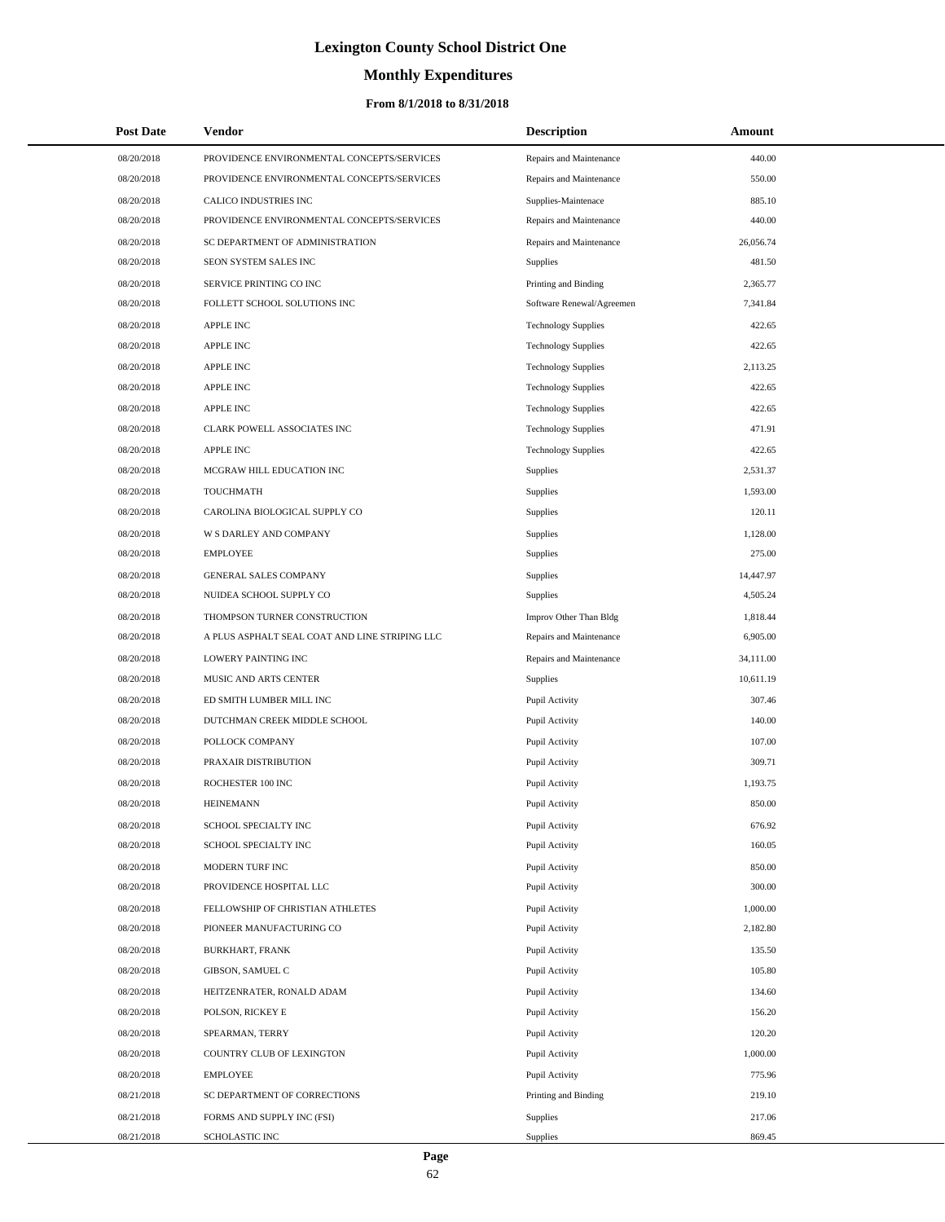# **Monthly Expenditures**

| <b>Post Date</b> | Vendor                                         | <b>Description</b>         | Amount    |  |
|------------------|------------------------------------------------|----------------------------|-----------|--|
| 08/20/2018       | PROVIDENCE ENVIRONMENTAL CONCEPTS/SERVICES     | Repairs and Maintenance    | 440.00    |  |
| 08/20/2018       | PROVIDENCE ENVIRONMENTAL CONCEPTS/SERVICES     | Repairs and Maintenance    | 550.00    |  |
| 08/20/2018       | CALICO INDUSTRIES INC                          | Supplies-Maintenace        | 885.10    |  |
| 08/20/2018       | PROVIDENCE ENVIRONMENTAL CONCEPTS/SERVICES     | Repairs and Maintenance    | 440.00    |  |
| 08/20/2018       | SC DEPARTMENT OF ADMINISTRATION                | Repairs and Maintenance    | 26,056.74 |  |
| 08/20/2018       | SEON SYSTEM SALES INC                          | <b>Supplies</b>            | 481.50    |  |
| 08/20/2018       | SERVICE PRINTING CO INC                        | Printing and Binding       | 2,365.77  |  |
| 08/20/2018       | FOLLETT SCHOOL SOLUTIONS INC                   | Software Renewal/Agreemen  | 7,341.84  |  |
| 08/20/2018       | <b>APPLE INC</b>                               | <b>Technology Supplies</b> | 422.65    |  |
| 08/20/2018       | <b>APPLE INC</b>                               | <b>Technology Supplies</b> | 422.65    |  |
| 08/20/2018       | <b>APPLE INC</b>                               | <b>Technology Supplies</b> | 2,113.25  |  |
| 08/20/2018       | <b>APPLE INC</b>                               | <b>Technology Supplies</b> | 422.65    |  |
| 08/20/2018       | <b>APPLE INC</b>                               | <b>Technology Supplies</b> | 422.65    |  |
| 08/20/2018       | CLARK POWELL ASSOCIATES INC                    | <b>Technology Supplies</b> | 471.91    |  |
| 08/20/2018       | <b>APPLE INC</b>                               | <b>Technology Supplies</b> | 422.65    |  |
| 08/20/2018       | MCGRAW HILL EDUCATION INC                      | <b>Supplies</b>            | 2,531.37  |  |
| 08/20/2018       | <b>TOUCHMATH</b>                               | Supplies                   | 1,593.00  |  |
| 08/20/2018       | CAROLINA BIOLOGICAL SUPPLY CO                  | Supplies                   | 120.11    |  |
| 08/20/2018       | W S DARLEY AND COMPANY                         | Supplies                   | 1,128.00  |  |
| 08/20/2018       | <b>EMPLOYEE</b>                                | Supplies                   | 275.00    |  |
| 08/20/2018       | <b>GENERAL SALES COMPANY</b>                   | Supplies                   | 14,447.97 |  |
| 08/20/2018       | NUIDEA SCHOOL SUPPLY CO                        | <b>Supplies</b>            | 4,505.24  |  |
| 08/20/2018       | THOMPSON TURNER CONSTRUCTION                   | Improv Other Than Bldg     | 1,818.44  |  |
| 08/20/2018       | A PLUS ASPHALT SEAL COAT AND LINE STRIPING LLC | Repairs and Maintenance    | 6,905.00  |  |
| 08/20/2018       | LOWERY PAINTING INC                            | Repairs and Maintenance    | 34,111.00 |  |
| 08/20/2018       | MUSIC AND ARTS CENTER                          | <b>Supplies</b>            | 10,611.19 |  |
| 08/20/2018       | ED SMITH LUMBER MILL INC                       | Pupil Activity             | 307.46    |  |
| 08/20/2018       | DUTCHMAN CREEK MIDDLE SCHOOL                   | Pupil Activity             | 140.00    |  |
| 08/20/2018       | POLLOCK COMPANY                                | Pupil Activity             | 107.00    |  |
| 08/20/2018       | PRAXAIR DISTRIBUTION                           | Pupil Activity             | 309.71    |  |
| 08/20/2018       | ROCHESTER 100 INC                              | Pupil Activity             | 1,193.75  |  |
| 08/20/2018       | <b>HEINEMANN</b>                               | Pupil Activity             | 850.00    |  |
| 08/20/2018       | SCHOOL SPECIALTY INC                           | Pupil Activity             | 676.92    |  |
| 08/20/2018       | SCHOOL SPECIALTY INC                           | Pupil Activity             | 160.05    |  |
| 08/20/2018       | MODERN TURF INC                                | Pupil Activity             | 850.00    |  |
| 08/20/2018       | PROVIDENCE HOSPITAL LLC                        | Pupil Activity             | 300.00    |  |
| 08/20/2018       | FELLOWSHIP OF CHRISTIAN ATHLETES               | Pupil Activity             | 1,000.00  |  |
| 08/20/2018       | PIONEER MANUFACTURING CO                       | Pupil Activity             | 2,182.80  |  |
| 08/20/2018       | BURKHART, FRANK                                | Pupil Activity             | 135.50    |  |
| 08/20/2018       | GIBSON, SAMUEL C                               | Pupil Activity             | 105.80    |  |
| 08/20/2018       | HEITZENRATER, RONALD ADAM                      | Pupil Activity             | 134.60    |  |
| 08/20/2018       | POLSON, RICKEY E                               | Pupil Activity             | 156.20    |  |
| 08/20/2018       | SPEARMAN, TERRY                                | Pupil Activity             | 120.20    |  |
| 08/20/2018       | COUNTRY CLUB OF LEXINGTON                      | Pupil Activity             | 1,000.00  |  |
| 08/20/2018       | <b>EMPLOYEE</b>                                | Pupil Activity             | 775.96    |  |
| 08/21/2018       | SC DEPARTMENT OF CORRECTIONS                   | Printing and Binding       | 219.10    |  |
| 08/21/2018       | FORMS AND SUPPLY INC (FSI)                     | Supplies                   | 217.06    |  |
| 08/21/2018       | SCHOLASTIC INC                                 | Supplies                   | 869.45    |  |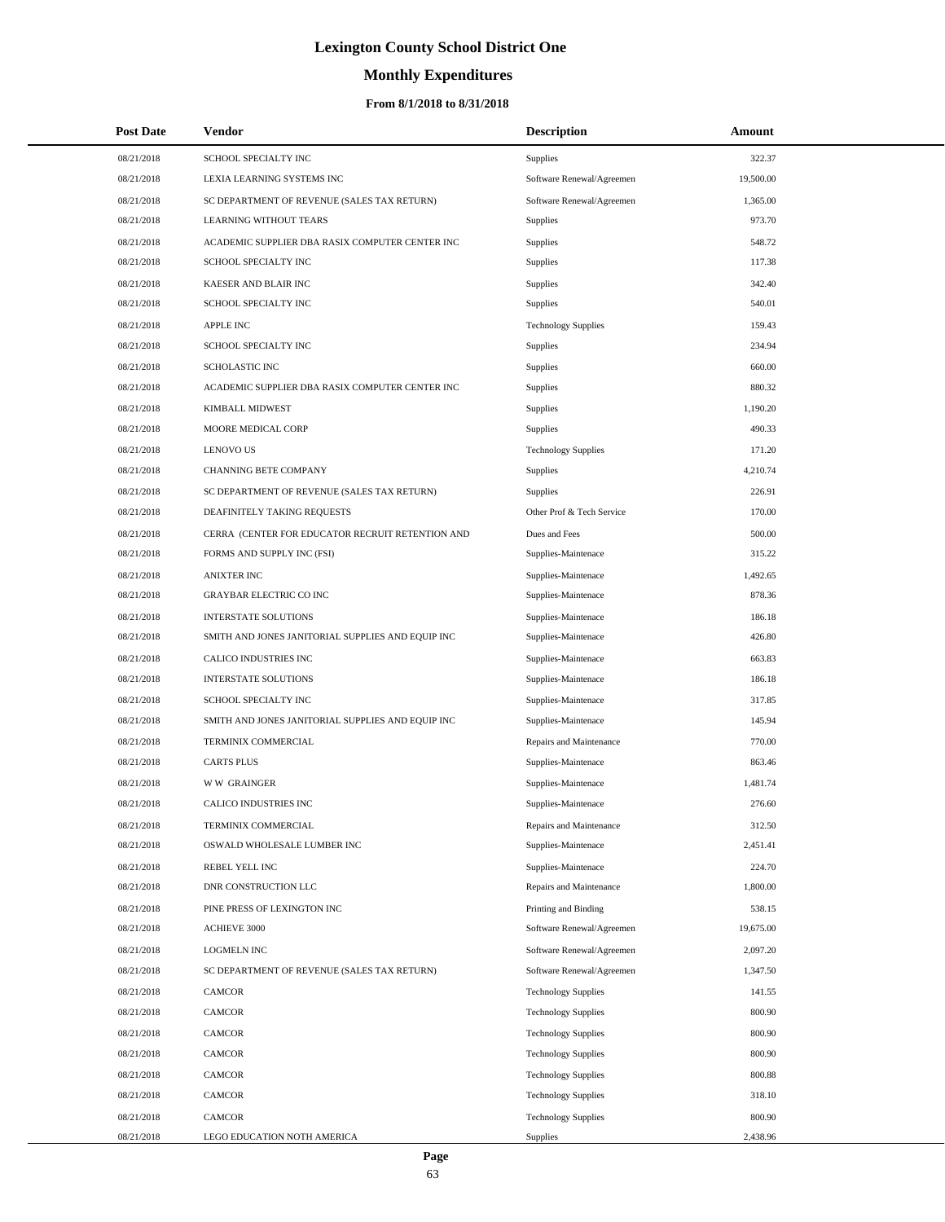# **Monthly Expenditures**

| <b>Post Date</b> | Vendor                                            | <b>Description</b>         | Amount    |
|------------------|---------------------------------------------------|----------------------------|-----------|
| 08/21/2018       | SCHOOL SPECIALTY INC                              | Supplies                   | 322.37    |
| 08/21/2018       | LEXIA LEARNING SYSTEMS INC                        | Software Renewal/Agreemen  | 19,500.00 |
| 08/21/2018       | SC DEPARTMENT OF REVENUE (SALES TAX RETURN)       | Software Renewal/Agreemen  | 1,365.00  |
| 08/21/2018       | LEARNING WITHOUT TEARS                            | <b>Supplies</b>            | 973.70    |
| 08/21/2018       | ACADEMIC SUPPLIER DBA RASIX COMPUTER CENTER INC   | Supplies                   | 548.72    |
| 08/21/2018       | SCHOOL SPECIALTY INC                              | Supplies                   | 117.38    |
| 08/21/2018       | KAESER AND BLAIR INC                              | Supplies                   | 342.40    |
| 08/21/2018       | SCHOOL SPECIALTY INC                              | Supplies                   | 540.01    |
| 08/21/2018       | <b>APPLE INC</b>                                  | <b>Technology Supplies</b> | 159.43    |
| 08/21/2018       | SCHOOL SPECIALTY INC                              | Supplies                   | 234.94    |
| 08/21/2018       | <b>SCHOLASTIC INC</b>                             | <b>Supplies</b>            | 660.00    |
| 08/21/2018       | ACADEMIC SUPPLIER DBA RASIX COMPUTER CENTER INC   | <b>Supplies</b>            | 880.32    |
| 08/21/2018       | KIMBALL MIDWEST                                   | Supplies                   | 1,190.20  |
| 08/21/2018       | MOORE MEDICAL CORP                                | Supplies                   | 490.33    |
| 08/21/2018       | <b>LENOVO US</b>                                  | <b>Technology Supplies</b> | 171.20    |
| 08/21/2018       | <b>CHANNING BETE COMPANY</b>                      | Supplies                   | 4,210.74  |
| 08/21/2018       | SC DEPARTMENT OF REVENUE (SALES TAX RETURN)       | <b>Supplies</b>            | 226.91    |
| 08/21/2018       | DEAFINITELY TAKING REQUESTS                       | Other Prof & Tech Service  | 170.00    |
| 08/21/2018       | CERRA (CENTER FOR EDUCATOR RECRUIT RETENTION AND  | Dues and Fees              | 500.00    |
| 08/21/2018       | FORMS AND SUPPLY INC (FSI)                        | Supplies-Maintenace        | 315.22    |
| 08/21/2018       | <b>ANIXTER INC</b>                                | Supplies-Maintenace        | 1,492.65  |
| 08/21/2018       | <b>GRAYBAR ELECTRIC CO INC</b>                    | Supplies-Maintenace        | 878.36    |
| 08/21/2018       | <b>INTERSTATE SOLUTIONS</b>                       | Supplies-Maintenace        | 186.18    |
| 08/21/2018       | SMITH AND JONES JANITORIAL SUPPLIES AND EQUIP INC | Supplies-Maintenace        | 426.80    |
| 08/21/2018       | CALICO INDUSTRIES INC                             | Supplies-Maintenace        | 663.83    |
| 08/21/2018       | <b>INTERSTATE SOLUTIONS</b>                       | Supplies-Maintenace        | 186.18    |
| 08/21/2018       | SCHOOL SPECIALTY INC                              | Supplies-Maintenace        | 317.85    |
| 08/21/2018       | SMITH AND JONES JANITORIAL SUPPLIES AND EQUIP INC | Supplies-Maintenace        | 145.94    |
| 08/21/2018       | TERMINIX COMMERCIAL                               | Repairs and Maintenance    | 770.00    |
| 08/21/2018       | <b>CARTS PLUS</b>                                 | Supplies-Maintenace        | 863.46    |
| 08/21/2018       | <b>WW GRAINGER</b>                                | Supplies-Maintenace        | 1,481.74  |
| 08/21/2018       | CALICO INDUSTRIES INC                             | Supplies-Maintenace        | 276.60    |
| 08/21/2018       | TERMINIX COMMERCIAL                               | Repairs and Maintenance    | 312.50    |
| 08/21/2018       | OSWALD WHOLESALE LUMBER INC                       | Supplies-Maintenace        | 2,451.41  |
| 08/21/2018       | REBEL YELL INC                                    | Supplies-Maintenace        | 224.70    |
| 08/21/2018       | DNR CONSTRUCTION LLC                              | Repairs and Maintenance    | 1,800.00  |
| 08/21/2018       | PINE PRESS OF LEXINGTON INC                       | Printing and Binding       | 538.15    |
| 08/21/2018       | ACHIEVE 3000                                      | Software Renewal/Agreemen  | 19,675.00 |
| 08/21/2018       | <b>LOGMELN INC</b>                                | Software Renewal/Agreemen  | 2,097.20  |
| 08/21/2018       | SC DEPARTMENT OF REVENUE (SALES TAX RETURN)       | Software Renewal/Agreemen  | 1,347.50  |
| 08/21/2018       | <b>CAMCOR</b>                                     | <b>Technology Supplies</b> | 141.55    |
| 08/21/2018       | CAMCOR                                            | <b>Technology Supplies</b> | 800.90    |
| 08/21/2018       | CAMCOR                                            | <b>Technology Supplies</b> | 800.90    |
| 08/21/2018       | CAMCOR                                            | <b>Technology Supplies</b> | 800.90    |
| 08/21/2018       | <b>CAMCOR</b>                                     | <b>Technology Supplies</b> | 800.88    |
| 08/21/2018       | CAMCOR                                            | <b>Technology Supplies</b> | 318.10    |
| 08/21/2018       | CAMCOR                                            | <b>Technology Supplies</b> | 800.90    |
| 08/21/2018       | LEGO EDUCATION NOTH AMERICA                       | Supplies                   | 2,438.96  |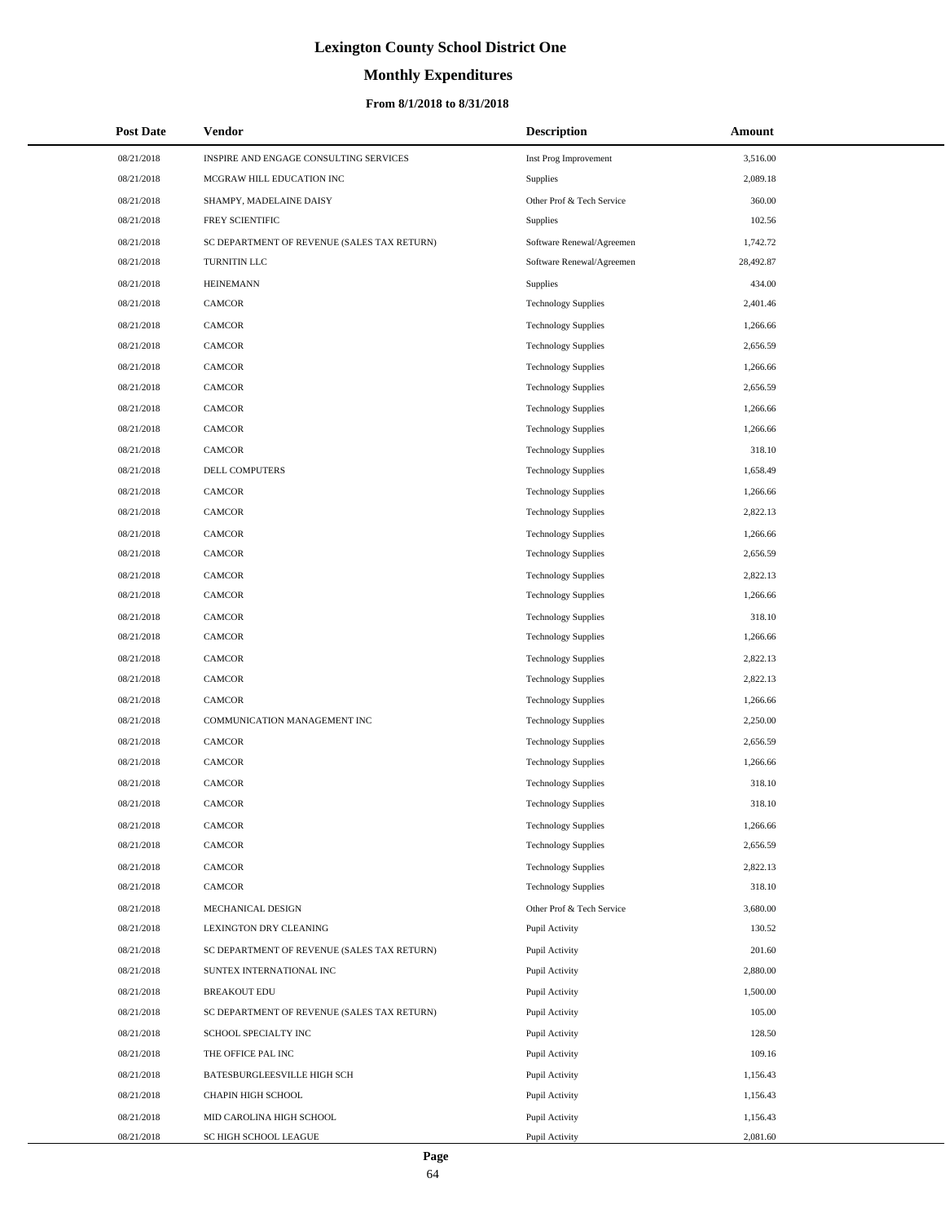# **Monthly Expenditures**

### **From 8/1/2018 to 8/31/2018**

| <b>Post Date</b> | Vendor                                      | <b>Description</b>         | Amount    |
|------------------|---------------------------------------------|----------------------------|-----------|
| 08/21/2018       | INSPIRE AND ENGAGE CONSULTING SERVICES      | Inst Prog Improvement      | 3,516.00  |
| 08/21/2018       | MCGRAW HILL EDUCATION INC                   | Supplies                   | 2,089.18  |
| 08/21/2018       | SHAMPY, MADELAINE DAISY                     | Other Prof & Tech Service  | 360.00    |
| 08/21/2018       | FREY SCIENTIFIC                             | <b>Supplies</b>            | 102.56    |
| 08/21/2018       | SC DEPARTMENT OF REVENUE (SALES TAX RETURN) | Software Renewal/Agreemen  | 1,742.72  |
| 08/21/2018       | TURNITIN LLC                                | Software Renewal/Agreemen  | 28,492.87 |
| 08/21/2018       | <b>HEINEMANN</b>                            | Supplies                   | 434.00    |
| 08/21/2018       | <b>CAMCOR</b>                               | <b>Technology Supplies</b> | 2,401.46  |
| 08/21/2018       | <b>CAMCOR</b>                               | <b>Technology Supplies</b> | 1,266.66  |
| 08/21/2018       | <b>CAMCOR</b>                               | <b>Technology Supplies</b> | 2,656.59  |
| 08/21/2018       | <b>CAMCOR</b>                               | <b>Technology Supplies</b> | 1,266.66  |
| 08/21/2018       | <b>CAMCOR</b>                               | <b>Technology Supplies</b> | 2,656.59  |
| 08/21/2018       | <b>CAMCOR</b>                               | <b>Technology Supplies</b> | 1,266.66  |
| 08/21/2018       | <b>CAMCOR</b>                               | <b>Technology Supplies</b> | 1,266.66  |
| 08/21/2018       | <b>CAMCOR</b>                               | <b>Technology Supplies</b> | 318.10    |
| 08/21/2018       | DELL COMPUTERS                              | <b>Technology Supplies</b> | 1,658.49  |
| 08/21/2018       | <b>CAMCOR</b>                               | <b>Technology Supplies</b> | 1,266.66  |
| 08/21/2018       | <b>CAMCOR</b>                               | <b>Technology Supplies</b> | 2,822.13  |
| 08/21/2018       | <b>CAMCOR</b>                               | <b>Technology Supplies</b> | 1,266.66  |
| 08/21/2018       | <b>CAMCOR</b>                               | <b>Technology Supplies</b> | 2,656.59  |
| 08/21/2018       | <b>CAMCOR</b>                               | <b>Technology Supplies</b> | 2,822.13  |
| 08/21/2018       | <b>CAMCOR</b>                               | <b>Technology Supplies</b> | 1,266.66  |
| 08/21/2018       | <b>CAMCOR</b>                               | <b>Technology Supplies</b> | 318.10    |
| 08/21/2018       | <b>CAMCOR</b>                               | <b>Technology Supplies</b> | 1,266.66  |
| 08/21/2018       | <b>CAMCOR</b>                               | <b>Technology Supplies</b> | 2,822.13  |
| 08/21/2018       | <b>CAMCOR</b>                               | <b>Technology Supplies</b> | 2,822.13  |
| 08/21/2018       | <b>CAMCOR</b>                               | <b>Technology Supplies</b> | 1,266.66  |
| 08/21/2018       | COMMUNICATION MANAGEMENT INC                | <b>Technology Supplies</b> | 2,250.00  |
| 08/21/2018       | <b>CAMCOR</b>                               | <b>Technology Supplies</b> | 2,656.59  |
| 08/21/2018       | <b>CAMCOR</b>                               | <b>Technology Supplies</b> | 1,266.66  |
| 08/21/2018       | <b>CAMCOR</b>                               | <b>Technology Supplies</b> | 318.10    |
| 08/21/2018       | <b>CAMCOR</b>                               | <b>Technology Supplies</b> | 318.10    |
| 08/21/2018       | CAMCOR                                      | <b>Technology Supplies</b> | 1,266.66  |
| 08/21/2018       | CAMCOR                                      | <b>Technology Supplies</b> | 2,656.59  |
| 08/21/2018       | <b>CAMCOR</b>                               | <b>Technology Supplies</b> | 2,822.13  |
| 08/21/2018       | CAMCOR                                      | <b>Technology Supplies</b> | 318.10    |
| 08/21/2018       | MECHANICAL DESIGN                           | Other Prof & Tech Service  | 3,680.00  |
| 08/21/2018       | LEXINGTON DRY CLEANING                      | Pupil Activity             | 130.52    |
| 08/21/2018       | SC DEPARTMENT OF REVENUE (SALES TAX RETURN) | Pupil Activity             | 201.60    |
| 08/21/2018       | SUNTEX INTERNATIONAL INC                    | Pupil Activity             | 2,880.00  |
| 08/21/2018       | <b>BREAKOUT EDU</b>                         | Pupil Activity             | 1,500.00  |
| 08/21/2018       | SC DEPARTMENT OF REVENUE (SALES TAX RETURN) | Pupil Activity             | 105.00    |
| 08/21/2018       | SCHOOL SPECIALTY INC                        | Pupil Activity             | 128.50    |
| 08/21/2018       | THE OFFICE PAL INC                          | Pupil Activity             | 109.16    |
| 08/21/2018       | BATESBURGLEESVILLE HIGH SCH                 | Pupil Activity             | 1,156.43  |
| 08/21/2018       | CHAPIN HIGH SCHOOL                          | Pupil Activity             | 1,156.43  |
| 08/21/2018       | MID CAROLINA HIGH SCHOOL                    | Pupil Activity             | 1,156.43  |
| 08/21/2018       | SC HIGH SCHOOL LEAGUE                       | Pupil Activity             | 2,081.60  |

 $\overline{a}$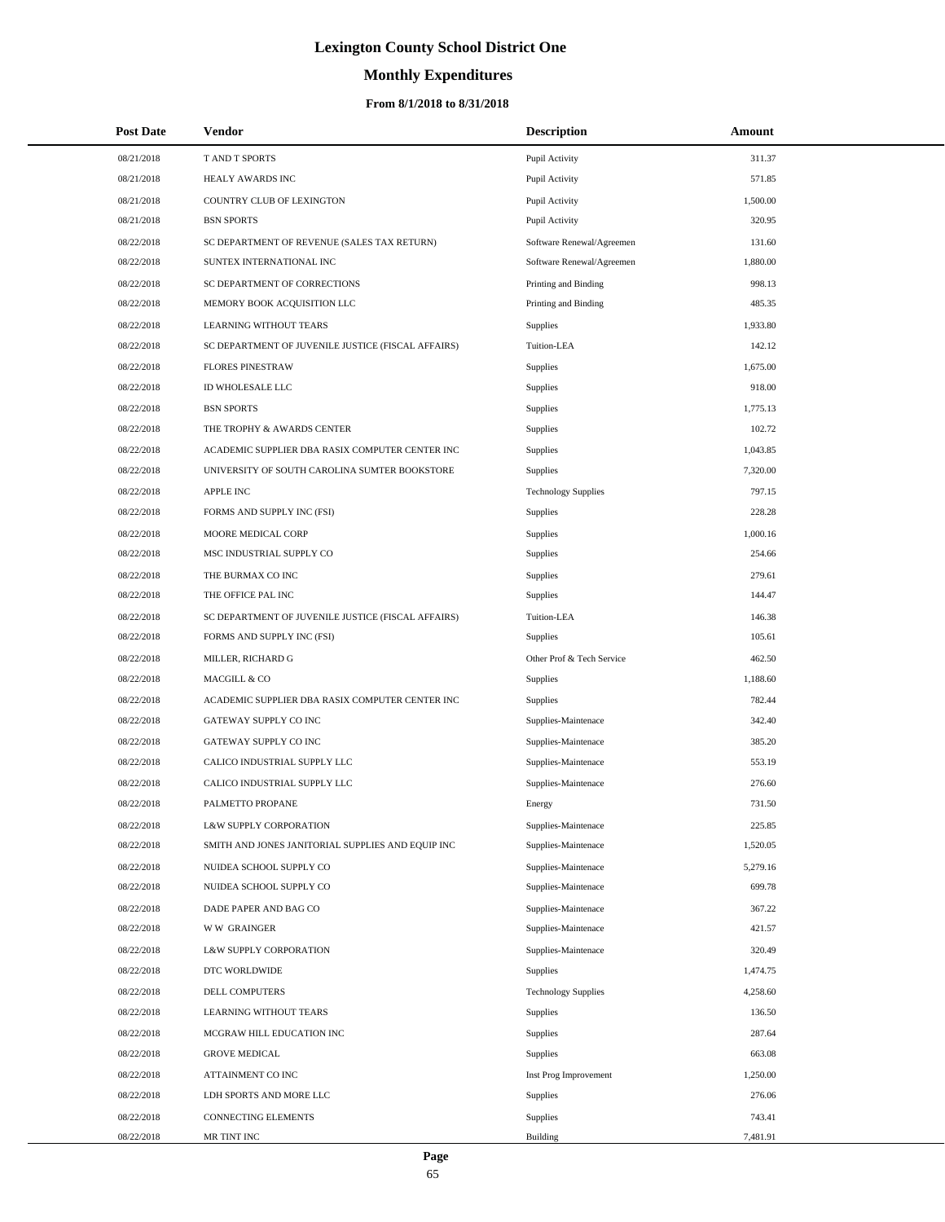# **Monthly Expenditures**

### **From 8/1/2018 to 8/31/2018**

| <b>Post Date</b> | Vendor                                             | <b>Description</b>         | Amount   |
|------------------|----------------------------------------------------|----------------------------|----------|
| 08/21/2018       | T AND T SPORTS                                     | Pupil Activity             | 311.37   |
| 08/21/2018       | HEALY AWARDS INC                                   | Pupil Activity             | 571.85   |
| 08/21/2018       | COUNTRY CLUB OF LEXINGTON                          | Pupil Activity             | 1,500.00 |
| 08/21/2018       | <b>BSN SPORTS</b>                                  | Pupil Activity             | 320.95   |
| 08/22/2018       | SC DEPARTMENT OF REVENUE (SALES TAX RETURN)        | Software Renewal/Agreemen  | 131.60   |
| 08/22/2018       | SUNTEX INTERNATIONAL INC                           | Software Renewal/Agreemen  | 1,880.00 |
| 08/22/2018       | SC DEPARTMENT OF CORRECTIONS                       | Printing and Binding       | 998.13   |
| 08/22/2018       | MEMORY BOOK ACQUISITION LLC                        | Printing and Binding       | 485.35   |
| 08/22/2018       | <b>LEARNING WITHOUT TEARS</b>                      | Supplies                   | 1,933.80 |
| 08/22/2018       | SC DEPARTMENT OF JUVENILE JUSTICE (FISCAL AFFAIRS) | Tuition-LEA                | 142.12   |
| 08/22/2018       | <b>FLORES PINESTRAW</b>                            | Supplies                   | 1,675.00 |
| 08/22/2018       | ID WHOLESALE LLC                                   | <b>Supplies</b>            | 918.00   |
| 08/22/2018       | <b>BSN SPORTS</b>                                  | Supplies                   | 1,775.13 |
| 08/22/2018       | THE TROPHY & AWARDS CENTER                         | <b>Supplies</b>            | 102.72   |
| 08/22/2018       | ACADEMIC SUPPLIER DBA RASIX COMPUTER CENTER INC    | <b>Supplies</b>            | 1,043.85 |
| 08/22/2018       | UNIVERSITY OF SOUTH CAROLINA SUMTER BOOKSTORE      | <b>Supplies</b>            | 7,320.00 |
| 08/22/2018       | <b>APPLE INC</b>                                   | <b>Technology Supplies</b> | 797.15   |
| 08/22/2018       | FORMS AND SUPPLY INC (FSI)                         | <b>Supplies</b>            | 228.28   |
| 08/22/2018       | MOORE MEDICAL CORP                                 | <b>Supplies</b>            | 1,000.16 |
| 08/22/2018       | MSC INDUSTRIAL SUPPLY CO                           | <b>Supplies</b>            | 254.66   |
| 08/22/2018       | THE BURMAX CO INC                                  | Supplies                   | 279.61   |
| 08/22/2018       | THE OFFICE PAL INC                                 | <b>Supplies</b>            | 144.47   |
| 08/22/2018       | SC DEPARTMENT OF JUVENILE JUSTICE (FISCAL AFFAIRS) | Tuition-LEA                | 146.38   |
| 08/22/2018       | FORMS AND SUPPLY INC (FSI)                         | <b>Supplies</b>            | 105.61   |
| 08/22/2018       | MILLER, RICHARD G                                  | Other Prof & Tech Service  | 462.50   |
| 08/22/2018       | MACGILL & CO                                       | <b>Supplies</b>            | 1,188.60 |
| 08/22/2018       | ACADEMIC SUPPLIER DBA RASIX COMPUTER CENTER INC    | <b>Supplies</b>            | 782.44   |
| 08/22/2018       | <b>GATEWAY SUPPLY CO INC</b>                       | Supplies-Maintenace        | 342.40   |
| 08/22/2018       | GATEWAY SUPPLY CO INC                              | Supplies-Maintenace        | 385.20   |
| 08/22/2018       | CALICO INDUSTRIAL SUPPLY LLC                       | Supplies-Maintenace        | 553.19   |
| 08/22/2018       | CALICO INDUSTRIAL SUPPLY LLC                       | Supplies-Maintenace        | 276.60   |
| 08/22/2018       | PALMETTO PROPANE                                   | Energy                     | 731.50   |
| 08/22/2018       | L&W SUPPLY CORPORATION                             | Supplies-Maintenace        | 225.85   |
| 08/22/2018       | SMITH AND JONES JANITORIAL SUPPLIES AND EQUIP INC  | Supplies-Maintenace        | 1,520.05 |
| 08/22/2018       | NUIDEA SCHOOL SUPPLY CO                            | Supplies-Maintenace        | 5,279.16 |
| 08/22/2018       | NUIDEA SCHOOL SUPPLY CO                            | Supplies-Maintenace        | 699.78   |
| 08/22/2018       | DADE PAPER AND BAG CO                              | Supplies-Maintenace        | 367.22   |
| 08/22/2018       | <b>WW GRAINGER</b>                                 | Supplies-Maintenace        | 421.57   |
| 08/22/2018       | L&W SUPPLY CORPORATION                             | Supplies-Maintenace        | 320.49   |
| 08/22/2018       | DTC WORLDWIDE                                      | Supplies                   | 1,474.75 |
| 08/22/2018       | DELL COMPUTERS                                     | <b>Technology Supplies</b> | 4,258.60 |
| 08/22/2018       | LEARNING WITHOUT TEARS                             | Supplies                   | 136.50   |
| 08/22/2018       | MCGRAW HILL EDUCATION INC                          | <b>Supplies</b>            | 287.64   |
| 08/22/2018       | <b>GROVE MEDICAL</b>                               | <b>Supplies</b>            | 663.08   |
| 08/22/2018       | ATTAINMENT CO INC                                  | Inst Prog Improvement      | 1,250.00 |
| 08/22/2018       | LDH SPORTS AND MORE LLC                            | <b>Supplies</b>            | 276.06   |
| 08/22/2018       | CONNECTING ELEMENTS                                | <b>Supplies</b>            | 743.41   |
| 08/22/2018       | MR TINT INC                                        | <b>Building</b>            | 7,481.91 |

 $\overline{a}$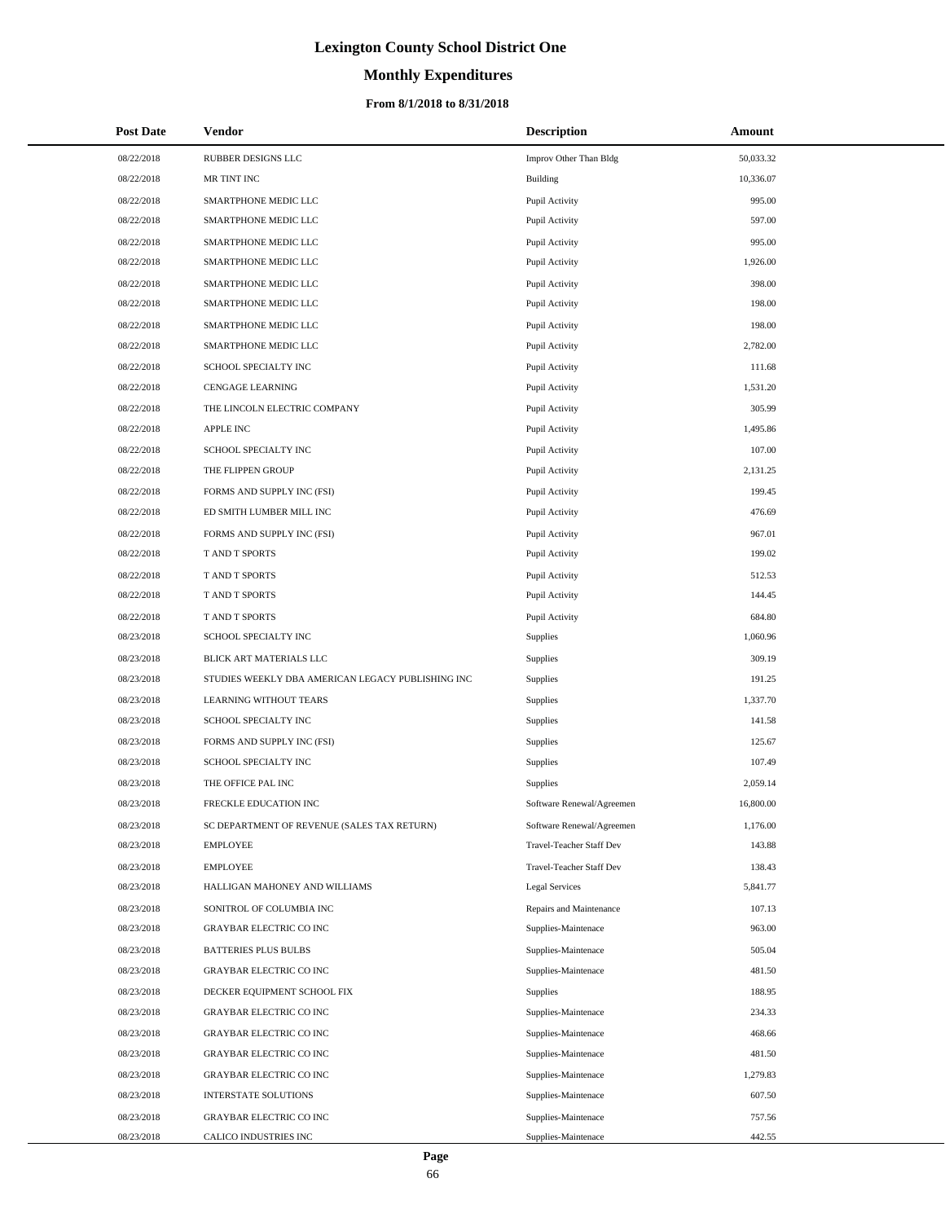# **Monthly Expenditures**

### **From 8/1/2018 to 8/31/2018**

| <b>Post Date</b> | Vendor                                            | <b>Description</b>        | Amount    |
|------------------|---------------------------------------------------|---------------------------|-----------|
| 08/22/2018       | RUBBER DESIGNS LLC                                | Improv Other Than Bldg    | 50,033.32 |
| 08/22/2018       | MR TINT INC                                       | Building                  | 10,336.07 |
| 08/22/2018       | SMARTPHONE MEDIC LLC                              | Pupil Activity            | 995.00    |
| 08/22/2018       | SMARTPHONE MEDIC LLC                              | Pupil Activity            | 597.00    |
| 08/22/2018       | SMARTPHONE MEDIC LLC                              | Pupil Activity            | 995.00    |
| 08/22/2018       | SMARTPHONE MEDIC LLC                              | Pupil Activity            | 1,926.00  |
| 08/22/2018       | SMARTPHONE MEDIC LLC                              | Pupil Activity            | 398.00    |
| 08/22/2018       | SMARTPHONE MEDIC LLC                              | Pupil Activity            | 198.00    |
| 08/22/2018       | SMARTPHONE MEDIC LLC                              | Pupil Activity            | 198.00    |
| 08/22/2018       | SMARTPHONE MEDIC LLC                              | Pupil Activity            | 2,782.00  |
| 08/22/2018       | SCHOOL SPECIALTY INC                              | Pupil Activity            | 111.68    |
| 08/22/2018       | <b>CENGAGE LEARNING</b>                           | Pupil Activity            | 1,531.20  |
| 08/22/2018       | THE LINCOLN ELECTRIC COMPANY                      | Pupil Activity            | 305.99    |
| 08/22/2018       | APPLE INC                                         | Pupil Activity            | 1,495.86  |
| 08/22/2018       | SCHOOL SPECIALTY INC                              | Pupil Activity            | 107.00    |
| 08/22/2018       | THE FLIPPEN GROUP                                 | Pupil Activity            | 2,131.25  |
| 08/22/2018       | FORMS AND SUPPLY INC (FSI)                        | Pupil Activity            | 199.45    |
| 08/22/2018       | ED SMITH LUMBER MILL INC                          | Pupil Activity            | 476.69    |
| 08/22/2018       | FORMS AND SUPPLY INC (FSI)                        | Pupil Activity            | 967.01    |
| 08/22/2018       | T AND T SPORTS                                    | Pupil Activity            | 199.02    |
| 08/22/2018       | T AND T SPORTS                                    | Pupil Activity            | 512.53    |
| 08/22/2018       | T AND T SPORTS                                    | Pupil Activity            | 144.45    |
| 08/22/2018       | T AND T SPORTS                                    | Pupil Activity            | 684.80    |
| 08/23/2018       | SCHOOL SPECIALTY INC                              | Supplies                  | 1,060.96  |
| 08/23/2018       | BLICK ART MATERIALS LLC                           | Supplies                  | 309.19    |
| 08/23/2018       | STUDIES WEEKLY DBA AMERICAN LEGACY PUBLISHING INC | Supplies                  | 191.25    |
| 08/23/2018       | LEARNING WITHOUT TEARS                            | Supplies                  | 1,337.70  |
| 08/23/2018       | SCHOOL SPECIALTY INC                              | Supplies                  | 141.58    |
| 08/23/2018       | FORMS AND SUPPLY INC (FSI)                        | Supplies                  | 125.67    |
| 08/23/2018       | SCHOOL SPECIALTY INC                              | Supplies                  | 107.49    |
| 08/23/2018       | THE OFFICE PAL INC                                | Supplies                  | 2,059.14  |
| 08/23/2018       | FRECKLE EDUCATION INC                             | Software Renewal/Agreemen | 16,800.00 |
| 08/23/2018       | SC DEPARTMENT OF REVENUE (SALES TAX RETURN)       | Software Renewal/Agreemen | 1,176.00  |
| 08/23/2018       | <b>EMPLOYEE</b>                                   | Travel-Teacher Staff Dev  | 143.88    |
| 08/23/2018       | <b>EMPLOYEE</b>                                   | Travel-Teacher Staff Dev  | 138.43    |
| 08/23/2018       | HALLIGAN MAHONEY AND WILLIAMS                     | Legal Services            | 5,841.77  |
| 08/23/2018       | SONITROL OF COLUMBIA INC                          | Repairs and Maintenance   | 107.13    |
| 08/23/2018       | <b>GRAYBAR ELECTRIC CO INC</b>                    | Supplies-Maintenace       | 963.00    |
| 08/23/2018       | <b>BATTERIES PLUS BULBS</b>                       | Supplies-Maintenace       | 505.04    |
| 08/23/2018       | <b>GRAYBAR ELECTRIC CO INC</b>                    | Supplies-Maintenace       | 481.50    |
| 08/23/2018       | DECKER EQUIPMENT SCHOOL FIX                       | Supplies                  | 188.95    |
| 08/23/2018       | GRAYBAR ELECTRIC CO INC                           | Supplies-Maintenace       | 234.33    |
| 08/23/2018       | GRAYBAR ELECTRIC CO INC                           | Supplies-Maintenace       | 468.66    |
| 08/23/2018       | GRAYBAR ELECTRIC CO INC                           | Supplies-Maintenace       | 481.50    |
| 08/23/2018       | <b>GRAYBAR ELECTRIC CO INC</b>                    | Supplies-Maintenace       | 1,279.83  |
| 08/23/2018       | INTERSTATE SOLUTIONS                              | Supplies-Maintenace       | 607.50    |
| 08/23/2018       | GRAYBAR ELECTRIC CO INC                           | Supplies-Maintenace       | 757.56    |
| 08/23/2018       | CALICO INDUSTRIES INC                             | Supplies-Maintenace       | 442.55    |

 $\overline{\phantom{0}}$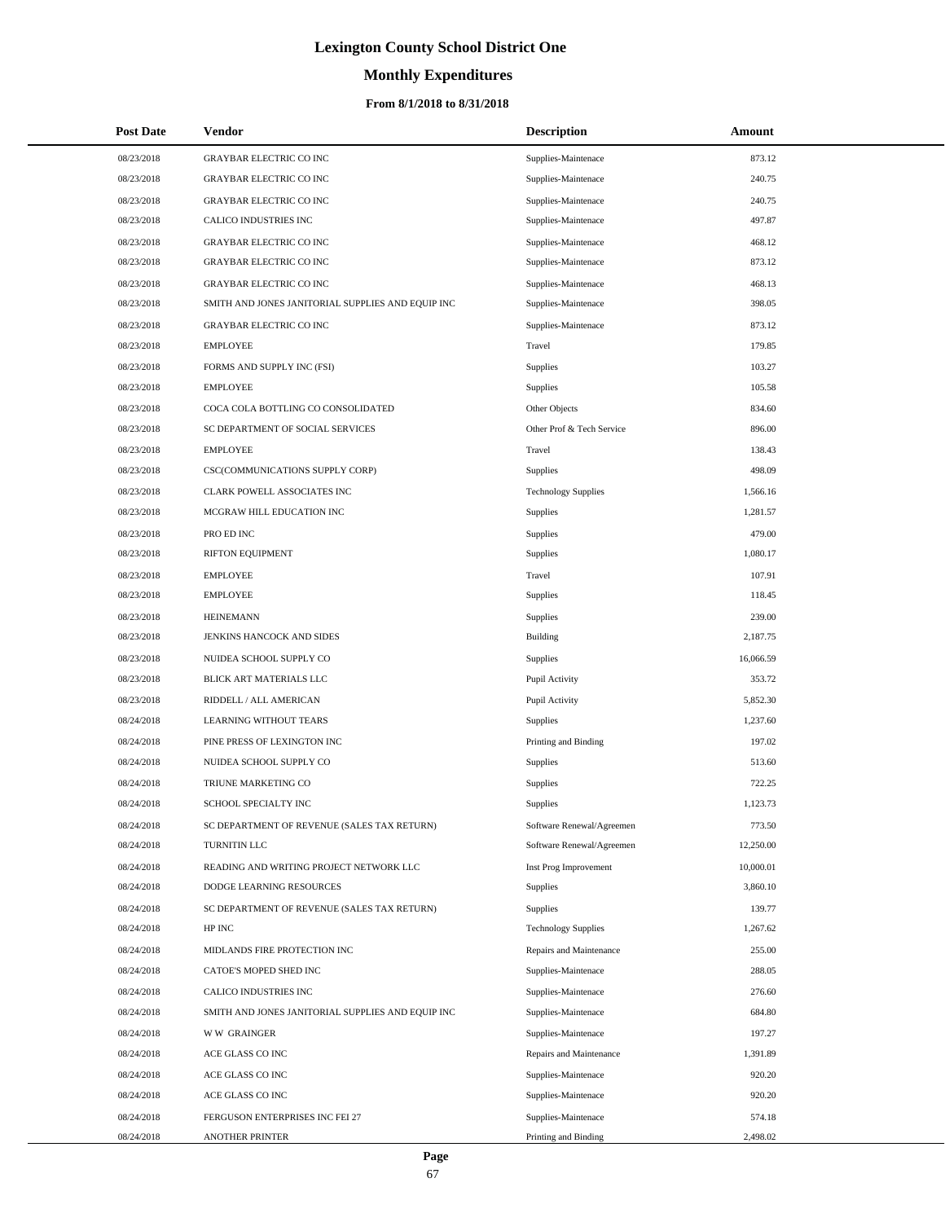# **Monthly Expenditures**

### **From 8/1/2018 to 8/31/2018**

| <b>Post Date</b> | <b>Vendor</b>                                     | <b>Description</b>         | Amount    |
|------------------|---------------------------------------------------|----------------------------|-----------|
| 08/23/2018       | <b>GRAYBAR ELECTRIC CO INC</b>                    | Supplies-Maintenace        | 873.12    |
| 08/23/2018       | <b>GRAYBAR ELECTRIC CO INC</b>                    | Supplies-Maintenace        | 240.75    |
| 08/23/2018       | <b>GRAYBAR ELECTRIC CO INC</b>                    | Supplies-Maintenace        | 240.75    |
| 08/23/2018       | CALICO INDUSTRIES INC                             | Supplies-Maintenace        | 497.87    |
| 08/23/2018       | <b>GRAYBAR ELECTRIC CO INC</b>                    | Supplies-Maintenace        | 468.12    |
| 08/23/2018       | <b>GRAYBAR ELECTRIC CO INC</b>                    | Supplies-Maintenace        | 873.12    |
| 08/23/2018       | <b>GRAYBAR ELECTRIC CO INC</b>                    | Supplies-Maintenace        | 468.13    |
| 08/23/2018       | SMITH AND JONES JANITORIAL SUPPLIES AND EQUIP INC | Supplies-Maintenace        | 398.05    |
| 08/23/2018       | <b>GRAYBAR ELECTRIC CO INC</b>                    | Supplies-Maintenace        | 873.12    |
| 08/23/2018       | <b>EMPLOYEE</b>                                   | Travel                     | 179.85    |
| 08/23/2018       | FORMS AND SUPPLY INC (FSI)                        | Supplies                   | 103.27    |
| 08/23/2018       | <b>EMPLOYEE</b>                                   | Supplies                   | 105.58    |
| 08/23/2018       | COCA COLA BOTTLING CO CONSOLIDATED                | Other Objects              | 834.60    |
| 08/23/2018       | SC DEPARTMENT OF SOCIAL SERVICES                  | Other Prof & Tech Service  | 896.00    |
| 08/23/2018       | <b>EMPLOYEE</b>                                   | Travel                     | 138.43    |
| 08/23/2018       | CSC(COMMUNICATIONS SUPPLY CORP)                   | Supplies                   | 498.09    |
| 08/23/2018       | CLARK POWELL ASSOCIATES INC                       | <b>Technology Supplies</b> | 1,566.16  |
| 08/23/2018       | MCGRAW HILL EDUCATION INC                         | <b>Supplies</b>            | 1,281.57  |
| 08/23/2018       | PRO ED INC                                        | Supplies                   | 479.00    |
| 08/23/2018       | RIFTON EQUIPMENT                                  | Supplies                   | 1,080.17  |
| 08/23/2018       | <b>EMPLOYEE</b>                                   | Travel                     | 107.91    |
| 08/23/2018       | <b>EMPLOYEE</b>                                   | Supplies                   | 118.45    |
| 08/23/2018       | <b>HEINEMANN</b>                                  | Supplies                   | 239.00    |
| 08/23/2018       | JENKINS HANCOCK AND SIDES                         | Building                   | 2,187.75  |
| 08/23/2018       | NUIDEA SCHOOL SUPPLY CO                           | <b>Supplies</b>            | 16,066.59 |
| 08/23/2018       | BLICK ART MATERIALS LLC                           | Pupil Activity             | 353.72    |
| 08/23/2018       | RIDDELL / ALL AMERICAN                            | Pupil Activity             | 5,852.30  |
| 08/24/2018       | <b>LEARNING WITHOUT TEARS</b>                     | <b>Supplies</b>            | 1,237.60  |
| 08/24/2018       | PINE PRESS OF LEXINGTON INC                       | Printing and Binding       | 197.02    |
| 08/24/2018       | NUIDEA SCHOOL SUPPLY CO                           | <b>Supplies</b>            | 513.60    |
| 08/24/2018       | TRIUNE MARKETING CO                               | Supplies                   | 722.25    |
| 08/24/2018       | <b>SCHOOL SPECIALTY INC</b>                       | Supplies                   | 1,123.73  |
| 08/24/2018       | SC DEPARTMENT OF REVENUE (SALES TAX RETURN)       | Software Renewal/Agreemen  | 773.50    |
| 08/24/2018       | TURNITIN LLC                                      | Software Renewal/Agreemen  | 12,250.00 |
| 08/24/2018       | READING AND WRITING PROJECT NETWORK LLC           | Inst Prog Improvement      | 10,000.01 |
| 08/24/2018       | DODGE LEARNING RESOURCES                          | <b>Supplies</b>            | 3,860.10  |
| 08/24/2018       | SC DEPARTMENT OF REVENUE (SALES TAX RETURN)       | <b>Supplies</b>            | 139.77    |
| 08/24/2018       | HP INC                                            | <b>Technology Supplies</b> | 1,267.62  |
| 08/24/2018       | MIDLANDS FIRE PROTECTION INC                      | Repairs and Maintenance    | 255.00    |
| 08/24/2018       | CATOE'S MOPED SHED INC                            | Supplies-Maintenace        | 288.05    |
| 08/24/2018       | CALICO INDUSTRIES INC                             | Supplies-Maintenace        | 276.60    |
| 08/24/2018       | SMITH AND JONES JANITORIAL SUPPLIES AND EQUIP INC | Supplies-Maintenace        | 684.80    |
| 08/24/2018       | <b>WW GRAINGER</b>                                | Supplies-Maintenace        | 197.27    |
| 08/24/2018       | ACE GLASS CO INC                                  | Repairs and Maintenance    | 1,391.89  |
| 08/24/2018       | ACE GLASS CO INC                                  | Supplies-Maintenace        | 920.20    |
| 08/24/2018       | ACE GLASS CO INC                                  | Supplies-Maintenace        | 920.20    |
| 08/24/2018       | FERGUSON ENTERPRISES INC FEI 27                   | Supplies-Maintenace        | 574.18    |
| 08/24/2018       | ANOTHER PRINTER                                   | Printing and Binding       | 2,498.02  |

÷.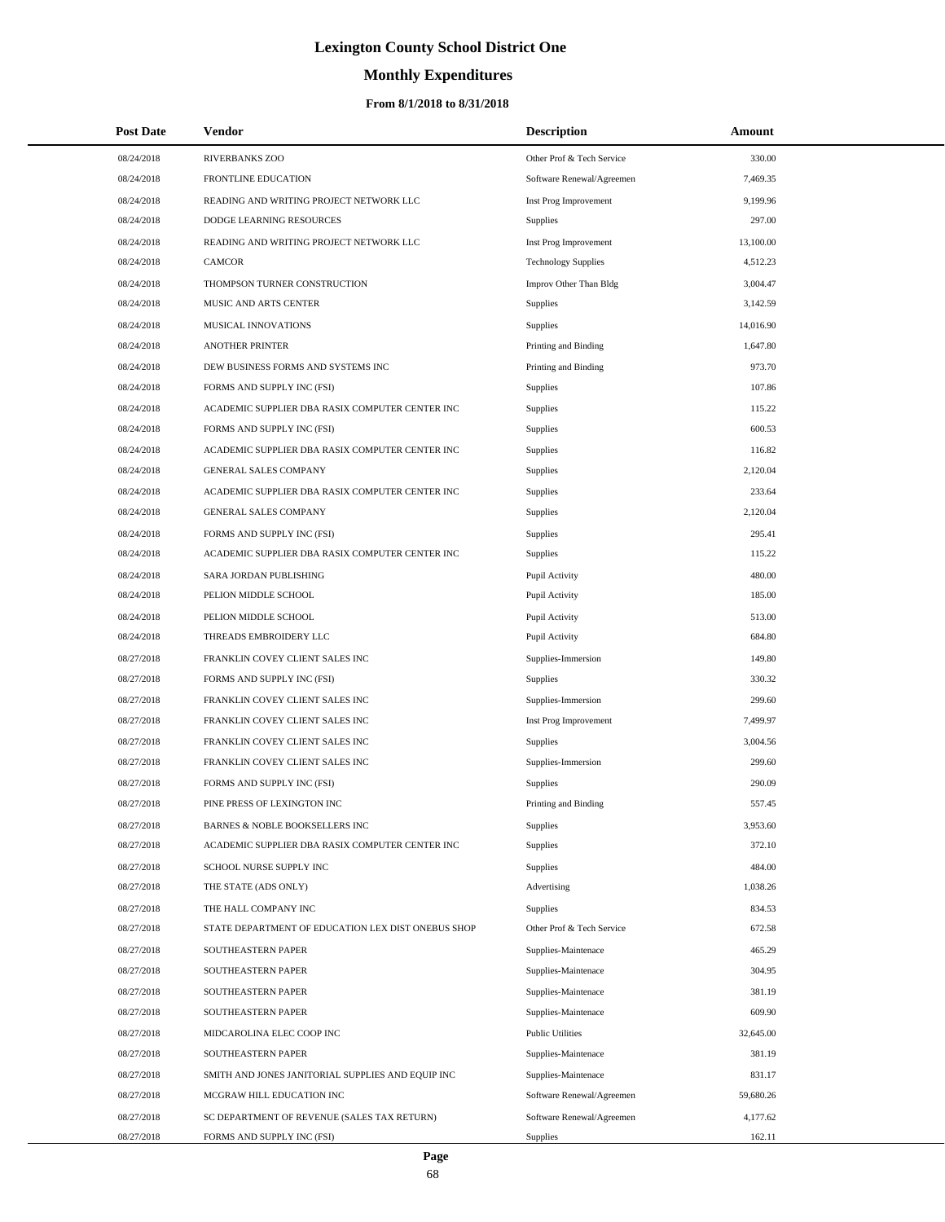# **Monthly Expenditures**

| <b>Post Date</b> | Vendor                                             | <b>Description</b>         | Amount    |
|------------------|----------------------------------------------------|----------------------------|-----------|
| 08/24/2018       | <b>RIVERBANKS ZOO</b>                              | Other Prof & Tech Service  | 330.00    |
| 08/24/2018       | FRONTLINE EDUCATION                                | Software Renewal/Agreemen  | 7,469.35  |
| 08/24/2018       | READING AND WRITING PROJECT NETWORK LLC            | Inst Prog Improvement      | 9,199.96  |
| 08/24/2018       | DODGE LEARNING RESOURCES                           | Supplies                   | 297.00    |
| 08/24/2018       | READING AND WRITING PROJECT NETWORK LLC            | Inst Prog Improvement      | 13,100.00 |
| 08/24/2018       | <b>CAMCOR</b>                                      | <b>Technology Supplies</b> | 4,512.23  |
| 08/24/2018       | THOMPSON TURNER CONSTRUCTION                       | Improv Other Than Bldg     | 3,004.47  |
| 08/24/2018       | MUSIC AND ARTS CENTER                              | Supplies                   | 3,142.59  |
| 08/24/2018       | MUSICAL INNOVATIONS                                | Supplies                   | 14,016.90 |
| 08/24/2018       | <b>ANOTHER PRINTER</b>                             | Printing and Binding       | 1,647.80  |
| 08/24/2018       | DEW BUSINESS FORMS AND SYSTEMS INC                 | Printing and Binding       | 973.70    |
| 08/24/2018       | FORMS AND SUPPLY INC (FSI)                         | Supplies                   | 107.86    |
| 08/24/2018       | ACADEMIC SUPPLIER DBA RASIX COMPUTER CENTER INC    | <b>Supplies</b>            | 115.22    |
| 08/24/2018       | FORMS AND SUPPLY INC (FSI)                         | Supplies                   | 600.53    |
| 08/24/2018       | ACADEMIC SUPPLIER DBA RASIX COMPUTER CENTER INC    | Supplies                   | 116.82    |
| 08/24/2018       | <b>GENERAL SALES COMPANY</b>                       | Supplies                   | 2,120.04  |
| 08/24/2018       | ACADEMIC SUPPLIER DBA RASIX COMPUTER CENTER INC    | <b>Supplies</b>            | 233.64    |
| 08/24/2018       | <b>GENERAL SALES COMPANY</b>                       | Supplies                   | 2,120.04  |
| 08/24/2018       | FORMS AND SUPPLY INC (FSI)                         | Supplies                   | 295.41    |
| 08/24/2018       | ACADEMIC SUPPLIER DBA RASIX COMPUTER CENTER INC    | Supplies                   | 115.22    |
| 08/24/2018       | SARA JORDAN PUBLISHING                             | Pupil Activity             | 480.00    |
| 08/24/2018       | PELION MIDDLE SCHOOL                               | Pupil Activity             | 185.00    |
| 08/24/2018       | PELION MIDDLE SCHOOL                               | Pupil Activity             | 513.00    |
| 08/24/2018       | THREADS EMBROIDERY LLC                             | Pupil Activity             | 684.80    |
| 08/27/2018       | FRANKLIN COVEY CLIENT SALES INC                    | Supplies-Immersion         | 149.80    |
| 08/27/2018       | FORMS AND SUPPLY INC (FSI)                         | Supplies                   | 330.32    |
| 08/27/2018       | FRANKLIN COVEY CLIENT SALES INC                    | Supplies-Immersion         | 299.60    |
| 08/27/2018       | FRANKLIN COVEY CLIENT SALES INC                    | Inst Prog Improvement      | 7,499.97  |
| 08/27/2018       | FRANKLIN COVEY CLIENT SALES INC                    | Supplies                   | 3,004.56  |
| 08/27/2018       | FRANKLIN COVEY CLIENT SALES INC                    | Supplies-Immersion         | 299.60    |
| 08/27/2018       | FORMS AND SUPPLY INC (FSI)                         | Supplies                   | 290.09    |
| 08/27/2018       | PINE PRESS OF LEXINGTON INC                        | Printing and Binding       | 557.45    |
| 08/27/2018       | BARNES & NOBLE BOOKSELLERS INC                     | Supplies                   | 3,953.60  |
| 08/27/2018       | ACADEMIC SUPPLIER DBA RASIX COMPUTER CENTER INC    | Supplies                   | 372.10    |
| 08/27/2018       | SCHOOL NURSE SUPPLY INC                            | <b>Supplies</b>            | 484.00    |
| 08/27/2018       | THE STATE (ADS ONLY)                               | Advertising                | 1,038.26  |
| 08/27/2018       | THE HALL COMPANY INC                               | Supplies                   | 834.53    |
| 08/27/2018       | STATE DEPARTMENT OF EDUCATION LEX DIST ONEBUS SHOP | Other Prof & Tech Service  | 672.58    |
| 08/27/2018       | SOUTHEASTERN PAPER                                 | Supplies-Maintenace        | 465.29    |
| 08/27/2018       | SOUTHEASTERN PAPER                                 | Supplies-Maintenace        | 304.95    |
| 08/27/2018       | SOUTHEASTERN PAPER                                 | Supplies-Maintenace        | 381.19    |
| 08/27/2018       | SOUTHEASTERN PAPER                                 | Supplies-Maintenace        | 609.90    |
| 08/27/2018       | MIDCAROLINA ELEC COOP INC                          | <b>Public Utilities</b>    | 32,645.00 |
| 08/27/2018       | SOUTHEASTERN PAPER                                 | Supplies-Maintenace        | 381.19    |
| 08/27/2018       | SMITH AND JONES JANITORIAL SUPPLIES AND EQUIP INC  | Supplies-Maintenace        | 831.17    |
| 08/27/2018       | MCGRAW HILL EDUCATION INC                          | Software Renewal/Agreemen  | 59,680.26 |
| 08/27/2018       | SC DEPARTMENT OF REVENUE (SALES TAX RETURN)        | Software Renewal/Agreemen  | 4,177.62  |
| 08/27/2018       | FORMS AND SUPPLY INC (FSI)                         | <b>Supplies</b>            | 162.11    |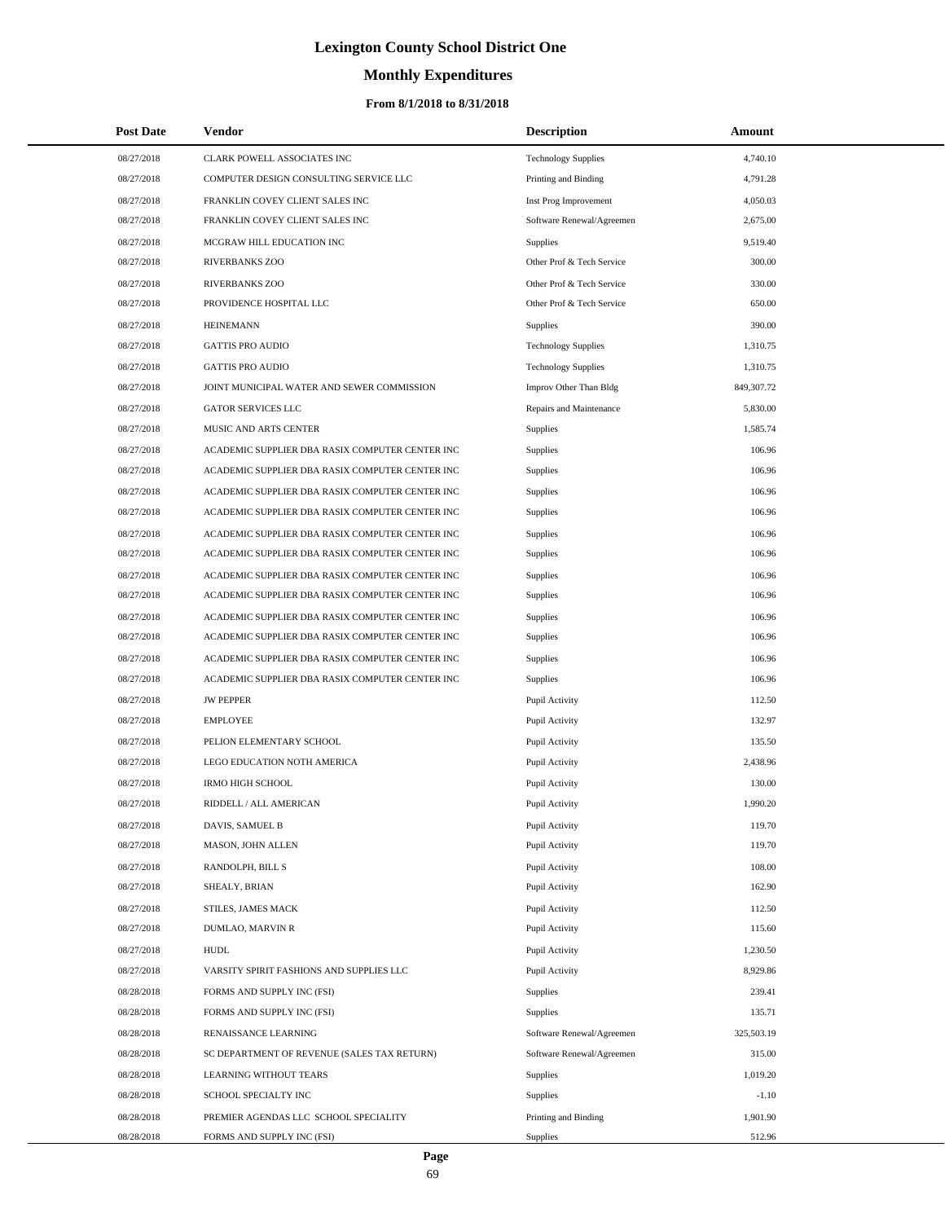# **Monthly Expenditures**

## **From 8/1/2018 to 8/31/2018**

| <b>Post Date</b> | Vendor                                          | <b>Description</b>         | Amount     |
|------------------|-------------------------------------------------|----------------------------|------------|
| 08/27/2018       | CLARK POWELL ASSOCIATES INC                     | <b>Technology Supplies</b> | 4,740.10   |
| 08/27/2018       | COMPUTER DESIGN CONSULTING SERVICE LLC          | Printing and Binding       | 4,791.28   |
| 08/27/2018       | FRANKLIN COVEY CLIENT SALES INC                 | Inst Prog Improvement      | 4,050.03   |
| 08/27/2018       | FRANKLIN COVEY CLIENT SALES INC                 | Software Renewal/Agreemen  | 2,675.00   |
| 08/27/2018       | MCGRAW HILL EDUCATION INC                       | <b>Supplies</b>            | 9,519.40   |
| 08/27/2018       | RIVERBANKS ZOO                                  | Other Prof & Tech Service  | 300.00     |
| 08/27/2018       | RIVERBANKS ZOO                                  | Other Prof & Tech Service  | 330.00     |
| 08/27/2018       | PROVIDENCE HOSPITAL LLC                         | Other Prof & Tech Service  | 650.00     |
| 08/27/2018       | <b>HEINEMANN</b>                                | <b>Supplies</b>            | 390.00     |
| 08/27/2018       | <b>GATTIS PRO AUDIO</b>                         | <b>Technology Supplies</b> | 1,310.75   |
| 08/27/2018       | <b>GATTIS PRO AUDIO</b>                         | <b>Technology Supplies</b> | 1,310.75   |
| 08/27/2018       | JOINT MUNICIPAL WATER AND SEWER COMMISSION      | Improv Other Than Bldg     | 849,307.72 |
| 08/27/2018       | <b>GATOR SERVICES LLC</b>                       | Repairs and Maintenance    | 5,830.00   |
| 08/27/2018       | MUSIC AND ARTS CENTER                           | <b>Supplies</b>            | 1,585.74   |
| 08/27/2018       | ACADEMIC SUPPLIER DBA RASIX COMPUTER CENTER INC | <b>Supplies</b>            | 106.96     |
| 08/27/2018       | ACADEMIC SUPPLIER DBA RASIX COMPUTER CENTER INC | <b>Supplies</b>            | 106.96     |
| 08/27/2018       | ACADEMIC SUPPLIER DBA RASIX COMPUTER CENTER INC | <b>Supplies</b>            | 106.96     |
| 08/27/2018       | ACADEMIC SUPPLIER DBA RASIX COMPUTER CENTER INC | Supplies                   | 106.96     |
| 08/27/2018       | ACADEMIC SUPPLIER DBA RASIX COMPUTER CENTER INC | <b>Supplies</b>            | 106.96     |
| 08/27/2018       | ACADEMIC SUPPLIER DBA RASIX COMPUTER CENTER INC | Supplies                   | 106.96     |
| 08/27/2018       | ACADEMIC SUPPLIER DBA RASIX COMPUTER CENTER INC | Supplies                   | 106.96     |
| 08/27/2018       | ACADEMIC SUPPLIER DBA RASIX COMPUTER CENTER INC | Supplies                   | 106.96     |
| 08/27/2018       | ACADEMIC SUPPLIER DBA RASIX COMPUTER CENTER INC | Supplies                   | 106.96     |
| 08/27/2018       | ACADEMIC SUPPLIER DBA RASIX COMPUTER CENTER INC | Supplies                   | 106.96     |
| 08/27/2018       | ACADEMIC SUPPLIER DBA RASIX COMPUTER CENTER INC | Supplies                   | 106.96     |
| 08/27/2018       | ACADEMIC SUPPLIER DBA RASIX COMPUTER CENTER INC | <b>Supplies</b>            | 106.96     |
| 08/27/2018       | <b>JW PEPPER</b>                                | Pupil Activity             | 112.50     |
| 08/27/2018       | <b>EMPLOYEE</b>                                 | Pupil Activity             | 132.97     |
| 08/27/2018       | PELION ELEMENTARY SCHOOL                        | Pupil Activity             | 135.50     |
| 08/27/2018       | LEGO EDUCATION NOTH AMERICA                     | Pupil Activity             | 2,438.96   |
| 08/27/2018       | <b>IRMO HIGH SCHOOL</b>                         | Pupil Activity             | 130.00     |
| 08/27/2018       | RIDDELL / ALL AMERICAN                          | Pupil Activity             | 1,990.20   |
| 08/27/2018       | DAVIS, SAMUEL B                                 | Pupil Activity             | 119.70     |
| 08/27/2018       | MASON, JOHN ALLEN                               | Pupil Activity             | 119.70     |
| 08/27/2018       | RANDOLPH, BILL S                                | Pupil Activity             | 108.00     |
| 08/27/2018       | SHEALY, BRIAN                                   | Pupil Activity             | 162.90     |
| 08/27/2018       | STILES, JAMES MACK                              | Pupil Activity             | 112.50     |
| 08/27/2018       | DUMLAO, MARVIN R                                | Pupil Activity             | 115.60     |
| 08/27/2018       | HUDL                                            | Pupil Activity             | 1,230.50   |
| 08/27/2018       | VARSITY SPIRIT FASHIONS AND SUPPLIES LLC        | Pupil Activity             | 8,929.86   |
| 08/28/2018       | FORMS AND SUPPLY INC (FSI)                      | Supplies                   | 239.41     |
| 08/28/2018       | FORMS AND SUPPLY INC (FSI)                      | Supplies                   | 135.71     |
| 08/28/2018       | RENAISSANCE LEARNING                            | Software Renewal/Agreemen  | 325,503.19 |
| 08/28/2018       | SC DEPARTMENT OF REVENUE (SALES TAX RETURN)     | Software Renewal/Agreemen  | 315.00     |
| 08/28/2018       | LEARNING WITHOUT TEARS                          | <b>Supplies</b>            | 1,019.20   |
| 08/28/2018       | SCHOOL SPECIALTY INC                            | Supplies                   | $-1.10$    |
| 08/28/2018       | PREMIER AGENDAS LLC SCHOOL SPECIALITY           | Printing and Binding       | 1,901.90   |
| 08/28/2018       | FORMS AND SUPPLY INC (FSI)                      | Supplies                   | 512.96     |

 $\overline{a}$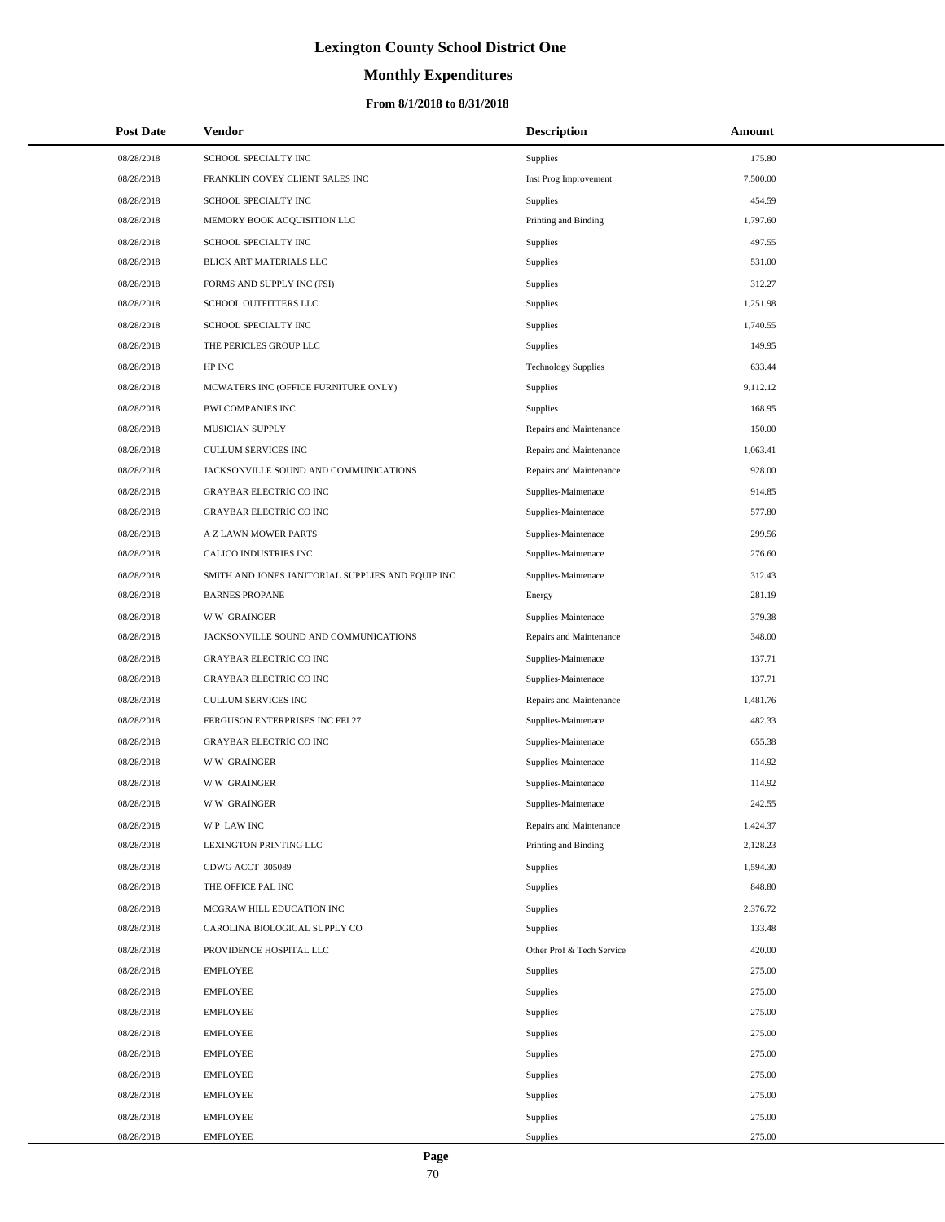# **Monthly Expenditures**

## **From 8/1/2018 to 8/31/2018**

| <b>Post Date</b> | Vendor                                            | <b>Description</b>         | Amount   |
|------------------|---------------------------------------------------|----------------------------|----------|
| 08/28/2018       | SCHOOL SPECIALTY INC                              | <b>Supplies</b>            | 175.80   |
| 08/28/2018       | FRANKLIN COVEY CLIENT SALES INC                   | Inst Prog Improvement      | 7,500.00 |
| 08/28/2018       | SCHOOL SPECIALTY INC                              | <b>Supplies</b>            | 454.59   |
| 08/28/2018       | MEMORY BOOK ACQUISITION LLC                       | Printing and Binding       | 1,797.60 |
| 08/28/2018       | SCHOOL SPECIALTY INC                              | <b>Supplies</b>            | 497.55   |
| 08/28/2018       | BLICK ART MATERIALS LLC                           | Supplies                   | 531.00   |
| 08/28/2018       | FORMS AND SUPPLY INC (FSI)                        | <b>Supplies</b>            | 312.27   |
| 08/28/2018       | SCHOOL OUTFITTERS LLC                             | Supplies                   | 1.251.98 |
| 08/28/2018       | SCHOOL SPECIALTY INC                              | Supplies                   | 1,740.55 |
| 08/28/2018       | THE PERICLES GROUP LLC                            | Supplies                   | 149.95   |
| 08/28/2018       | HP INC                                            | <b>Technology Supplies</b> | 633.44   |
| 08/28/2018       | MCWATERS INC (OFFICE FURNITURE ONLY)              | Supplies                   | 9,112.12 |
| 08/28/2018       | <b>BWI COMPANIES INC</b>                          | Supplies                   | 168.95   |
| 08/28/2018       | MUSICIAN SUPPLY                                   | Repairs and Maintenance    | 150.00   |
| 08/28/2018       | CULLUM SERVICES INC                               | Repairs and Maintenance    | 1,063.41 |
| 08/28/2018       | JACKSONVILLE SOUND AND COMMUNICATIONS             | Repairs and Maintenance    | 928.00   |
| 08/28/2018       | <b>GRAYBAR ELECTRIC CO INC</b>                    | Supplies-Maintenace        | 914.85   |
| 08/28/2018       | <b>GRAYBAR ELECTRIC CO INC</b>                    | Supplies-Maintenace        | 577.80   |
| 08/28/2018       | A Z LAWN MOWER PARTS                              | Supplies-Maintenace        | 299.56   |
| 08/28/2018       | CALICO INDUSTRIES INC                             | Supplies-Maintenace        | 276.60   |
| 08/28/2018       | SMITH AND JONES JANITORIAL SUPPLIES AND EQUIP INC | Supplies-Maintenace        | 312.43   |
| 08/28/2018       | <b>BARNES PROPANE</b>                             | Energy                     | 281.19   |
| 08/28/2018       | <b>WW GRAINGER</b>                                | Supplies-Maintenace        | 379.38   |
| 08/28/2018       | JACKSONVILLE SOUND AND COMMUNICATIONS             | Repairs and Maintenance    | 348.00   |
| 08/28/2018       | <b>GRAYBAR ELECTRIC CO INC</b>                    | Supplies-Maintenace        | 137.71   |
| 08/28/2018       | <b>GRAYBAR ELECTRIC CO INC</b>                    | Supplies-Maintenace        | 137.71   |
| 08/28/2018       | <b>CULLUM SERVICES INC</b>                        | Repairs and Maintenance    | 1,481.76 |
| 08/28/2018       | FERGUSON ENTERPRISES INC FEI 27                   | Supplies-Maintenace        | 482.33   |
| 08/28/2018       | <b>GRAYBAR ELECTRIC CO INC</b>                    | Supplies-Maintenace        | 655.38   |
| 08/28/2018       | <b>WW GRAINGER</b>                                | Supplies-Maintenace        | 114.92   |
| 08/28/2018       | <b>WW GRAINGER</b>                                | Supplies-Maintenace        | 114.92   |
| 08/28/2018       | <b>WW GRAINGER</b>                                | Supplies-Maintenace        | 242.55   |
| 08/28/2018       | WP LAW INC                                        | Repairs and Maintenance    | 1,424.37 |
| 08/28/2018       | <b>LEXINGTON PRINTING LLC</b>                     | Printing and Binding       | 2,128.23 |
| 08/28/2018       | CDWG ACCT 305089                                  | Supplies                   | 1,594.30 |
| 08/28/2018       | THE OFFICE PAL INC                                | Supplies                   | 848.80   |
| 08/28/2018       | MCGRAW HILL EDUCATION INC                         | Supplies                   | 2,376.72 |
| 08/28/2018       | CAROLINA BIOLOGICAL SUPPLY CO                     | Supplies                   | 133.48   |
| 08/28/2018       | PROVIDENCE HOSPITAL LLC                           | Other Prof & Tech Service  | 420.00   |
| 08/28/2018       | <b>EMPLOYEE</b>                                   | Supplies                   | 275.00   |
| 08/28/2018       | <b>EMPLOYEE</b>                                   | Supplies                   | 275.00   |
| 08/28/2018       | <b>EMPLOYEE</b>                                   | Supplies                   | 275.00   |
| 08/28/2018       | <b>EMPLOYEE</b>                                   | Supplies                   | 275.00   |
| 08/28/2018       | <b>EMPLOYEE</b>                                   | Supplies                   | 275.00   |
| 08/28/2018       | <b>EMPLOYEE</b>                                   | Supplies                   | 275.00   |
| 08/28/2018       | <b>EMPLOYEE</b>                                   | Supplies                   | 275.00   |
| 08/28/2018       | <b>EMPLOYEE</b>                                   | Supplies                   | 275.00   |
| 08/28/2018       | EMPLOYEE                                          | Supplies                   | 275.00   |

L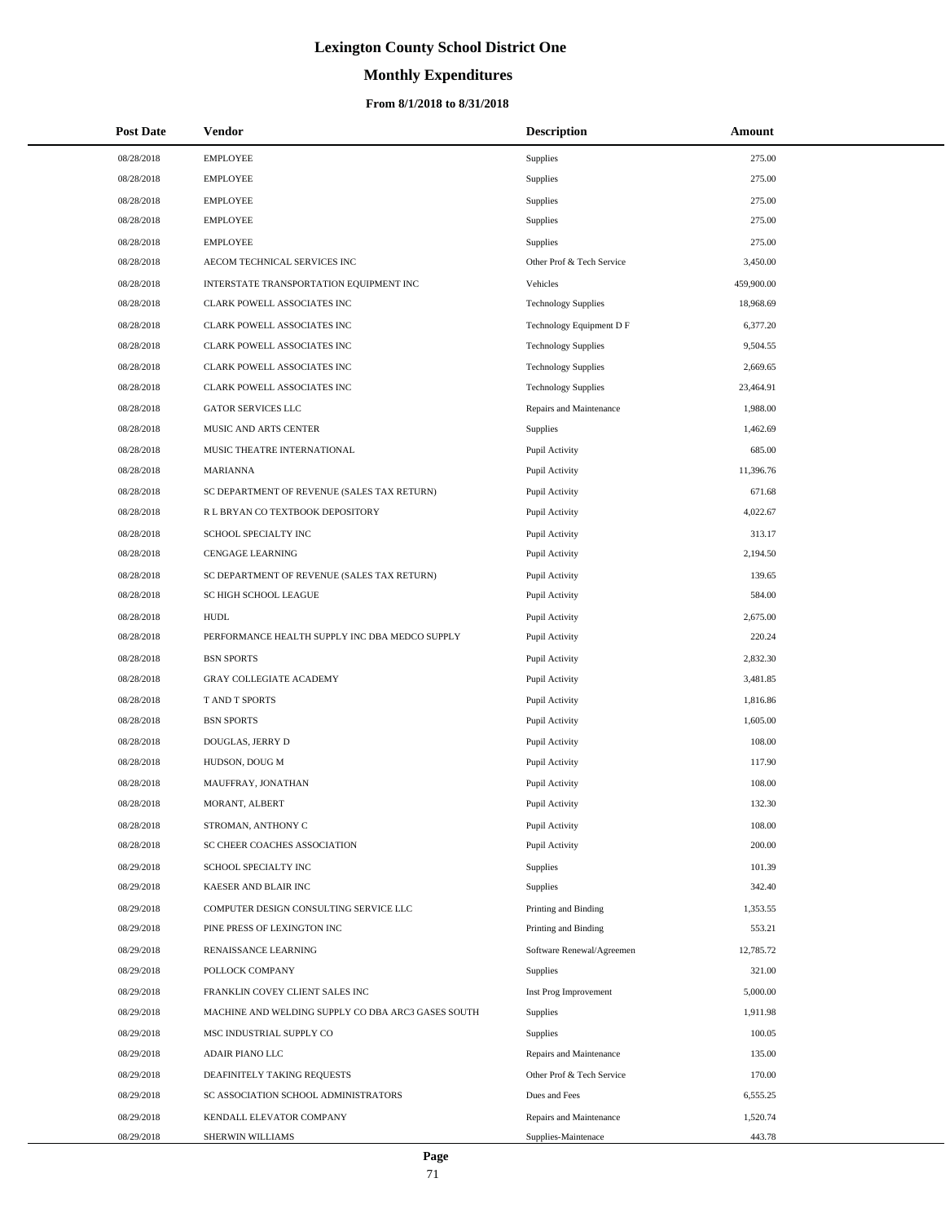# **Monthly Expenditures**

### **From 8/1/2018 to 8/31/2018**

| <b>Post Date</b> | Vendor                                             | <b>Description</b>         | Amount     |
|------------------|----------------------------------------------------|----------------------------|------------|
| 08/28/2018       | <b>EMPLOYEE</b>                                    | <b>Supplies</b>            | 275.00     |
| 08/28/2018       | <b>EMPLOYEE</b>                                    | <b>Supplies</b>            | 275.00     |
| 08/28/2018       | <b>EMPLOYEE</b>                                    | <b>Supplies</b>            | 275.00     |
| 08/28/2018       | <b>EMPLOYEE</b>                                    | Supplies                   | 275.00     |
| 08/28/2018       | <b>EMPLOYEE</b>                                    | <b>Supplies</b>            | 275.00     |
| 08/28/2018       | AECOM TECHNICAL SERVICES INC                       | Other Prof & Tech Service  | 3,450.00   |
| 08/28/2018       | INTERSTATE TRANSPORTATION EQUIPMENT INC            | Vehicles                   | 459,900.00 |
| 08/28/2018       | CLARK POWELL ASSOCIATES INC                        | <b>Technology Supplies</b> | 18,968.69  |
| 08/28/2018       | CLARK POWELL ASSOCIATES INC                        | Technology Equipment D F   | 6,377.20   |
| 08/28/2018       | CLARK POWELL ASSOCIATES INC                        | <b>Technology Supplies</b> | 9,504.55   |
| 08/28/2018       | CLARK POWELL ASSOCIATES INC                        | <b>Technology Supplies</b> | 2,669.65   |
| 08/28/2018       | CLARK POWELL ASSOCIATES INC                        | <b>Technology Supplies</b> | 23,464.91  |
| 08/28/2018       | <b>GATOR SERVICES LLC</b>                          | Repairs and Maintenance    | 1,988.00   |
| 08/28/2018       | MUSIC AND ARTS CENTER                              | Supplies                   | 1,462.69   |
| 08/28/2018       | MUSIC THEATRE INTERNATIONAL                        | Pupil Activity             | 685.00     |
| 08/28/2018       | MARIANNA                                           | Pupil Activity             | 11,396.76  |
| 08/28/2018       | SC DEPARTMENT OF REVENUE (SALES TAX RETURN)        | Pupil Activity             | 671.68     |
| 08/28/2018       | R L BRYAN CO TEXTBOOK DEPOSITORY                   | Pupil Activity             | 4,022.67   |
| 08/28/2018       | SCHOOL SPECIALTY INC                               | Pupil Activity             | 313.17     |
| 08/28/2018       | <b>CENGAGE LEARNING</b>                            | Pupil Activity             | 2,194.50   |
| 08/28/2018       | SC DEPARTMENT OF REVENUE (SALES TAX RETURN)        | Pupil Activity             | 139.65     |
| 08/28/2018       | SC HIGH SCHOOL LEAGUE                              | Pupil Activity             | 584.00     |
| 08/28/2018       | <b>HUDL</b>                                        | Pupil Activity             | 2,675.00   |
| 08/28/2018       | PERFORMANCE HEALTH SUPPLY INC DBA MEDCO SUPPLY     | Pupil Activity             | 220.24     |
| 08/28/2018       | <b>BSN SPORTS</b>                                  | Pupil Activity             | 2,832.30   |
| 08/28/2018       | <b>GRAY COLLEGIATE ACADEMY</b>                     | Pupil Activity             | 3,481.85   |
| 08/28/2018       | <b>TAND T SPORTS</b>                               | Pupil Activity             | 1,816.86   |
| 08/28/2018       | <b>BSN SPORTS</b>                                  | Pupil Activity             | 1,605.00   |
| 08/28/2018       | DOUGLAS, JERRY D                                   | Pupil Activity             | 108.00     |
| 08/28/2018       | HUDSON, DOUG M                                     | Pupil Activity             | 117.90     |
| 08/28/2018       | MAUFFRAY, JONATHAN                                 | Pupil Activity             | 108.00     |
| 08/28/2018       | MORANT, ALBERT                                     | Pupil Activity             | 132.30     |
| 08/28/2018       | STROMAN, ANTHONY C                                 | Pupil Activity             | 108.00     |
| 08/28/2018       | SC CHEER COACHES ASSOCIATION                       | Pupil Activity             | 200.00     |
| 08/29/2018       | SCHOOL SPECIALTY INC                               | <b>Supplies</b>            | 101.39     |
| 08/29/2018       | KAESER AND BLAIR INC                               | Supplies                   | 342.40     |
| 08/29/2018       | COMPUTER DESIGN CONSULTING SERVICE LLC             | Printing and Binding       | 1,353.55   |
| 08/29/2018       | PINE PRESS OF LEXINGTON INC                        | Printing and Binding       | 553.21     |
| 08/29/2018       | RENAISSANCE LEARNING                               | Software Renewal/Agreemen  | 12,785.72  |
| 08/29/2018       | POLLOCK COMPANY                                    | Supplies                   | 321.00     |
| 08/29/2018       | FRANKLIN COVEY CLIENT SALES INC                    | Inst Prog Improvement      | 5,000.00   |
| 08/29/2018       | MACHINE AND WELDING SUPPLY CO DBA ARC3 GASES SOUTH | Supplies                   | 1,911.98   |
| 08/29/2018       | MSC INDUSTRIAL SUPPLY CO                           | <b>Supplies</b>            | 100.05     |
| 08/29/2018       | ADAIR PIANO LLC                                    | Repairs and Maintenance    | 135.00     |
| 08/29/2018       | DEAFINITELY TAKING REQUESTS                        | Other Prof & Tech Service  | 170.00     |
| 08/29/2018       | SC ASSOCIATION SCHOOL ADMINISTRATORS               | Dues and Fees              | 6,555.25   |
| 08/29/2018       | KENDALL ELEVATOR COMPANY                           | Repairs and Maintenance    | 1,520.74   |
| 08/29/2018       | SHERWIN WILLIAMS                                   | Supplies-Maintenace        | 443.78     |

 $\overline{\phantom{0}}$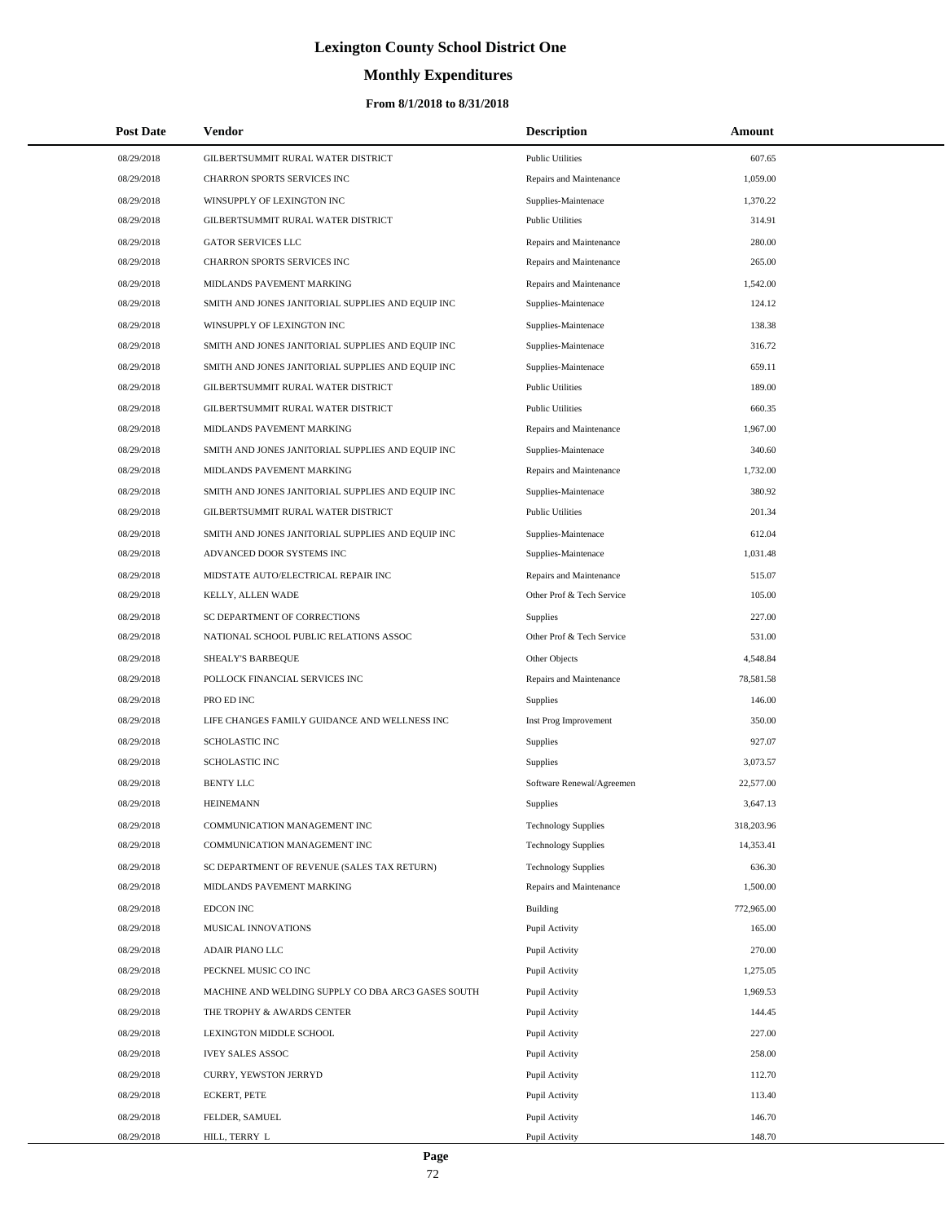# **Monthly Expenditures**

| <b>Post Date</b> | Vendor                                             | <b>Description</b>         | Amount     |  |
|------------------|----------------------------------------------------|----------------------------|------------|--|
| 08/29/2018       | GILBERTSUMMIT RURAL WATER DISTRICT                 | <b>Public Utilities</b>    | 607.65     |  |
| 08/29/2018       | CHARRON SPORTS SERVICES INC                        | Repairs and Maintenance    | 1,059.00   |  |
| 08/29/2018       | WINSUPPLY OF LEXINGTON INC                         | Supplies-Maintenace        | 1,370.22   |  |
| 08/29/2018       | GILBERTSUMMIT RURAL WATER DISTRICT                 | <b>Public Utilities</b>    | 314.91     |  |
| 08/29/2018       | <b>GATOR SERVICES LLC</b>                          | Repairs and Maintenance    | 280.00     |  |
| 08/29/2018       | CHARRON SPORTS SERVICES INC                        | Repairs and Maintenance    | 265.00     |  |
| 08/29/2018       | MIDLANDS PAVEMENT MARKING                          | Repairs and Maintenance    | 1,542.00   |  |
| 08/29/2018       | SMITH AND JONES JANITORIAL SUPPLIES AND EQUIP INC  | Supplies-Maintenace        | 124.12     |  |
| 08/29/2018       | WINSUPPLY OF LEXINGTON INC                         | Supplies-Maintenace        | 138.38     |  |
| 08/29/2018       | SMITH AND JONES JANITORIAL SUPPLIES AND EQUIP INC  | Supplies-Maintenace        | 316.72     |  |
| 08/29/2018       | SMITH AND JONES JANITORIAL SUPPLIES AND EQUIP INC  | Supplies-Maintenace        | 659.11     |  |
| 08/29/2018       | GILBERTSUMMIT RURAL WATER DISTRICT                 | <b>Public Utilities</b>    | 189.00     |  |
| 08/29/2018       | GILBERTSUMMIT RURAL WATER DISTRICT                 | <b>Public Utilities</b>    | 660.35     |  |
| 08/29/2018       | MIDLANDS PAVEMENT MARKING                          | Repairs and Maintenance    | 1,967.00   |  |
| 08/29/2018       | SMITH AND JONES JANITORIAL SUPPLIES AND EQUIP INC  | Supplies-Maintenace        | 340.60     |  |
| 08/29/2018       | MIDLANDS PAVEMENT MARKING                          | Repairs and Maintenance    | 1,732.00   |  |
| 08/29/2018       | SMITH AND JONES JANITORIAL SUPPLIES AND EQUIP INC  | Supplies-Maintenace        | 380.92     |  |
| 08/29/2018       | GILBERTSUMMIT RURAL WATER DISTRICT                 | <b>Public Utilities</b>    | 201.34     |  |
| 08/29/2018       | SMITH AND JONES JANITORIAL SUPPLIES AND EQUIP INC  | Supplies-Maintenace        | 612.04     |  |
| 08/29/2018       | ADVANCED DOOR SYSTEMS INC                          | Supplies-Maintenace        | 1,031.48   |  |
| 08/29/2018       | MIDSTATE AUTO/ELECTRICAL REPAIR INC                | Repairs and Maintenance    | 515.07     |  |
| 08/29/2018       | KELLY, ALLEN WADE                                  | Other Prof & Tech Service  | 105.00     |  |
| 08/29/2018       | SC DEPARTMENT OF CORRECTIONS                       | Supplies                   | 227.00     |  |
| 08/29/2018       | NATIONAL SCHOOL PUBLIC RELATIONS ASSOC             | Other Prof & Tech Service  | 531.00     |  |
| 08/29/2018       | SHEALY'S BARBEQUE                                  | Other Objects              | 4,548.84   |  |
| 08/29/2018       | POLLOCK FINANCIAL SERVICES INC                     | Repairs and Maintenance    | 78,581.58  |  |
| 08/29/2018       | PRO ED INC                                         | Supplies                   | 146.00     |  |
| 08/29/2018       | LIFE CHANGES FAMILY GUIDANCE AND WELLNESS INC      | Inst Prog Improvement      | 350.00     |  |
| 08/29/2018       | <b>SCHOLASTIC INC</b>                              | Supplies                   | 927.07     |  |
| 08/29/2018       | <b>SCHOLASTIC INC</b>                              | Supplies                   | 3,073.57   |  |
| 08/29/2018       | <b>BENTY LLC</b>                                   | Software Renewal/Agreemen  | 22,577.00  |  |
| 08/29/2018       | <b>HEINEMANN</b>                                   | Supplies                   | 3,647.13   |  |
| 08/29/2018       | COMMUNICATION MANAGEMENT INC                       | <b>Technology Supplies</b> | 318,203.96 |  |
| 08/29/2018       | COMMUNICATION MANAGEMENT INC                       | <b>Technology Supplies</b> | 14,353.41  |  |
| 08/29/2018       | SC DEPARTMENT OF REVENUE (SALES TAX RETURN)        | <b>Technology Supplies</b> | 636.30     |  |
| 08/29/2018       | MIDLANDS PAVEMENT MARKING                          | Repairs and Maintenance    | 1,500.00   |  |
| 08/29/2018       | EDCON INC                                          | Building                   | 772,965.00 |  |
| 08/29/2018       | MUSICAL INNOVATIONS                                | Pupil Activity             | 165.00     |  |
| 08/29/2018       | ADAIR PIANO LLC                                    | Pupil Activity             | 270.00     |  |
| 08/29/2018       | PECKNEL MUSIC CO INC                               | Pupil Activity             | 1,275.05   |  |
| 08/29/2018       | MACHINE AND WELDING SUPPLY CO DBA ARC3 GASES SOUTH | Pupil Activity             | 1,969.53   |  |
| 08/29/2018       | THE TROPHY & AWARDS CENTER                         | Pupil Activity             | 144.45     |  |
| 08/29/2018       | LEXINGTON MIDDLE SCHOOL                            | Pupil Activity             | 227.00     |  |
| 08/29/2018       | <b>IVEY SALES ASSOC</b>                            | Pupil Activity             | 258.00     |  |
| 08/29/2018       | CURRY, YEWSTON JERRYD                              | Pupil Activity             | 112.70     |  |
| 08/29/2018       | <b>ECKERT, PETE</b>                                | Pupil Activity             | 113.40     |  |
| 08/29/2018       | FELDER, SAMUEL                                     | Pupil Activity             | 146.70     |  |
| 08/29/2018       | HILL, TERRY L                                      | Pupil Activity             | 148.70     |  |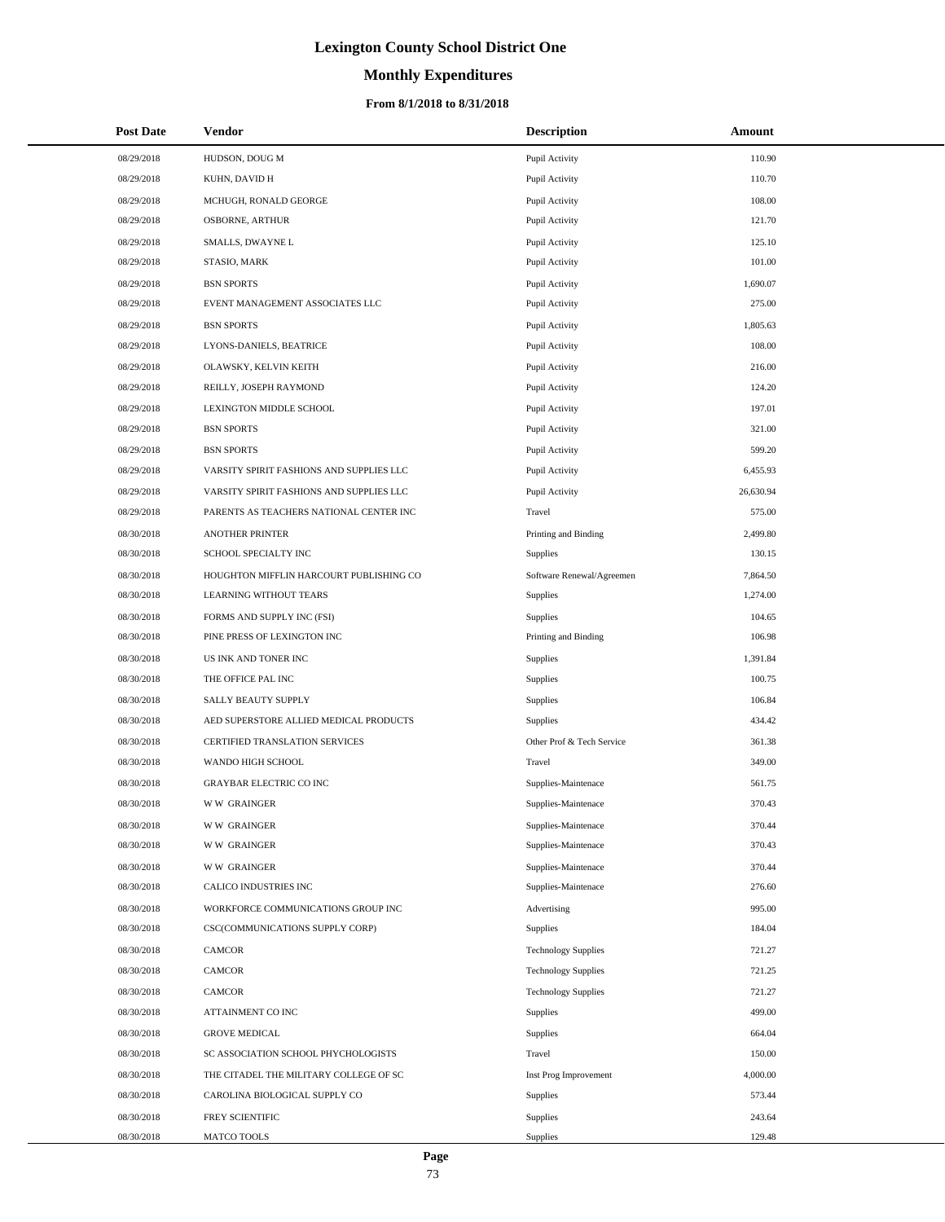# **Lexington County School District One**

# **Monthly Expenditures**

### **From 8/1/2018 to 8/31/2018**

| <b>Post Date</b> | Vendor                                   | <b>Description</b>         | Amount    |
|------------------|------------------------------------------|----------------------------|-----------|
| 08/29/2018       | HUDSON, DOUG M                           | Pupil Activity             | 110.90    |
| 08/29/2018       | KUHN, DAVID H                            | Pupil Activity             | 110.70    |
| 08/29/2018       | MCHUGH, RONALD GEORGE                    | Pupil Activity             | 108.00    |
| 08/29/2018       | OSBORNE, ARTHUR                          | Pupil Activity             | 121.70    |
| 08/29/2018       | SMALLS, DWAYNE L                         | Pupil Activity             | 125.10    |
| 08/29/2018       | STASIO, MARK                             | Pupil Activity             | 101.00    |
| 08/29/2018       | <b>BSN SPORTS</b>                        | Pupil Activity             | 1,690.07  |
| 08/29/2018       | EVENT MANAGEMENT ASSOCIATES LLC          | Pupil Activity             | 275.00    |
| 08/29/2018       | <b>BSN SPORTS</b>                        | Pupil Activity             | 1,805.63  |
| 08/29/2018       | LYONS-DANIELS, BEATRICE                  | Pupil Activity             | 108.00    |
| 08/29/2018       | OLAWSKY, KELVIN KEITH                    | Pupil Activity             | 216.00    |
| 08/29/2018       | REILLY, JOSEPH RAYMOND                   | Pupil Activity             | 124.20    |
| 08/29/2018       | LEXINGTON MIDDLE SCHOOL                  | Pupil Activity             | 197.01    |
| 08/29/2018       | <b>BSN SPORTS</b>                        | Pupil Activity             | 321.00    |
| 08/29/2018       | <b>BSN SPORTS</b>                        | Pupil Activity             | 599.20    |
| 08/29/2018       | VARSITY SPIRIT FASHIONS AND SUPPLIES LLC | Pupil Activity             | 6,455.93  |
| 08/29/2018       | VARSITY SPIRIT FASHIONS AND SUPPLIES LLC | Pupil Activity             | 26,630.94 |
| 08/29/2018       | PARENTS AS TEACHERS NATIONAL CENTER INC  | Travel                     | 575.00    |
| 08/30/2018       | <b>ANOTHER PRINTER</b>                   | Printing and Binding       | 2,499.80  |
| 08/30/2018       | SCHOOL SPECIALTY INC                     | Supplies                   | 130.15    |
| 08/30/2018       | HOUGHTON MIFFLIN HARCOURT PUBLISHING CO  | Software Renewal/Agreemen  | 7,864.50  |
| 08/30/2018       | LEARNING WITHOUT TEARS                   | Supplies                   | 1,274.00  |
| 08/30/2018       | FORMS AND SUPPLY INC (FSI)               | Supplies                   | 104.65    |
| 08/30/2018       | PINE PRESS OF LEXINGTON INC              | Printing and Binding       | 106.98    |
| 08/30/2018       | US INK AND TONER INC                     | Supplies                   | 1,391.84  |
| 08/30/2018       | THE OFFICE PAL INC                       | Supplies                   | 100.75    |
| 08/30/2018       | SALLY BEAUTY SUPPLY                      | Supplies                   | 106.84    |
| 08/30/2018       | AED SUPERSTORE ALLIED MEDICAL PRODUCTS   | Supplies                   | 434.42    |
| 08/30/2018       | CERTIFIED TRANSLATION SERVICES           | Other Prof & Tech Service  | 361.38    |
| 08/30/2018       | WANDO HIGH SCHOOL                        | Travel                     | 349.00    |
| 08/30/2018       | <b>GRAYBAR ELECTRIC CO INC</b>           | Supplies-Maintenace        | 561.75    |
| 08/30/2018       | <b>WW GRAINGER</b>                       | Supplies-Maintenace        | 370.43    |
| 08/30/2018       | <b>WW GRAINGER</b>                       | Supplies-Maintenace        | 370.44    |
| 08/30/2018       | <b>WW GRAINGER</b>                       | Supplies-Maintenace        | 370.43    |
| 08/30/2018       | <b>WW GRAINGER</b>                       | Supplies-Maintenace        | 370.44    |
| 08/30/2018       | CALICO INDUSTRIES INC                    | Supplies-Maintenace        | 276.60    |
| 08/30/2018       | WORKFORCE COMMUNICATIONS GROUP INC       | Advertising                | 995.00    |
| 08/30/2018       | CSC(COMMUNICATIONS SUPPLY CORP)          | Supplies                   | 184.04    |
| 08/30/2018       | CAMCOR                                   | <b>Technology Supplies</b> | 721.27    |
| 08/30/2018       | <b>CAMCOR</b>                            | <b>Technology Supplies</b> | 721.25    |
| 08/30/2018       | CAMCOR                                   | <b>Technology Supplies</b> | 721.27    |
| 08/30/2018       | ATTAINMENT CO INC                        | Supplies                   | 499.00    |
| 08/30/2018       | <b>GROVE MEDICAL</b>                     | Supplies                   | 664.04    |
| 08/30/2018       | SC ASSOCIATION SCHOOL PHYCHOLOGISTS      | Travel                     | 150.00    |
| 08/30/2018       | THE CITADEL THE MILITARY COLLEGE OF SC   | Inst Prog Improvement      | 4,000.00  |
| 08/30/2018       | CAROLINA BIOLOGICAL SUPPLY CO            | Supplies                   | 573.44    |
| 08/30/2018       | FREY SCIENTIFIC                          | Supplies                   | 243.64    |
| 08/30/2018       | MATCO TOOLS                              | Supplies                   | 129.48    |

 $\overline{a}$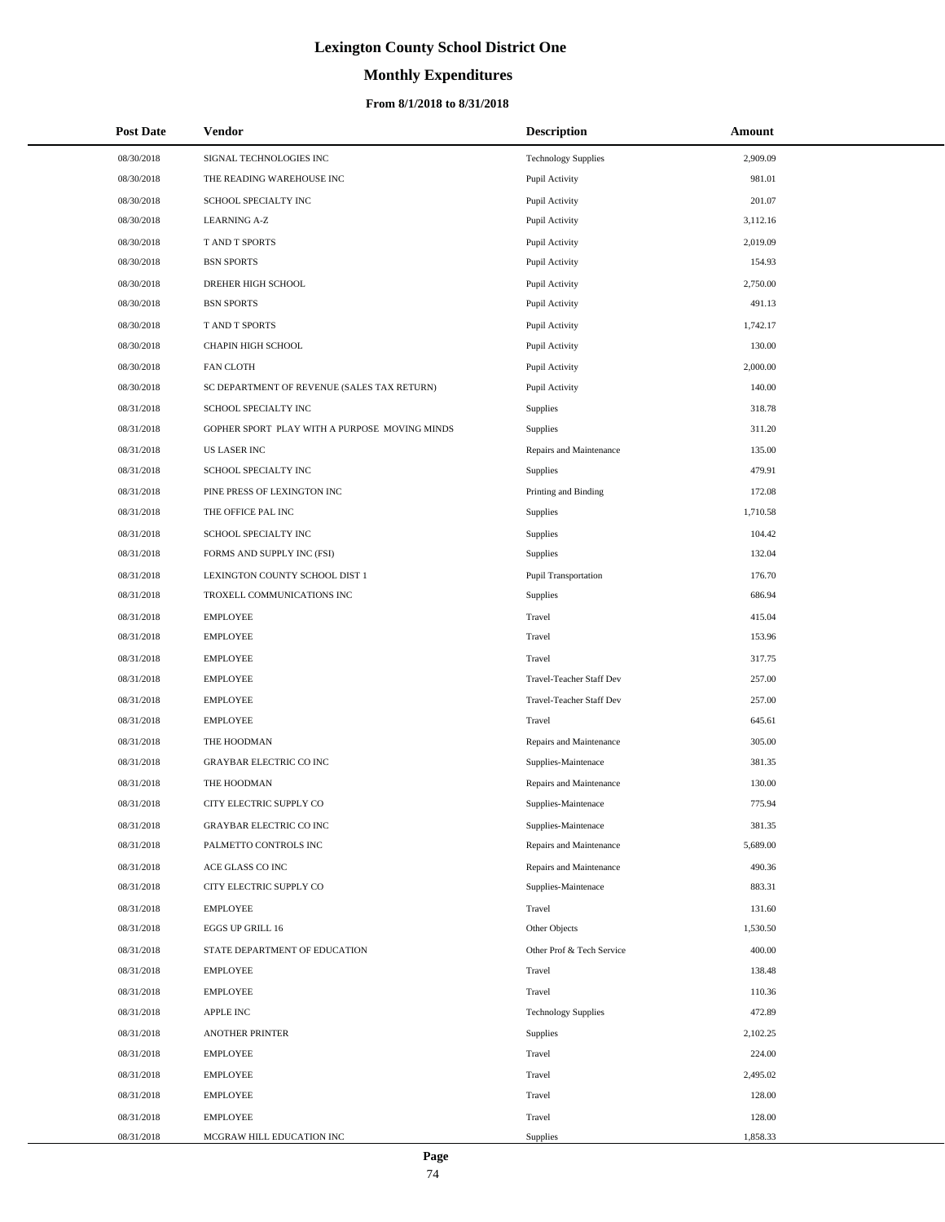# **Lexington County School District One**

# **Monthly Expenditures**

### **From 8/1/2018 to 8/31/2018**

| <b>Post Date</b> | Vendor                                        | <b>Description</b>         | Amount   |
|------------------|-----------------------------------------------|----------------------------|----------|
| 08/30/2018       | SIGNAL TECHNOLOGIES INC                       | <b>Technology Supplies</b> | 2,909.09 |
| 08/30/2018       | THE READING WAREHOUSE INC                     | Pupil Activity             | 981.01   |
| 08/30/2018       | SCHOOL SPECIALTY INC                          | Pupil Activity             | 201.07   |
| 08/30/2018       | <b>LEARNING A-Z</b>                           | Pupil Activity             | 3,112.16 |
| 08/30/2018       | T AND T SPORTS                                | Pupil Activity             | 2,019.09 |
| 08/30/2018       | <b>BSN SPORTS</b>                             | Pupil Activity             | 154.93   |
| 08/30/2018       | DREHER HIGH SCHOOL                            | Pupil Activity             | 2,750.00 |
| 08/30/2018       | <b>BSN SPORTS</b>                             | Pupil Activity             | 491.13   |
| 08/30/2018       | T AND T SPORTS                                | Pupil Activity             | 1,742.17 |
| 08/30/2018       | CHAPIN HIGH SCHOOL                            | Pupil Activity             | 130.00   |
| 08/30/2018       | <b>FAN CLOTH</b>                              | Pupil Activity             | 2,000.00 |
| 08/30/2018       | SC DEPARTMENT OF REVENUE (SALES TAX RETURN)   | Pupil Activity             | 140.00   |
| 08/31/2018       | SCHOOL SPECIALTY INC                          | Supplies                   | 318.78   |
| 08/31/2018       | GOPHER SPORT PLAY WITH A PURPOSE MOVING MINDS | Supplies                   | 311.20   |
| 08/31/2018       | <b>US LASER INC</b>                           | Repairs and Maintenance    | 135.00   |
| 08/31/2018       | SCHOOL SPECIALTY INC                          | Supplies                   | 479.91   |
| 08/31/2018       | PINE PRESS OF LEXINGTON INC                   | Printing and Binding       | 172.08   |
| 08/31/2018       | THE OFFICE PAL INC                            | Supplies                   | 1,710.58 |
| 08/31/2018       | SCHOOL SPECIALTY INC                          | Supplies                   | 104.42   |
| 08/31/2018       | FORMS AND SUPPLY INC (FSI)                    | Supplies                   | 132.04   |
| 08/31/2018       | LEXINGTON COUNTY SCHOOL DIST 1                | Pupil Transportation       | 176.70   |
| 08/31/2018       | TROXELL COMMUNICATIONS INC                    | Supplies                   | 686.94   |
| 08/31/2018       | <b>EMPLOYEE</b>                               | Travel                     | 415.04   |
| 08/31/2018       | <b>EMPLOYEE</b>                               | Travel                     | 153.96   |
| 08/31/2018       | <b>EMPLOYEE</b>                               | Travel                     | 317.75   |
| 08/31/2018       | <b>EMPLOYEE</b>                               | Travel-Teacher Staff Dev   | 257.00   |
| 08/31/2018       | <b>EMPLOYEE</b>                               | Travel-Teacher Staff Dev   | 257.00   |
| 08/31/2018       | <b>EMPLOYEE</b>                               | Travel                     | 645.61   |
| 08/31/2018       | THE HOODMAN                                   | Repairs and Maintenance    | 305.00   |
| 08/31/2018       | <b>GRAYBAR ELECTRIC CO INC</b>                | Supplies-Maintenace        | 381.35   |
| 08/31/2018       | THE HOODMAN                                   | Repairs and Maintenance    | 130.00   |
| 08/31/2018       | CITY ELECTRIC SUPPLY CO                       | Supplies-Maintenace        | 775.94   |
| 08/31/2018       | GRAYBAR ELECTRIC CO INC                       | Supplies-Maintenace        | 381.35   |
| 08/31/2018       | PALMETTO CONTROLS INC                         | Repairs and Maintenance    | 5,689.00 |
| 08/31/2018       | ACE GLASS CO INC                              | Repairs and Maintenance    | 490.36   |
| 08/31/2018       | CITY ELECTRIC SUPPLY CO                       | Supplies-Maintenace        | 883.31   |
| 08/31/2018       | <b>EMPLOYEE</b>                               | Travel                     | 131.60   |
| 08/31/2018       | EGGS UP GRILL 16                              | Other Objects              | 1,530.50 |
| 08/31/2018       | STATE DEPARTMENT OF EDUCATION                 | Other Prof & Tech Service  | 400.00   |
| 08/31/2018       | <b>EMPLOYEE</b>                               | Travel                     | 138.48   |
| 08/31/2018       | <b>EMPLOYEE</b>                               | Travel                     | 110.36   |
| 08/31/2018       | <b>APPLE INC</b>                              | <b>Technology Supplies</b> | 472.89   |
| 08/31/2018       | <b>ANOTHER PRINTER</b>                        | Supplies                   | 2,102.25 |
| 08/31/2018       | <b>EMPLOYEE</b>                               | Travel                     | 224.00   |
| 08/31/2018       | <b>EMPLOYEE</b>                               | Travel                     | 2,495.02 |
| 08/31/2018       | <b>EMPLOYEE</b>                               | Travel                     | 128.00   |
| 08/31/2018       | <b>EMPLOYEE</b>                               | Travel                     | 128.00   |
| 08/31/2018       | MCGRAW HILL EDUCATION INC                     | Supplies                   | 1,858.33 |